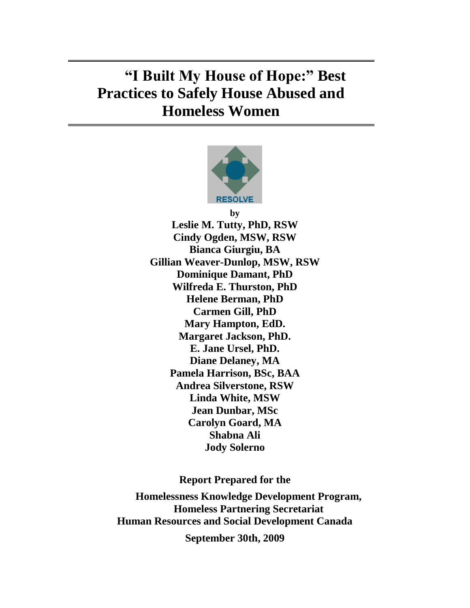# **"I Built My House of Hope:" Best Practices to Safely House Abused and Homeless Women**



**by Leslie M. Tutty, PhD, RSW Cindy Ogden, MSW, RSW Bianca Giurgiu, BA Gillian Weaver-Dunlop, MSW, RSW Dominique Damant, PhD Wilfreda E. Thurston, PhD Helene Berman, PhD Carmen Gill, PhD Mary Hampton, EdD. Margaret Jackson, PhD. E. Jane Ursel, PhD. Diane Delaney, MA Pamela Harrison, BSc, BAA Andrea Silverstone, RSW Linda White, MSW Jean Dunbar, MSc Carolyn Goard, MA Shabna Ali Jody Solerno**

**Report Prepared for the**

**Homelessness Knowledge Development Program, Homeless Partnering Secretariat Human Resources and Social Development Canada**

**September 30th, 2009**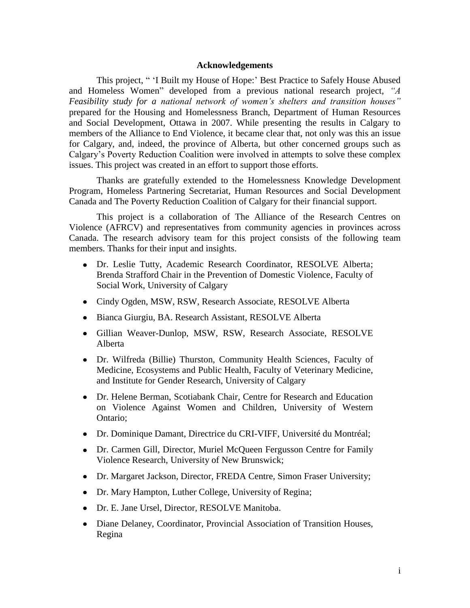## **Acknowledgements**

This project, "I Built my House of Hope:' Best Practice to Safely House Abused and Homeless Women" developed from a previous national research project, "A *Feasibility study for a national network of women"s shelters and transition houses"*  prepared for the Housing and Homelessness Branch, Department of Human Resources and Social Development, Ottawa in 2007. While presenting the results in Calgary to members of the Alliance to End Violence, it became clear that, not only was this an issue for Calgary, and, indeed, the province of Alberta, but other concerned groups such as Calgary's Poverty Reduction Coalition were involved in attempts to solve these complex issues. This project was created in an effort to support those efforts.

Thanks are gratefully extended to the Homelessness Knowledge Development Program, Homeless Partnering Secretariat, Human Resources and Social Development Canada and The Poverty Reduction Coalition of Calgary for their financial support.

This project is a collaboration of The Alliance of the Research Centres on Violence (AFRCV) and representatives from community agencies in provinces across Canada. The research advisory team for this project consists of the following team members. Thanks for their input and insights.

- Dr. Leslie Tutty, Academic Research Coordinator, RESOLVE Alberta; Brenda Strafford Chair in the Prevention of Domestic Violence, Faculty of Social Work, University of Calgary
- Cindy Ogden, MSW, RSW, Research Associate, RESOLVE Alberta
- Bianca Giurgiu, BA. Research Assistant, RESOLVE Alberta
- Gillian Weaver-Dunlop, MSW, RSW, Research Associate, RESOLVE Alberta
- Dr. Wilfreda (Billie) Thurston, Community Health Sciences, Faculty of Medicine, Ecosystems and Public Health, Faculty of Veterinary Medicine, and Institute for Gender Research, University of Calgary
- Dr. Helene Berman, Scotiabank Chair, Centre for Research and Education on Violence Against Women and Children, University of Western Ontario;
- Dr. Dominique Damant, Directrice du CRI-VIFF, Université du Montréal;
- Dr. Carmen Gill, Director, Muriel McQueen Fergusson Centre for Family Violence Research, University of New Brunswick;
- Dr. Margaret Jackson, Director, FREDA Centre, Simon Fraser University;
- Dr. Mary Hampton, Luther College, University of Regina;
- Dr. E. Jane Ursel, Director, RESOLVE Manitoba.
- Diane Delaney, Coordinator, Provincial Association of Transition Houses, Regina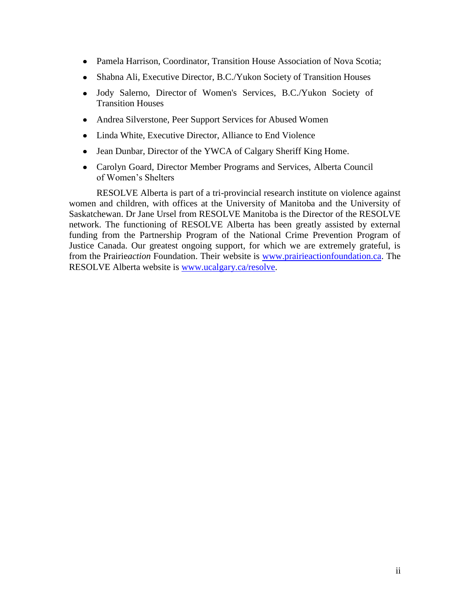- Pamela Harrison, Coordinator, Transition House Association of Nova Scotia;
- Shabna Ali, Executive Director, B.C./Yukon Society of Transition Houses
- Jody Salerno, Director of Women's Services, B.C./Yukon Society of Transition Houses
- Andrea Silverstone, Peer Support Services for Abused Women
- Linda White, Executive Director, Alliance to End Violence
- $\bullet$ Jean Dunbar, Director of the YWCA of Calgary Sheriff King Home.
- Carolyn Goard, Director Member Programs and Services, Alberta Council of Women's Shelters

RESOLVE Alberta is part of a tri-provincial research institute on violence against women and children, with offices at the University of Manitoba and the University of Saskatchewan. Dr Jane Ursel from RESOLVE Manitoba is the Director of the RESOLVE network. The functioning of RESOLVE Alberta has been greatly assisted by external funding from the Partnership Program of the National Crime Prevention Program of Justice Canada. Our greatest ongoing support, for which we are extremely grateful, is from the Prairie*action* Foundation. Their website is [www.prairieactionfoundation.ca.](http://www.prairieactionfoundation.ca/) The RESOLVE Alberta website is [www.ucalgary.ca/resolve.](http://www.ucalgary.ca/resolve)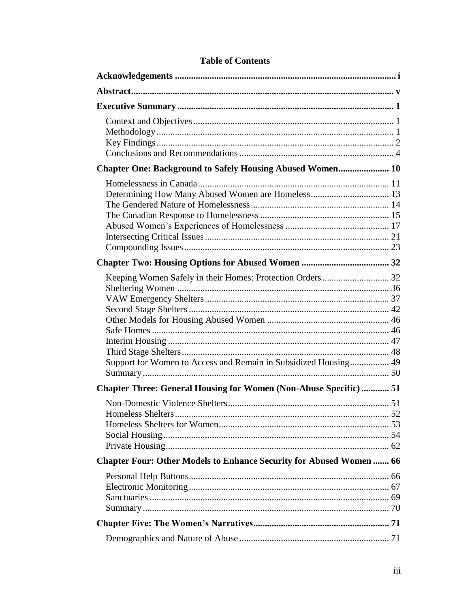| Chapter One: Background to Safely Housing Abused Women 10                                                                    |  |
|------------------------------------------------------------------------------------------------------------------------------|--|
|                                                                                                                              |  |
|                                                                                                                              |  |
| Keeping Women Safely in their Homes: Protection Orders 32<br>Support for Women to Access and Remain in Subsidized Housing 49 |  |
| <b>Chapter Three: General Housing for Women (Non-Abuse Specific)  51</b>                                                     |  |
|                                                                                                                              |  |
| <b>Chapter Four: Other Models to Enhance Security for Abused Women 66</b>                                                    |  |
|                                                                                                                              |  |
|                                                                                                                              |  |
|                                                                                                                              |  |

## **Table of Contents**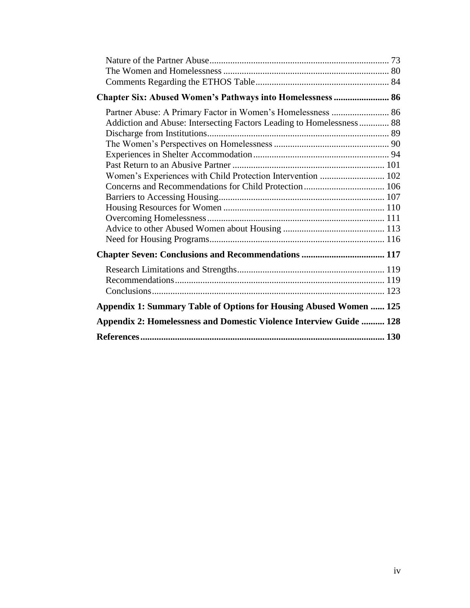| Chapter Six: Abused Women's Pathways into Homelessness  86           |  |
|----------------------------------------------------------------------|--|
| Partner Abuse: A Primary Factor in Women's Homelessness  86          |  |
| Addiction and Abuse: Intersecting Factors Leading to Homelessness 88 |  |
|                                                                      |  |
|                                                                      |  |
|                                                                      |  |
|                                                                      |  |
| Women's Experiences with Child Protection Intervention  102          |  |
|                                                                      |  |
|                                                                      |  |
|                                                                      |  |
|                                                                      |  |
|                                                                      |  |
|                                                                      |  |
|                                                                      |  |
|                                                                      |  |
|                                                                      |  |
|                                                                      |  |
| Appendix 1: Summary Table of Options for Housing Abused Women  125   |  |
| Appendix 2: Homelessness and Domestic Violence Interview Guide  128  |  |
|                                                                      |  |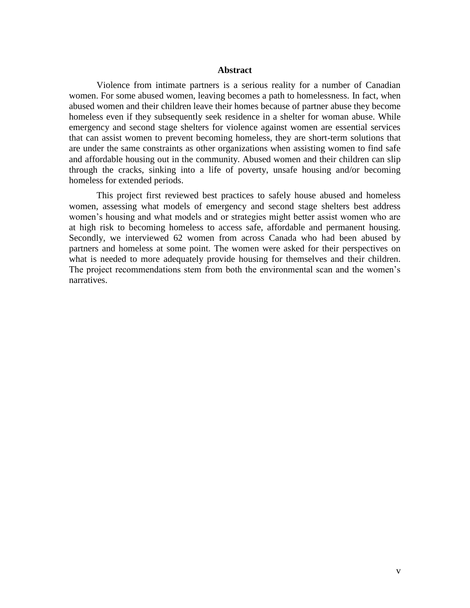## **Abstract**

Violence from intimate partners is a serious reality for a number of Canadian women. For some abused women, leaving becomes a path to homelessness. In fact, when abused women and their children leave their homes because of partner abuse they become homeless even if they subsequently seek residence in a shelter for woman abuse. While emergency and second stage shelters for violence against women are essential services that can assist women to prevent becoming homeless, they are short-term solutions that are under the same constraints as other organizations when assisting women to find safe and affordable housing out in the community. Abused women and their children can slip through the cracks, sinking into a life of poverty, unsafe housing and/or becoming homeless for extended periods.

This project first reviewed best practices to safely house abused and homeless women, assessing what models of emergency and second stage shelters best address women's housing and what models and or strategies might better assist women who are at high risk to becoming homeless to access safe, affordable and permanent housing. Secondly, we interviewed 62 women from across Canada who had been abused by partners and homeless at some point. The women were asked for their perspectives on what is needed to more adequately provide housing for themselves and their children. The project recommendations stem from both the environmental scan and the women's narratives.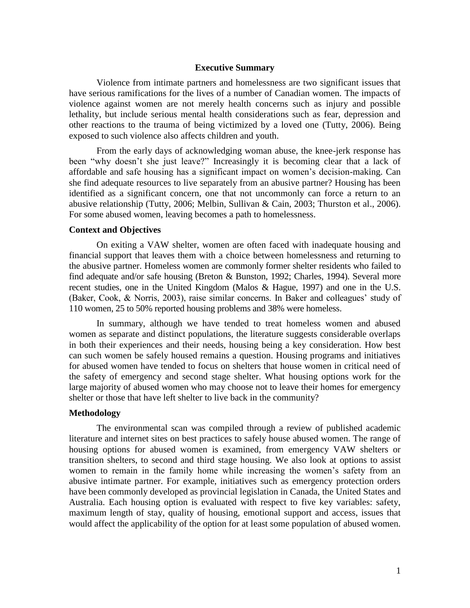## **Executive Summary**

Violence from intimate partners and homelessness are two significant issues that have serious ramifications for the lives of a number of Canadian women. The impacts of violence against women are not merely health concerns such as injury and possible lethality, but include serious mental health considerations such as fear, depression and other reactions to the trauma of being victimized by a loved one (Tutty, 2006). Being exposed to such violence also affects children and youth.

From the early days of acknowledging woman abuse, the knee-jerk response has been "why doesn't she just leave?" Increasingly it is becoming clear that a lack of affordable and safe housing has a significant impact on women's decision-making. Can she find adequate resources to live separately from an abusive partner? Housing has been identified as a significant concern, one that not uncommonly can force a return to an abusive relationship (Tutty, 2006; Melbin, Sullivan & Cain, 2003; Thurston et al., 2006). For some abused women, leaving becomes a path to homelessness.

## **Context and Objectives**

On exiting a VAW shelter, women are often faced with inadequate housing and financial support that leaves them with a choice between homelessness and returning to the abusive partner. Homeless women are commonly former shelter residents who failed to find adequate and/or safe housing (Breton & Bunston, 1992; Charles, 1994). Several more recent studies, one in the United Kingdom (Malos & Hague, 1997) and one in the U.S. (Baker, Cook, & Norris, 2003), raise similar concerns. In Baker and colleagues' study of 110 women, 25 to 50% reported housing problems and 38% were homeless.

In summary, although we have tended to treat homeless women and abused women as separate and distinct populations, the literature suggests considerable overlaps in both their experiences and their needs, housing being a key consideration. How best can such women be safely housed remains a question. Housing programs and initiatives for abused women have tended to focus on shelters that house women in critical need of the safety of emergency and second stage shelter. What housing options work for the large majority of abused women who may choose not to leave their homes for emergency shelter or those that have left shelter to live back in the community?

## **Methodology**

The environmental scan was compiled through a review of published academic literature and internet sites on best practices to safely house abused women. The range of housing options for abused women is examined, from emergency VAW shelters or transition shelters, to second and third stage housing. We also look at options to assist women to remain in the family home while increasing the women's safety from an abusive intimate partner. For example, initiatives such as emergency protection orders have been commonly developed as provincial legislation in Canada, the United States and Australia. Each housing option is evaluated with respect to five key variables: safety, maximum length of stay, quality of housing, emotional support and access, issues that would affect the applicability of the option for at least some population of abused women.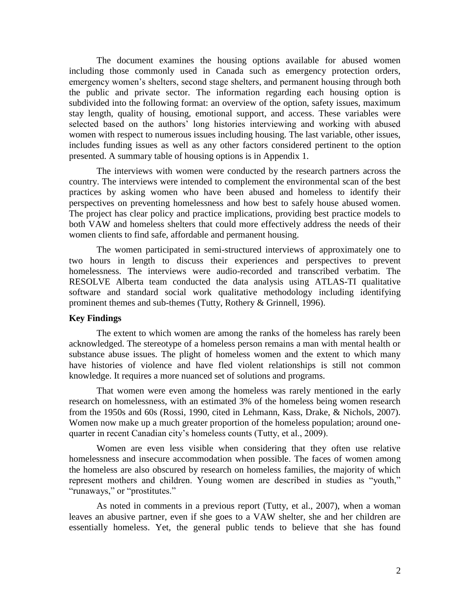The document examines the housing options available for abused women including those commonly used in Canada such as emergency protection orders, emergency women's shelters, second stage shelters, and permanent housing through both the public and private sector. The information regarding each housing option is subdivided into the following format: an overview of the option, safety issues, maximum stay length, quality of housing, emotional support, and access. These variables were selected based on the authors' long histories interviewing and working with abused women with respect to numerous issues including housing. The last variable, other issues, includes funding issues as well as any other factors considered pertinent to the option presented. A summary table of housing options is in Appendix 1.

The interviews with women were conducted by the research partners across the country. The interviews were intended to complement the environmental scan of the best practices by asking women who have been abused and homeless to identify their perspectives on preventing homelessness and how best to safely house abused women. The project has clear policy and practice implications, providing best practice models to both VAW and homeless shelters that could more effectively address the needs of their women clients to find safe, affordable and permanent housing.

The women participated in semi-structured interviews of approximately one to two hours in length to discuss their experiences and perspectives to prevent homelessness. The interviews were audio-recorded and transcribed verbatim. The RESOLVE Alberta team conducted the data analysis using ATLAS-TI qualitative software and standard social work qualitative methodology including identifying prominent themes and sub-themes (Tutty, Rothery & Grinnell, 1996).

## **Key Findings**

The extent to which women are among the ranks of the homeless has rarely been acknowledged. The stereotype of a homeless person remains a man with mental health or substance abuse issues. The plight of homeless women and the extent to which many have histories of violence and have fled violent relationships is still not common knowledge. It requires a more nuanced set of solutions and programs.

That women were even among the homeless was rarely mentioned in the early research on homelessness, with an estimated 3% of the homeless being women research from the 1950s and 60s (Rossi, 1990, cited in Lehmann, Kass, Drake, & Nichols, 2007). Women now make up a much greater proportion of the homeless population; around onequarter in recent Canadian city's homeless counts (Tutty, et al., 2009).

Women are even less visible when considering that they often use relative homelessness and insecure accommodation when possible. The faces of women among the homeless are also obscured by research on homeless families, the majority of which represent mothers and children. Young women are described in studies as "youth," "runaways," or "prostitutes."

As noted in comments in a previous report (Tutty, et al., 2007), when a woman leaves an abusive partner, even if she goes to a VAW shelter, she and her children are essentially homeless. Yet, the general public tends to believe that she has found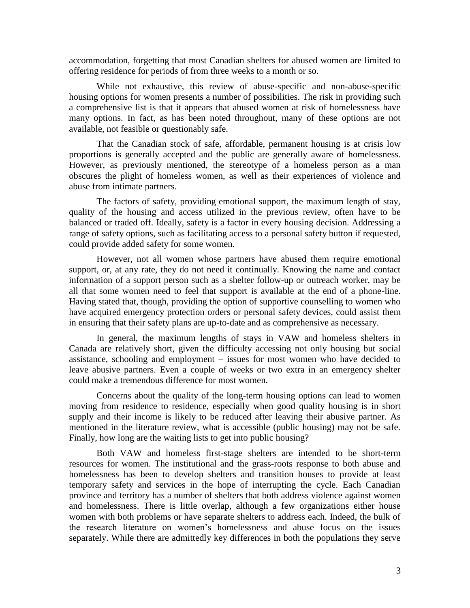accommodation, forgetting that most Canadian shelters for abused women are limited to offering residence for periods of from three weeks to a month or so.

While not exhaustive, this review of abuse-specific and non-abuse-specific housing options for women presents a number of possibilities. The risk in providing such a comprehensive list is that it appears that abused women at risk of homelessness have many options. In fact, as has been noted throughout, many of these options are not available, not feasible or questionably safe.

That the Canadian stock of safe, affordable, permanent housing is at crisis low proportions is generally accepted and the public are generally aware of homelessness. However, as previously mentioned, the stereotype of a homeless person as a man obscures the plight of homeless women, as well as their experiences of violence and abuse from intimate partners.

The factors of safety, providing emotional support, the maximum length of stay, quality of the housing and access utilized in the previous review, often have to be balanced or traded off. Ideally, safety is a factor in every housing decision. Addressing a range of safety options, such as facilitating access to a personal safety button if requested, could provide added safety for some women.

However, not all women whose partners have abused them require emotional support, or, at any rate, they do not need it continually. Knowing the name and contact information of a support person such as a shelter follow-up or outreach worker, may be all that some women need to feel that support is available at the end of a phone-line. Having stated that, though, providing the option of supportive counselling to women who have acquired emergency protection orders or personal safety devices, could assist them in ensuring that their safety plans are up-to-date and as comprehensive as necessary.

In general, the maximum lengths of stays in VAW and homeless shelters in Canada are relatively short, given the difficulty accessing not only housing but social assistance, schooling and employment – issues for most women who have decided to leave abusive partners. Even a couple of weeks or two extra in an emergency shelter could make a tremendous difference for most women.

Concerns about the quality of the long-term housing options can lead to women moving from residence to residence, especially when good quality housing is in short supply and their income is likely to be reduced after leaving their abusive partner. As mentioned in the literature review, what is accessible (public housing) may not be safe. Finally, how long are the waiting lists to get into public housing?

Both VAW and homeless first-stage shelters are intended to be short-term resources for women. The institutional and the grass-roots response to both abuse and homelessness has been to develop shelters and transition houses to provide at least temporary safety and services in the hope of interrupting the cycle. Each Canadian province and territory has a number of shelters that both address violence against women and homelessness. There is little overlap, although a few organizations either house women with both problems or have separate shelters to address each. Indeed, the bulk of the research literature on women's homelessness and abuse focus on the issues separately. While there are admittedly key differences in both the populations they serve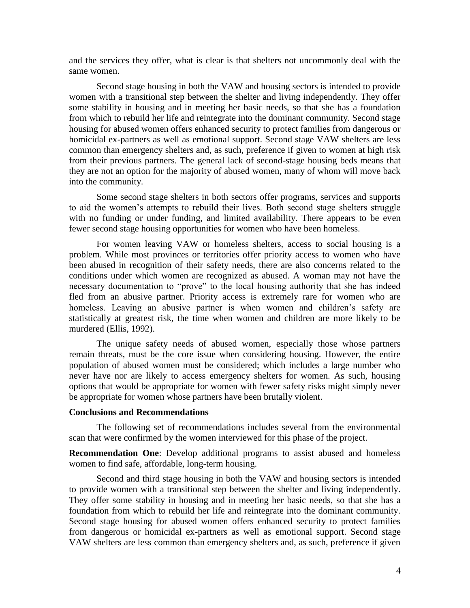and the services they offer, what is clear is that shelters not uncommonly deal with the same women.

Second stage housing in both the VAW and housing sectors is intended to provide women with a transitional step between the shelter and living independently. They offer some stability in housing and in meeting her basic needs, so that she has a foundation from which to rebuild her life and reintegrate into the dominant community. Second stage housing for abused women offers enhanced security to protect families from dangerous or homicidal ex-partners as well as emotional support. Second stage VAW shelters are less common than emergency shelters and, as such, preference if given to women at high risk from their previous partners. The general lack of second-stage housing beds means that they are not an option for the majority of abused women, many of whom will move back into the community.

Some second stage shelters in both sectors offer programs, services and supports to aid the women's attempts to rebuild their lives. Both second stage shelters struggle with no funding or under funding, and limited availability. There appears to be even fewer second stage housing opportunities for women who have been homeless.

For women leaving VAW or homeless shelters, access to social housing is a problem. While most provinces or territories offer priority access to women who have been abused in recognition of their safety needs, there are also concerns related to the conditions under which women are recognized as abused. A woman may not have the necessary documentation to "prove" to the local housing authority that she has indeed fled from an abusive partner. Priority access is extremely rare for women who are homeless. Leaving an abusive partner is when women and children's safety are statistically at greatest risk, the time when women and children are more likely to be murdered (Ellis, 1992).

The unique safety needs of abused women, especially those whose partners remain threats, must be the core issue when considering housing. However, the entire population of abused women must be considered; which includes a large number who never have nor are likely to access emergency shelters for women. As such, housing options that would be appropriate for women with fewer safety risks might simply never be appropriate for women whose partners have been brutally violent.

#### **Conclusions and Recommendations**

The following set of recommendations includes several from the environmental scan that were confirmed by the women interviewed for this phase of the project.

**Recommendation One**: Develop additional programs to assist abused and homeless women to find safe, affordable, long-term housing.

Second and third stage housing in both the VAW and housing sectors is intended to provide women with a transitional step between the shelter and living independently. They offer some stability in housing and in meeting her basic needs, so that she has a foundation from which to rebuild her life and reintegrate into the dominant community. Second stage housing for abused women offers enhanced security to protect families from dangerous or homicidal ex-partners as well as emotional support. Second stage VAW shelters are less common than emergency shelters and, as such, preference if given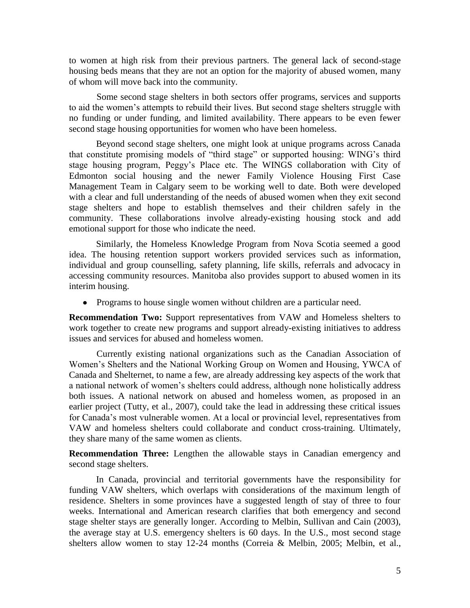to women at high risk from their previous partners. The general lack of second-stage housing beds means that they are not an option for the majority of abused women, many of whom will move back into the community.

Some second stage shelters in both sectors offer programs, services and supports to aid the women's attempts to rebuild their lives. But second stage shelters struggle with no funding or under funding, and limited availability. There appears to be even fewer second stage housing opportunities for women who have been homeless.

Beyond second stage shelters, one might look at unique programs across Canada that constitute promising models of "third stage" or supported housing: WING's third stage housing program, Peggy's Place etc. The WINGS collaboration with City of Edmonton social housing and the newer Family Violence Housing First Case Management Team in Calgary seem to be working well to date. Both were developed with a clear and full understanding of the needs of abused women when they exit second stage shelters and hope to establish themselves and their children safely in the community. These collaborations involve already-existing housing stock and add emotional support for those who indicate the need.

Similarly, the Homeless Knowledge Program from Nova Scotia seemed a good idea. The housing retention support workers provided services such as information, individual and group counselling, safety planning, life skills, referrals and advocacy in accessing community resources. Manitoba also provides support to abused women in its interim housing.

• Programs to house single women without children are a particular need.

**Recommendation Two:** Support representatives from VAW and Homeless shelters to work together to create new programs and support already-existing initiatives to address issues and services for abused and homeless women.

Currently existing national organizations such as the Canadian Association of Women's Shelters and the National Working Group on Women and Housing, YWCA of Canada and Shelternet, to name a few, are already addressing key aspects of the work that a national network of women's shelters could address, although none holistically address both issues. A national network on abused and homeless women, as proposed in an earlier project (Tutty, et al., 2007), could take the lead in addressing these critical issues for Canada's most vulnerable women. At a local or provincial level, representatives from VAW and homeless shelters could collaborate and conduct cross-training. Ultimately, they share many of the same women as clients.

**Recommendation Three:** Lengthen the allowable stays in Canadian emergency and second stage shelters.

In Canada, provincial and territorial governments have the responsibility for funding VAW shelters, which overlaps with considerations of the maximum length of residence. Shelters in some provinces have a suggested length of stay of three to four weeks. International and American research clarifies that both emergency and second stage shelter stays are generally longer. According to Melbin, Sullivan and Cain (2003), the average stay at U.S. emergency shelters is 60 days. In the U.S., most second stage shelters allow women to stay 12-24 months (Correia & Melbin, 2005; Melbin, et al.,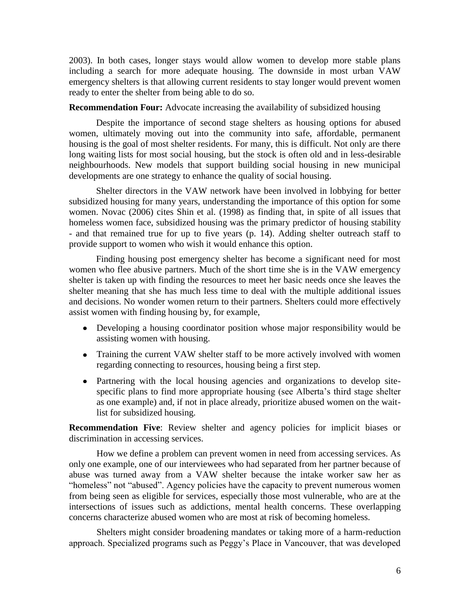2003). In both cases, longer stays would allow women to develop more stable plans including a search for more adequate housing. The downside in most urban VAW emergency shelters is that allowing current residents to stay longer would prevent women ready to enter the shelter from being able to do so.

## **Recommendation Four:** Advocate increasing the availability of subsidized housing

Despite the importance of second stage shelters as housing options for abused women, ultimately moving out into the community into safe, affordable, permanent housing is the goal of most shelter residents. For many, this is difficult. Not only are there long waiting lists for most social housing, but the stock is often old and in less-desirable neighbourhoods. New models that support building social housing in new municipal developments are one strategy to enhance the quality of social housing.

Shelter directors in the VAW network have been involved in lobbying for better subsidized housing for many years, understanding the importance of this option for some women. Novac (2006) cites Shin et al. (1998) as finding that, in spite of all issues that homeless women face, subsidized housing was the primary predictor of housing stability - and that remained true for up to five years (p. 14). Adding shelter outreach staff to provide support to women who wish it would enhance this option.

Finding housing post emergency shelter has become a significant need for most women who flee abusive partners. Much of the short time she is in the VAW emergency shelter is taken up with finding the resources to meet her basic needs once she leaves the shelter meaning that she has much less time to deal with the multiple additional issues and decisions. No wonder women return to their partners. Shelters could more effectively assist women with finding housing by, for example,

- Developing a housing coordinator position whose major responsibility would be assisting women with housing.
- Training the current VAW shelter staff to be more actively involved with women regarding connecting to resources, housing being a first step.
- Partnering with the local housing agencies and organizations to develop sitespecific plans to find more appropriate housing (see Alberta's third stage shelter as one example) and, if not in place already, prioritize abused women on the waitlist for subsidized housing.

**Recommendation Five**: Review shelter and agency policies for implicit biases or discrimination in accessing services.

How we define a problem can prevent women in need from accessing services. As only one example, one of our interviewees who had separated from her partner because of abuse was turned away from a VAW shelter because the intake worker saw her as "homeless" not "abused". Agency policies have the capacity to prevent numerous women from being seen as eligible for services, especially those most vulnerable, who are at the intersections of issues such as addictions, mental health concerns. These overlapping concerns characterize abused women who are most at risk of becoming homeless.

Shelters might consider broadening mandates or taking more of a harm-reduction approach. Specialized programs such as Peggy's Place in Vancouver, that was developed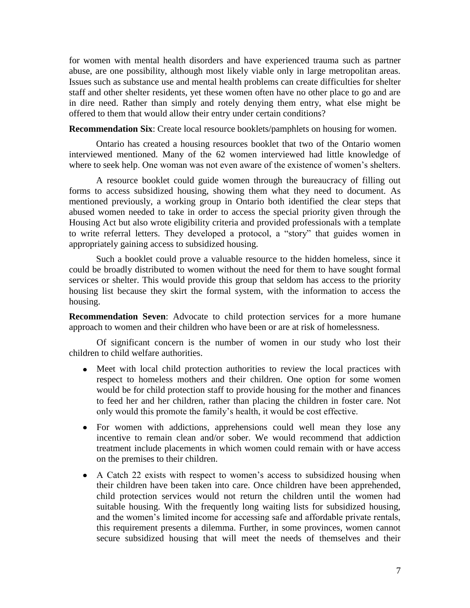for women with mental health disorders and have experienced trauma such as partner abuse, are one possibility, although most likely viable only in large metropolitan areas. Issues such as substance use and mental health problems can create difficulties for shelter staff and other shelter residents, yet these women often have no other place to go and are in dire need. Rather than simply and rotely denying them entry, what else might be offered to them that would allow their entry under certain conditions?

**Recommendation Six**: Create local resource booklets/pamphlets on housing for women.

Ontario has created a housing resources booklet that two of the Ontario women interviewed mentioned. Many of the 62 women interviewed had little knowledge of where to seek help. One woman was not even aware of the existence of women's shelters.

A resource booklet could guide women through the bureaucracy of filling out forms to access subsidized housing, showing them what they need to document. As mentioned previously, a working group in Ontario both identified the clear steps that abused women needed to take in order to access the special priority given through the Housing Act but also wrote eligibility criteria and provided professionals with a template to write referral letters. They developed a protocol, a "story" that guides women in appropriately gaining access to subsidized housing.

Such a booklet could prove a valuable resource to the hidden homeless, since it could be broadly distributed to women without the need for them to have sought formal services or shelter. This would provide this group that seldom has access to the priority housing list because they skirt the formal system, with the information to access the housing.

**Recommendation Seven**: Advocate to child protection services for a more humane approach to women and their children who have been or are at risk of homelessness.

Of significant concern is the number of women in our study who lost their children to child welfare authorities.

- Meet with local child protection authorities to review the local practices with respect to homeless mothers and their children. One option for some women would be for child protection staff to provide housing for the mother and finances to feed her and her children, rather than placing the children in foster care. Not only would this promote the family's health, it would be cost effective.
- For women with addictions, apprehensions could well mean they lose any incentive to remain clean and/or sober. We would recommend that addiction treatment include placements in which women could remain with or have access on the premises to their children.
- A Catch 22 exists with respect to women's access to subsidized housing when their children have been taken into care. Once children have been apprehended, child protection services would not return the children until the women had suitable housing. With the frequently long waiting lists for subsidized housing, and the women's limited income for accessing safe and affordable private rentals, this requirement presents a dilemma. Further, in some provinces, women cannot secure subsidized housing that will meet the needs of themselves and their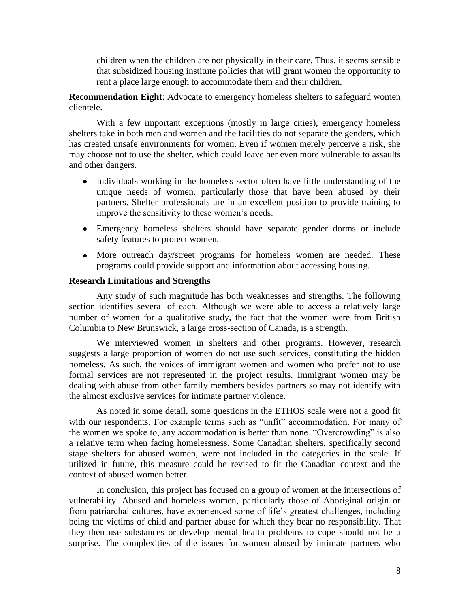children when the children are not physically in their care. Thus, it seems sensible that subsidized housing institute policies that will grant women the opportunity to rent a place large enough to accommodate them and their children.

**Recommendation Eight**: Advocate to emergency homeless shelters to safeguard women clientele.

With a few important exceptions (mostly in large cities), emergency homeless shelters take in both men and women and the facilities do not separate the genders, which has created unsafe environments for women. Even if women merely perceive a risk, she may choose not to use the shelter, which could leave her even more vulnerable to assaults and other dangers.

- Individuals working in the homeless sector often have little understanding of the unique needs of women, particularly those that have been abused by their partners. Shelter professionals are in an excellent position to provide training to improve the sensitivity to these women's needs.
- Emergency homeless shelters should have separate gender dorms or include safety features to protect women.
- More outreach day/street programs for homeless women are needed. These programs could provide support and information about accessing housing.

## **Research Limitations and Strengths**

Any study of such magnitude has both weaknesses and strengths. The following section identifies several of each. Although we were able to access a relatively large number of women for a qualitative study, the fact that the women were from British Columbia to New Brunswick, a large cross-section of Canada, is a strength.

We interviewed women in shelters and other programs. However, research suggests a large proportion of women do not use such services, constituting the hidden homeless. As such, the voices of immigrant women and women who prefer not to use formal services are not represented in the project results. Immigrant women may be dealing with abuse from other family members besides partners so may not identify with the almost exclusive services for intimate partner violence.

As noted in some detail, some questions in the ETHOS scale were not a good fit with our respondents. For example terms such as "unfit" accommodation. For many of the women we spoke to, any accommodation is better than none. "Overcrowding" is also a relative term when facing homelessness. Some Canadian shelters, specifically second stage shelters for abused women, were not included in the categories in the scale. If utilized in future, this measure could be revised to fit the Canadian context and the context of abused women better.

In conclusion, this project has focused on a group of women at the intersections of vulnerability. Abused and homeless women, particularly those of Aboriginal origin or from patriarchal cultures, have experienced some of life's greatest challenges, including being the victims of child and partner abuse for which they bear no responsibility. That they then use substances or develop mental health problems to cope should not be a surprise. The complexities of the issues for women abused by intimate partners who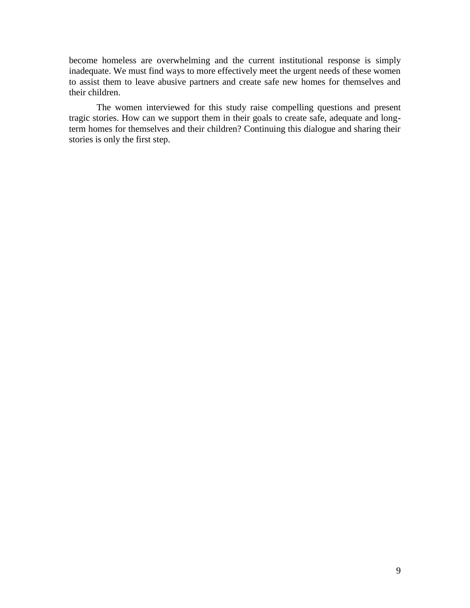become homeless are overwhelming and the current institutional response is simply inadequate. We must find ways to more effectively meet the urgent needs of these women to assist them to leave abusive partners and create safe new homes for themselves and their children.

The women interviewed for this study raise compelling questions and present tragic stories. How can we support them in their goals to create safe, adequate and longterm homes for themselves and their children? Continuing this dialogue and sharing their stories is only the first step.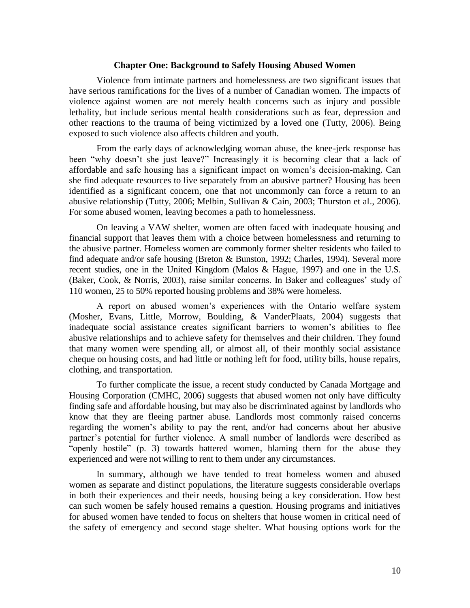## **Chapter One: Background to Safely Housing Abused Women**

Violence from intimate partners and homelessness are two significant issues that have serious ramifications for the lives of a number of Canadian women. The impacts of violence against women are not merely health concerns such as injury and possible lethality, but include serious mental health considerations such as fear, depression and other reactions to the trauma of being victimized by a loved one (Tutty, 2006). Being exposed to such violence also affects children and youth.

From the early days of acknowledging woman abuse, the knee-jerk response has been "why doesn't she just leave?" Increasingly it is becoming clear that a lack of affordable and safe housing has a significant impact on women's decision-making. Can she find adequate resources to live separately from an abusive partner? Housing has been identified as a significant concern, one that not uncommonly can force a return to an abusive relationship (Tutty, 2006; Melbin, Sullivan & Cain, 2003; Thurston et al., 2006). For some abused women, leaving becomes a path to homelessness.

On leaving a VAW shelter, women are often faced with inadequate housing and financial support that leaves them with a choice between homelessness and returning to the abusive partner. Homeless women are commonly former shelter residents who failed to find adequate and/or safe housing (Breton & Bunston, 1992; Charles, 1994). Several more recent studies, one in the United Kingdom (Malos & Hague, 1997) and one in the U.S. (Baker, Cook, & Norris, 2003), raise similar concerns. In Baker and colleagues' study of 110 women, 25 to 50% reported housing problems and 38% were homeless.

A report on abused women's experiences with the Ontario welfare system (Mosher, Evans, Little, Morrow, Boulding, & VanderPlaats, 2004) suggests that inadequate social assistance creates significant barriers to women's abilities to flee abusive relationships and to achieve safety for themselves and their children. They found that many women were spending all, or almost all, of their monthly social assistance cheque on housing costs, and had little or nothing left for food, utility bills, house repairs, clothing, and transportation.

To further complicate the issue, a recent study conducted by Canada Mortgage and Housing Corporation (CMHC, 2006) suggests that abused women not only have difficulty finding safe and affordable housing, but may also be discriminated against by landlords who know that they are fleeing partner abuse. Landlords most commonly raised concerns regarding the women's ability to pay the rent, and/or had concerns about her abusive partner's potential for further violence. A small number of landlords were described as "openly hostile" (p. 3) towards battered women, blaming them for the abuse they experienced and were not willing to rent to them under any circumstances.

In summary, although we have tended to treat homeless women and abused women as separate and distinct populations, the literature suggests considerable overlaps in both their experiences and their needs, housing being a key consideration. How best can such women be safely housed remains a question. Housing programs and initiatives for abused women have tended to focus on shelters that house women in critical need of the safety of emergency and second stage shelter. What housing options work for the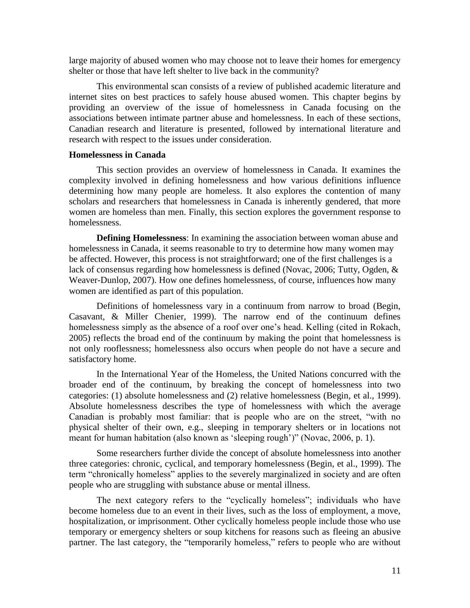large majority of abused women who may choose not to leave their homes for emergency shelter or those that have left shelter to live back in the community?

This environmental scan consists of a review of published academic literature and internet sites on best practices to safely house abused women. This chapter begins by providing an overview of the issue of homelessness in Canada focusing on the associations between intimate partner abuse and homelessness. In each of these sections, Canadian research and literature is presented, followed by international literature and research with respect to the issues under consideration.

## **Homelessness in Canada**

This section provides an overview of homelessness in Canada. It examines the complexity involved in defining homelessness and how various definitions influence determining how many people are homeless. It also explores the contention of many scholars and researchers that homelessness in Canada is inherently gendered, that more women are homeless than men. Finally, this section explores the government response to homelessness.

**Defining Homelessness**: In examining the association between woman abuse and homelessness in Canada, it seems reasonable to try to determine how many women may be affected. However, this process is not straightforward; one of the first challenges is a lack of consensus regarding how homelessness is defined (Novac, 2006; Tutty, Ogden, & Weaver-Dunlop, 2007). How one defines homelessness, of course, influences how many women are identified as part of this population.

Definitions of homelessness vary in a continuum from narrow to broad (Begin, Casavant, & Miller Chenier, 1999). The narrow end of the continuum defines homelessness simply as the absence of a roof over one's head. Kelling (cited in Rokach, 2005) reflects the broad end of the continuum by making the point that homelessness is not only rooflessness; homelessness also occurs when people do not have a secure and satisfactory home.

In the International Year of the Homeless, the United Nations concurred with the broader end of the continuum, by breaking the concept of homelessness into two categories: (1) absolute homelessness and (2) relative homelessness (Begin, et al., 1999). Absolute homelessness describes the type of homelessness with which the average Canadian is probably most familiar: that is people who are on the street, "with no physical shelter of their own, e.g., sleeping in temporary shelters or in locations not meant for human habitation (also known as 'sleeping rough')" (Novac, 2006, p. 1).

Some researchers further divide the concept of absolute homelessness into another three categories: chronic, cyclical, and temporary homelessness (Begin, et al., 1999). The term "chronically homeless" applies to the severely marginalized in society and are often people who are struggling with substance abuse or mental illness.

The next category refers to the "cyclically homeless"; individuals who have become homeless due to an event in their lives, such as the loss of employment, a move, hospitalization, or imprisonment. Other cyclically homeless people include those who use temporary or emergency shelters or soup kitchens for reasons such as fleeing an abusive partner. The last category, the "temporarily homeless," refers to people who are without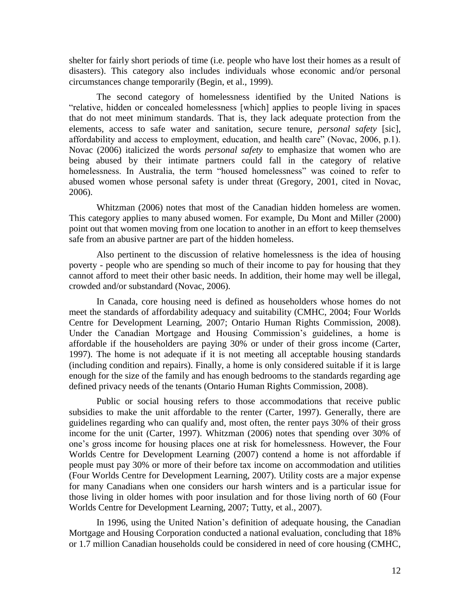shelter for fairly short periods of time (i.e. people who have lost their homes as a result of disasters). This category also includes individuals whose economic and/or personal circumstances change temporarily (Begin, et al., 1999).

The second category of homelessness identified by the United Nations is "relative, hidden or concealed homelessness [which] applies to people living in spaces that do not meet minimum standards. That is, they lack adequate protection from the elements, access to safe water and sanitation, secure tenure, *personal safety* [sic], affordability and access to employment, education, and health care" (Novac, 2006, p.1). Novac (2006) italicized the words *personal safety* to emphasize that women who are being abused by their intimate partners could fall in the category of relative homelessness. In Australia, the term "housed homelessness" was coined to refer to abused women whose personal safety is under threat (Gregory, 2001, cited in Novac, 2006).

Whitzman (2006) notes that most of the Canadian hidden homeless are women. This category applies to many abused women. For example, Du Mont and Miller (2000) point out that women moving from one location to another in an effort to keep themselves safe from an abusive partner are part of the hidden homeless.

Also pertinent to the discussion of relative homelessness is the idea of housing poverty - people who are spending so much of their income to pay for housing that they cannot afford to meet their other basic needs. In addition, their home may well be illegal, crowded and/or substandard (Novac, 2006).

In Canada, core housing need is defined as householders whose homes do not meet the standards of affordability adequacy and suitability (CMHC, 2004; Four Worlds Centre for Development Learning, 2007; Ontario Human Rights Commission, 2008). Under the Canadian Mortgage and Housing Commission's guidelines, a home is affordable if the householders are paying 30% or under of their gross income (Carter, 1997). The home is not adequate if it is not meeting all acceptable housing standards (including condition and repairs). Finally, a home is only considered suitable if it is large enough for the size of the family and has enough bedrooms to the standards regarding age defined privacy needs of the tenants (Ontario Human Rights Commission, 2008).

Public or social housing refers to those accommodations that receive public subsidies to make the unit affordable to the renter (Carter, 1997). Generally, there are guidelines regarding who can qualify and, most often, the renter pays 30% of their gross income for the unit (Carter, 1997). Whitzman (2006) notes that spending over 30% of one's gross income for housing places one at risk for homelessness. However, the Four Worlds Centre for Development Learning (2007) contend a home is not affordable if people must pay 30% or more of their before tax income on accommodation and utilities (Four Worlds Centre for Development Learning, 2007). Utility costs are a major expense for many Canadians when one considers our harsh winters and is a particular issue for those living in older homes with poor insulation and for those living north of 60 (Four Worlds Centre for Development Learning, 2007; Tutty, et al., 2007).

In 1996, using the United Nation's definition of adequate housing, the Canadian Mortgage and Housing Corporation conducted a national evaluation, concluding that 18% or 1.7 million Canadian households could be considered in need of core housing (CMHC,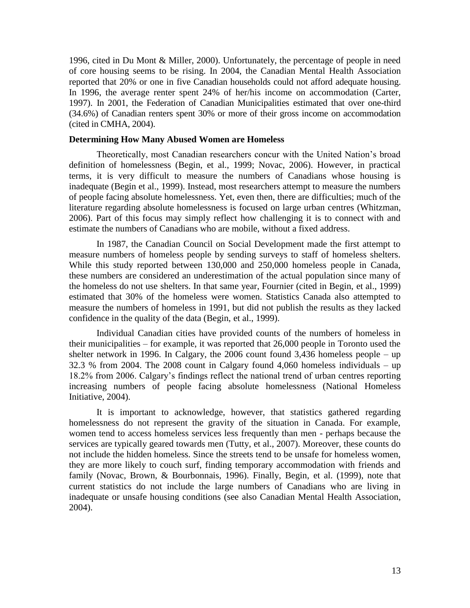1996, cited in Du Mont & Miller, 2000). Unfortunately, the percentage of people in need of core housing seems to be rising. In 2004, the Canadian Mental Health Association reported that 20% or one in five Canadian households could not afford adequate housing. In 1996, the average renter spent 24% of her/his income on accommodation (Carter, 1997). In 2001, the Federation of Canadian Municipalities estimated that over one-third (34.6%) of Canadian renters spent 30% or more of their gross income on accommodation (cited in CMHA, 2004).

## **Determining How Many Abused Women are Homeless**

Theoretically, most Canadian researchers concur with the United Nation's broad definition of homelessness (Begin, et al., 1999; Novac, 2006). However, in practical terms, it is very difficult to measure the numbers of Canadians whose housing is inadequate (Begin et al., 1999). Instead, most researchers attempt to measure the numbers of people facing absolute homelessness. Yet, even then, there are difficulties; much of the literature regarding absolute homelessness is focused on large urban centres (Whitzman, 2006). Part of this focus may simply reflect how challenging it is to connect with and estimate the numbers of Canadians who are mobile, without a fixed address.

In 1987, the Canadian Council on Social Development made the first attempt to measure numbers of homeless people by sending surveys to staff of homeless shelters. While this study reported between 130,000 and 250,000 homeless people in Canada, these numbers are considered an underestimation of the actual population since many of the homeless do not use shelters. In that same year, Fournier (cited in Begin, et al., 1999) estimated that 30% of the homeless were women. Statistics Canada also attempted to measure the numbers of homeless in 1991, but did not publish the results as they lacked confidence in the quality of the data (Begin, et al., 1999).

Individual Canadian cities have provided counts of the numbers of homeless in their municipalities – for example, it was reported that 26,000 people in Toronto used the shelter network in 1996. In Calgary, the 2006 count found 3,436 homeless people – up 32.3 % from 2004. The 2008 count in Calgary found 4,060 homeless individuals – up 18.2% from 2006. Calgary's findings reflect the national trend of urban centres reporting increasing numbers of people facing absolute homelessness (National Homeless Initiative, 2004).

It is important to acknowledge, however, that statistics gathered regarding homelessness do not represent the gravity of the situation in Canada. For example, women tend to access homeless services less frequently than men - perhaps because the services are typically geared towards men (Tutty, et al., 2007). Moreover, these counts do not include the hidden homeless. Since the streets tend to be unsafe for homeless women, they are more likely to couch surf, finding temporary accommodation with friends and family (Novac, Brown, & Bourbonnais, 1996). Finally, Begin, et al. (1999), note that current statistics do not include the large numbers of Canadians who are living in inadequate or unsafe housing conditions (see also Canadian Mental Health Association, 2004).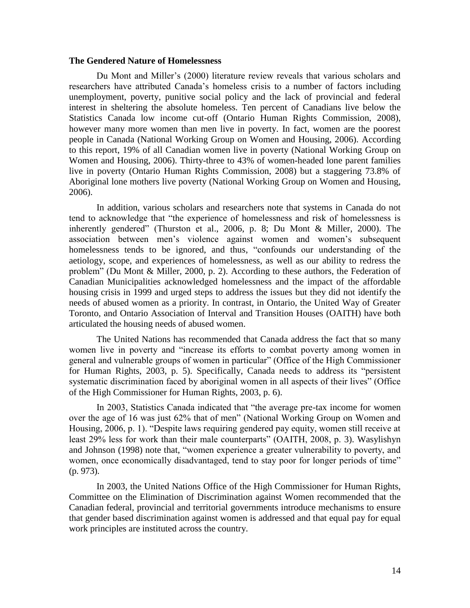## **The Gendered Nature of Homelessness**

Du Mont and Miller's (2000) literature review reveals that various scholars and researchers have attributed Canada's homeless crisis to a number of factors including unemployment, poverty, punitive social policy and the lack of provincial and federal interest in sheltering the absolute homeless. Ten percent of Canadians live below the Statistics Canada low income cut-off (Ontario Human Rights Commission, 2008), however many more women than men live in poverty. In fact, women are the poorest people in Canada (National Working Group on Women and Housing, 2006). According to this report, 19% of all Canadian women live in poverty (National Working Group on Women and Housing, 2006). Thirty-three to 43% of women-headed lone parent families live in poverty (Ontario Human Rights Commission, 2008) but a staggering 73.8% of Aboriginal lone mothers live poverty (National Working Group on Women and Housing, 2006).

In addition, various scholars and researchers note that systems in Canada do not tend to acknowledge that "the experience of homelessness and risk of homelessness is inherently gendered" (Thurston et al., 2006, p. 8; Du Mont & Miller, 2000). The association between men's violence against women and women's subsequent homelessness tends to be ignored, and thus, "confounds our understanding of the aetiology, scope, and experiences of homelessness, as well as our ability to redress the problem" (Du Mont & Miller, 2000, p. 2). According to these authors, the Federation of Canadian Municipalities acknowledged homelessness and the impact of the affordable housing crisis in 1999 and urged steps to address the issues but they did not identify the needs of abused women as a priority. In contrast, in Ontario, the United Way of Greater Toronto, and Ontario Association of Interval and Transition Houses (OAITH) have both articulated the housing needs of abused women.

The United Nations has recommended that Canada address the fact that so many women live in poverty and "increase its efforts to combat poverty among women in general and vulnerable groups of women in particular" (Office of the High Commissioner for Human Rights, 2003, p. 5). Specifically, Canada needs to address its "persistent systematic discrimination faced by aboriginal women in all aspects of their lives" (Office of the High Commissioner for Human Rights, 2003, p. 6).

In 2003, Statistics Canada indicated that "the average pre-tax income for women over the age of 16 was just 62% that of men" (National Working Group on Women and Housing, 2006, p. 1). "Despite laws requiring gendered pay equity, women still receive at least 29% less for work than their male counterparts" (OAITH, 2008, p. 3). Wasylishyn and Johnson (1998) note that, "women experience a greater vulnerability to poverty, and women, once economically disadvantaged, tend to stay poor for longer periods of time" (p. 973).

In 2003, the United Nations Office of the High Commissioner for Human Rights, Committee on the Elimination of Discrimination against Women recommended that the Canadian federal, provincial and territorial governments introduce mechanisms to ensure that gender based discrimination against women is addressed and that equal pay for equal work principles are instituted across the country.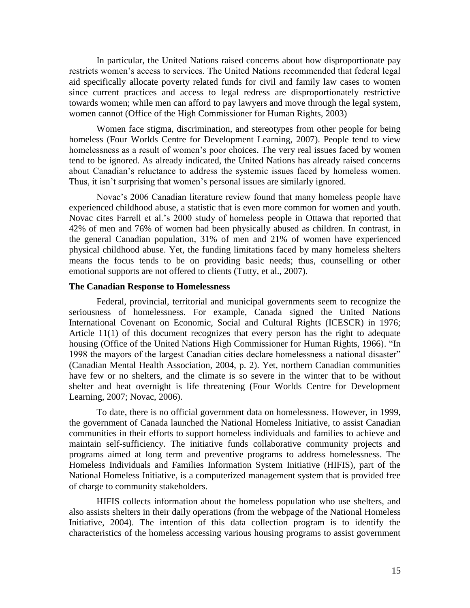In particular, the United Nations raised concerns about how disproportionate pay restricts women's access to services. The United Nations recommended that federal legal aid specifically allocate poverty related funds for civil and family law cases to women since current practices and access to legal redress are disproportionately restrictive towards women; while men can afford to pay lawyers and move through the legal system, women cannot (Office of the High Commissioner for Human Rights, 2003)

Women face stigma, discrimination, and stereotypes from other people for being homeless (Four Worlds Centre for Development Learning, 2007). People tend to view homelessness as a result of women's poor choices. The very real issues faced by women tend to be ignored. As already indicated, the United Nations has already raised concerns about Canadian's reluctance to address the systemic issues faced by homeless women. Thus, it isn't surprising that women's personal issues are similarly ignored.

Novac's 2006 Canadian literature review found that many homeless people have experienced childhood abuse, a statistic that is even more common for women and youth. Novac cites Farrell et al.'s 2000 study of homeless people in Ottawa that reported that 42% of men and 76% of women had been physically abused as children. In contrast, in the general Canadian population, 31% of men and 21% of women have experienced physical childhood abuse. Yet, the funding limitations faced by many homeless shelters means the focus tends to be on providing basic needs; thus, counselling or other emotional supports are not offered to clients (Tutty, et al., 2007).

## **The Canadian Response to Homelessness**

Federal, provincial, territorial and municipal governments seem to recognize the seriousness of homelessness. For example, Canada signed the United Nations International Covenant on Economic, Social and Cultural Rights (ICESCR) in 1976; Article 11(1) of this document recognizes that every person has the right to adequate housing (Office of the United Nations High Commissioner for Human Rights, 1966). "In 1998 the mayors of the largest Canadian cities declare homelessness a national disaster" (Canadian Mental Health Association, 2004, p. 2). Yet, northern Canadian communities have few or no shelters, and the climate is so severe in the winter that to be without shelter and heat overnight is life threatening (Four Worlds Centre for Development Learning, 2007; Novac, 2006).

To date, there is no official government data on homelessness. However, in 1999, the government of Canada launched the National Homeless Initiative, to assist Canadian communities in their efforts to support homeless individuals and families to achieve and maintain self-sufficiency. The initiative funds collaborative community projects and programs aimed at long term and preventive programs to address homelessness. The Homeless Individuals and Families Information System Initiative (HIFIS), part of the National Homeless Initiative, is a computerized management system that is provided free of charge to community stakeholders.

HIFIS collects information about the homeless population who use shelters, and also assists shelters in their daily operations (from the webpage of the National Homeless Initiative, 2004). The intention of this data collection program is to identify the characteristics of the homeless accessing various housing programs to assist government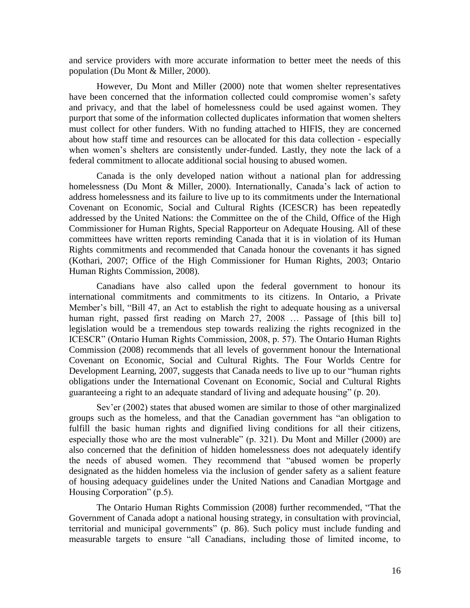and service providers with more accurate information to better meet the needs of this population (Du Mont & Miller, 2000).

However, Du Mont and Miller (2000) note that women shelter representatives have been concerned that the information collected could compromise women's safety and privacy, and that the label of homelessness could be used against women. They purport that some of the information collected duplicates information that women shelters must collect for other funders. With no funding attached to HIFIS, they are concerned about how staff time and resources can be allocated for this data collection - especially when women's shelters are consistently under-funded. Lastly, they note the lack of a federal commitment to allocate additional social housing to abused women.

Canada is the only developed nation without a national plan for addressing homelessness (Du Mont & Miller, 2000). Internationally, Canada's lack of action to address homelessness and its failure to live up to its commitments under the International Covenant on Economic, Social and Cultural Rights (ICESCR) has been repeatedly addressed by the United Nations: the Committee on the of the Child, Office of the High Commissioner for Human Rights, Special Rapporteur on Adequate Housing. All of these committees have written reports reminding Canada that it is in violation of its Human Rights commitments and recommended that Canada honour the covenants it has signed (Kothari, 2007; Office of the High Commissioner for Human Rights, 2003; Ontario Human Rights Commission, 2008).

Canadians have also called upon the federal government to honour its international commitments and commitments to its citizens. In Ontario, a Private Member's bill, "Bill 47, an Act to establish the right to adequate housing as a universal human right, passed first reading on March 27, 2008 ... Passage of [this bill to] legislation would be a tremendous step towards realizing the rights recognized in the ICESCR" (Ontario Human Rights Commission, 2008, p. 57). The Ontario Human Rights Commission (2008) recommends that all levels of government honour the International Covenant on Economic, Social and Cultural Rights. The Four Worlds Centre for Development Learning, 2007, suggests that Canada needs to live up to our "human rights" obligations under the International Covenant on Economic, Social and Cultural Rights guaranteeing a right to an adequate standard of living and adequate housing" (p. 20).

Sev'er (2002) states that abused women are similar to those of other marginalized groups such as the homeless, and that the Canadian government has "an obligation to fulfill the basic human rights and dignified living conditions for all their citizens, especially those who are the most vulnerable" (p. 321). Du Mont and Miller (2000) are also concerned that the definition of hidden homelessness does not adequately identify the needs of abused women. They recommend that "abused women be properly designated as the hidden homeless via the inclusion of gender safety as a salient feature of housing adequacy guidelines under the United Nations and Canadian Mortgage and Housing Corporation"  $(p.5)$ .

The Ontario Human Rights Commission (2008) further recommended, "That the Government of Canada adopt a national housing strategy, in consultation with provincial, territorial and municipal governments" (p. 86). Such policy must include funding and measurable targets to ensure "all Canadians, including those of limited income, to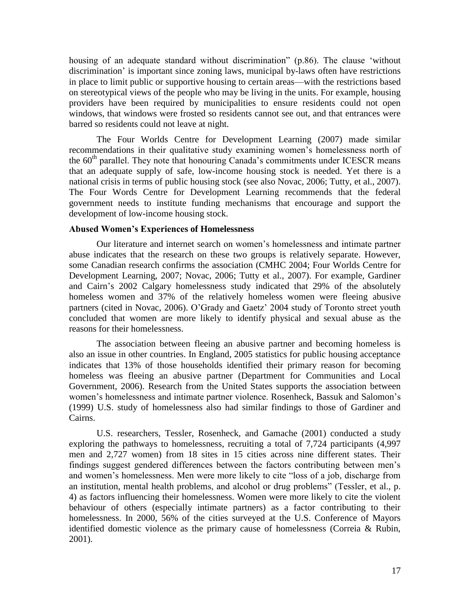housing of an adequate standard without discrimination" (p.86). The clause 'without discrimination' is important since zoning laws, municipal by-laws often have restrictions in place to limit public or supportive housing to certain areas—with the restrictions based on stereotypical views of the people who may be living in the units. For example, housing providers have been required by municipalities to ensure residents could not open windows, that windows were frosted so residents cannot see out, and that entrances were barred so residents could not leave at night.

The Four Worlds Centre for Development Learning (2007) made similar recommendations in their qualitative study examining women's homelessness north of the  $60<sup>th</sup>$  parallel. They note that honouring Canada's commitments under ICESCR means that an adequate supply of safe, low-income housing stock is needed. Yet there is a national crisis in terms of public housing stock (see also Novac, 2006; Tutty, et al., 2007). The Four Words Centre for Development Learning recommends that the federal government needs to institute funding mechanisms that encourage and support the development of low-income housing stock.

## **Abused Women's Experiences of Homelessness**

Our literature and internet search on women's homelessness and intimate partner abuse indicates that the research on these two groups is relatively separate. However, some Canadian research confirms the association (CMHC 2004; Four Worlds Centre for Development Learning, 2007; Novac, 2006; Tutty et al., 2007). For example, Gardiner and Cairn's 2002 Calgary homelessness study indicated that 29% of the absolutely homeless women and 37% of the relatively homeless women were fleeing abusive partners (cited in Novac, 2006). O'Grady and Gaetz' 2004 study of Toronto street youth concluded that women are more likely to identify physical and sexual abuse as the reasons for their homelessness.

The association between fleeing an abusive partner and becoming homeless is also an issue in other countries. In England, 2005 statistics for public housing acceptance indicates that 13% of those households identified their primary reason for becoming homeless was fleeing an abusive partner (Department for Communities and Local Government, 2006). Research from the United States supports the association between women's homelessness and intimate partner violence. Rosenheck, Bassuk and Salomon's (1999) U.S. study of homelessness also had similar findings to those of Gardiner and Cairns.

U.S. researchers, Tessler, Rosenheck, and Gamache (2001) conducted a study exploring the pathways to homelessness, recruiting a total of 7,724 participants (4,997 men and 2,727 women) from 18 sites in 15 cities across nine different states. Their findings suggest gendered differences between the factors contributing between men's and women's homelessness. Men were more likely to cite "loss of a job, discharge from an institution, mental health problems, and alcohol or drug problems" (Tessler, et al., p. 4) as factors influencing their homelessness. Women were more likely to cite the violent behaviour of others (especially intimate partners) as a factor contributing to their homelessness. In 2000, 56% of the cities surveyed at the U.S. Conference of Mayors identified domestic violence as the primary cause of homelessness (Correia & Rubin, 2001).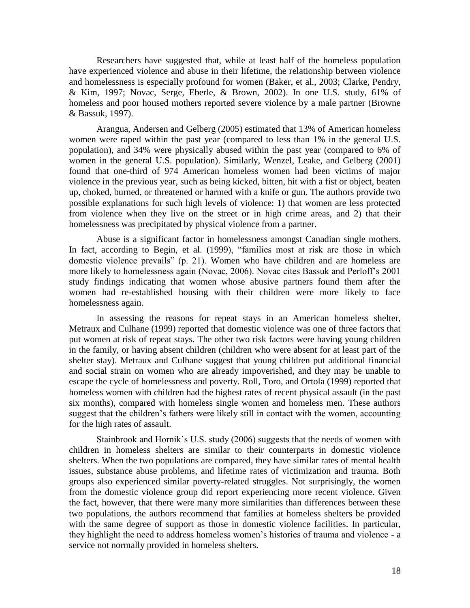Researchers have suggested that, while at least half of the homeless population have experienced violence and abuse in their lifetime, the relationship between violence and homelessness is especially profound for women (Baker, et al., 2003; Clarke, Pendry, & Kim, 1997; Novac, Serge, Eberle, & Brown, 2002). In one U.S. study, 61% of homeless and poor housed mothers reported severe violence by a male partner (Browne & Bassuk, 1997).

Arangua, Andersen and Gelberg (2005) estimated that 13% of American homeless women were raped within the past year (compared to less than 1% in the general U.S. population), and 34% were physically abused within the past year (compared to 6% of women in the general U.S. population). Similarly, Wenzel, Leake, and Gelberg (2001) found that one-third of 974 American homeless women had been victims of major violence in the previous year, such as being kicked, bitten, hit with a fist or object, beaten up, choked, burned, or threatened or harmed with a knife or gun. The authors provide two possible explanations for such high levels of violence: 1) that women are less protected from violence when they live on the street or in high crime areas, and 2) that their homelessness was precipitated by physical violence from a partner.

Abuse is a significant factor in homelessness amongst Canadian single mothers. In fact, according to Begin, et al. (1999), "families most at risk are those in which domestic violence prevails" (p. 21). Women who have children and are homeless are more likely to homelessness again (Novac, 2006). Novac cites Bassuk and Perloff's 2001 study findings indicating that women whose abusive partners found them after the women had re-established housing with their children were more likely to face homelessness again.

In assessing the reasons for repeat stays in an American homeless shelter, Metraux and Culhane (1999) reported that domestic violence was one of three factors that put women at risk of repeat stays. The other two risk factors were having young children in the family, or having absent children (children who were absent for at least part of the shelter stay). Metraux and Culhane suggest that young children put additional financial and social strain on women who are already impoverished, and they may be unable to escape the cycle of homelessness and poverty. Roll, Toro, and Ortola (1999) reported that homeless women with children had the highest rates of recent physical assault (in the past six months), compared with homeless single women and homeless men. These authors suggest that the children's fathers were likely still in contact with the women, accounting for the high rates of assault.

Stainbrook and Hornik's U.S. study (2006) suggests that the needs of women with children in homeless shelters are similar to their counterparts in domestic violence shelters. When the two populations are compared, they have similar rates of mental health issues, substance abuse problems, and lifetime rates of victimization and trauma. Both groups also experienced similar poverty-related struggles. Not surprisingly, the women from the domestic violence group did report experiencing more recent violence. Given the fact, however, that there were many more similarities than differences between these two populations, the authors recommend that families at homeless shelters be provided with the same degree of support as those in domestic violence facilities. In particular, they highlight the need to address homeless women's histories of trauma and violence - a service not normally provided in homeless shelters.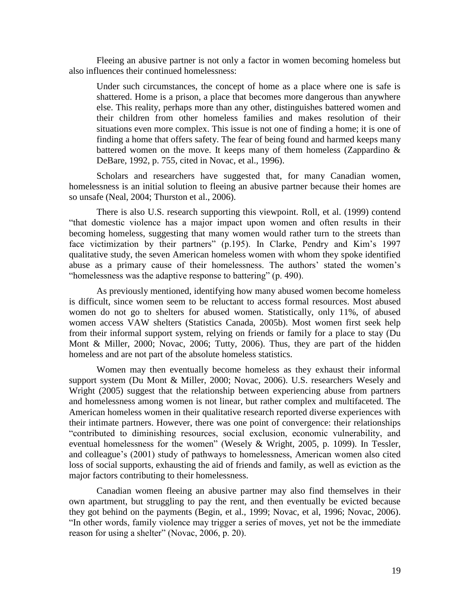Fleeing an abusive partner is not only a factor in women becoming homeless but also influences their continued homelessness:

Under such circumstances, the concept of home as a place where one is safe is shattered. Home is a prison, a place that becomes more dangerous than anywhere else. This reality, perhaps more than any other, distinguishes battered women and their children from other homeless families and makes resolution of their situations even more complex. This issue is not one of finding a home; it is one of finding a home that offers safety. The fear of being found and harmed keeps many battered women on the move. It keeps many of them homeless (Zappardino & DeBare, 1992, p. 755, cited in Novac, et al., 1996).

Scholars and researchers have suggested that, for many Canadian women, homelessness is an initial solution to fleeing an abusive partner because their homes are so unsafe (Neal, 2004; Thurston et al., 2006).

There is also U.S. research supporting this viewpoint. Roll, et al. (1999) contend "that domestic violence has a major impact upon women and often results in their becoming homeless, suggesting that many women would rather turn to the streets than face victimization by their partners" (p.195). In Clarke, Pendry and Kim's 1997 qualitative study, the seven American homeless women with whom they spoke identified abuse as a primary cause of their homelessness. The authors' stated the women's "homelessness was the adaptive response to battering" (p. 490).

As previously mentioned, identifying how many abused women become homeless is difficult, since women seem to be reluctant to access formal resources. Most abused women do not go to shelters for abused women. Statistically, only 11%, of abused women access VAW shelters (Statistics Canada, 2005b). Most women first seek help from their informal support system, relying on friends or family for a place to stay (Du Mont & Miller, 2000; Novac, 2006; Tutty, 2006). Thus, they are part of the hidden homeless and are not part of the absolute homeless statistics.

Women may then eventually become homeless as they exhaust their informal support system (Du Mont & Miller, 2000; Novac, 2006). U.S. researchers Wesely and Wright (2005) suggest that the relationship between experiencing abuse from partners and homelessness among women is not linear, but rather complex and multifaceted. The American homeless women in their qualitative research reported diverse experiences with their intimate partners. However, there was one point of convergence: their relationships ―contributed to diminishing resources, social exclusion, economic vulnerability, and eventual homelessness for the women" (Wesely & Wright, 2005, p. 1099). In Tessler, and colleague's (2001) study of pathways to homelessness, American women also cited loss of social supports, exhausting the aid of friends and family, as well as eviction as the major factors contributing to their homelessness.

Canadian women fleeing an abusive partner may also find themselves in their own apartment, but struggling to pay the rent, and then eventually be evicted because they got behind on the payments (Begin, et al., 1999; Novac, et al, 1996; Novac, 2006). "In other words, family violence may trigger a series of moves, yet not be the immediate reason for using a shelter" (Novac, 2006, p. 20).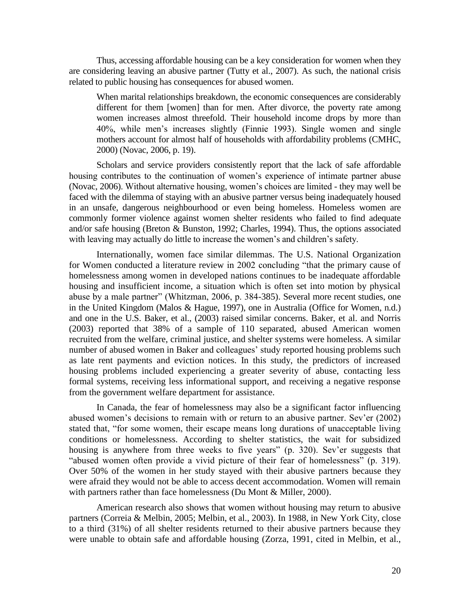Thus, accessing affordable housing can be a key consideration for women when they are considering leaving an abusive partner (Tutty et al., 2007). As such, the national crisis related to public housing has consequences for abused women.

When marital relationships breakdown, the economic consequences are considerably different for them [women] than for men. After divorce, the poverty rate among women increases almost threefold. Their household income drops by more than 40%, while men's increases slightly (Finnie 1993). Single women and single mothers account for almost half of households with affordability problems (CMHC, 2000) (Novac, 2006, p. 19).

Scholars and service providers consistently report that the lack of safe affordable housing contributes to the continuation of women's experience of intimate partner abuse (Novac, 2006). Without alternative housing, women's choices are limited - they may well be faced with the dilemma of staying with an abusive partner versus being inadequately housed in an unsafe, dangerous neighbourhood or even being homeless. Homeless women are commonly former violence against women shelter residents who failed to find adequate and/or safe housing (Breton & Bunston, 1992; Charles, 1994). Thus, the options associated with leaving may actually do little to increase the women's and children's safety.

Internationally, women face similar dilemmas. The U.S. National Organization for Women conducted a literature review in 2002 concluding "that the primary cause of homelessness among women in developed nations continues to be inadequate affordable housing and insufficient income, a situation which is often set into motion by physical abuse by a male partner" (Whitzman, 2006, p. 384-385). Several more recent studies, one in the United Kingdom (Malos & Hague, 1997), one in Australia (Office for Women, n.d.) and one in the U.S. Baker, et al., (2003) raised similar concerns. Baker, et al. and Norris (2003) reported that 38% of a sample of 110 separated, abused American women recruited from the welfare, criminal justice, and shelter systems were homeless. A similar number of abused women in Baker and colleagues' study reported housing problems such as late rent payments and eviction notices. In this study, the predictors of increased housing problems included experiencing a greater severity of abuse, contacting less formal systems, receiving less informational support, and receiving a negative response from the government welfare department for assistance.

In Canada, the fear of homelessness may also be a significant factor influencing abused women's decisions to remain with or return to an abusive partner. Sev'er (2002) stated that, "for some women, their escape means long durations of unacceptable living conditions or homelessness. According to shelter statistics, the wait for subsidized housing is anywhere from three weeks to five years" (p. 320). Sev'er suggests that "abused women often provide a vivid picture of their fear of homelessness" (p. 319). Over 50% of the women in her study stayed with their abusive partners because they were afraid they would not be able to access decent accommodation. Women will remain with partners rather than face homelessness (Du Mont & Miller, 2000).

American research also shows that women without housing may return to abusive partners (Correia & Melbin, 2005; Melbin, et al., 2003). In 1988, in New York City, close to a third (31%) of all shelter residents returned to their abusive partners because they were unable to obtain safe and affordable housing (Zorza, 1991, cited in Melbin, et al.,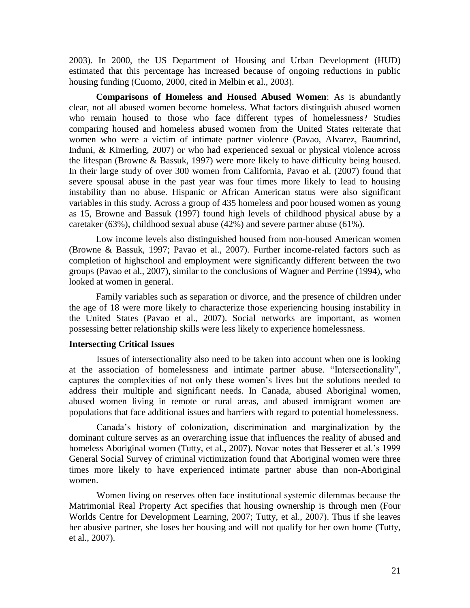2003). In 2000, the US Department of Housing and Urban Development (HUD) estimated that this percentage has increased because of ongoing reductions in public housing funding (Cuomo, 2000, cited in Melbin et al., 2003).

**Comparisons of Homeless and Housed Abused Women**: As is abundantly clear, not all abused women become homeless. What factors distinguish abused women who remain housed to those who face different types of homelessness? Studies comparing housed and homeless abused women from the United States reiterate that women who were a victim of intimate partner violence (Pavao, Alvarez, Baumrind, Induni, & Kimerling, 2007) or who had experienced sexual or physical violence across the lifespan (Browne & Bassuk, 1997) were more likely to have difficulty being housed. In their large study of over 300 women from California, Pavao et al. (2007) found that severe spousal abuse in the past year was four times more likely to lead to housing instability than no abuse. Hispanic or African American status were also significant variables in this study. Across a group of 435 homeless and poor housed women as young as 15, Browne and Bassuk (1997) found high levels of childhood physical abuse by a caretaker (63%), childhood sexual abuse (42%) and severe partner abuse (61%).

Low income levels also distinguished housed from non-housed American women (Browne & Bassuk, 1997; Pavao et al., 2007). Further income-related factors such as completion of highschool and employment were significantly different between the two groups (Pavao et al., 2007), similar to the conclusions of Wagner and Perrine (1994), who looked at women in general.

Family variables such as separation or divorce, and the presence of children under the age of 18 were more likely to characterize those experiencing housing instability in the United States (Pavao et al., 2007). Social networks are important, as women possessing better relationship skills were less likely to experience homelessness.

## **Intersecting Critical Issues**

Issues of intersectionality also need to be taken into account when one is looking at the association of homelessness and intimate partner abuse. "Intersectionality", captures the complexities of not only these women's lives but the solutions needed to address their multiple and significant needs. In Canada, abused Aboriginal women, abused women living in remote or rural areas, and abused immigrant women are populations that face additional issues and barriers with regard to potential homelessness.

Canada's history of colonization, discrimination and marginalization by the dominant culture serves as an overarching issue that influences the reality of abused and homeless Aboriginal women (Tutty, et al., 2007). Novac notes that Besserer et al.'s 1999 General Social Survey of criminal victimization found that Aboriginal women were three times more likely to have experienced intimate partner abuse than non-Aboriginal women.

Women living on reserves often face institutional systemic dilemmas because the Matrimonial Real Property Act specifies that housing ownership is through men (Four Worlds Centre for Development Learning, 2007; Tutty, et al., 2007). Thus if she leaves her abusive partner, she loses her housing and will not qualify for her own home (Tutty, et al., 2007).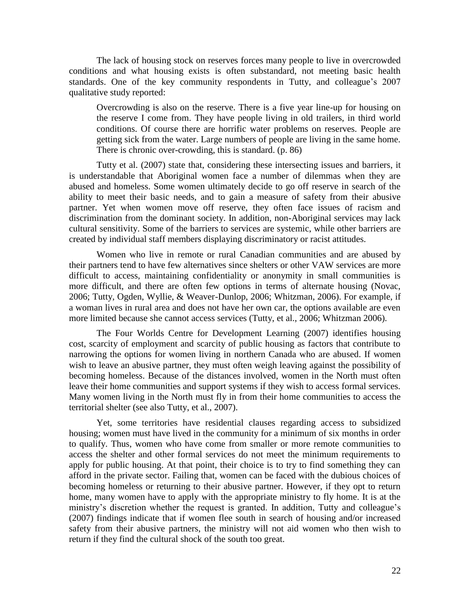The lack of housing stock on reserves forces many people to live in overcrowded conditions and what housing exists is often substandard, not meeting basic health standards. One of the key community respondents in Tutty, and colleague's 2007 qualitative study reported:

Overcrowding is also on the reserve. There is a five year line-up for housing on the reserve I come from. They have people living in old trailers, in third world conditions. Of course there are horrific water problems on reserves. People are getting sick from the water. Large numbers of people are living in the same home. There is chronic over-crowding, this is standard. (p. 86)

Tutty et al. (2007) state that, considering these intersecting issues and barriers, it is understandable that Aboriginal women face a number of dilemmas when they are abused and homeless. Some women ultimately decide to go off reserve in search of the ability to meet their basic needs, and to gain a measure of safety from their abusive partner. Yet when women move off reserve, they often face issues of racism and discrimination from the dominant society. In addition, non-Aboriginal services may lack cultural sensitivity. Some of the barriers to services are systemic, while other barriers are created by individual staff members displaying discriminatory or racist attitudes.

Women who live in remote or rural Canadian communities and are abused by their partners tend to have few alternatives since shelters or other VAW services are more difficult to access, maintaining confidentiality or anonymity in small communities is more difficult, and there are often few options in terms of alternate housing (Novac, 2006; Tutty, Ogden, Wyllie, & Weaver-Dunlop, 2006; Whitzman, 2006). For example, if a woman lives in rural area and does not have her own car, the options available are even more limited because she cannot access services (Tutty, et al., 2006; Whitzman 2006).

The Four Worlds Centre for Development Learning (2007) identifies housing cost, scarcity of employment and scarcity of public housing as factors that contribute to narrowing the options for women living in northern Canada who are abused. If women wish to leave an abusive partner, they must often weigh leaving against the possibility of becoming homeless. Because of the distances involved, women in the North must often leave their home communities and support systems if they wish to access formal services. Many women living in the North must fly in from their home communities to access the territorial shelter (see also Tutty, et al., 2007).

Yet, some territories have residential clauses regarding access to subsidized housing; women must have lived in the community for a minimum of six months in order to qualify. Thus, women who have come from smaller or more remote communities to access the shelter and other formal services do not meet the minimum requirements to apply for public housing. At that point, their choice is to try to find something they can afford in the private sector. Failing that, women can be faced with the dubious choices of becoming homeless or returning to their abusive partner. However, if they opt to return home, many women have to apply with the appropriate ministry to fly home. It is at the ministry's discretion whether the request is granted. In addition, Tutty and colleague's (2007) findings indicate that if women flee south in search of housing and/or increased safety from their abusive partners, the ministry will not aid women who then wish to return if they find the cultural shock of the south too great.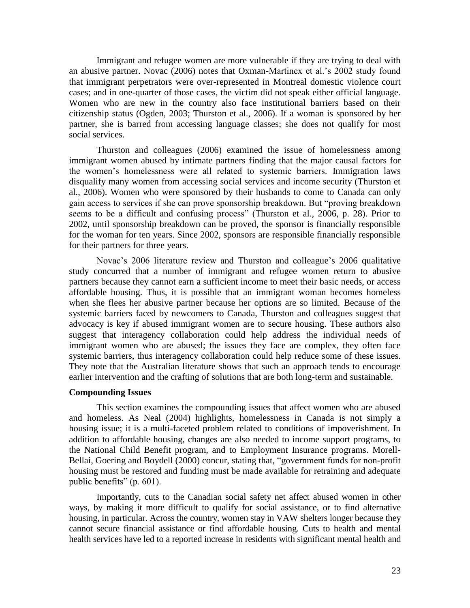Immigrant and refugee women are more vulnerable if they are trying to deal with an abusive partner. Novac (2006) notes that Oxman-Martinex et al.'s 2002 study found that immigrant perpetrators were over-represented in Montreal domestic violence court cases; and in one-quarter of those cases, the victim did not speak either official language. Women who are new in the country also face institutional barriers based on their citizenship status (Ogden, 2003; Thurston et al., 2006). If a woman is sponsored by her partner, she is barred from accessing language classes; she does not qualify for most social services.

Thurston and colleagues (2006) examined the issue of homelessness among immigrant women abused by intimate partners finding that the major causal factors for the women's homelessness were all related to systemic barriers. Immigration laws disqualify many women from accessing social services and income security (Thurston et al., 2006). Women who were sponsored by their husbands to come to Canada can only gain access to services if she can prove sponsorship breakdown. But "proving breakdown seems to be a difficult and confusing process" (Thurston et al., 2006, p. 28). Prior to 2002, until sponsorship breakdown can be proved, the sponsor is financially responsible for the woman for ten years. Since 2002, sponsors are responsible financially responsible for their partners for three years.

Novac's 2006 literature review and Thurston and colleague's 2006 qualitative study concurred that a number of immigrant and refugee women return to abusive partners because they cannot earn a sufficient income to meet their basic needs, or access affordable housing. Thus, it is possible that an immigrant woman becomes homeless when she flees her abusive partner because her options are so limited. Because of the systemic barriers faced by newcomers to Canada, Thurston and colleagues suggest that advocacy is key if abused immigrant women are to secure housing. These authors also suggest that interagency collaboration could help address the individual needs of immigrant women who are abused; the issues they face are complex, they often face systemic barriers, thus interagency collaboration could help reduce some of these issues. They note that the Australian literature shows that such an approach tends to encourage earlier intervention and the crafting of solutions that are both long-term and sustainable.

## **Compounding Issues**

This section examines the compounding issues that affect women who are abused and homeless. As Neal (2004) highlights, homelessness in Canada is not simply a housing issue; it is a multi-faceted problem related to conditions of impoverishment. In addition to affordable housing, changes are also needed to income support programs, to the National Child Benefit program, and to Employment Insurance programs. Morell-Bellai, Goering and Boydell (2000) concur, stating that, "government funds for non-profit housing must be restored and funding must be made available for retraining and adequate public benefits"  $(p. 601)$ .

Importantly, cuts to the Canadian social safety net affect abused women in other ways, by making it more difficult to qualify for social assistance, or to find alternative housing, in particular. Across the country, women stay in VAW shelters longer because they cannot secure financial assistance or find affordable housing. Cuts to health and mental health services have led to a reported increase in residents with significant mental health and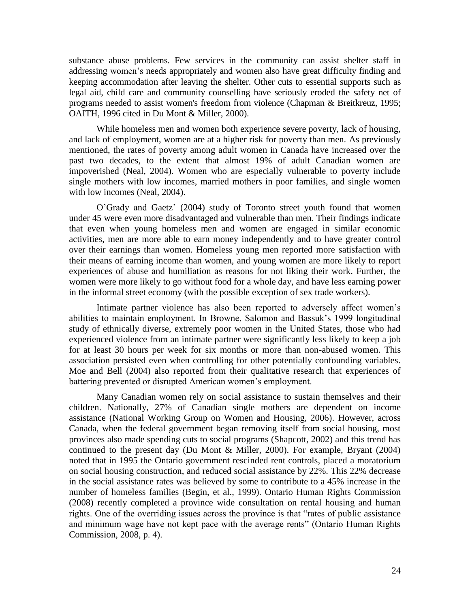substance abuse problems. Few services in the community can assist shelter staff in addressing women's needs appropriately and women also have great difficulty finding and keeping accommodation after leaving the shelter. Other cuts to essential supports such as legal aid, child care and community counselling have seriously eroded the safety net of programs needed to assist women's freedom from violence (Chapman & Breitkreuz, 1995; OAITH, 1996 cited in Du Mont & Miller, 2000).

While homeless men and women both experience severe poverty, lack of housing, and lack of employment, women are at a higher risk for poverty than men. As previously mentioned, the rates of poverty among adult women in Canada have increased over the past two decades, to the extent that almost 19% of adult Canadian women are impoverished (Neal, 2004). Women who are especially vulnerable to poverty include single mothers with low incomes, married mothers in poor families, and single women with low incomes (Neal, 2004).

O'Grady and Gaetz' (2004) study of Toronto street youth found that women under 45 were even more disadvantaged and vulnerable than men. Their findings indicate that even when young homeless men and women are engaged in similar economic activities, men are more able to earn money independently and to have greater control over their earnings than women. Homeless young men reported more satisfaction with their means of earning income than women, and young women are more likely to report experiences of abuse and humiliation as reasons for not liking their work. Further, the women were more likely to go without food for a whole day, and have less earning power in the informal street economy (with the possible exception of sex trade workers).

Intimate partner violence has also been reported to adversely affect women's abilities to maintain employment. In Browne, Salomon and Bassuk's 1999 longitudinal study of ethnically diverse, extremely poor women in the United States, those who had experienced violence from an intimate partner were significantly less likely to keep a job for at least 30 hours per week for six months or more than non-abused women. This association persisted even when controlling for other potentially confounding variables. Moe and Bell (2004) also reported from their qualitative research that experiences of battering prevented or disrupted American women's employment.

Many Canadian women rely on social assistance to sustain themselves and their children. Nationally, 27% of Canadian single mothers are dependent on income assistance (National Working Group on Women and Housing, 2006). However, across Canada, when the federal government began removing itself from social housing, most provinces also made spending cuts to social programs (Shapcott, 2002) and this trend has continued to the present day (Du Mont & Miller, 2000). For example, Bryant (2004) noted that in 1995 the Ontario government rescinded rent controls, placed a moratorium on social housing construction, and reduced social assistance by 22%. This 22% decrease in the social assistance rates was believed by some to contribute to a 45% increase in the number of homeless families (Begin, et al., 1999). Ontario Human Rights Commission (2008) recently completed a province wide consultation on rental housing and human rights. One of the overriding issues across the province is that "rates of public assistance and minimum wage have not kept pace with the average rents" (Ontario Human Rights Commission, 2008, p. 4).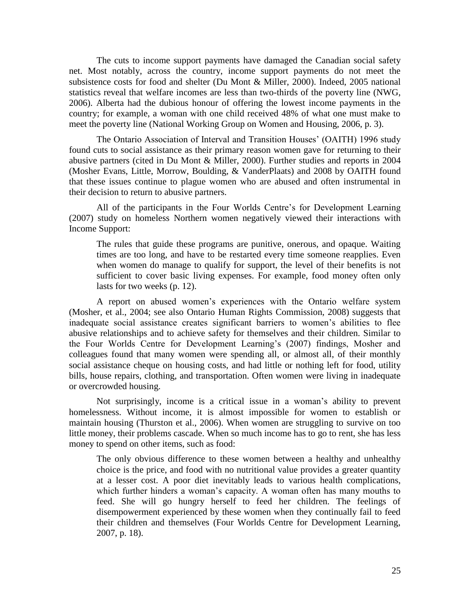The cuts to income support payments have damaged the Canadian social safety net. Most notably, across the country, income support payments do not meet the subsistence costs for food and shelter (Du Mont & Miller, 2000). Indeed, 2005 national statistics reveal that welfare incomes are less than two-thirds of the poverty line (NWG, 2006). Alberta had the dubious honour of offering the lowest income payments in the country; for example, a woman with one child received 48% of what one must make to meet the poverty line (National Working Group on Women and Housing, 2006, p. 3).

The Ontario Association of Interval and Transition Houses' (OAITH) 1996 study found cuts to social assistance as their primary reason women gave for returning to their abusive partners (cited in Du Mont & Miller, 2000). Further studies and reports in 2004 (Mosher Evans, Little, Morrow, Boulding, & VanderPlaats) and 2008 by OAITH found that these issues continue to plague women who are abused and often instrumental in their decision to return to abusive partners.

All of the participants in the Four Worlds Centre's for Development Learning (2007) study on homeless Northern women negatively viewed their interactions with Income Support:

The rules that guide these programs are punitive, onerous, and opaque. Waiting times are too long, and have to be restarted every time someone reapplies. Even when women do manage to qualify for support, the level of their benefits is not sufficient to cover basic living expenses. For example, food money often only lasts for two weeks (p. 12).

A report on abused women's experiences with the Ontario welfare system (Mosher, et al., 2004; see also Ontario Human Rights Commission, 2008) suggests that inadequate social assistance creates significant barriers to women's abilities to flee abusive relationships and to achieve safety for themselves and their children. Similar to the Four Worlds Centre for Development Learning's (2007) findings, Mosher and colleagues found that many women were spending all, or almost all, of their monthly social assistance cheque on housing costs, and had little or nothing left for food, utility bills, house repairs, clothing, and transportation. Often women were living in inadequate or overcrowded housing.

Not surprisingly, income is a critical issue in a woman's ability to prevent homelessness. Without income, it is almost impossible for women to establish or maintain housing (Thurston et al., 2006). When women are struggling to survive on too little money, their problems cascade. When so much income has to go to rent, she has less money to spend on other items, such as food:

The only obvious difference to these women between a healthy and unhealthy choice is the price, and food with no nutritional value provides a greater quantity at a lesser cost. A poor diet inevitably leads to various health complications, which further hinders a woman's capacity. A woman often has many mouths to feed. She will go hungry herself to feed her children. The feelings of disempowerment experienced by these women when they continually fail to feed their children and themselves (Four Worlds Centre for Development Learning, 2007, p. 18).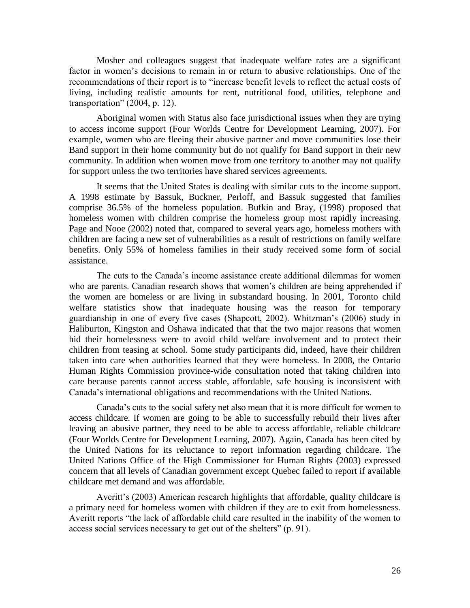Mosher and colleagues suggest that inadequate welfare rates are a significant factor in women's decisions to remain in or return to abusive relationships. One of the recommendations of their report is to "increase benefit levels to reflect the actual costs of living, including realistic amounts for rent, nutritional food, utilities, telephone and transportation"  $(2004, p. 12)$ .

Aboriginal women with Status also face jurisdictional issues when they are trying to access income support (Four Worlds Centre for Development Learning, 2007). For example, women who are fleeing their abusive partner and move communities lose their Band support in their home community but do not qualify for Band support in their new community. In addition when women move from one territory to another may not qualify for support unless the two territories have shared services agreements.

It seems that the United States is dealing with similar cuts to the income support. A 1998 estimate by Bassuk, Buckner, Perloff, and Bassuk suggested that families comprise 36.5% of the homeless population. Bufkin and Bray, (1998) proposed that homeless women with children comprise the homeless group most rapidly increasing. Page and Nooe (2002) noted that, compared to several years ago, homeless mothers with children are facing a new set of vulnerabilities as a result of restrictions on family welfare benefits. Only 55% of homeless families in their study received some form of social assistance.

The cuts to the Canada's income assistance create additional dilemmas for women who are parents. Canadian research shows that women's children are being apprehended if the women are homeless or are living in substandard housing. In 2001, Toronto child welfare statistics show that inadequate housing was the reason for temporary guardianship in one of every five cases (Shapcott, 2002). Whitzman's (2006) study in Haliburton, Kingston and Oshawa indicated that that the two major reasons that women hid their homelessness were to avoid child welfare involvement and to protect their children from teasing at school. Some study participants did, indeed, have their children taken into care when authorities learned that they were homeless. In 2008, the Ontario Human Rights Commission province-wide consultation noted that taking children into care because parents cannot access stable, affordable, safe housing is inconsistent with Canada's international obligations and recommendations with the United Nations.

Canada's cuts to the social safety net also mean that it is more difficult for women to access childcare. If women are going to be able to successfully rebuild their lives after leaving an abusive partner, they need to be able to access affordable, reliable childcare (Four Worlds Centre for Development Learning, 2007). Again, Canada has been cited by the United Nations for its reluctance to report information regarding childcare. The United Nations Office of the High Commissioner for Human Rights (2003) expressed concern that all levels of Canadian government except Quebec failed to report if available childcare met demand and was affordable.

Averitt's (2003) American research highlights that affordable, quality childcare is a primary need for homeless women with children if they are to exit from homelessness. Averitt reports "the lack of affordable child care resulted in the inability of the women to access social services necessary to get out of the shelters" (p. 91).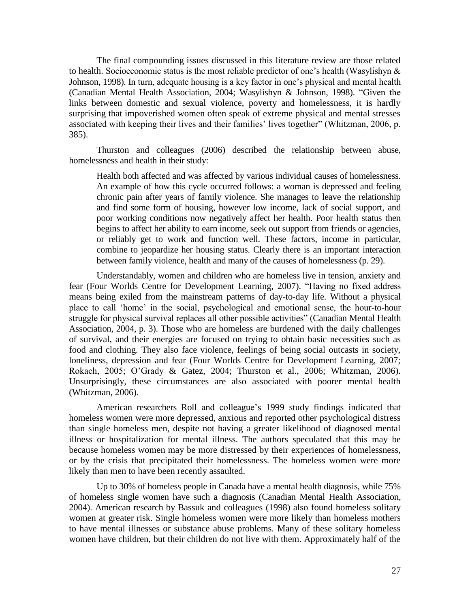The final compounding issues discussed in this literature review are those related to health. Socioeconomic status is the most reliable predictor of one's health (Wasylishyn & Johnson, 1998). In turn, adequate housing is a key factor in one's physical and mental health (Canadian Mental Health Association, 2004; Wasylishyn & Johnson, 1998). "Given the links between domestic and sexual violence, poverty and homelessness, it is hardly surprising that impoverished women often speak of extreme physical and mental stresses associated with keeping their lives and their families' lives together" (Whitzman, 2006, p. 385).

Thurston and colleagues (2006) described the relationship between abuse, homelessness and health in their study:

Health both affected and was affected by various individual causes of homelessness. An example of how this cycle occurred follows: a woman is depressed and feeling chronic pain after years of family violence. She manages to leave the relationship and find some form of housing, however low income, lack of social support, and poor working conditions now negatively affect her health. Poor health status then begins to affect her ability to earn income, seek out support from friends or agencies, or reliably get to work and function well. These factors, income in particular, combine to jeopardize her housing status. Clearly there is an important interaction between family violence, health and many of the causes of homelessness (p. 29).

Understandably, women and children who are homeless live in tension, anxiety and fear (Four Worlds Centre for Development Learning, 2007). "Having no fixed address means being exiled from the mainstream patterns of day-to-day life. Without a physical place to call ‗home' in the social, psychological and emotional sense, the hour-to-hour struggle for physical survival replaces all other possible activities" (Canadian Mental Health Association, 2004, p. 3). Those who are homeless are burdened with the daily challenges of survival, and their energies are focused on trying to obtain basic necessities such as food and clothing. They also face violence, feelings of being social outcasts in society, loneliness, depression and fear (Four Worlds Centre for Development Learning, 2007; Rokach, 2005; O'Grady & Gatez, 2004; Thurston et al., 2006; Whitzman, 2006). Unsurprisingly, these circumstances are also associated with poorer mental health (Whitzman, 2006).

American researchers Roll and colleague's 1999 study findings indicated that homeless women were more depressed, anxious and reported other psychological distress than single homeless men, despite not having a greater likelihood of diagnosed mental illness or hospitalization for mental illness. The authors speculated that this may be because homeless women may be more distressed by their experiences of homelessness, or by the crisis that precipitated their homelessness. The homeless women were more likely than men to have been recently assaulted.

Up to 30% of homeless people in Canada have a mental health diagnosis, while 75% of homeless single women have such a diagnosis (Canadian Mental Health Association, 2004). American research by Bassuk and colleagues (1998) also found homeless solitary women at greater risk. Single homeless women were more likely than homeless mothers to have mental illnesses or substance abuse problems. Many of these solitary homeless women have children, but their children do not live with them. Approximately half of the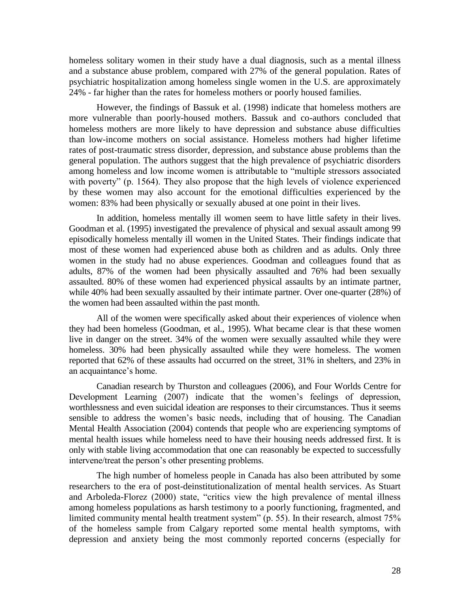homeless solitary women in their study have a dual diagnosis, such as a mental illness and a substance abuse problem, compared with 27% of the general population. Rates of psychiatric hospitalization among homeless single women in the U.S. are approximately 24% - far higher than the rates for homeless mothers or poorly housed families.

However, the findings of Bassuk et al. (1998) indicate that homeless mothers are more vulnerable than poorly-housed mothers. Bassuk and co-authors concluded that homeless mothers are more likely to have depression and substance abuse difficulties than low-income mothers on social assistance. Homeless mothers had higher lifetime rates of post-traumatic stress disorder, depression, and substance abuse problems than the general population. The authors suggest that the high prevalence of psychiatric disorders among homeless and low income women is attributable to "multiple stressors associated with poverty" (p. 1564). They also propose that the high levels of violence experienced by these women may also account for the emotional difficulties experienced by the women: 83% had been physically or sexually abused at one point in their lives.

In addition, homeless mentally ill women seem to have little safety in their lives. Goodman et al. (1995) investigated the prevalence of physical and sexual assault among 99 episodically homeless mentally ill women in the United States. Their findings indicate that most of these women had experienced abuse both as children and as adults. Only three women in the study had no abuse experiences. Goodman and colleagues found that as adults, 87% of the women had been physically assaulted and 76% had been sexually assaulted. 80% of these women had experienced physical assaults by an intimate partner, while 40% had been sexually assaulted by their intimate partner. Over one-quarter (28%) of the women had been assaulted within the past month.

All of the women were specifically asked about their experiences of violence when they had been homeless (Goodman, et al., 1995). What became clear is that these women live in danger on the street. 34% of the women were sexually assaulted while they were homeless. 30% had been physically assaulted while they were homeless. The women reported that 62% of these assaults had occurred on the street, 31% in shelters, and 23% in an acquaintance's home.

Canadian research by Thurston and colleagues (2006), and Four Worlds Centre for Development Learning (2007) indicate that the women's feelings of depression, worthlessness and even suicidal ideation are responses to their circumstances. Thus it seems sensible to address the women's basic needs, including that of housing. The Canadian Mental Health Association (2004) contends that people who are experiencing symptoms of mental health issues while homeless need to have their housing needs addressed first. It is only with stable living accommodation that one can reasonably be expected to successfully intervene/treat the person's other presenting problems.

The high number of homeless people in Canada has also been attributed by some researchers to the era of post-deinstitutionalization of mental health services. As Stuart and Arboleda-Florez (2000) state, "critics view the high prevalence of mental illness among homeless populations as harsh testimony to a poorly functioning, fragmented, and limited community mental health treatment system"  $(p. 55)$ . In their research, almost  $75%$ of the homeless sample from Calgary reported some mental health symptoms, with depression and anxiety being the most commonly reported concerns (especially for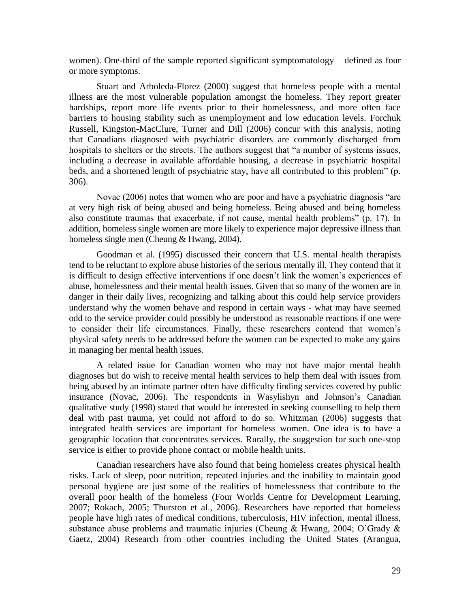women). One-third of the sample reported significant symptomatology – defined as four or more symptoms.

Stuart and Arboleda-Florez (2000) suggest that homeless people with a mental illness are the most vulnerable population amongst the homeless. They report greater hardships, report more life events prior to their homelessness, and more often face barriers to housing stability such as unemployment and low education levels. Forchuk Russell, Kingston-MacClure, Turner and Dill (2006) concur with this analysis, noting that Canadians diagnosed with psychiatric disorders are commonly discharged from hospitals to shelters or the streets. The authors suggest that "a number of systems issues, including a decrease in available affordable housing, a decrease in psychiatric hospital beds, and a shortened length of psychiatric stay, have all contributed to this problem" (p. 306).

Novac (2006) notes that women who are poor and have a psychiatric diagnosis "are at very high risk of being abused and being homeless. Being abused and being homeless also constitute traumas that exacerbate, if not cause, mental health problems" (p. 17). In addition, homeless single women are more likely to experience major depressive illness than homeless single men (Cheung & Hwang, 2004).

Goodman et al. (1995) discussed their concern that U.S. mental health therapists tend to be reluctant to explore abuse histories of the serious mentally ill. They contend that it is difficult to design effective interventions if one doesn't link the women's experiences of abuse, homelessness and their mental health issues. Given that so many of the women are in danger in their daily lives, recognizing and talking about this could help service providers understand why the women behave and respond in certain ways - what may have seemed odd to the service provider could possibly be understood as reasonable reactions if one were to consider their life circumstances. Finally, these researchers contend that women's physical safety needs to be addressed before the women can be expected to make any gains in managing her mental health issues.

A related issue for Canadian women who may not have major mental health diagnoses but do wish to receive mental health services to help them deal with issues from being abused by an intimate partner often have difficulty finding services covered by public insurance (Novac, 2006). The respondents in Wasylishyn and Johnson's Canadian qualitative study (1998) stated that would be interested in seeking counselling to help them deal with past trauma, yet could not afford to do so. Whitzman (2006) suggests that integrated health services are important for homeless women. One idea is to have a geographic location that concentrates services. Rurally, the suggestion for such one-stop service is either to provide phone contact or mobile health units.

Canadian researchers have also found that being homeless creates physical health risks. Lack of sleep, poor nutrition, repeated injuries and the inability to maintain good personal hygiene are just some of the realities of homelessness that contribute to the overall poor health of the homeless (Four Worlds Centre for Development Learning, 2007; Rokach, 2005; Thurston et al., 2006). Researchers have reported that homeless people have high rates of medical conditions, tuberculosis, HIV infection, mental illness, substance abuse problems and traumatic injuries (Cheung & Hwang, 2004; O'Grady & Gaetz, 2004) Research from other countries including the United States (Arangua,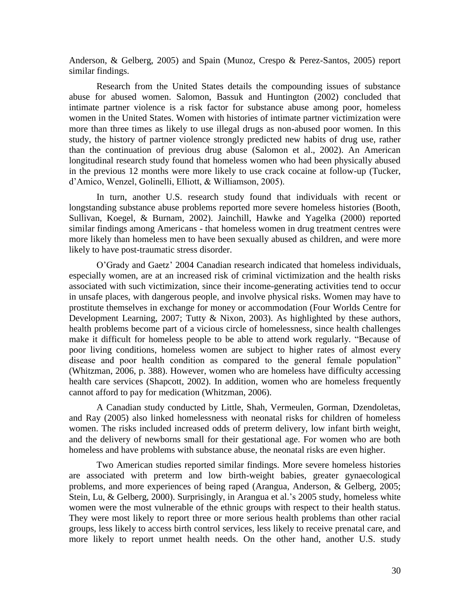Anderson, & Gelberg, 2005) and Spain (Munoz, Crespo & Perez-Santos, 2005) report similar findings.

Research from the United States details the compounding issues of substance abuse for abused women. Salomon, Bassuk and Huntington (2002) concluded that intimate partner violence is a risk factor for substance abuse among poor, homeless women in the United States. Women with histories of intimate partner victimization were more than three times as likely to use illegal drugs as non-abused poor women. In this study, the history of partner violence strongly predicted new habits of drug use, rather than the continuation of previous drug abuse (Salomon et al., 2002). An American longitudinal research study found that homeless women who had been physically abused in the previous 12 months were more likely to use crack cocaine at follow-up (Tucker, d'Amico, Wenzel, Golinelli, Elliott, & Williamson, 2005).

In turn, another U.S. research study found that individuals with recent or longstanding substance abuse problems reported more severe homeless histories (Booth, Sullivan, Koegel, & Burnam, 2002). Jainchill, Hawke and Yagelka (2000) reported similar findings among Americans - that homeless women in drug treatment centres were more likely than homeless men to have been sexually abused as children, and were more likely to have post-traumatic stress disorder.

O'Grady and Gaetz' 2004 Canadian research indicated that homeless individuals, especially women, are at an increased risk of criminal victimization and the health risks associated with such victimization, since their income-generating activities tend to occur in unsafe places, with dangerous people, and involve physical risks. Women may have to prostitute themselves in exchange for money or accommodation (Four Worlds Centre for Development Learning, 2007; Tutty & Nixon, 2003). As highlighted by these authors, health problems become part of a vicious circle of homelessness, since health challenges make it difficult for homeless people to be able to attend work regularly. "Because of poor living conditions, homeless women are subject to higher rates of almost every disease and poor health condition as compared to the general female population" (Whitzman, 2006, p. 388). However, women who are homeless have difficulty accessing health care services (Shapcott, 2002). In addition, women who are homeless frequently cannot afford to pay for medication (Whitzman, 2006).

A Canadian study conducted by Little, Shah, Vermeulen, Gorman, Dzendoletas, and Ray (2005) also linked homelessness with neonatal risks for children of homeless women. The risks included increased odds of preterm delivery, low infant birth weight, and the delivery of newborns small for their gestational age. For women who are both homeless and have problems with substance abuse, the neonatal risks are even higher.

Two American studies reported similar findings. More severe homeless histories are associated with preterm and low birth-weight babies, greater gynaecological problems, and more experiences of being raped (Arangua, Anderson, & Gelberg, 2005; Stein, Lu, & Gelberg, 2000). Surprisingly, in Arangua et al.'s 2005 study, homeless white women were the most vulnerable of the ethnic groups with respect to their health status. They were most likely to report three or more serious health problems than other racial groups, less likely to access birth control services, less likely to receive prenatal care, and more likely to report unmet health needs. On the other hand, another U.S. study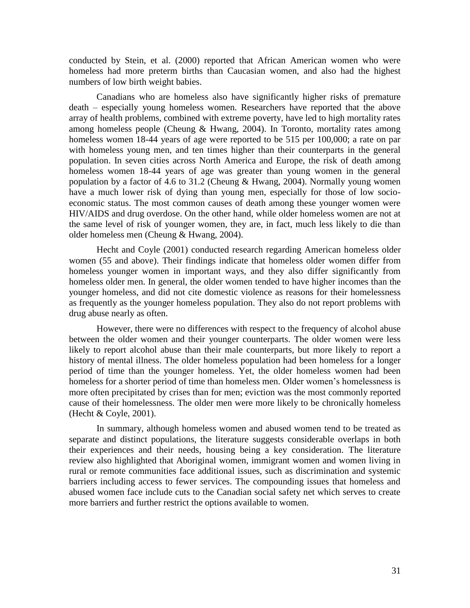conducted by Stein, et al. (2000) reported that African American women who were homeless had more preterm births than Caucasian women, and also had the highest numbers of low birth weight babies.

Canadians who are homeless also have significantly higher risks of premature death – especially young homeless women. Researchers have reported that the above array of health problems, combined with extreme poverty, have led to high mortality rates among homeless people (Cheung & Hwang, 2004). In Toronto, mortality rates among homeless women 18-44 years of age were reported to be 515 per 100,000; a rate on par with homeless young men, and ten times higher than their counterparts in the general population. In seven cities across North America and Europe, the risk of death among homeless women 18-44 years of age was greater than young women in the general population by a factor of 4.6 to 31.2 (Cheung & Hwang, 2004). Normally young women have a much lower risk of dying than young men, especially for those of low socioeconomic status. The most common causes of death among these younger women were HIV/AIDS and drug overdose. On the other hand, while older homeless women are not at the same level of risk of younger women, they are, in fact, much less likely to die than older homeless men (Cheung & Hwang, 2004).

Hecht and Coyle (2001) conducted research regarding American homeless older women (55 and above). Their findings indicate that homeless older women differ from homeless younger women in important ways, and they also differ significantly from homeless older men. In general, the older women tended to have higher incomes than the younger homeless, and did not cite domestic violence as reasons for their homelessness as frequently as the younger homeless population. They also do not report problems with drug abuse nearly as often.

However, there were no differences with respect to the frequency of alcohol abuse between the older women and their younger counterparts. The older women were less likely to report alcohol abuse than their male counterparts, but more likely to report a history of mental illness. The older homeless population had been homeless for a longer period of time than the younger homeless. Yet, the older homeless women had been homeless for a shorter period of time than homeless men. Older women's homelessness is more often precipitated by crises than for men; eviction was the most commonly reported cause of their homelessness. The older men were more likely to be chronically homeless (Hecht & Coyle, 2001).

In summary, although homeless women and abused women tend to be treated as separate and distinct populations, the literature suggests considerable overlaps in both their experiences and their needs, housing being a key consideration. The literature review also highlighted that Aboriginal women, immigrant women and women living in rural or remote communities face additional issues, such as discrimination and systemic barriers including access to fewer services. The compounding issues that homeless and abused women face include cuts to the Canadian social safety net which serves to create more barriers and further restrict the options available to women.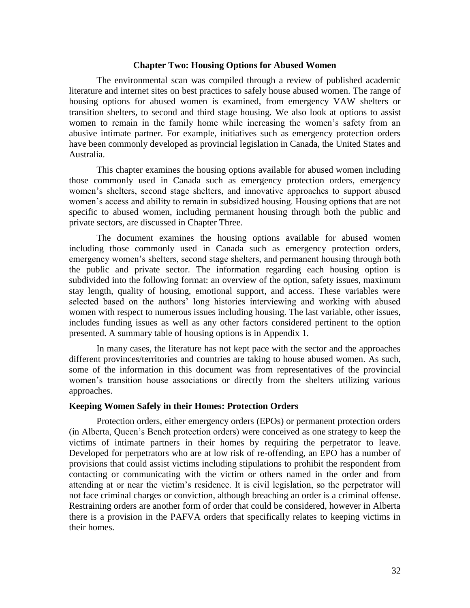### **Chapter Two: Housing Options for Abused Women**

The environmental scan was compiled through a review of published academic literature and internet sites on best practices to safely house abused women. The range of housing options for abused women is examined, from emergency VAW shelters or transition shelters, to second and third stage housing. We also look at options to assist women to remain in the family home while increasing the women's safety from an abusive intimate partner. For example, initiatives such as emergency protection orders have been commonly developed as provincial legislation in Canada, the United States and Australia.

This chapter examines the housing options available for abused women including those commonly used in Canada such as emergency protection orders, emergency women's shelters, second stage shelters, and innovative approaches to support abused women's access and ability to remain in subsidized housing. Housing options that are not specific to abused women, including permanent housing through both the public and private sectors, are discussed in Chapter Three.

The document examines the housing options available for abused women including those commonly used in Canada such as emergency protection orders, emergency women's shelters, second stage shelters, and permanent housing through both the public and private sector. The information regarding each housing option is subdivided into the following format: an overview of the option, safety issues, maximum stay length, quality of housing, emotional support, and access. These variables were selected based on the authors' long histories interviewing and working with abused women with respect to numerous issues including housing. The last variable, other issues, includes funding issues as well as any other factors considered pertinent to the option presented. A summary table of housing options is in Appendix 1.

In many cases, the literature has not kept pace with the sector and the approaches different provinces/territories and countries are taking to house abused women. As such, some of the information in this document was from representatives of the provincial women's transition house associations or directly from the shelters utilizing various approaches.

### **Keeping Women Safely in their Homes: Protection Orders**

Protection orders, either emergency orders (EPOs) or permanent protection orders (in Alberta, Queen's Bench protection orders) were conceived as one strategy to keep the victims of intimate partners in their homes by requiring the perpetrator to leave. Developed for perpetrators who are at low risk of re-offending, an EPO has a number of provisions that could assist victims including stipulations to prohibit the respondent from contacting or communicating with the victim or others named in the order and from attending at or near the victim's residence. It is civil legislation, so the perpetrator will not face criminal charges or conviction, although breaching an order is a criminal offense. Restraining orders are another form of order that could be considered, however in Alberta there is a provision in the PAFVA orders that specifically relates to keeping victims in their homes.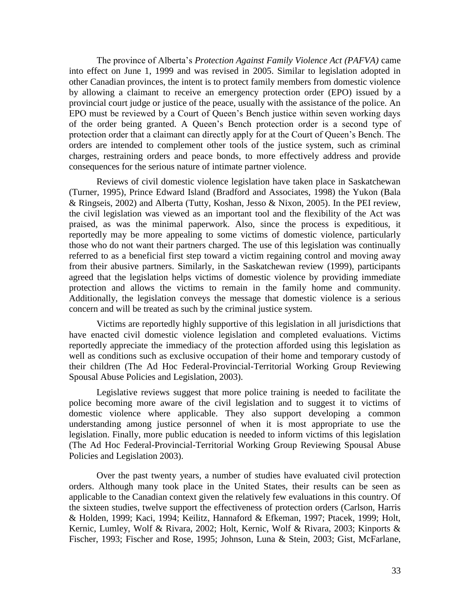The province of Alberta's *Protection Against Family Violence Act (PAFVA)* came into effect on June 1, 1999 and was revised in 2005. Similar to legislation adopted in other Canadian provinces, the intent is to protect family members from domestic violence by allowing a claimant to receive an emergency protection order (EPO) issued by a provincial court judge or justice of the peace, usually with the assistance of the police. An EPO must be reviewed by a Court of Queen's Bench justice within seven working days of the order being granted. A Queen's Bench protection order is a second type of protection order that a claimant can directly apply for at the Court of Queen's Bench. The orders are intended to complement other tools of the justice system, such as criminal charges, restraining orders and peace bonds, to more effectively address and provide consequences for the serious nature of intimate partner violence.

Reviews of civil domestic violence legislation have taken place in Saskatchewan (Turner, 1995), Prince Edward Island (Bradford and Associates, 1998) the Yukon (Bala & Ringseis, 2002) and Alberta (Tutty, Koshan, Jesso & Nixon, 2005). In the PEI review, the civil legislation was viewed as an important tool and the flexibility of the Act was praised, as was the minimal paperwork. Also, since the process is expeditious, it reportedly may be more appealing to some victims of domestic violence, particularly those who do not want their partners charged. The use of this legislation was continually referred to as a beneficial first step toward a victim regaining control and moving away from their abusive partners. Similarly, in the Saskatchewan review (1999), participants agreed that the legislation helps victims of domestic violence by providing immediate protection and allows the victims to remain in the family home and community. Additionally, the legislation conveys the message that domestic violence is a serious concern and will be treated as such by the criminal justice system.

Victims are reportedly highly supportive of this legislation in all jurisdictions that have enacted civil domestic violence legislation and completed evaluations. Victims reportedly appreciate the immediacy of the protection afforded using this legislation as well as conditions such as exclusive occupation of their home and temporary custody of their children (The Ad Hoc Federal-Provincial-Territorial Working Group Reviewing Spousal Abuse Policies and Legislation, 2003).

Legislative reviews suggest that more police training is needed to facilitate the police becoming more aware of the civil legislation and to suggest it to victims of domestic violence where applicable. They also support developing a common understanding among justice personnel of when it is most appropriate to use the legislation. Finally, more public education is needed to inform victims of this legislation (The Ad Hoc Federal-Provincial-Territorial Working Group Reviewing Spousal Abuse Policies and Legislation 2003).

Over the past twenty years, a number of studies have evaluated civil protection orders. Although many took place in the United States, their results can be seen as applicable to the Canadian context given the relatively few evaluations in this country. Of the sixteen studies, twelve support the effectiveness of protection orders (Carlson, Harris & Holden, 1999; Kaci, 1994; Keilitz, Hannaford & Efkeman, 1997; Ptacek, 1999; Holt, Kernic, Lumley, Wolf & Rivara, 2002; Holt, Kernic, Wolf & Rivara, 2003; Kinports & Fischer, 1993; Fischer and Rose, 1995; Johnson, Luna & Stein, 2003; Gist, McFarlane,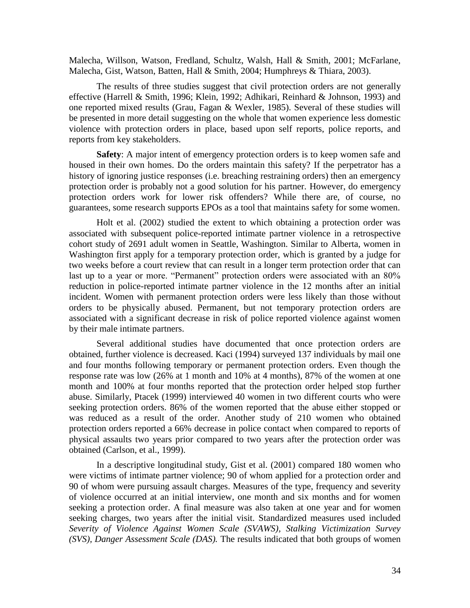Malecha, Willson, Watson, Fredland, Schultz, Walsh, Hall & Smith, 2001; McFarlane, Malecha, Gist, Watson, Batten, Hall & Smith, 2004; Humphreys & Thiara, 2003).

The results of three studies suggest that civil protection orders are not generally effective (Harrell & Smith, 1996; Klein, 1992; Adhikari, Reinhard & Johnson, 1993) and one reported mixed results (Grau, Fagan & Wexler, 1985). Several of these studies will be presented in more detail suggesting on the whole that women experience less domestic violence with protection orders in place, based upon self reports, police reports, and reports from key stakeholders.

**Safety**: A major intent of emergency protection orders is to keep women safe and housed in their own homes. Do the orders maintain this safety? If the perpetrator has a history of ignoring justice responses (i.e. breaching restraining orders) then an emergency protection order is probably not a good solution for his partner. However, do emergency protection orders work for lower risk offenders? While there are, of course, no guarantees, some research supports EPOs as a tool that maintains safety for some women.

Holt et al. (2002) studied the extent to which obtaining a protection order was associated with subsequent police-reported intimate partner violence in a retrospective cohort study of 2691 adult women in Seattle, Washington. Similar to Alberta, women in Washington first apply for a temporary protection order, which is granted by a judge for two weeks before a court review that can result in a longer term protection order that can last up to a year or more. "Permanent" protection orders were associated with an 80% reduction in police-reported intimate partner violence in the 12 months after an initial incident. Women with permanent protection orders were less likely than those without orders to be physically abused. Permanent, but not temporary protection orders are associated with a significant decrease in risk of police reported violence against women by their male intimate partners.

Several additional studies have documented that once protection orders are obtained, further violence is decreased. Kaci (1994) surveyed 137 individuals by mail one and four months following temporary or permanent protection orders. Even though the response rate was low (26% at 1 month and 10% at 4 months), 87% of the women at one month and 100% at four months reported that the protection order helped stop further abuse. Similarly, Ptacek (1999) interviewed 40 women in two different courts who were seeking protection orders. 86% of the women reported that the abuse either stopped or was reduced as a result of the order. Another study of 210 women who obtained protection orders reported a 66% decrease in police contact when compared to reports of physical assaults two years prior compared to two years after the protection order was obtained (Carlson, et al., 1999).

In a descriptive longitudinal study, Gist et al. (2001) compared 180 women who were victims of intimate partner violence; 90 of whom applied for a protection order and 90 of whom were pursuing assault charges. Measures of the type, frequency and severity of violence occurred at an initial interview, one month and six months and for women seeking a protection order. A final measure was also taken at one year and for women seeking charges, two years after the initial visit. Standardized measures used included *Severity of Violence Against Women Scale (SVAWS), Stalking Victimization Survey (SVS), Danger Assessment Scale (DAS).* The results indicated that both groups of women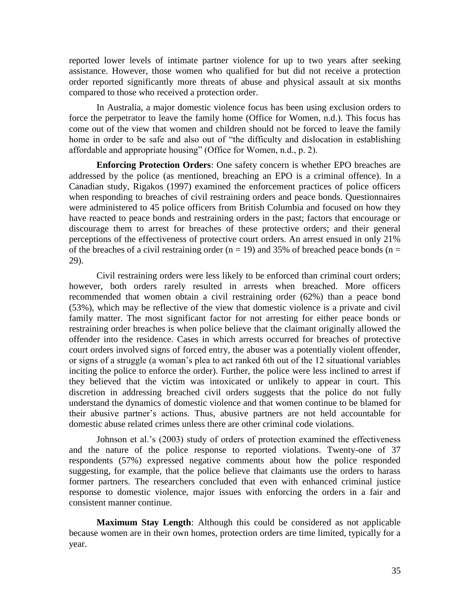reported lower levels of intimate partner violence for up to two years after seeking assistance. However, those women who qualified for but did not receive a protection order reported significantly more threats of abuse and physical assault at six months compared to those who received a protection order.

In Australia, a major domestic violence focus has been using exclusion orders to force the perpetrator to leave the family home (Office for Women, n.d.). This focus has come out of the view that women and children should not be forced to leave the family home in order to be safe and also out of "the difficulty and dislocation in establishing affordable and appropriate housing" (Office for Women, n.d., p. 2).

**Enforcing Protection Orders**: One safety concern is whether EPO breaches are addressed by the police (as mentioned, breaching an EPO is a criminal offence). In a Canadian study, Rigakos (1997) examined the enforcement practices of police officers when responding to breaches of civil restraining orders and peace bonds. Questionnaires were administered to 45 police officers from British Columbia and focused on how they have reacted to peace bonds and restraining orders in the past; factors that encourage or discourage them to arrest for breaches of these protective orders; and their general perceptions of the effectiveness of protective court orders. An arrest ensued in only 21% of the breaches of a civil restraining order ( $n = 19$ ) and 35% of breached peace bonds ( $n =$ 29).

Civil restraining orders were less likely to be enforced than criminal court orders; however, both orders rarely resulted in arrests when breached. More officers recommended that women obtain a civil restraining order (62%) than a peace bond (53%), which may be reflective of the view that domestic violence is a private and civil family matter. The most significant factor for not arresting for either peace bonds or restraining order breaches is when police believe that the claimant originally allowed the offender into the residence. Cases in which arrests occurred for breaches of protective court orders involved signs of forced entry, the abuser was a potentially violent offender, or signs of a struggle (a woman's plea to act ranked 6th out of the 12 situational variables inciting the police to enforce the order). Further, the police were less inclined to arrest if they believed that the victim was intoxicated or unlikely to appear in court. This discretion in addressing breached civil orders suggests that the police do not fully understand the dynamics of domestic violence and that women continue to be blamed for their abusive partner's actions. Thus, abusive partners are not held accountable for domestic abuse related crimes unless there are other criminal code violations.

Johnson et al.'s (2003) study of orders of protection examined the effectiveness and the nature of the police response to reported violations. Twenty-one of 37 respondents (57%) expressed negative comments about how the police responded suggesting, for example, that the police believe that claimants use the orders to harass former partners. The researchers concluded that even with enhanced criminal justice response to domestic violence, major issues with enforcing the orders in a fair and consistent manner continue.

**Maximum Stay Length**: Although this could be considered as not applicable because women are in their own homes, protection orders are time limited, typically for a year.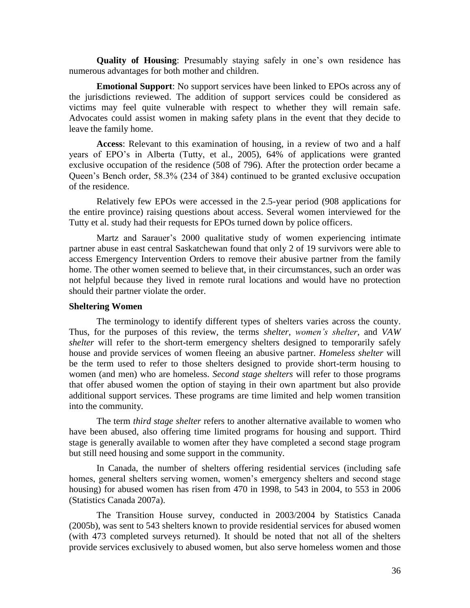**Quality of Housing**: Presumably staying safely in one's own residence has numerous advantages for both mother and children.

**Emotional Support**: No support services have been linked to EPOs across any of the jurisdictions reviewed. The addition of support services could be considered as victims may feel quite vulnerable with respect to whether they will remain safe. Advocates could assist women in making safety plans in the event that they decide to leave the family home.

**Access**: Relevant to this examination of housing, in a review of two and a half years of EPO's in Alberta (Tutty, et al., 2005), 64% of applications were granted exclusive occupation of the residence (508 of 796). After the protection order became a Queen's Bench order, 58.3% (234 of 384) continued to be granted exclusive occupation of the residence.

Relatively few EPOs were accessed in the 2.5-year period (908 applications for the entire province) raising questions about access. Several women interviewed for the Tutty et al. study had their requests for EPOs turned down by police officers.

Martz and Sarauer's 2000 qualitative study of women experiencing intimate partner abuse in east central Saskatchewan found that only 2 of 19 survivors were able to access Emergency Intervention Orders to remove their abusive partner from the family home. The other women seemed to believe that, in their circumstances, such an order was not helpful because they lived in remote rural locations and would have no protection should their partner violate the order.

### **Sheltering Women**

The terminology to identify different types of shelters varies across the county. Thus, for the purposes of this review, the terms *shelter*, *women"s shelter*, and *VAW shelter* will refer to the short-term emergency shelters designed to temporarily safely house and provide services of women fleeing an abusive partner. *Homeless shelter* will be the term used to refer to those shelters designed to provide short-term housing to women (and men) who are homeless. *Second stage shelters* will refer to those programs that offer abused women the option of staying in their own apartment but also provide additional support services. These programs are time limited and help women transition into the community.

The term *third stage shelter* refers to another alternative available to women who have been abused, also offering time limited programs for housing and support. Third stage is generally available to women after they have completed a second stage program but still need housing and some support in the community.

In Canada, the number of shelters offering residential services (including safe homes, general shelters serving women, women's emergency shelters and second stage housing) for abused women has risen from 470 in 1998, to 543 in 2004, to 553 in 2006 (Statistics Canada 2007a).

The Transition House survey, conducted in 2003/2004 by Statistics Canada (2005b), was sent to 543 shelters known to provide residential services for abused women (with 473 completed surveys returned). It should be noted that not all of the shelters provide services exclusively to abused women, but also serve homeless women and those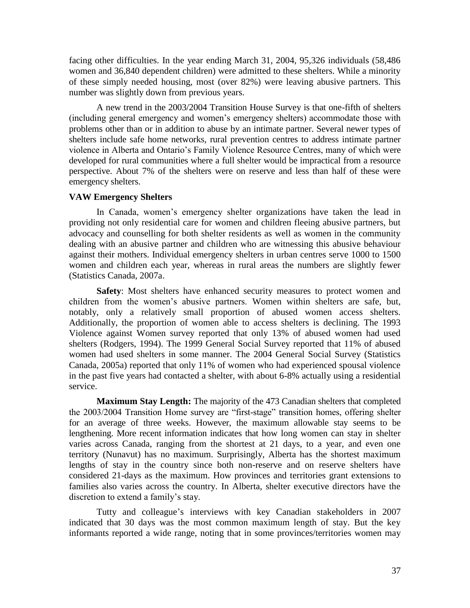facing other difficulties. In the year ending March 31, 2004, 95,326 individuals (58,486 women and 36,840 dependent children) were admitted to these shelters. While a minority of these simply needed housing, most (over 82%) were leaving abusive partners. This number was slightly down from previous years.

A new trend in the 2003/2004 Transition House Survey is that one-fifth of shelters (including general emergency and women's emergency shelters) accommodate those with problems other than or in addition to abuse by an intimate partner. Several newer types of shelters include safe home networks, rural prevention centres to address intimate partner violence in Alberta and Ontario's Family Violence Resource Centres, many of which were developed for rural communities where a full shelter would be impractical from a resource perspective. About 7% of the shelters were on reserve and less than half of these were emergency shelters.

### **VAW Emergency Shelters**

In Canada, women's emergency shelter organizations have taken the lead in providing not only residential care for women and children fleeing abusive partners, but advocacy and counselling for both shelter residents as well as women in the community dealing with an abusive partner and children who are witnessing this abusive behaviour against their mothers. Individual emergency shelters in urban centres serve 1000 to 1500 women and children each year, whereas in rural areas the numbers are slightly fewer (Statistics Canada, 2007a.

**Safety**: Most shelters have enhanced security measures to protect women and children from the women's abusive partners. Women within shelters are safe, but, notably, only a relatively small proportion of abused women access shelters. Additionally, the proportion of women able to access shelters is declining. The 1993 Violence against Women survey reported that only 13% of abused women had used shelters (Rodgers, 1994). The 1999 General Social Survey reported that 11% of abused women had used shelters in some manner. The 2004 General Social Survey (Statistics Canada, 2005a) reported that only 11% of women who had experienced spousal violence in the past five years had contacted a shelter, with about 6-8% actually using a residential service.

**Maximum Stay Length:** The majority of the 473 Canadian shelters that completed the 2003/2004 Transition Home survey are "first-stage" transition homes, offering shelter for an average of three weeks. However, the maximum allowable stay seems to be lengthening. More recent information indicates that how long women can stay in shelter varies across Canada, ranging from the shortest at 21 days, to a year, and even one territory (Nunavut) has no maximum. Surprisingly, Alberta has the shortest maximum lengths of stay in the country since both non-reserve and on reserve shelters have considered 21-days as the maximum. How provinces and territories grant extensions to families also varies across the country. In Alberta, shelter executive directors have the discretion to extend a family's stay.

Tutty and colleague's interviews with key Canadian stakeholders in 2007 indicated that 30 days was the most common maximum length of stay. But the key informants reported a wide range, noting that in some provinces/territories women may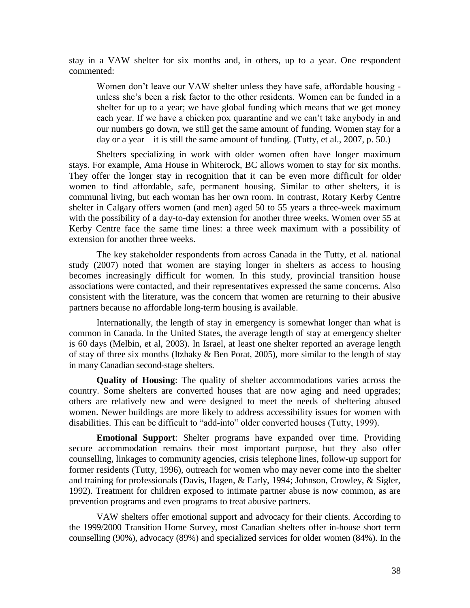stay in a VAW shelter for six months and, in others, up to a year. One respondent commented:

Women don't leave our VAW shelter unless they have safe, affordable housing unless she's been a risk factor to the other residents. Women can be funded in a shelter for up to a year; we have global funding which means that we get money each year. If we have a chicken pox quarantine and we can't take anybody in and our numbers go down, we still get the same amount of funding. Women stay for a day or a year—it is still the same amount of funding. (Tutty, et al., 2007, p. 50.)

Shelters specializing in work with older women often have longer maximum stays. For example, Ama House in Whiterock, BC allows women to stay for six months. They offer the longer stay in recognition that it can be even more difficult for older women to find affordable, safe, permanent housing. Similar to other shelters, it is communal living, but each woman has her own room. In contrast, Rotary Kerby Centre shelter in Calgary offers women (and men) aged 50 to 55 years a three-week maximum with the possibility of a day-to-day extension for another three weeks. Women over 55 at Kerby Centre face the same time lines: a three week maximum with a possibility of extension for another three weeks.

The key stakeholder respondents from across Canada in the Tutty, et al. national study (2007) noted that women are staying longer in shelters as access to housing becomes increasingly difficult for women. In this study, provincial transition house associations were contacted, and their representatives expressed the same concerns. Also consistent with the literature, was the concern that women are returning to their abusive partners because no affordable long-term housing is available.

Internationally, the length of stay in emergency is somewhat longer than what is common in Canada. In the United States, the average length of stay at emergency shelter is 60 days (Melbin, et al, 2003). In Israel, at least one shelter reported an average length of stay of three six months (Itzhaky & Ben Porat, 2005), more similar to the length of stay in many Canadian second-stage shelters.

**Quality of Housing**: The quality of shelter accommodations varies across the country. Some shelters are converted houses that are now aging and need upgrades; others are relatively new and were designed to meet the needs of sheltering abused women. Newer buildings are more likely to address accessibility issues for women with disabilities. This can be difficult to "add-into" older converted houses (Tutty, 1999).

**Emotional Support**: Shelter programs have expanded over time. Providing secure accommodation remains their most important purpose, but they also offer counselling, linkages to community agencies, crisis telephone lines, follow-up support for former residents (Tutty, 1996), outreach for women who may never come into the shelter and training for professionals (Davis, Hagen, & Early, 1994; Johnson, Crowley, & Sigler, 1992). Treatment for children exposed to intimate partner abuse is now common, as are prevention programs and even programs to treat abusive partners.

VAW shelters offer emotional support and advocacy for their clients. According to the 1999/2000 Transition Home Survey, most Canadian shelters offer in-house short term counselling (90%), advocacy (89%) and specialized services for older women (84%). In the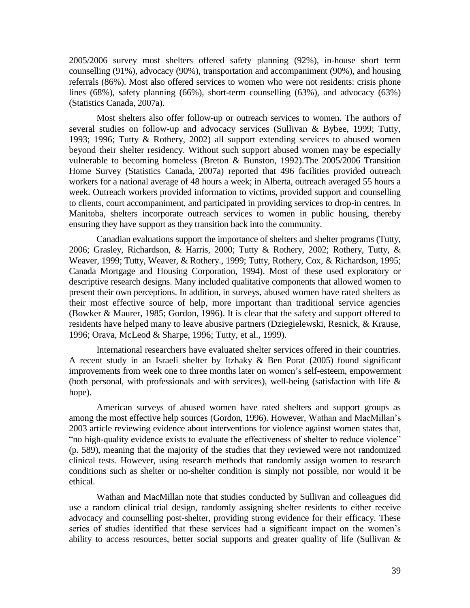2005/2006 survey most shelters offered safety planning (92%), in-house short term counselling (91%), advocacy (90%), transportation and accompaniment (90%), and housing referrals (86%). Most also offered services to women who were not residents: crisis phone lines (68%), safety planning (66%), short-term counselling (63%), and advocacy (63%) (Statistics Canada, 2007a).

Most shelters also offer follow-up or outreach services to women. The authors of several studies on follow-up and advocacy services (Sullivan & Bybee, 1999; Tutty, 1993; 1996; Tutty & Rothery, 2002) all support extending services to abused women beyond their shelter residency. Without such support abused women may be especially vulnerable to becoming homeless (Breton & Bunston, 1992).The 2005/2006 Transition Home Survey (Statistics Canada, 2007a) reported that 496 facilities provided outreach workers for a national average of 48 hours a week; in Alberta, outreach averaged 55 hours a week. Outreach workers provided information to victims, provided support and counselling to clients, court accompaniment, and participated in providing services to drop-in centres. In Manitoba, shelters incorporate outreach services to women in public housing, thereby ensuring they have support as they transition back into the community.

Canadian evaluations support the importance of shelters and shelter programs (Tutty, 2006; Grasley, Richardson, & Harris, 2000; Tutty & Rothery, 2002; Rothery, Tutty, & Weaver, 1999; Tutty, Weaver, & Rothery., 1999; Tutty, Rothery, Cox, & Richardson, 1995; Canada Mortgage and Housing Corporation, 1994). Most of these used exploratory or descriptive research designs. Many included qualitative components that allowed women to present their own perceptions. In addition, in surveys, abused women have rated shelters as their most effective source of help, more important than traditional service agencies (Bowker & Maurer, 1985; Gordon, 1996). It is clear that the safety and support offered to residents have helped many to leave abusive partners (Dziegielewski, Resnick, & Krause, 1996; Orava, McLeod & Sharpe, 1996; Tutty, et al., 1999).

International researchers have evaluated shelter services offered in their countries. A recent study in an Israeli shelter by Itzhaky & Ben Porat (2005) found significant improvements from week one to three months later on women's self-esteem, empowerment (both personal, with professionals and with services), well-being (satisfaction with life & hope).

American surveys of abused women have rated shelters and support groups as among the most effective help sources (Gordon, 1996). However, Wathan and MacMillan's 2003 article reviewing evidence about interventions for violence against women states that, "no high-quality evidence exists to evaluate the effectiveness of shelter to reduce violence" (p. 589), meaning that the majority of the studies that they reviewed were not randomized clinical tests. However, using research methods that randomly assign women to research conditions such as shelter or no-shelter condition is simply not possible, nor would it be ethical.

Wathan and MacMillan note that studies conducted by Sullivan and colleagues did use a random clinical trial design, randomly assigning shelter residents to either receive advocacy and counselling post-shelter, providing strong evidence for their efficacy. These series of studies identified that these services had a significant impact on the women's ability to access resources, better social supports and greater quality of life (Sullivan &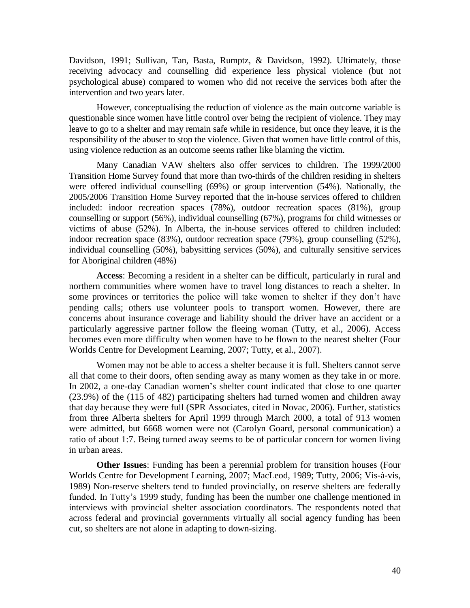Davidson, 1991; Sullivan, Tan, Basta, Rumptz, & Davidson, 1992). Ultimately, those receiving advocacy and counselling did experience less physical violence (but not psychological abuse) compared to women who did not receive the services both after the intervention and two years later.

However, conceptualising the reduction of violence as the main outcome variable is questionable since women have little control over being the recipient of violence. They may leave to go to a shelter and may remain safe while in residence, but once they leave, it is the responsibility of the abuser to stop the violence. Given that women have little control of this, using violence reduction as an outcome seems rather like blaming the victim.

Many Canadian VAW shelters also offer services to children. The 1999/2000 Transition Home Survey found that more than two-thirds of the children residing in shelters were offered individual counselling (69%) or group intervention (54%). Nationally, the 2005/2006 Transition Home Survey reported that the in-house services offered to children included: indoor recreation spaces (78%), outdoor recreation spaces (81%), group counselling or support (56%), individual counselling (67%), programs for child witnesses or victims of abuse (52%). In Alberta, the in-house services offered to children included: indoor recreation space (83%), outdoor recreation space (79%), group counselling (52%), individual counselling (50%), babysitting services (50%), and culturally sensitive services for Aboriginal children (48%)

**Access**: Becoming a resident in a shelter can be difficult, particularly in rural and northern communities where women have to travel long distances to reach a shelter. In some provinces or territories the police will take women to shelter if they don't have pending calls; others use volunteer pools to transport women. However, there are concerns about insurance coverage and liability should the driver have an accident or a particularly aggressive partner follow the fleeing woman (Tutty, et al., 2006). Access becomes even more difficulty when women have to be flown to the nearest shelter (Four Worlds Centre for Development Learning, 2007; Tutty, et al., 2007).

Women may not be able to access a shelter because it is full. Shelters cannot serve all that come to their doors, often sending away as many women as they take in or more. In 2002, a one-day Canadian women's shelter count indicated that close to one quarter (23.9%) of the (115 of 482) participating shelters had turned women and children away that day because they were full (SPR Associates, cited in Novac, 2006). Further, statistics from three Alberta shelters for April 1999 through March 2000, a total of 913 women were admitted, but 6668 women were not (Carolyn Goard, personal communication) a ratio of about 1:7. Being turned away seems to be of particular concern for women living in urban areas.

**Other Issues**: Funding has been a perennial problem for transition houses (Four Worlds Centre for Development Learning, 2007; MacLeod, 1989; Tutty, 2006; Vis-à-vis, 1989) Non-reserve shelters tend to funded provincially, on reserve shelters are federally funded. In Tutty's 1999 study, funding has been the number one challenge mentioned in interviews with provincial shelter association coordinators. The respondents noted that across federal and provincial governments virtually all social agency funding has been cut, so shelters are not alone in adapting to down-sizing.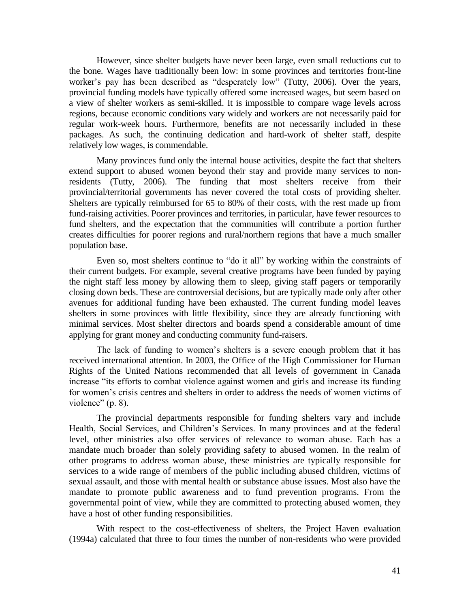However, since shelter budgets have never been large, even small reductions cut to the bone. Wages have traditionally been low: in some provinces and territories front-line worker's pay has been described as "desperately low" (Tutty, 2006). Over the years, provincial funding models have typically offered some increased wages, but seem based on a view of shelter workers as semi-skilled. It is impossible to compare wage levels across regions, because economic conditions vary widely and workers are not necessarily paid for regular work-week hours. Furthermore, benefits are not necessarily included in these packages. As such, the continuing dedication and hard-work of shelter staff, despite relatively low wages, is commendable.

Many provinces fund only the internal house activities, despite the fact that shelters extend support to abused women beyond their stay and provide many services to nonresidents (Tutty, 2006). The funding that most shelters receive from their provincial/territorial governments has never covered the total costs of providing shelter. Shelters are typically reimbursed for 65 to 80% of their costs, with the rest made up from fund-raising activities. Poorer provinces and territories, in particular, have fewer resources to fund shelters, and the expectation that the communities will contribute a portion further creates difficulties for poorer regions and rural/northern regions that have a much smaller population base.

Even so, most shelters continue to "do it all" by working within the constraints of their current budgets. For example, several creative programs have been funded by paying the night staff less money by allowing them to sleep, giving staff pagers or temporarily closing down beds. These are controversial decisions, but are typically made only after other avenues for additional funding have been exhausted. The current funding model leaves shelters in some provinces with little flexibility, since they are already functioning with minimal services. Most shelter directors and boards spend a considerable amount of time applying for grant money and conducting community fund-raisers.

The lack of funding to women's shelters is a severe enough problem that it has received international attention. In 2003, the Office of the High Commissioner for Human Rights of the United Nations recommended that all levels of government in Canada increase "its efforts to combat violence against women and girls and increase its funding for women's crisis centres and shelters in order to address the needs of women victims of violence"  $(p. 8)$ .

The provincial departments responsible for funding shelters vary and include Health, Social Services, and Children's Services. In many provinces and at the federal level, other ministries also offer services of relevance to woman abuse. Each has a mandate much broader than solely providing safety to abused women. In the realm of other programs to address woman abuse, these ministries are typically responsible for services to a wide range of members of the public including abused children, victims of sexual assault, and those with mental health or substance abuse issues. Most also have the mandate to promote public awareness and to fund prevention programs. From the governmental point of view, while they are committed to protecting abused women, they have a host of other funding responsibilities.

With respect to the cost-effectiveness of shelters, the Project Haven evaluation (1994a) calculated that three to four times the number of non-residents who were provided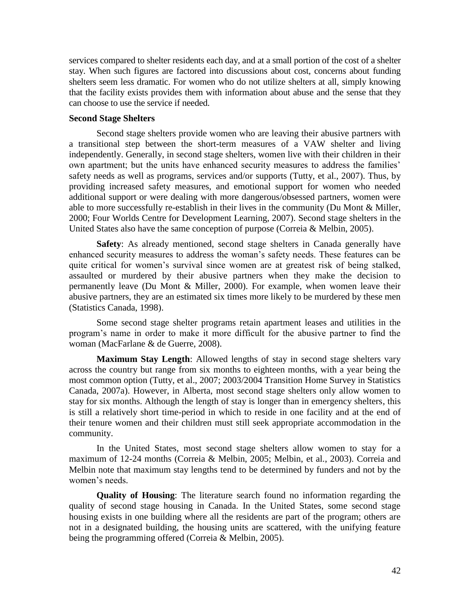services compared to shelter residents each day, and at a small portion of the cost of a shelter stay. When such figures are factored into discussions about cost, concerns about funding shelters seem less dramatic. For women who do not utilize shelters at all, simply knowing that the facility exists provides them with information about abuse and the sense that they can choose to use the service if needed.

# **Second Stage Shelters**

Second stage shelters provide women who are leaving their abusive partners with a transitional step between the short-term measures of a VAW shelter and living independently. Generally, in second stage shelters, women live with their children in their own apartment; but the units have enhanced security measures to address the families' safety needs as well as programs, services and/or supports (Tutty, et al., 2007). Thus, by providing increased safety measures, and emotional support for women who needed additional support or were dealing with more dangerous/obsessed partners, women were able to more successfully re-establish in their lives in the community (Du Mont & Miller, 2000; Four Worlds Centre for Development Learning, 2007). Second stage shelters in the United States also have the same conception of purpose (Correia & Melbin, 2005).

**Safety**: As already mentioned, second stage shelters in Canada generally have enhanced security measures to address the woman's safety needs. These features can be quite critical for women's survival since women are at greatest risk of being stalked, assaulted or murdered by their abusive partners when they make the decision to permanently leave (Du Mont & Miller, 2000). For example, when women leave their abusive partners, they are an estimated six times more likely to be murdered by these men (Statistics Canada, 1998).

Some second stage shelter programs retain apartment leases and utilities in the program's name in order to make it more difficult for the abusive partner to find the woman (MacFarlane & de Guerre, 2008).

**Maximum Stay Length**: Allowed lengths of stay in second stage shelters vary across the country but range from six months to eighteen months, with a year being the most common option (Tutty, et al., 2007; 2003/2004 Transition Home Survey in Statistics Canada, 2007a). However, in Alberta, most second stage shelters only allow women to stay for six months. Although the length of stay is longer than in emergency shelters, this is still a relatively short time-period in which to reside in one facility and at the end of their tenure women and their children must still seek appropriate accommodation in the community.

In the United States, most second stage shelters allow women to stay for a maximum of 12-24 months (Correia & Melbin, 2005; Melbin, et al., 2003). Correia and Melbin note that maximum stay lengths tend to be determined by funders and not by the women's needs.

**Quality of Housing**: The literature search found no information regarding the quality of second stage housing in Canada. In the United States, some second stage housing exists in one building where all the residents are part of the program; others are not in a designated building, the housing units are scattered, with the unifying feature being the programming offered (Correia & Melbin, 2005).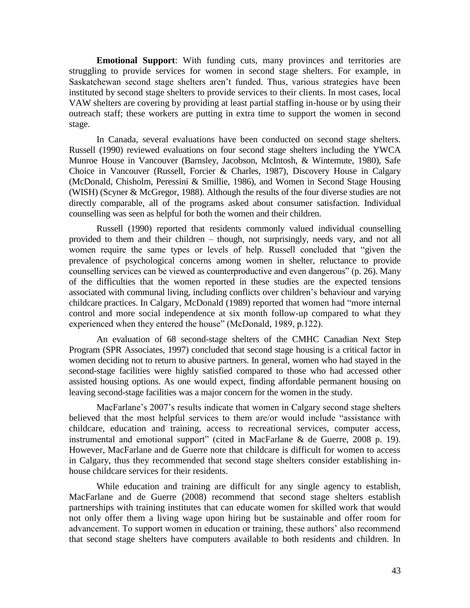**Emotional Support**: With funding cuts, many provinces and territories are struggling to provide services for women in second stage shelters. For example, in Saskatchewan second stage shelters aren't funded. Thus, various strategies have been instituted by second stage shelters to provide services to their clients. In most cases, local VAW shelters are covering by providing at least partial staffing in-house or by using their outreach staff; these workers are putting in extra time to support the women in second stage.

In Canada, several evaluations have been conducted on second stage shelters. Russell (1990) reviewed evaluations on four second stage shelters including the YWCA Munroe House in Vancouver (Barnsley, Jacobson, McIntosh, & Wintemute, 1980), Safe Choice in Vancouver (Russell, Forcier & Charles, 1987), Discovery House in Calgary (McDonald, Chisholm, Peressini & Smillie, 1986), and Women in Second Stage Housing (WISH) (Scyner & McGregor, 1988). Although the results of the four diverse studies are not directly comparable, all of the programs asked about consumer satisfaction. Individual counselling was seen as helpful for both the women and their children.

Russell (1990) reported that residents commonly valued individual counselling provided to them and their children – though, not surprisingly, needs vary, and not all women require the same types or levels of help. Russell concluded that "given the prevalence of psychological concerns among women in shelter, reluctance to provide counselling services can be viewed as counterproductive and even dangerous" (p. 26). Many of the difficulties that the women reported in these studies are the expected tensions associated with communal living, including conflicts over children's behaviour and varying childcare practices. In Calgary, McDonald (1989) reported that women had "more internal control and more social independence at six month follow-up compared to what they experienced when they entered the house" (McDonald, 1989, p.122).

An evaluation of 68 second-stage shelters of the CMHC Canadian Next Step Program (SPR Associates, 1997) concluded that second stage housing is a critical factor in women deciding not to return to abusive partners. In general, women who had stayed in the second-stage facilities were highly satisfied compared to those who had accessed other assisted housing options. As one would expect, finding affordable permanent housing on leaving second-stage facilities was a major concern for the women in the study.

MacFarlane's 2007's results indicate that women in Calgary second stage shelters believed that the most helpful services to them are/or would include "assistance with childcare, education and training, access to recreational services, computer access, instrumental and emotional support" (cited in MacFarlane  $&$  de Guerre, 2008 p. 19). However, MacFarlane and de Guerre note that childcare is difficult for women to access in Calgary, thus they recommended that second stage shelters consider establishing inhouse childcare services for their residents.

While education and training are difficult for any single agency to establish, MacFarlane and de Guerre (2008) recommend that second stage shelters establish partnerships with training institutes that can educate women for skilled work that would not only offer them a living wage upon hiring but be sustainable and offer room for advancement. To support women in education or training, these authors' also recommend that second stage shelters have computers available to both residents and children. In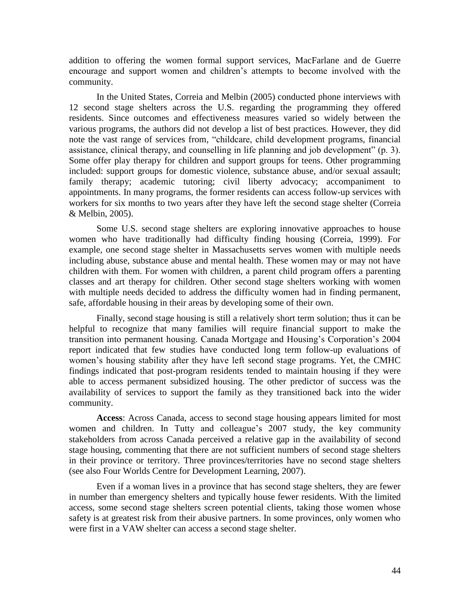addition to offering the women formal support services, MacFarlane and de Guerre encourage and support women and children's attempts to become involved with the community.

In the United States, Correia and Melbin (2005) conducted phone interviews with 12 second stage shelters across the U.S. regarding the programming they offered residents. Since outcomes and effectiveness measures varied so widely between the various programs, the authors did not develop a list of best practices. However, they did note the vast range of services from, "childcare, child development programs, financial assistance, clinical therapy, and counselling in life planning and job development" (p. 3). Some offer play therapy for children and support groups for teens. Other programming included: support groups for domestic violence, substance abuse, and/or sexual assault; family therapy; academic tutoring; civil liberty advocacy; accompaniment to appointments. In many programs, the former residents can access follow-up services with workers for six months to two years after they have left the second stage shelter (Correia & Melbin, 2005).

Some U.S. second stage shelters are exploring innovative approaches to house women who have traditionally had difficulty finding housing (Correia, 1999). For example, one second stage shelter in Massachusetts serves women with multiple needs including abuse, substance abuse and mental health. These women may or may not have children with them. For women with children, a parent child program offers a parenting classes and art therapy for children. Other second stage shelters working with women with multiple needs decided to address the difficulty women had in finding permanent, safe, affordable housing in their areas by developing some of their own.

Finally, second stage housing is still a relatively short term solution; thus it can be helpful to recognize that many families will require financial support to make the transition into permanent housing. Canada Mortgage and Housing's Corporation's 2004 report indicated that few studies have conducted long term follow-up evaluations of women's housing stability after they have left second stage programs. Yet, the CMHC findings indicated that post-program residents tended to maintain housing if they were able to access permanent subsidized housing. The other predictor of success was the availability of services to support the family as they transitioned back into the wider community.

**Access**: Across Canada, access to second stage housing appears limited for most women and children. In Tutty and colleague's 2007 study, the key community stakeholders from across Canada perceived a relative gap in the availability of second stage housing, commenting that there are not sufficient numbers of second stage shelters in their province or territory. Three provinces/territories have no second stage shelters (see also Four Worlds Centre for Development Learning, 2007).

Even if a woman lives in a province that has second stage shelters, they are fewer in number than emergency shelters and typically house fewer residents. With the limited access, some second stage shelters screen potential clients, taking those women whose safety is at greatest risk from their abusive partners. In some provinces, only women who were first in a VAW shelter can access a second stage shelter.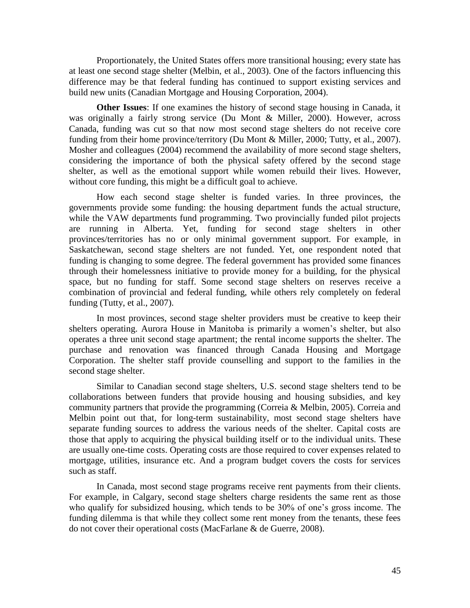Proportionately, the United States offers more transitional housing; every state has at least one second stage shelter (Melbin, et al., 2003). One of the factors influencing this difference may be that federal funding has continued to support existing services and build new units (Canadian Mortgage and Housing Corporation, 2004).

**Other Issues**: If one examines the history of second stage housing in Canada, it was originally a fairly strong service (Du Mont & Miller, 2000). However, across Canada, funding was cut so that now most second stage shelters do not receive core funding from their home province/territory (Du Mont & Miller, 2000; Tutty, et al., 2007). Mosher and colleagues (2004) recommend the availability of more second stage shelters, considering the importance of both the physical safety offered by the second stage shelter, as well as the emotional support while women rebuild their lives. However, without core funding, this might be a difficult goal to achieve.

How each second stage shelter is funded varies. In three provinces, the governments provide some funding: the housing department funds the actual structure, while the VAW departments fund programming. Two provincially funded pilot projects are running in Alberta. Yet, funding for second stage shelters in other provinces/territories has no or only minimal government support. For example, in Saskatchewan, second stage shelters are not funded. Yet, one respondent noted that funding is changing to some degree. The federal government has provided some finances through their homelessness initiative to provide money for a building, for the physical space, but no funding for staff. Some second stage shelters on reserves receive a combination of provincial and federal funding, while others rely completely on federal funding (Tutty, et al., 2007).

In most provinces, second stage shelter providers must be creative to keep their shelters operating. Aurora House in Manitoba is primarily a women's shelter, but also operates a three unit second stage apartment; the rental income supports the shelter. The purchase and renovation was financed through Canada Housing and Mortgage Corporation. The shelter staff provide counselling and support to the families in the second stage shelter.

Similar to Canadian second stage shelters, U.S. second stage shelters tend to be collaborations between funders that provide housing and housing subsidies, and key community partners that provide the programming (Correia & Melbin, 2005). Correia and Melbin point out that, for long-term sustainability, most second stage shelters have separate funding sources to address the various needs of the shelter. Capital costs are those that apply to acquiring the physical building itself or to the individual units. These are usually one-time costs. Operating costs are those required to cover expenses related to mortgage, utilities, insurance etc. And a program budget covers the costs for services such as staff.

In Canada, most second stage programs receive rent payments from their clients. For example, in Calgary, second stage shelters charge residents the same rent as those who qualify for subsidized housing, which tends to be 30% of one's gross income. The funding dilemma is that while they collect some rent money from the tenants, these fees do not cover their operational costs (MacFarlane & de Guerre, 2008).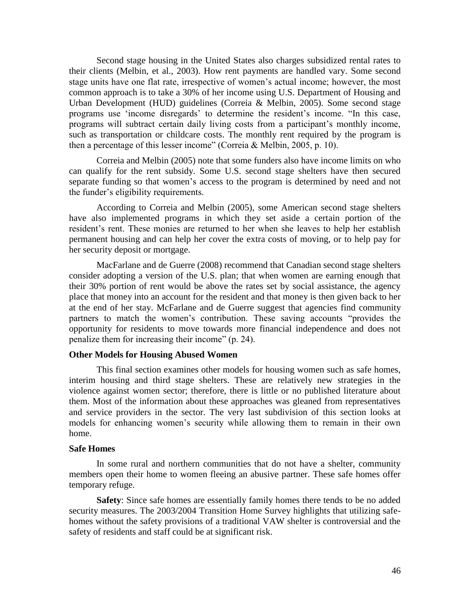Second stage housing in the United States also charges subsidized rental rates to their clients (Melbin, et al., 2003). How rent payments are handled vary. Some second stage units have one flat rate, irrespective of women's actual income; however, the most common approach is to take a 30% of her income using U.S. Department of Housing and Urban Development (HUD) guidelines (Correia & Melbin, 2005). Some second stage programs use 'income disregards' to determine the resident's income. "In this case, programs will subtract certain daily living costs from a participant's monthly income, such as transportation or childcare costs. The monthly rent required by the program is then a percentage of this lesser income" (Correia  $&$  Melbin, 2005, p. 10).

Correia and Melbin (2005) note that some funders also have income limits on who can qualify for the rent subsidy. Some U.S. second stage shelters have then secured separate funding so that women's access to the program is determined by need and not the funder's eligibility requirements.

According to Correia and Melbin (2005), some American second stage shelters have also implemented programs in which they set aside a certain portion of the resident's rent. These monies are returned to her when she leaves to help her establish permanent housing and can help her cover the extra costs of moving, or to help pay for her security deposit or mortgage.

MacFarlane and de Guerre (2008) recommend that Canadian second stage shelters consider adopting a version of the U.S. plan; that when women are earning enough that their 30% portion of rent would be above the rates set by social assistance, the agency place that money into an account for the resident and that money is then given back to her at the end of her stay. McFarlane and de Guerre suggest that agencies find community partners to match the women's contribution. These saving accounts "provides the opportunity for residents to move towards more financial independence and does not penalize them for increasing their income" (p. 24).

# **Other Models for Housing Abused Women**

This final section examines other models for housing women such as safe homes, interim housing and third stage shelters. These are relatively new strategies in the violence against women sector; therefore, there is little or no published literature about them. Most of the information about these approaches was gleaned from representatives and service providers in the sector. The very last subdivision of this section looks at models for enhancing women's security while allowing them to remain in their own home.

### **Safe Homes**

In some rural and northern communities that do not have a shelter, community members open their home to women fleeing an abusive partner. These safe homes offer temporary refuge.

**Safety**: Since safe homes are essentially family homes there tends to be no added security measures. The 2003/2004 Transition Home Survey highlights that utilizing safehomes without the safety provisions of a traditional VAW shelter is controversial and the safety of residents and staff could be at significant risk.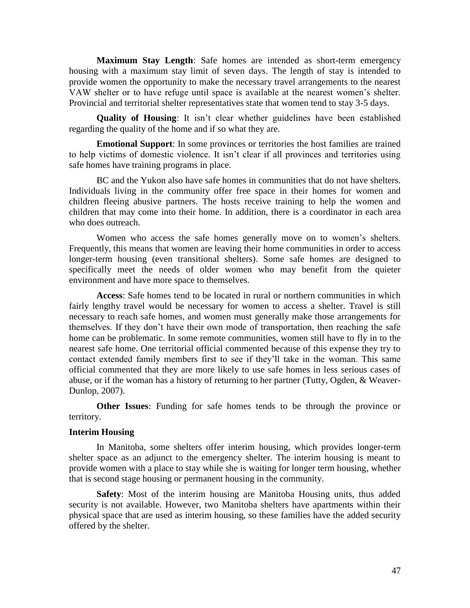**Maximum Stay Length**: Safe homes are intended as short-term emergency housing with a maximum stay limit of seven days. The length of stay is intended to provide women the opportunity to make the necessary travel arrangements to the nearest VAW shelter or to have refuge until space is available at the nearest women's shelter. Provincial and territorial shelter representatives state that women tend to stay 3-5 days.

**Quality of Housing**: It isn't clear whether guidelines have been established regarding the quality of the home and if so what they are.

**Emotional Support**: In some provinces or territories the host families are trained to help victims of domestic violence. It isn't clear if all provinces and territories using safe homes have training programs in place.

BC and the Yukon also have safe homes in communities that do not have shelters. Individuals living in the community offer free space in their homes for women and children fleeing abusive partners. The hosts receive training to help the women and children that may come into their home. In addition, there is a coordinator in each area who does outreach.

Women who access the safe homes generally move on to women's shelters. Frequently, this means that women are leaving their home communities in order to access longer-term housing (even transitional shelters). Some safe homes are designed to specifically meet the needs of older women who may benefit from the quieter environment and have more space to themselves.

**Access**: Safe homes tend to be located in rural or northern communities in which fairly lengthy travel would be necessary for women to access a shelter. Travel is still necessary to reach safe homes, and women must generally make those arrangements for themselves. If they don't have their own mode of transportation, then reaching the safe home can be problematic. In some remote communities, women still have to fly in to the nearest safe home. One territorial official commented because of this expense they try to contact extended family members first to see if they'll take in the woman. This same official commented that they are more likely to use safe homes in less serious cases of abuse, or if the woman has a history of returning to her partner (Tutty, Ogden, & Weaver-Dunlop, 2007).

**Other Issues**: Funding for safe homes tends to be through the province or territory.

# **Interim Housing**

In Manitoba, some shelters offer interim housing, which provides longer-term shelter space as an adjunct to the emergency shelter. The interim housing is meant to provide women with a place to stay while she is waiting for longer term housing, whether that is second stage housing or permanent housing in the community.

**Safety**: Most of the interim housing are Manitoba Housing units, thus added security is not available. However, two Manitoba shelters have apartments within their physical space that are used as interim housing, so these families have the added security offered by the shelter.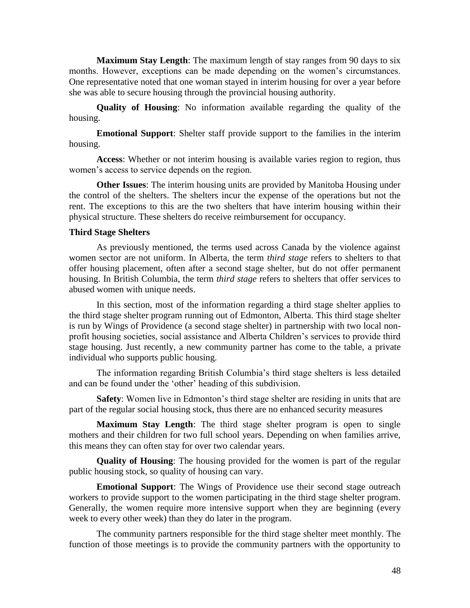**Maximum Stay Length**: The maximum length of stay ranges from 90 days to six months. However, exceptions can be made depending on the women's circumstances. One representative noted that one woman stayed in interim housing for over a year before she was able to secure housing through the provincial housing authority.

**Quality of Housing**: No information available regarding the quality of the housing.

**Emotional Support**: Shelter staff provide support to the families in the interim housing.

**Access**: Whether or not interim housing is available varies region to region, thus women's access to service depends on the region.

**Other Issues**: The interim housing units are provided by Manitoba Housing under the control of the shelters. The shelters incur the expense of the operations but not the rent. The exceptions to this are the two shelters that have interim housing within their physical structure. These shelters do receive reimbursement for occupancy.

# **Third Stage Shelters**

As previously mentioned, the terms used across Canada by the violence against women sector are not uniform. In Alberta, the term *third stage* refers to shelters to that offer housing placement, often after a second stage shelter, but do not offer permanent housing. In British Columbia, the term *third stage* refers to shelters that offer services to abused women with unique needs.

In this section, most of the information regarding a third stage shelter applies to the third stage shelter program running out of Edmonton, Alberta. This third stage shelter is run by Wings of Providence (a second stage shelter) in partnership with two local nonprofit housing societies, social assistance and Alberta Children's services to provide third stage housing. Just recently, a new community partner has come to the table, a private individual who supports public housing.

The information regarding British Columbia's third stage shelters is less detailed and can be found under the 'other' heading of this subdivision.

**Safety**: Women live in Edmonton's third stage shelter are residing in units that are part of the regular social housing stock, thus there are no enhanced security measures

**Maximum Stay Length**: The third stage shelter program is open to single mothers and their children for two full school years. Depending on when families arrive, this means they can often stay for over two calendar years.

**Quality of Housing**: The housing provided for the women is part of the regular public housing stock, so quality of housing can vary.

**Emotional Support**: The Wings of Providence use their second stage outreach workers to provide support to the women participating in the third stage shelter program. Generally, the women require more intensive support when they are beginning (every week to every other week) than they do later in the program.

The community partners responsible for the third stage shelter meet monthly. The function of those meetings is to provide the community partners with the opportunity to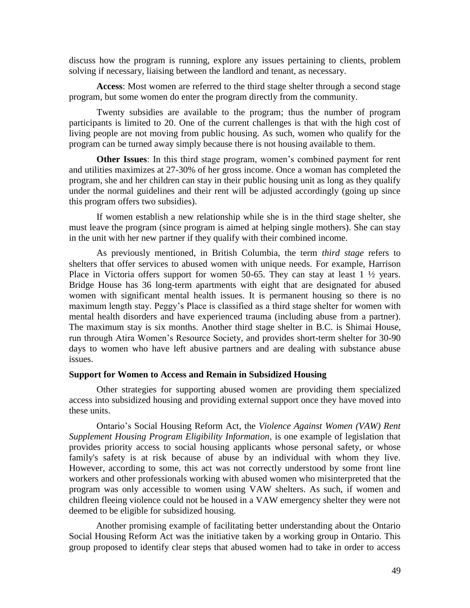discuss how the program is running, explore any issues pertaining to clients, problem solving if necessary, liaising between the landlord and tenant, as necessary.

**Access**: Most women are referred to the third stage shelter through a second stage program, but some women do enter the program directly from the community.

Twenty subsidies are available to the program; thus the number of program participants is limited to 20. One of the current challenges is that with the high cost of living people are not moving from public housing. As such, women who qualify for the program can be turned away simply because there is not housing available to them.

**Other Issues**: In this third stage program, women's combined payment for rent and utilities maximizes at 27-30% of her gross income. Once a woman has completed the program, she and her children can stay in their public housing unit as long as they qualify under the normal guidelines and their rent will be adjusted accordingly (going up since this program offers two subsidies).

If women establish a new relationship while she is in the third stage shelter, she must leave the program (since program is aimed at helping single mothers). She can stay in the unit with her new partner if they qualify with their combined income.

As previously mentioned, in British Columbia, the term *third stage* refers to shelters that offer services to abused women with unique needs. For example, Harrison Place in Victoria offers support for women 50-65. They can stay at least  $1 \frac{1}{2}$  years. Bridge House has 36 long-term apartments with eight that are designated for abused women with significant mental health issues. It is permanent housing so there is no maximum length stay. Peggy's Place is classified as a third stage shelter for women with mental health disorders and have experienced trauma (including abuse from a partner). The maximum stay is six months. Another third stage shelter in B.C. is Shimai House, run through Atira Women's Resource Society, and provides short-term shelter for 30-90 days to women who have left abusive partners and are dealing with substance abuse issues.

#### **Support for Women to Access and Remain in Subsidized Housing**

Other strategies for supporting abused women are providing them specialized access into subsidized housing and providing external support once they have moved into these units.

Ontario's Social Housing Reform Act, the *Violence Against Women (VAW) Rent Supplement Housing Program Eligibility Information*, is one example of legislation that provides priority access to social housing applicants whose personal safety, or whose family's safety is at risk because of abuse by an individual with whom they live. However, according to some, this act was not correctly understood by some front line workers and other professionals working with abused women who misinterpreted that the program was only accessible to women using VAW shelters. As such, if women and children fleeing violence could not be housed in a VAW emergency shelter they were not deemed to be eligible for subsidized housing.

Another promising example of facilitating better understanding about the Ontario Social Housing Reform Act was the initiative taken by a working group in Ontario. This group proposed to identify clear steps that abused women had to take in order to access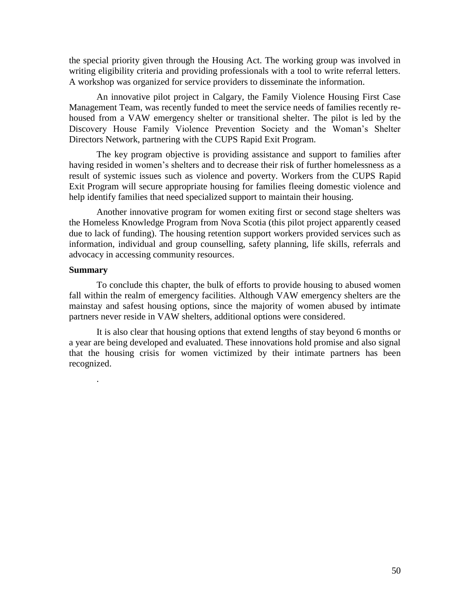the special priority given through the Housing Act. The working group was involved in writing eligibility criteria and providing professionals with a tool to write referral letters. A workshop was organized for service providers to disseminate the information.

An innovative pilot project in Calgary, the Family Violence Housing First Case Management Team, was recently funded to meet the service needs of families recently rehoused from a VAW emergency shelter or transitional shelter. The pilot is led by the Discovery House Family Violence Prevention Society and the Woman's Shelter Directors Network, partnering with the CUPS Rapid Exit Program.

The key program objective is providing assistance and support to families after having resided in women's shelters and to decrease their risk of further homelessness as a result of systemic issues such as violence and poverty. Workers from the CUPS Rapid Exit Program will secure appropriate housing for families fleeing domestic violence and help identify families that need specialized support to maintain their housing.

Another innovative program for women exiting first or second stage shelters was the Homeless Knowledge Program from Nova Scotia (this pilot project apparently ceased due to lack of funding). The housing retention support workers provided services such as information, individual and group counselling, safety planning, life skills, referrals and advocacy in accessing community resources.

# **Summary**

.

To conclude this chapter, the bulk of efforts to provide housing to abused women fall within the realm of emergency facilities. Although VAW emergency shelters are the mainstay and safest housing options, since the majority of women abused by intimate partners never reside in VAW shelters, additional options were considered.

It is also clear that housing options that extend lengths of stay beyond 6 months or a year are being developed and evaluated. These innovations hold promise and also signal that the housing crisis for women victimized by their intimate partners has been recognized.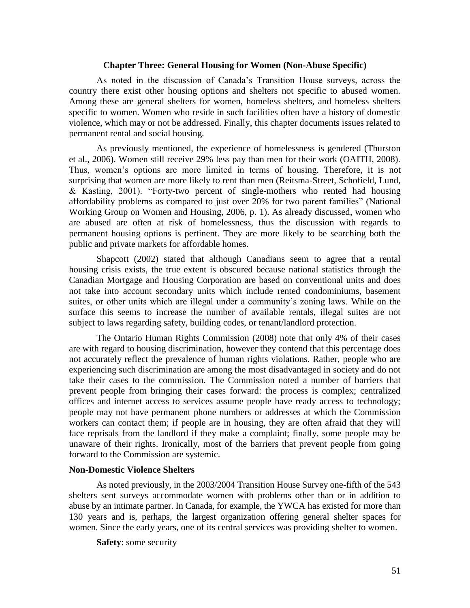### **Chapter Three: General Housing for Women (Non-Abuse Specific)**

As noted in the discussion of Canada's Transition House surveys, across the country there exist other housing options and shelters not specific to abused women. Among these are general shelters for women, homeless shelters, and homeless shelters specific to women. Women who reside in such facilities often have a history of domestic violence, which may or not be addressed. Finally, this chapter documents issues related to permanent rental and social housing.

As previously mentioned, the experience of homelessness is gendered (Thurston et al., 2006). Women still receive 29% less pay than men for their work (OAITH, 2008). Thus, women's options are more limited in terms of housing. Therefore, it is not surprising that women are more likely to rent than men (Reitsma-Street, Schofield, Lund, & Kasting, 2001). "Forty-two percent of single-mothers who rented had housing affordability problems as compared to just over 20% for two parent families" (National Working Group on Women and Housing, 2006, p. 1). As already discussed, women who are abused are often at risk of homelessness, thus the discussion with regards to permanent housing options is pertinent. They are more likely to be searching both the public and private markets for affordable homes.

Shapcott (2002) stated that although Canadians seem to agree that a rental housing crisis exists, the true extent is obscured because national statistics through the Canadian Mortgage and Housing Corporation are based on conventional units and does not take into account secondary units which include rented condominiums, basement suites, or other units which are illegal under a community's zoning laws. While on the surface this seems to increase the number of available rentals, illegal suites are not subject to laws regarding safety, building codes, or tenant/landlord protection.

The Ontario Human Rights Commission (2008) note that only 4% of their cases are with regard to housing discrimination, however they contend that this percentage does not accurately reflect the prevalence of human rights violations. Rather, people who are experiencing such discrimination are among the most disadvantaged in society and do not take their cases to the commission. The Commission noted a number of barriers that prevent people from bringing their cases forward: the process is complex; centralized offices and internet access to services assume people have ready access to technology; people may not have permanent phone numbers or addresses at which the Commission workers can contact them; if people are in housing, they are often afraid that they will face reprisals from the landlord if they make a complaint; finally, some people may be unaware of their rights. Ironically, most of the barriers that prevent people from going forward to the Commission are systemic.

### **Non-Domestic Violence Shelters**

As noted previously, in the 2003/2004 Transition House Survey one-fifth of the 543 shelters sent surveys accommodate women with problems other than or in addition to abuse by an intimate partner. In Canada, for example, the YWCA has existed for more than 130 years and is, perhaps, the largest organization offering general shelter spaces for women. Since the early years, one of its central services was providing shelter to women.

**Safety**: some security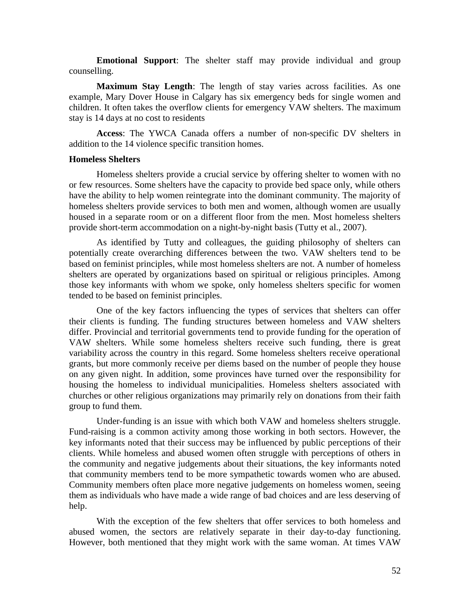**Emotional Support**: The shelter staff may provide individual and group counselling.

**Maximum Stay Length**: The length of stay varies across facilities. As one example, Mary Dover House in Calgary has six emergency beds for single women and children. It often takes the overflow clients for emergency VAW shelters. The maximum stay is 14 days at no cost to residents

**Access**: The YWCA Canada offers a number of non-specific DV shelters in addition to the 14 violence specific transition homes.

#### **Homeless Shelters**

Homeless shelters provide a crucial service by offering shelter to women with no or few resources. Some shelters have the capacity to provide bed space only, while others have the ability to help women reintegrate into the dominant community. The majority of homeless shelters provide services to both men and women, although women are usually housed in a separate room or on a different floor from the men. Most homeless shelters provide short-term accommodation on a night-by-night basis (Tutty et al., 2007).

As identified by Tutty and colleagues, the guiding philosophy of shelters can potentially create overarching differences between the two. VAW shelters tend to be based on feminist principles, while most homeless shelters are not. A number of homeless shelters are operated by organizations based on spiritual or religious principles. Among those key informants with whom we spoke, only homeless shelters specific for women tended to be based on feminist principles.

One of the key factors influencing the types of services that shelters can offer their clients is funding. The funding structures between homeless and VAW shelters differ. Provincial and territorial governments tend to provide funding for the operation of VAW shelters. While some homeless shelters receive such funding, there is great variability across the country in this regard. Some homeless shelters receive operational grants, but more commonly receive per diems based on the number of people they house on any given night. In addition, some provinces have turned over the responsibility for housing the homeless to individual municipalities. Homeless shelters associated with churches or other religious organizations may primarily rely on donations from their faith group to fund them.

Under-funding is an issue with which both VAW and homeless shelters struggle. Fund-raising is a common activity among those working in both sectors. However, the key informants noted that their success may be influenced by public perceptions of their clients. While homeless and abused women often struggle with perceptions of others in the community and negative judgements about their situations, the key informants noted that community members tend to be more sympathetic towards women who are abused. Community members often place more negative judgements on homeless women, seeing them as individuals who have made a wide range of bad choices and are less deserving of help.

With the exception of the few shelters that offer services to both homeless and abused women, the sectors are relatively separate in their day-to-day functioning. However, both mentioned that they might work with the same woman. At times VAW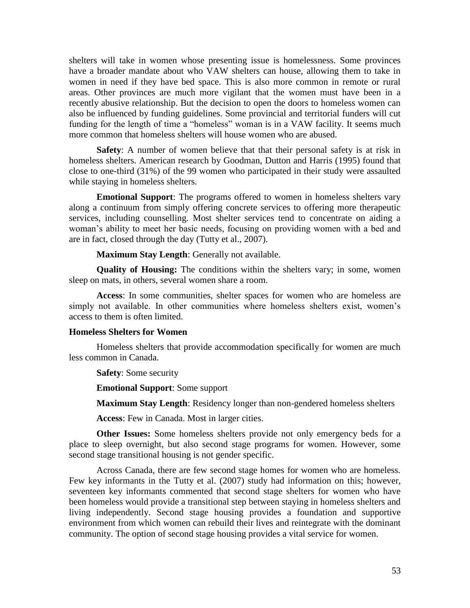shelters will take in women whose presenting issue is homelessness. Some provinces have a broader mandate about who VAW shelters can house, allowing them to take in women in need if they have bed space. This is also more common in remote or rural areas. Other provinces are much more vigilant that the women must have been in a recently abusive relationship. But the decision to open the doors to homeless women can also be influenced by funding guidelines. Some provincial and territorial funders will cut funding for the length of time a "homeless" woman is in a VAW facility. It seems much more common that homeless shelters will house women who are abused.

**Safety**: A number of women believe that that their personal safety is at risk in homeless shelters. American research by Goodman, Dutton and Harris (1995) found that close to one-third (31%) of the 99 women who participated in their study were assaulted while staying in homeless shelters.

**Emotional Support**: The programs offered to women in homeless shelters vary along a continuum from simply offering concrete services to offering more therapeutic services, including counselling. Most shelter services tend to concentrate on aiding a woman's ability to meet her basic needs, focusing on providing women with a bed and are in fact, closed through the day (Tutty et al., 2007).

**Maximum Stay Length**: Generally not available.

**Quality of Housing:** The conditions within the shelters vary; in some, women sleep on mats, in others, several women share a room.

**Access**: In some communities, shelter spaces for women who are homeless are simply not available. In other communities where homeless shelters exist, women's access to them is often limited.

### **Homeless Shelters for Women**

Homeless shelters that provide accommodation specifically for women are much less common in Canada.

**Safety**: Some security

**Emotional Support**: Some support

**Maximum Stay Length**: Residency longer than non-gendered homeless shelters

**Access**: Few in Canada. Most in larger cities.

**Other Issues:** Some homeless shelters provide not only emergency beds for a place to sleep overnight, but also second stage programs for women. However, some second stage transitional housing is not gender specific.

Across Canada, there are few second stage homes for women who are homeless. Few key informants in the Tutty et al. (2007) study had information on this; however, seventeen key informants commented that second stage shelters for women who have been homeless would provide a transitional step between staying in homeless shelters and living independently. Second stage housing provides a foundation and supportive environment from which women can rebuild their lives and reintegrate with the dominant community. The option of second stage housing provides a vital service for women.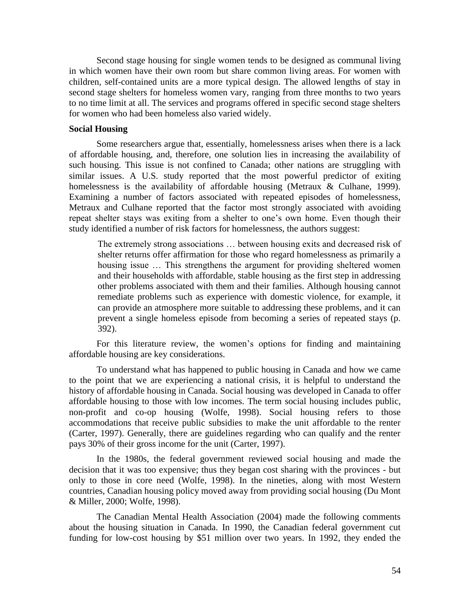Second stage housing for single women tends to be designed as communal living in which women have their own room but share common living areas. For women with children, self-contained units are a more typical design. The allowed lengths of stay in second stage shelters for homeless women vary, ranging from three months to two years to no time limit at all. The services and programs offered in specific second stage shelters for women who had been homeless also varied widely.

#### **Social Housing**

Some researchers argue that, essentially, homelessness arises when there is a lack of affordable housing, and, therefore, one solution lies in increasing the availability of such housing. This issue is not confined to Canada; other nations are struggling with similar issues. A U.S. study reported that the most powerful predictor of exiting homelessness is the availability of affordable housing (Metraux & Culhane, 1999). Examining a number of factors associated with repeated episodes of homelessness, Metraux and Culhane reported that the factor most strongly associated with avoiding repeat shelter stays was exiting from a shelter to one's own home. Even though their study identified a number of risk factors for homelessness, the authors suggest:

The extremely strong associations … between housing exits and decreased risk of shelter returns offer affirmation for those who regard homelessness as primarily a housing issue … This strengthens the argument for providing sheltered women and their households with affordable, stable housing as the first step in addressing other problems associated with them and their families. Although housing cannot remediate problems such as experience with domestic violence, for example, it can provide an atmosphere more suitable to addressing these problems, and it can prevent a single homeless episode from becoming a series of repeated stays (p. 392).

For this literature review, the women's options for finding and maintaining affordable housing are key considerations.

To understand what has happened to public housing in Canada and how we came to the point that we are experiencing a national crisis, it is helpful to understand the history of affordable housing in Canada. Social housing was developed in Canada to offer affordable housing to those with low incomes. The term social housing includes public, non-profit and co-op housing (Wolfe, 1998). Social housing refers to those accommodations that receive public subsidies to make the unit affordable to the renter (Carter, 1997). Generally, there are guidelines regarding who can qualify and the renter pays 30% of their gross income for the unit (Carter, 1997).

In the 1980s, the federal government reviewed social housing and made the decision that it was too expensive; thus they began cost sharing with the provinces - but only to those in core need (Wolfe, 1998). In the nineties, along with most Western countries, Canadian housing policy moved away from providing social housing (Du Mont & Miller, 2000; Wolfe, 1998).

The Canadian Mental Health Association (2004) made the following comments about the housing situation in Canada. In 1990, the Canadian federal government cut funding for low-cost housing by \$51 million over two years. In 1992, they ended the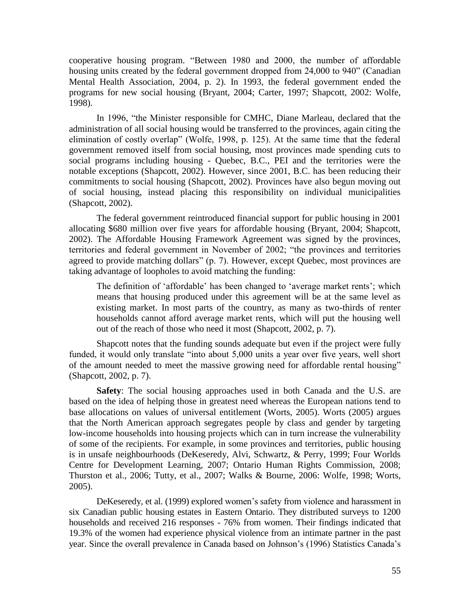cooperative housing program. "Between 1980 and 2000, the number of affordable housing units created by the federal government dropped from 24,000 to 940" (Canadian Mental Health Association, 2004, p. 2). In 1993, the federal government ended the programs for new social housing (Bryant, 2004; Carter, 1997; Shapcott, 2002: Wolfe, 1998).

In 1996, "the Minister responsible for CMHC, Diane Marleau, declared that the administration of all social housing would be transferred to the provinces, again citing the elimination of costly overlap" (Wolfe, 1998, p. 125). At the same time that the federal government removed itself from social housing, most provinces made spending cuts to social programs including housing - Quebec, B.C., PEI and the territories were the notable exceptions (Shapcott, 2002). However, since 2001, B.C. has been reducing their commitments to social housing (Shapcott, 2002). Provinces have also begun moving out of social housing, instead placing this responsibility on individual municipalities (Shapcott, 2002).

The federal government reintroduced financial support for public housing in 2001 allocating \$680 million over five years for affordable housing (Bryant, 2004; Shapcott, 2002). The Affordable Housing Framework Agreement was signed by the provinces, territories and federal government in November of 2002; "the provinces and territories agreed to provide matching dollars" (p. 7). However, except Quebec, most provinces are taking advantage of loopholes to avoid matching the funding:

The definition of 'affordable' has been changed to 'average market rents'; which means that housing produced under this agreement will be at the same level as existing market. In most parts of the country, as many as two-thirds of renter households cannot afford average market rents, which will put the housing well out of the reach of those who need it most (Shapcott, 2002, p. 7).

Shapcott notes that the funding sounds adequate but even if the project were fully funded, it would only translate "into about 5,000 units a year over five years, well short of the amount needed to meet the massive growing need for affordable rental housing" (Shapcott, 2002, p. 7).

**Safety**: The social housing approaches used in both Canada and the U.S. are based on the idea of helping those in greatest need whereas the European nations tend to base allocations on values of universal entitlement (Worts, 2005). Worts (2005) argues that the North American approach segregates people by class and gender by targeting low-income households into housing projects which can in turn increase the vulnerability of some of the recipients. For example, in some provinces and territories, public housing is in unsafe neighbourhoods (DeKeseredy, Alvi, Schwartz, & Perry, 1999; Four Worlds Centre for Development Learning, 2007; Ontario Human Rights Commission, 2008; Thurston et al., 2006; Tutty, et al., 2007; Walks & Bourne, 2006: Wolfe, 1998; Worts, 2005).

DeKeseredy, et al. (1999) explored women's safety from violence and harassment in six Canadian public housing estates in Eastern Ontario. They distributed surveys to 1200 households and received 216 responses - 76% from women. Their findings indicated that 19.3% of the women had experience physical violence from an intimate partner in the past year. Since the overall prevalence in Canada based on Johnson's (1996) Statistics Canada's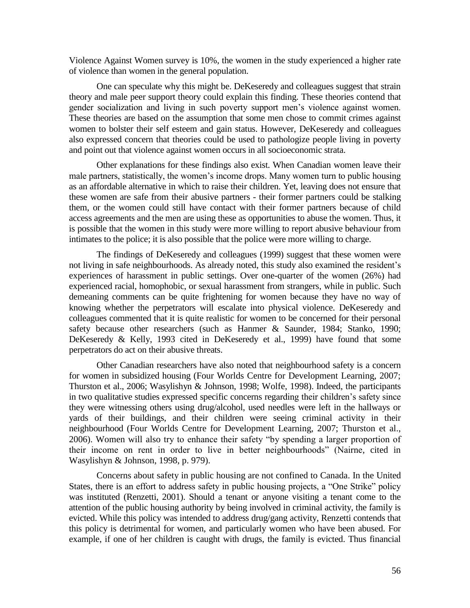Violence Against Women survey is 10%, the women in the study experienced a higher rate of violence than women in the general population.

One can speculate why this might be. DeKeseredy and colleagues suggest that strain theory and male peer support theory could explain this finding. These theories contend that gender socialization and living in such poverty support men's violence against women. These theories are based on the assumption that some men chose to commit crimes against women to bolster their self esteem and gain status. However, DeKeseredy and colleagues also expressed concern that theories could be used to pathologize people living in poverty and point out that violence against women occurs in all socioeconomic strata.

Other explanations for these findings also exist. When Canadian women leave their male partners, statistically, the women's income drops. Many women turn to public housing as an affordable alternative in which to raise their children. Yet, leaving does not ensure that these women are safe from their abusive partners - their former partners could be stalking them, or the women could still have contact with their former partners because of child access agreements and the men are using these as opportunities to abuse the women. Thus, it is possible that the women in this study were more willing to report abusive behaviour from intimates to the police; it is also possible that the police were more willing to charge.

The findings of DeKeseredy and colleagues (1999) suggest that these women were not living in safe neighbourhoods. As already noted, this study also examined the resident's experiences of harassment in public settings. Over one-quarter of the women (26%) had experienced racial, homophobic, or sexual harassment from strangers, while in public. Such demeaning comments can be quite frightening for women because they have no way of knowing whether the perpetrators will escalate into physical violence. DeKeseredy and colleagues commented that it is quite realistic for women to be concerned for their personal safety because other researchers (such as Hanmer & Saunder, 1984; Stanko, 1990; DeKeseredy & Kelly, 1993 cited in DeKeseredy et al., 1999) have found that some perpetrators do act on their abusive threats.

Other Canadian researchers have also noted that neighbourhood safety is a concern for women in subsidized housing (Four Worlds Centre for Development Learning, 2007; Thurston et al., 2006; Wasylishyn & Johnson, 1998; Wolfe, 1998). Indeed, the participants in two qualitative studies expressed specific concerns regarding their children's safety since they were witnessing others using drug/alcohol, used needles were left in the hallways or yards of their buildings, and their children were seeing criminal activity in their neighbourhood (Four Worlds Centre for Development Learning, 2007; Thurston et al., 2006). Women will also try to enhance their safety "by spending a larger proportion of their income on rent in order to live in better neighbourhoods" (Nairne, cited in Wasylishyn & Johnson, 1998, p. 979).

Concerns about safety in public housing are not confined to Canada. In the United States, there is an effort to address safety in public housing projects, a "One Strike" policy was instituted (Renzetti, 2001). Should a tenant or anyone visiting a tenant come to the attention of the public housing authority by being involved in criminal activity, the family is evicted. While this policy was intended to address drug/gang activity, Renzetti contends that this policy is detrimental for women, and particularly women who have been abused. For example, if one of her children is caught with drugs, the family is evicted. Thus financial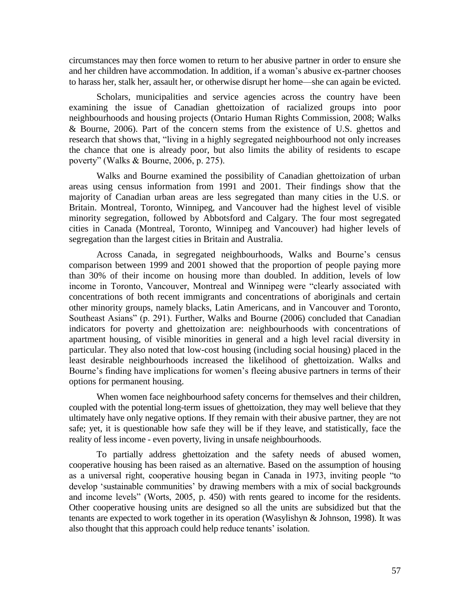circumstances may then force women to return to her abusive partner in order to ensure she and her children have accommodation. In addition, if a woman's abusive ex-partner chooses to harass her, stalk her, assault her, or otherwise disrupt her home—she can again be evicted.

Scholars, municipalities and service agencies across the country have been examining the issue of Canadian ghettoization of racialized groups into poor neighbourhoods and housing projects (Ontario Human Rights Commission, 2008; Walks & Bourne, 2006). Part of the concern stems from the existence of U.S. ghettos and research that shows that, "living in a highly segregated neighbourhood not only increases the chance that one is already poor, but also limits the ability of residents to escape poverty" (Walks & Bourne, 2006, p. 275).

Walks and Bourne examined the possibility of Canadian ghettoization of urban areas using census information from 1991 and 2001. Their findings show that the majority of Canadian urban areas are less segregated than many cities in the U.S. or Britain. Montreal, Toronto, Winnipeg, and Vancouver had the highest level of visible minority segregation, followed by Abbotsford and Calgary. The four most segregated cities in Canada (Montreal, Toronto, Winnipeg and Vancouver) had higher levels of segregation than the largest cities in Britain and Australia.

Across Canada, in segregated neighbourhoods, Walks and Bourne's census comparison between 1999 and 2001 showed that the proportion of people paying more than 30% of their income on housing more than doubled. In addition, levels of low income in Toronto, Vancouver, Montreal and Winnipeg were "clearly associated with concentrations of both recent immigrants and concentrations of aboriginals and certain other minority groups, namely blacks, Latin Americans, and in Vancouver and Toronto, Southeast Asians" (p. 291). Further, Walks and Bourne (2006) concluded that Canadian indicators for poverty and ghettoization are: neighbourhoods with concentrations of apartment housing, of visible minorities in general and a high level racial diversity in particular. They also noted that low-cost housing (including social housing) placed in the least desirable neighbourhoods increased the likelihood of ghettoization. Walks and Bourne's finding have implications for women's fleeing abusive partners in terms of their options for permanent housing.

When women face neighbourhood safety concerns for themselves and their children, coupled with the potential long-term issues of ghettoization, they may well believe that they ultimately have only negative options. If they remain with their abusive partner, they are not safe; yet, it is questionable how safe they will be if they leave, and statistically, face the reality of less income - even poverty, living in unsafe neighbourhoods.

To partially address ghettoization and the safety needs of abused women, cooperative housing has been raised as an alternative. Based on the assumption of housing as a universal right, cooperative housing began in Canada in 1973, inviting people "to develop 'sustainable communities' by drawing members with a mix of social backgrounds and income levels" (Worts, 2005, p. 450) with rents geared to income for the residents. Other cooperative housing units are designed so all the units are subsidized but that the tenants are expected to work together in its operation (Wasylishyn & Johnson, 1998). It was also thought that this approach could help reduce tenants' isolation.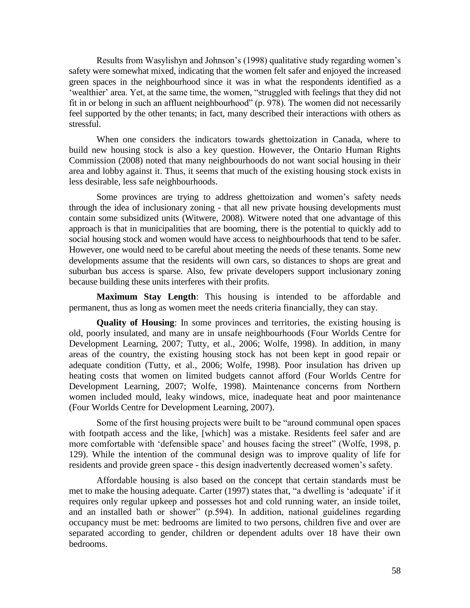Results from Wasylishyn and Johnson's (1998) qualitative study regarding women's safety were somewhat mixed, indicating that the women felt safer and enjoyed the increased green spaces in the neighbourhood since it was in what the respondents identified as a 'wealthier' area. Yet, at the same time, the women, "struggled with feelings that they did not fit in or belong in such an affluent neighbourhood" (p. 978). The women did not necessarily feel supported by the other tenants; in fact, many described their interactions with others as stressful.

When one considers the indicators towards ghettoization in Canada, where to build new housing stock is also a key question. However, the Ontario Human Rights Commission (2008) noted that many neighbourhoods do not want social housing in their area and lobby against it. Thus, it seems that much of the existing housing stock exists in less desirable, less safe neighbourhoods.

Some provinces are trying to address ghettoization and women's safety needs through the idea of inclusionary zoning - that all new private housing developments must contain some subsidized units (Witwere, 2008). Witwere noted that one advantage of this approach is that in municipalities that are booming, there is the potential to quickly add to social housing stock and women would have access to neighbourhoods that tend to be safer. However, one would need to be careful about meeting the needs of these tenants. Some new developments assume that the residents will own cars, so distances to shops are great and suburban bus access is sparse. Also, few private developers support inclusionary zoning because building these units interferes with their profits.

**Maximum Stay Length**: This housing is intended to be affordable and permanent, thus as long as women meet the needs criteria financially, they can stay.

**Quality of Housing**: In some provinces and territories, the existing housing is old, poorly insulated, and many are in unsafe neighbourhoods (Four Worlds Centre for Development Learning, 2007; Tutty, et al., 2006; Wolfe, 1998). In addition, in many areas of the country, the existing housing stock has not been kept in good repair or adequate condition (Tutty, et al., 2006; Wolfe, 1998). Poor insulation has driven up heating costs that women on limited budgets cannot afford (Four Worlds Centre for Development Learning, 2007; Wolfe, 1998). Maintenance concerns from Northern women included mould, leaky windows, mice, inadequate heat and poor maintenance (Four Worlds Centre for Development Learning, 2007).

Some of the first housing projects were built to be "around communal open spaces" with footpath access and the like, [which] was a mistake. Residents feel safer and are more comfortable with 'defensible space' and houses facing the street" (Wolfe, 1998, p. 129). While the intention of the communal design was to improve quality of life for residents and provide green space - this design inadvertently decreased women's safety.

Affordable housing is also based on the concept that certain standards must be met to make the housing adequate. Carter (1997) states that, "a dwelling is 'adequate' if it requires only regular upkeep and possesses hot and cold running water, an inside toilet, and an installed bath or shower" (p.594). In addition, national guidelines regarding occupancy must be met: bedrooms are limited to two persons, children five and over are separated according to gender, children or dependent adults over 18 have their own bedrooms.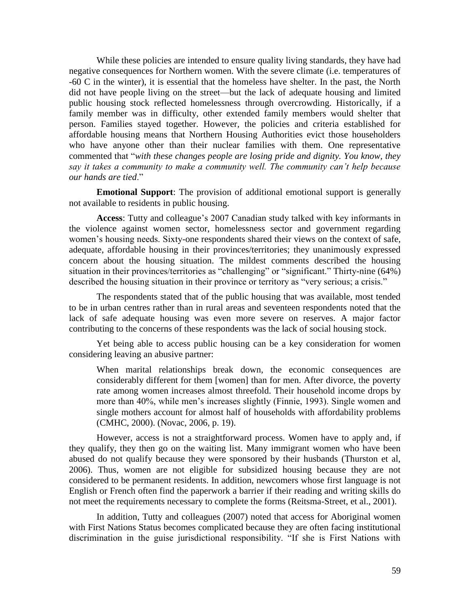While these policies are intended to ensure quality living standards, they have had negative consequences for Northern women. With the severe climate (i.e. temperatures of -60 C in the winter), it is essential that the homeless have shelter. In the past, the North did not have people living on the street—but the lack of adequate housing and limited public housing stock reflected homelessness through overcrowding. Historically, if a family member was in difficulty, other extended family members would shelter that person. Families stayed together. However, the policies and criteria established for affordable housing means that Northern Housing Authorities evict those householders who have anyone other than their nuclear families with them. One representative commented that "with these changes people are losing pride and dignity. You know, they *say it takes a community to make a community well. The community can"t help because our hands are tied*.‖

**Emotional Support**: The provision of additional emotional support is generally not available to residents in public housing.

**Access**: Tutty and colleague's 2007 Canadian study talked with key informants in the violence against women sector, homelessness sector and government regarding women's housing needs. Sixty-one respondents shared their views on the context of safe, adequate, affordable housing in their provinces/territories; they unanimously expressed concern about the housing situation. The mildest comments described the housing situation in their provinces/territories as "challenging" or "significant." Thirty-nine (64%) described the housing situation in their province or territory as "very serious; a crisis."

The respondents stated that of the public housing that was available, most tended to be in urban centres rather than in rural areas and seventeen respondents noted that the lack of safe adequate housing was even more severe on reserves. A major factor contributing to the concerns of these respondents was the lack of social housing stock.

Yet being able to access public housing can be a key consideration for women considering leaving an abusive partner:

When marital relationships break down, the economic consequences are considerably different for them [women] than for men. After divorce, the poverty rate among women increases almost threefold. Their household income drops by more than 40%, while men's increases slightly (Finnie, 1993). Single women and single mothers account for almost half of households with affordability problems (CMHC, 2000). (Novac, 2006, p. 19).

However, access is not a straightforward process. Women have to apply and, if they qualify, they then go on the waiting list. Many immigrant women who have been abused do not qualify because they were sponsored by their husbands (Thurston et al, 2006). Thus, women are not eligible for subsidized housing because they are not considered to be permanent residents. In addition, newcomers whose first language is not English or French often find the paperwork a barrier if their reading and writing skills do not meet the requirements necessary to complete the forms (Reitsma-Street, et al., 2001).

In addition, Tutty and colleagues (2007) noted that access for Aboriginal women with First Nations Status becomes complicated because they are often facing institutional discrimination in the guise jurisdictional responsibility. "If she is First Nations with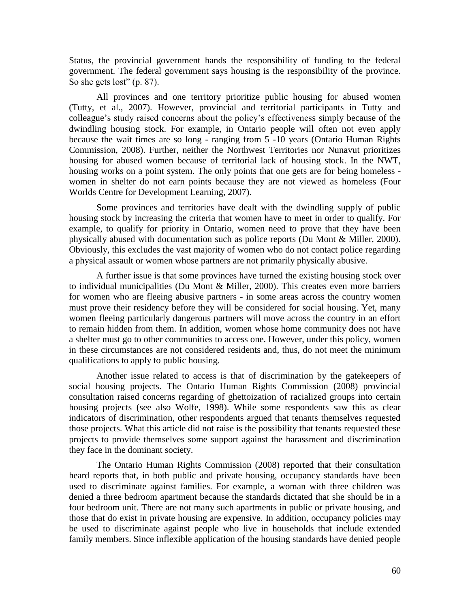Status, the provincial government hands the responsibility of funding to the federal government. The federal government says housing is the responsibility of the province. So she gets lost"  $(p. 87)$ .

All provinces and one territory prioritize public housing for abused women (Tutty, et al., 2007). However, provincial and territorial participants in Tutty and colleague's study raised concerns about the policy's effectiveness simply because of the dwindling housing stock. For example, in Ontario people will often not even apply because the wait times are so long - ranging from 5 -10 years (Ontario Human Rights Commission, 2008). Further, neither the Northwest Territories nor Nunavut prioritizes housing for abused women because of territorial lack of housing stock. In the NWT, housing works on a point system. The only points that one gets are for being homeless women in shelter do not earn points because they are not viewed as homeless (Four Worlds Centre for Development Learning, 2007).

Some provinces and territories have dealt with the dwindling supply of public housing stock by increasing the criteria that women have to meet in order to qualify. For example, to qualify for priority in Ontario, women need to prove that they have been physically abused with documentation such as police reports (Du Mont & Miller, 2000). Obviously, this excludes the vast majority of women who do not contact police regarding a physical assault or women whose partners are not primarily physically abusive.

A further issue is that some provinces have turned the existing housing stock over to individual municipalities (Du Mont & Miller, 2000). This creates even more barriers for women who are fleeing abusive partners - in some areas across the country women must prove their residency before they will be considered for social housing. Yet, many women fleeing particularly dangerous partners will move across the country in an effort to remain hidden from them. In addition, women whose home community does not have a shelter must go to other communities to access one. However, under this policy, women in these circumstances are not considered residents and, thus, do not meet the minimum qualifications to apply to public housing.

Another issue related to access is that of discrimination by the gatekeepers of social housing projects. The Ontario Human Rights Commission (2008) provincial consultation raised concerns regarding of ghettoization of racialized groups into certain housing projects (see also Wolfe, 1998). While some respondents saw this as clear indicators of discrimination, other respondents argued that tenants themselves requested those projects. What this article did not raise is the possibility that tenants requested these projects to provide themselves some support against the harassment and discrimination they face in the dominant society.

The Ontario Human Rights Commission (2008) reported that their consultation heard reports that, in both public and private housing, occupancy standards have been used to discriminate against families. For example, a woman with three children was denied a three bedroom apartment because the standards dictated that she should be in a four bedroom unit. There are not many such apartments in public or private housing, and those that do exist in private housing are expensive. In addition, occupancy policies may be used to discriminate against people who live in households that include extended family members. Since inflexible application of the housing standards have denied people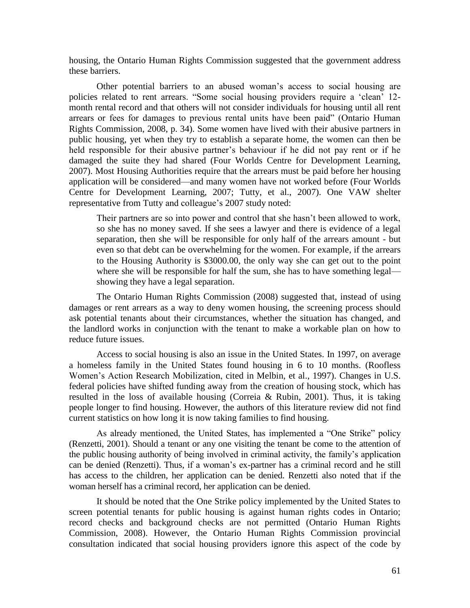housing, the Ontario Human Rights Commission suggested that the government address these barriers.

Other potential barriers to an abused woman's access to social housing are policies related to rent arrears. "Some social housing providers require a 'clean' 12month rental record and that others will not consider individuals for housing until all rent arrears or fees for damages to previous rental units have been paid" (Ontario Human Rights Commission, 2008, p. 34). Some women have lived with their abusive partners in public housing, yet when they try to establish a separate home, the women can then be held responsible for their abusive partner's behaviour if he did not pay rent or if he damaged the suite they had shared (Four Worlds Centre for Development Learning, 2007). Most Housing Authorities require that the arrears must be paid before her housing application will be considered—and many women have not worked before (Four Worlds Centre for Development Learning, 2007; Tutty, et al., 2007). One VAW shelter representative from Tutty and colleague's 2007 study noted:

Their partners are so into power and control that she hasn't been allowed to work, so she has no money saved. If she sees a lawyer and there is evidence of a legal separation, then she will be responsible for only half of the arrears amount - but even so that debt can be overwhelming for the women. For example, if the arrears to the Housing Authority is \$3000.00, the only way she can get out to the point where she will be responsible for half the sum, she has to have something legal showing they have a legal separation.

The Ontario Human Rights Commission (2008) suggested that, instead of using damages or rent arrears as a way to deny women housing, the screening process should ask potential tenants about their circumstances, whether the situation has changed, and the landlord works in conjunction with the tenant to make a workable plan on how to reduce future issues.

Access to social housing is also an issue in the United States. In 1997, on average a homeless family in the United States found housing in 6 to 10 months. (Roofless Women's Action Research Mobilization, cited in Melbin, et al., 1997). Changes in U.S. federal policies have shifted funding away from the creation of housing stock, which has resulted in the loss of available housing (Correia & Rubin, 2001). Thus, it is taking people longer to find housing. However, the authors of this literature review did not find current statistics on how long it is now taking families to find housing.

As already mentioned, the United States, has implemented a "One Strike" policy (Renzetti, 2001). Should a tenant or any one visiting the tenant be come to the attention of the public housing authority of being involved in criminal activity, the family's application can be denied (Renzetti). Thus, if a woman's ex-partner has a criminal record and he still has access to the children, her application can be denied. Renzetti also noted that if the woman herself has a criminal record, her application can be denied.

It should be noted that the One Strike policy implemented by the United States to screen potential tenants for public housing is against human rights codes in Ontario; record checks and background checks are not permitted (Ontario Human Rights Commission, 2008). However, the Ontario Human Rights Commission provincial consultation indicated that social housing providers ignore this aspect of the code by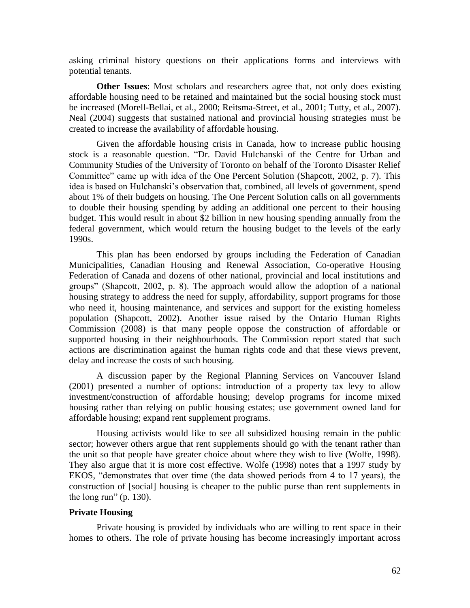asking criminal history questions on their applications forms and interviews with potential tenants.

**Other Issues**: Most scholars and researchers agree that, not only does existing affordable housing need to be retained and maintained but the social housing stock must be increased (Morell-Bellai, et al., 2000; Reitsma-Street, et al., 2001; Tutty, et al., 2007). Neal (2004) suggests that sustained national and provincial housing strategies must be created to increase the availability of affordable housing.

Given the affordable housing crisis in Canada, how to increase public housing stock is a reasonable question. "Dr. David Hulchanski of the Centre for Urban and Community Studies of the University of Toronto on behalf of the Toronto Disaster Relief Committee" came up with idea of the One Percent Solution (Shapcott, 2002, p. 7). This idea is based on Hulchanski's observation that, combined, all levels of government, spend about 1% of their budgets on housing. The One Percent Solution calls on all governments to double their housing spending by adding an additional one percent to their housing budget. This would result in about \$2 billion in new housing spending annually from the federal government, which would return the housing budget to the levels of the early 1990s.

This plan has been endorsed by groups including the Federation of Canadian Municipalities, Canadian Housing and Renewal Association, Co-operative Housing Federation of Canada and dozens of other national, provincial and local institutions and groups‖ (Shapcott, 2002, p. 8). The approach would allow the adoption of a national housing strategy to address the need for supply, affordability, support programs for those who need it, housing maintenance, and services and support for the existing homeless population (Shapcott, 2002). Another issue raised by the Ontario Human Rights Commission (2008) is that many people oppose the construction of affordable or supported housing in their neighbourhoods. The Commission report stated that such actions are discrimination against the human rights code and that these views prevent, delay and increase the costs of such housing.

A discussion paper by the Regional Planning Services on Vancouver Island (2001) presented a number of options: introduction of a property tax levy to allow investment/construction of affordable housing; develop programs for income mixed housing rather than relying on public housing estates; use government owned land for affordable housing; expand rent supplement programs.

Housing activists would like to see all subsidized housing remain in the public sector; however others argue that rent supplements should go with the tenant rather than the unit so that people have greater choice about where they wish to live (Wolfe, 1998). They also argue that it is more cost effective. Wolfe (1998) notes that a 1997 study by EKOS, "demonstrates that over time (the data showed periods from 4 to 17 years), the construction of [social] housing is cheaper to the public purse than rent supplements in the long run" (p.  $130$ ).

### **Private Housing**

Private housing is provided by individuals who are willing to rent space in their homes to others. The role of private housing has become increasingly important across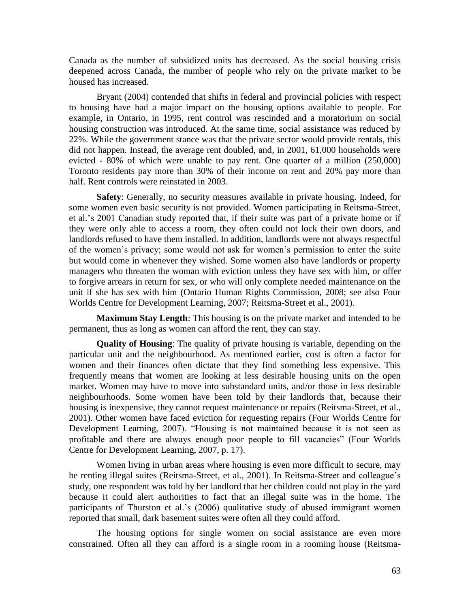Canada as the number of subsidized units has decreased. As the social housing crisis deepened across Canada, the number of people who rely on the private market to be housed has increased.

Bryant (2004) contended that shifts in federal and provincial policies with respect to housing have had a major impact on the housing options available to people. For example, in Ontario, in 1995, rent control was rescinded and a moratorium on social housing construction was introduced. At the same time, social assistance was reduced by 22%. While the government stance was that the private sector would provide rentals, this did not happen. Instead, the average rent doubled, and, in 2001, 61,000 households were evicted - 80% of which were unable to pay rent. One quarter of a million (250,000) Toronto residents pay more than 30% of their income on rent and 20% pay more than half. Rent controls were reinstated in 2003.

**Safety**: Generally, no security measures available in private housing. Indeed, for some women even basic security is not provided. Women participating in Reitsma-Street, et al.'s 2001 Canadian study reported that, if their suite was part of a private home or if they were only able to access a room, they often could not lock their own doors, and landlords refused to have them installed. In addition, landlords were not always respectful of the women's privacy; some would not ask for women's permission to enter the suite but would come in whenever they wished. Some women also have landlords or property managers who threaten the woman with eviction unless they have sex with him, or offer to forgive arrears in return for sex, or who will only complete needed maintenance on the unit if she has sex with him (Ontario Human Rights Commission, 2008; see also Four Worlds Centre for Development Learning, 2007; Reitsma-Street et al., 2001).

**Maximum Stay Length**: This housing is on the private market and intended to be permanent, thus as long as women can afford the rent, they can stay.

**Quality of Housing**: The quality of private housing is variable, depending on the particular unit and the neighbourhood. As mentioned earlier, cost is often a factor for women and their finances often dictate that they find something less expensive. This frequently means that women are looking at less desirable housing units on the open market. Women may have to move into substandard units, and/or those in less desirable neighbourhoods. Some women have been told by their landlords that, because their housing is inexpensive, they cannot request maintenance or repairs (Reitsma-Street, et al., 2001). Other women have faced eviction for requesting repairs (Four Worlds Centre for Development Learning, 2007). "Housing is not maintained because it is not seen as profitable and there are always enough poor people to fill vacancies" (Four Worlds Centre for Development Learning, 2007, p. 17).

Women living in urban areas where housing is even more difficult to secure, may be renting illegal suites (Reitsma-Street, et al., 2001). In Reitsma-Street and colleague's study, one respondent was told by her landlord that her children could not play in the yard because it could alert authorities to fact that an illegal suite was in the home. The participants of Thurston et al.'s (2006) qualitative study of abused immigrant women reported that small, dark basement suites were often all they could afford.

The housing options for single women on social assistance are even more constrained. Often all they can afford is a single room in a rooming house (Reitsma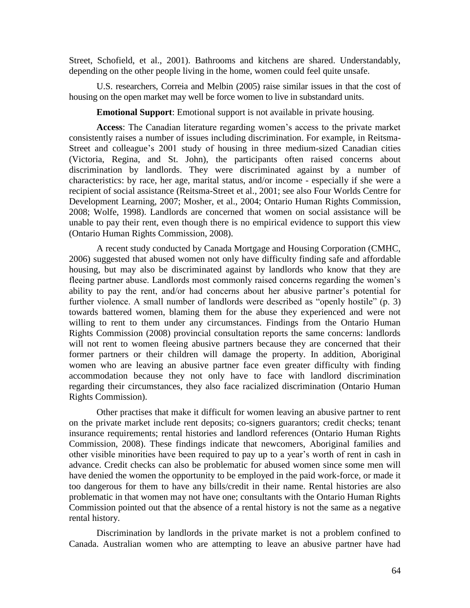Street, Schofield, et al., 2001). Bathrooms and kitchens are shared. Understandably, depending on the other people living in the home, women could feel quite unsafe.

U.S. researchers, Correia and Melbin (2005) raise similar issues in that the cost of housing on the open market may well be force women to live in substandard units.

**Emotional Support**: Emotional support is not available in private housing.

**Access**: The Canadian literature regarding women's access to the private market consistently raises a number of issues including discrimination. For example, in Reitsma-Street and colleague's 2001 study of housing in three medium-sized Canadian cities (Victoria, Regina, and St. John), the participants often raised concerns about discrimination by landlords. They were discriminated against by a number of characteristics: by race, her age, marital status, and/or income - especially if she were a recipient of social assistance (Reitsma-Street et al., 2001; see also Four Worlds Centre for Development Learning, 2007; Mosher, et al., 2004; Ontario Human Rights Commission, 2008; Wolfe, 1998). Landlords are concerned that women on social assistance will be unable to pay their rent, even though there is no empirical evidence to support this view (Ontario Human Rights Commission, 2008).

A recent study conducted by Canada Mortgage and Housing Corporation (CMHC, 2006) suggested that abused women not only have difficulty finding safe and affordable housing, but may also be discriminated against by landlords who know that they are fleeing partner abuse. Landlords most commonly raised concerns regarding the women's ability to pay the rent, and/or had concerns about her abusive partner's potential for further violence. A small number of landlords were described as "openly hostile"  $(p, 3)$ towards battered women, blaming them for the abuse they experienced and were not willing to rent to them under any circumstances. Findings from the Ontario Human Rights Commission (2008) provincial consultation reports the same concerns: landlords will not rent to women fleeing abusive partners because they are concerned that their former partners or their children will damage the property. In addition, Aboriginal women who are leaving an abusive partner face even greater difficulty with finding accommodation because they not only have to face with landlord discrimination regarding their circumstances, they also face racialized discrimination (Ontario Human Rights Commission).

Other practises that make it difficult for women leaving an abusive partner to rent on the private market include rent deposits; co-signers guarantors; credit checks; tenant insurance requirements; rental histories and landlord references (Ontario Human Rights Commission, 2008). These findings indicate that newcomers, Aboriginal families and other visible minorities have been required to pay up to a year's worth of rent in cash in advance. Credit checks can also be problematic for abused women since some men will have denied the women the opportunity to be employed in the paid work-force, or made it too dangerous for them to have any bills/credit in their name. Rental histories are also problematic in that women may not have one; consultants with the Ontario Human Rights Commission pointed out that the absence of a rental history is not the same as a negative rental history.

Discrimination by landlords in the private market is not a problem confined to Canada. Australian women who are attempting to leave an abusive partner have had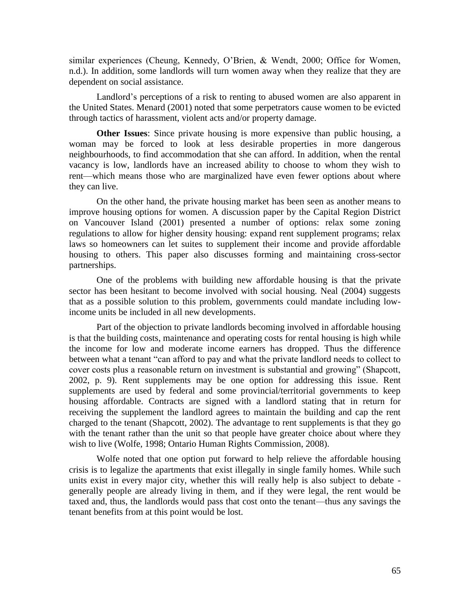similar experiences (Cheung, Kennedy, O'Brien, & Wendt, 2000; Office for Women, n.d.). In addition, some landlords will turn women away when they realize that they are dependent on social assistance.

Landlord's perceptions of a risk to renting to abused women are also apparent in the United States. Menard (2001) noted that some perpetrators cause women to be evicted through tactics of harassment, violent acts and/or property damage.

**Other Issues**: Since private housing is more expensive than public housing, a woman may be forced to look at less desirable properties in more dangerous neighbourhoods, to find accommodation that she can afford. In addition, when the rental vacancy is low, landlords have an increased ability to choose to whom they wish to rent—which means those who are marginalized have even fewer options about where they can live.

On the other hand, the private housing market has been seen as another means to improve housing options for women. A discussion paper by the Capital Region District on Vancouver Island (2001) presented a number of options: relax some zoning regulations to allow for higher density housing: expand rent supplement programs; relax laws so homeowners can let suites to supplement their income and provide affordable housing to others. This paper also discusses forming and maintaining cross-sector partnerships.

One of the problems with building new affordable housing is that the private sector has been hesitant to become involved with social housing. Neal (2004) suggests that as a possible solution to this problem, governments could mandate including lowincome units be included in all new developments.

Part of the objection to private landlords becoming involved in affordable housing is that the building costs, maintenance and operating costs for rental housing is high while the income for low and moderate income earners has dropped. Thus the difference between what a tenant "can afford to pay and what the private landlord needs to collect to cover costs plus a reasonable return on investment is substantial and growing" (Shapcott, 2002, p. 9). Rent supplements may be one option for addressing this issue. Rent supplements are used by federal and some provincial/territorial governments to keep housing affordable. Contracts are signed with a landlord stating that in return for receiving the supplement the landlord agrees to maintain the building and cap the rent charged to the tenant (Shapcott, 2002). The advantage to rent supplements is that they go with the tenant rather than the unit so that people have greater choice about where they wish to live (Wolfe, 1998; Ontario Human Rights Commission, 2008).

Wolfe noted that one option put forward to help relieve the affordable housing crisis is to legalize the apartments that exist illegally in single family homes. While such units exist in every major city, whether this will really help is also subject to debate generally people are already living in them, and if they were legal, the rent would be taxed and, thus, the landlords would pass that cost onto the tenant—thus any savings the tenant benefits from at this point would be lost.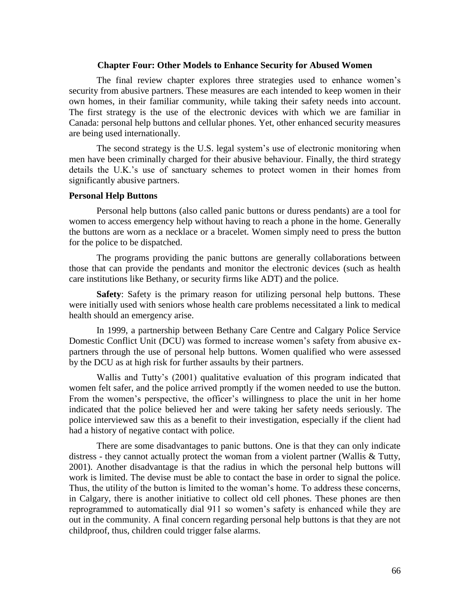### **Chapter Four: Other Models to Enhance Security for Abused Women**

The final review chapter explores three strategies used to enhance women's security from abusive partners. These measures are each intended to keep women in their own homes, in their familiar community, while taking their safety needs into account. The first strategy is the use of the electronic devices with which we are familiar in Canada: personal help buttons and cellular phones. Yet, other enhanced security measures are being used internationally.

The second strategy is the U.S. legal system's use of electronic monitoring when men have been criminally charged for their abusive behaviour. Finally, the third strategy details the U.K.'s use of sanctuary schemes to protect women in their homes from significantly abusive partners.

# **Personal Help Buttons**

Personal help buttons (also called panic buttons or duress pendants) are a tool for women to access emergency help without having to reach a phone in the home. Generally the buttons are worn as a necklace or a bracelet. Women simply need to press the button for the police to be dispatched.

The programs providing the panic buttons are generally collaborations between those that can provide the pendants and monitor the electronic devices (such as health care institutions like Bethany, or security firms like ADT) and the police.

**Safety**: Safety is the primary reason for utilizing personal help buttons. These were initially used with seniors whose health care problems necessitated a link to medical health should an emergency arise.

In 1999, a partnership between Bethany Care Centre and Calgary Police Service Domestic Conflict Unit (DCU) was formed to increase women's safety from abusive expartners through the use of personal help buttons. Women qualified who were assessed by the DCU as at high risk for further assaults by their partners.

Wallis and Tutty's (2001) qualitative evaluation of this program indicated that women felt safer, and the police arrived promptly if the women needed to use the button. From the women's perspective, the officer's willingness to place the unit in her home indicated that the police believed her and were taking her safety needs seriously. The police interviewed saw this as a benefit to their investigation, especially if the client had had a history of negative contact with police.

There are some disadvantages to panic buttons. One is that they can only indicate distress - they cannot actually protect the woman from a violent partner (Wallis & Tutty, 2001). Another disadvantage is that the radius in which the personal help buttons will work is limited. The devise must be able to contact the base in order to signal the police. Thus, the utility of the button is limited to the woman's home. To address these concerns, in Calgary, there is another initiative to collect old cell phones. These phones are then reprogrammed to automatically dial 911 so women's safety is enhanced while they are out in the community. A final concern regarding personal help buttons is that they are not childproof, thus, children could trigger false alarms.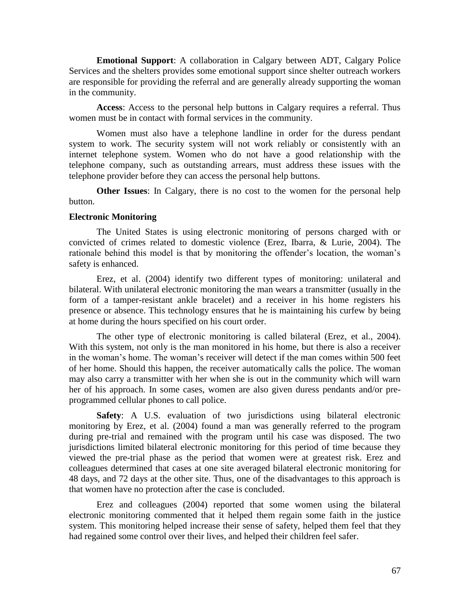**Emotional Support**: A collaboration in Calgary between ADT, Calgary Police Services and the shelters provides some emotional support since shelter outreach workers are responsible for providing the referral and are generally already supporting the woman in the community.

**Access**: Access to the personal help buttons in Calgary requires a referral. Thus women must be in contact with formal services in the community.

Women must also have a telephone landline in order for the duress pendant system to work. The security system will not work reliably or consistently with an internet telephone system. Women who do not have a good relationship with the telephone company, such as outstanding arrears, must address these issues with the telephone provider before they can access the personal help buttons.

**Other Issues**: In Calgary, there is no cost to the women for the personal help button.

#### **Electronic Monitoring**

The United States is using electronic monitoring of persons charged with or convicted of crimes related to domestic violence (Erez, Ibarra, & Lurie, 2004). The rationale behind this model is that by monitoring the offender's location, the woman's safety is enhanced.

Erez, et al. (2004) identify two different types of monitoring: unilateral and bilateral. With unilateral electronic monitoring the man wears a transmitter (usually in the form of a tamper-resistant ankle bracelet) and a receiver in his home registers his presence or absence. This technology ensures that he is maintaining his curfew by being at home during the hours specified on his court order.

The other type of electronic monitoring is called bilateral (Erez, et al., 2004). With this system, not only is the man monitored in his home, but there is also a receiver in the woman's home. The woman's receiver will detect if the man comes within 500 feet of her home. Should this happen, the receiver automatically calls the police. The woman may also carry a transmitter with her when she is out in the community which will warn her of his approach. In some cases, women are also given duress pendants and/or preprogrammed cellular phones to call police.

**Safety**: A U.S. evaluation of two jurisdictions using bilateral electronic monitoring by Erez, et al. (2004) found a man was generally referred to the program during pre-trial and remained with the program until his case was disposed. The two jurisdictions limited bilateral electronic monitoring for this period of time because they viewed the pre-trial phase as the period that women were at greatest risk. Erez and colleagues determined that cases at one site averaged bilateral electronic monitoring for 48 days, and 72 days at the other site. Thus, one of the disadvantages to this approach is that women have no protection after the case is concluded.

Erez and colleagues (2004) reported that some women using the bilateral electronic monitoring commented that it helped them regain some faith in the justice system. This monitoring helped increase their sense of safety, helped them feel that they had regained some control over their lives, and helped their children feel safer.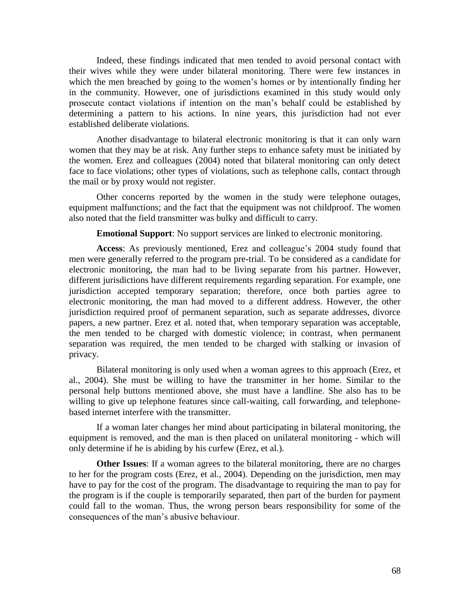Indeed, these findings indicated that men tended to avoid personal contact with their wives while they were under bilateral monitoring. There were few instances in which the men breached by going to the women's homes or by intentionally finding her in the community. However, one of jurisdictions examined in this study would only prosecute contact violations if intention on the man's behalf could be established by determining a pattern to his actions. In nine years, this jurisdiction had not ever established deliberate violations.

Another disadvantage to bilateral electronic monitoring is that it can only warn women that they may be at risk. Any further steps to enhance safety must be initiated by the women. Erez and colleagues (2004) noted that bilateral monitoring can only detect face to face violations; other types of violations, such as telephone calls, contact through the mail or by proxy would not register.

Other concerns reported by the women in the study were telephone outages, equipment malfunctions; and the fact that the equipment was not childproof. The women also noted that the field transmitter was bulky and difficult to carry.

**Emotional Support**: No support services are linked to electronic monitoring.

**Access**: As previously mentioned, Erez and colleague's 2004 study found that men were generally referred to the program pre-trial. To be considered as a candidate for electronic monitoring, the man had to be living separate from his partner. However, different jurisdictions have different requirements regarding separation. For example, one jurisdiction accepted temporary separation; therefore, once both parties agree to electronic monitoring, the man had moved to a different address. However, the other jurisdiction required proof of permanent separation, such as separate addresses, divorce papers, a new partner. Erez et al. noted that, when temporary separation was acceptable, the men tended to be charged with domestic violence; in contrast, when permanent separation was required, the men tended to be charged with stalking or invasion of privacy.

Bilateral monitoring is only used when a woman agrees to this approach (Erez, et al., 2004). She must be willing to have the transmitter in her home. Similar to the personal help buttons mentioned above, she must have a landline. She also has to be willing to give up telephone features since call-waiting, call forwarding, and telephonebased internet interfere with the transmitter.

If a woman later changes her mind about participating in bilateral monitoring, the equipment is removed, and the man is then placed on unilateral monitoring - which will only determine if he is abiding by his curfew (Erez, et al.).

**Other Issues**: If a woman agrees to the bilateral monitoring, there are no charges to her for the program costs (Erez, et al., 2004). Depending on the jurisdiction, men may have to pay for the cost of the program. The disadvantage to requiring the man to pay for the program is if the couple is temporarily separated, then part of the burden for payment could fall to the woman. Thus, the wrong person bears responsibility for some of the consequences of the man's abusive behaviour.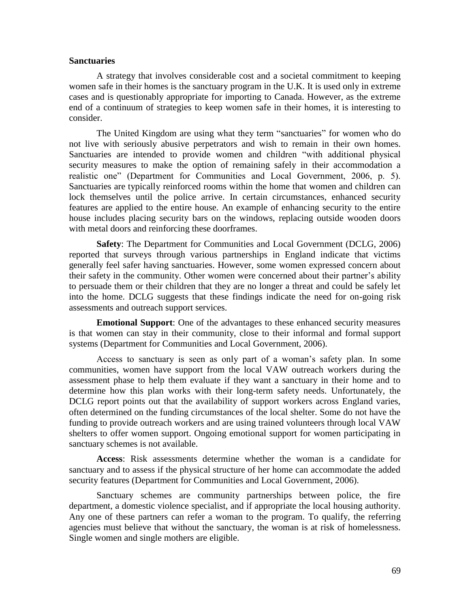# **Sanctuaries**

A strategy that involves considerable cost and a societal commitment to keeping women safe in their homes is the sanctuary program in the U.K. It is used only in extreme cases and is questionably appropriate for importing to Canada. However, as the extreme end of a continuum of strategies to keep women safe in their homes, it is interesting to consider.

The United Kingdom are using what they term "sanctuaries" for women who do not live with seriously abusive perpetrators and wish to remain in their own homes. Sanctuaries are intended to provide women and children "with additional physical security measures to make the option of remaining safely in their accommodation a realistic one" (Department for Communities and Local Government, 2006, p. 5). Sanctuaries are typically reinforced rooms within the home that women and children can lock themselves until the police arrive. In certain circumstances, enhanced security features are applied to the entire house. An example of enhancing security to the entire house includes placing security bars on the windows, replacing outside wooden doors with metal doors and reinforcing these doorframes.

**Safety**: The Department for Communities and Local Government (DCLG, 2006) reported that surveys through various partnerships in England indicate that victims generally feel safer having sanctuaries. However, some women expressed concern about their safety in the community. Other women were concerned about their partner's ability to persuade them or their children that they are no longer a threat and could be safely let into the home. DCLG suggests that these findings indicate the need for on-going risk assessments and outreach support services.

**Emotional Support**: One of the advantages to these enhanced security measures is that women can stay in their community, close to their informal and formal support systems (Department for Communities and Local Government, 2006).

Access to sanctuary is seen as only part of a woman's safety plan. In some communities, women have support from the local VAW outreach workers during the assessment phase to help them evaluate if they want a sanctuary in their home and to determine how this plan works with their long-term safety needs. Unfortunately, the DCLG report points out that the availability of support workers across England varies, often determined on the funding circumstances of the local shelter. Some do not have the funding to provide outreach workers and are using trained volunteers through local VAW shelters to offer women support. Ongoing emotional support for women participating in sanctuary schemes is not available.

**Access**: Risk assessments determine whether the woman is a candidate for sanctuary and to assess if the physical structure of her home can accommodate the added security features (Department for Communities and Local Government, 2006).

Sanctuary schemes are community partnerships between police, the fire department, a domestic violence specialist, and if appropriate the local housing authority. Any one of these partners can refer a woman to the program. To qualify, the referring agencies must believe that without the sanctuary, the woman is at risk of homelessness. Single women and single mothers are eligible.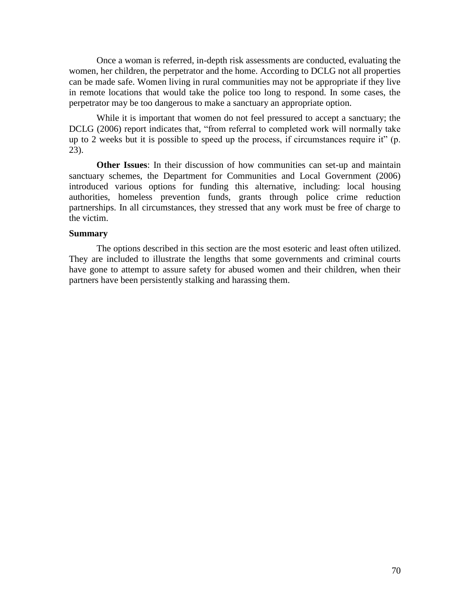Once a woman is referred, in-depth risk assessments are conducted, evaluating the women, her children, the perpetrator and the home. According to DCLG not all properties can be made safe. Women living in rural communities may not be appropriate if they live in remote locations that would take the police too long to respond. In some cases, the perpetrator may be too dangerous to make a sanctuary an appropriate option.

While it is important that women do not feel pressured to accept a sanctuary; the DCLG (2006) report indicates that, "from referral to completed work will normally take up to 2 weeks but it is possible to speed up the process, if circumstances require it"  $(p_1, p_2)$ 23).

**Other Issues**: In their discussion of how communities can set-up and maintain sanctuary schemes, the Department for Communities and Local Government (2006) introduced various options for funding this alternative, including: local housing authorities, homeless prevention funds, grants through police crime reduction partnerships. In all circumstances, they stressed that any work must be free of charge to the victim.

# **Summary**

The options described in this section are the most esoteric and least often utilized. They are included to illustrate the lengths that some governments and criminal courts have gone to attempt to assure safety for abused women and their children, when their partners have been persistently stalking and harassing them.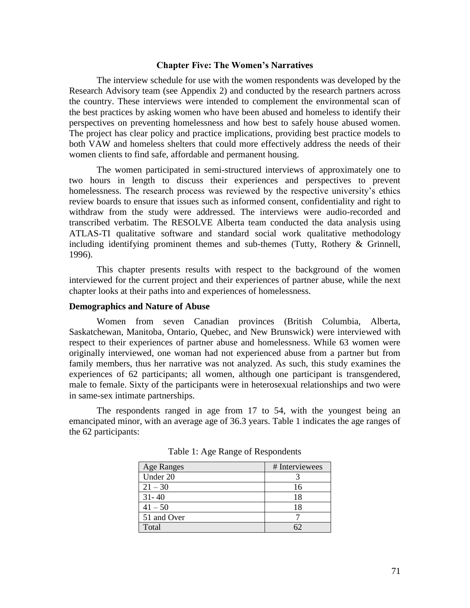#### **Chapter Five: The Women's Narratives**

The interview schedule for use with the women respondents was developed by the Research Advisory team (see Appendix 2) and conducted by the research partners across the country. These interviews were intended to complement the environmental scan of the best practices by asking women who have been abused and homeless to identify their perspectives on preventing homelessness and how best to safely house abused women. The project has clear policy and practice implications, providing best practice models to both VAW and homeless shelters that could more effectively address the needs of their women clients to find safe, affordable and permanent housing.

The women participated in semi-structured interviews of approximately one to two hours in length to discuss their experiences and perspectives to prevent homelessness. The research process was reviewed by the respective university's ethics review boards to ensure that issues such as informed consent, confidentiality and right to withdraw from the study were addressed. The interviews were audio-recorded and transcribed verbatim. The RESOLVE Alberta team conducted the data analysis using ATLAS-TI qualitative software and standard social work qualitative methodology including identifying prominent themes and sub-themes (Tutty, Rothery & Grinnell, 1996).

This chapter presents results with respect to the background of the women interviewed for the current project and their experiences of partner abuse, while the next chapter looks at their paths into and experiences of homelessness.

#### **Demographics and Nature of Abuse**

Women from seven Canadian provinces (British Columbia, Alberta, Saskatchewan, Manitoba, Ontario, Quebec, and New Brunswick) were interviewed with respect to their experiences of partner abuse and homelessness. While 63 women were originally interviewed, one woman had not experienced abuse from a partner but from family members, thus her narrative was not analyzed. As such, this study examines the experiences of 62 participants; all women, although one participant is transgendered, male to female. Sixty of the participants were in heterosexual relationships and two were in same-sex intimate partnerships.

The respondents ranged in age from 17 to 54, with the youngest being an emancipated minor, with an average age of 36.3 years. Table 1 indicates the age ranges of the 62 participants:

| <b>Age Ranges</b> | # Interviewees |
|-------------------|----------------|
| Under 20          |                |
| $21 - 30$         | 16             |
| $31 - 40$         | 18             |
| $41 - 50$         | 18             |
| 51 and Over       |                |
| Total             |                |

Table 1: Age Range of Respondents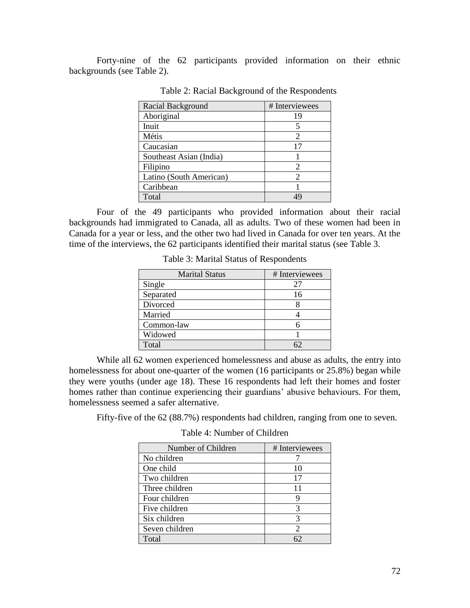Forty-nine of the 62 participants provided information on their ethnic backgrounds (see Table 2).

| Racial Background       | # Interviewees              |
|-------------------------|-----------------------------|
| Aboriginal              | 19                          |
| Inuit                   | 5                           |
| Métis                   | 2                           |
| Caucasian               | 17                          |
| Southeast Asian (India) |                             |
| Filipino                | 2                           |
| Latino (South American) | $\mathcal{D}_{\mathcal{A}}$ |
| Caribbean               |                             |
| Total                   | 49                          |

Table 2: Racial Background of the Respondents

Four of the 49 participants who provided information about their racial backgrounds had immigrated to Canada, all as adults. Two of these women had been in Canada for a year or less, and the other two had lived in Canada for over ten years. At the time of the interviews, the 62 participants identified their marital status (see Table 3.

| <b>Marital Status</b> | # Interviewees |
|-----------------------|----------------|
| Single                | 27             |
| Separated             | 16             |
| Divorced              |                |
| Married               |                |
| Common-law            |                |
| Widowed               |                |
| Total                 |                |

Table 3: Marital Status of Respondents

While all 62 women experienced homelessness and abuse as adults, the entry into homelessness for about one-quarter of the women (16 participants or 25.8%) began while they were youths (under age 18). These 16 respondents had left their homes and foster homes rather than continue experiencing their guardians' abusive behaviours. For them, homelessness seemed a safer alternative.

Fifty-five of the 62 (88.7%) respondents had children, ranging from one to seven.

|  | Table 4: Number of Children |
|--|-----------------------------|
|  |                             |

| Number of Children | # Interviewees |
|--------------------|----------------|
| No children        |                |
| One child          | 10             |
| Two children       | 17             |
| Three children     | 11             |
| Four children      | y              |
| Five children      | 3              |
| Six children       | 3              |
| Seven children     | $\mathfrak{D}$ |
| Total              |                |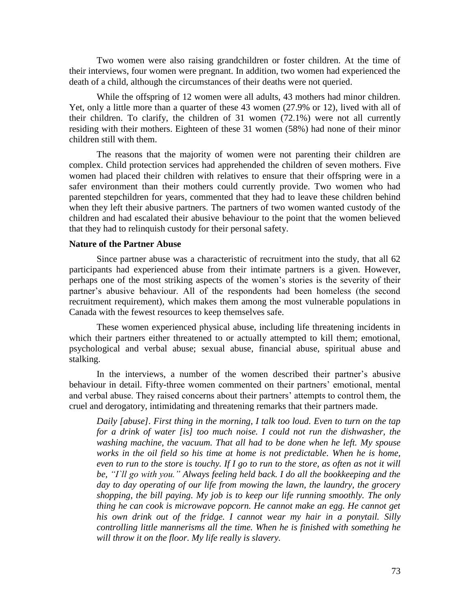Two women were also raising grandchildren or foster children. At the time of their interviews, four women were pregnant. In addition, two women had experienced the death of a child, although the circumstances of their deaths were not queried.

While the offspring of 12 women were all adults, 43 mothers had minor children. Yet, only a little more than a quarter of these 43 women (27.9% or 12), lived with all of their children. To clarify, the children of 31 women (72.1%) were not all currently residing with their mothers. Eighteen of these 31 women (58%) had none of their minor children still with them.

The reasons that the majority of women were not parenting their children are complex. Child protection services had apprehended the children of seven mothers. Five women had placed their children with relatives to ensure that their offspring were in a safer environment than their mothers could currently provide. Two women who had parented stepchildren for years, commented that they had to leave these children behind when they left their abusive partners. The partners of two women wanted custody of the children and had escalated their abusive behaviour to the point that the women believed that they had to relinquish custody for their personal safety.

### **Nature of the Partner Abuse**

Since partner abuse was a characteristic of recruitment into the study, that all 62 participants had experienced abuse from their intimate partners is a given. However, perhaps one of the most striking aspects of the women's stories is the severity of their partner's abusive behaviour. All of the respondents had been homeless (the second recruitment requirement), which makes them among the most vulnerable populations in Canada with the fewest resources to keep themselves safe.

These women experienced physical abuse, including life threatening incidents in which their partners either threatened to or actually attempted to kill them; emotional, psychological and verbal abuse; sexual abuse, financial abuse, spiritual abuse and stalking.

In the interviews, a number of the women described their partner's abusive behaviour in detail. Fifty-three women commented on their partners' emotional, mental and verbal abuse. They raised concerns about their partners' attempts to control them, the cruel and derogatory, intimidating and threatening remarks that their partners made.

*Daily [abuse]. First thing in the morning, I talk too loud. Even to turn on the tap for a drink of water [is] too much noise. I could not run the dishwasher, the washing machine, the vacuum. That all had to be done when he left. My spouse works in the oil field so his time at home is not predictable. When he is home, even to run to the store is touchy. If I go to run to the store, as often as not it will be, "I`ll go with you." Always feeling held back. I do all the bookkeeping and the day to day operating of our life from mowing the lawn, the laundry, the grocery shopping, the bill paying. My job is to keep our life running smoothly. The only thing he can cook is microwave popcorn. He cannot make an egg. He cannot get his own drink out of the fridge. I cannot wear my hair in a ponytail. Silly controlling little mannerisms all the time. When he is finished with something he will throw it on the floor. My life really is slavery.*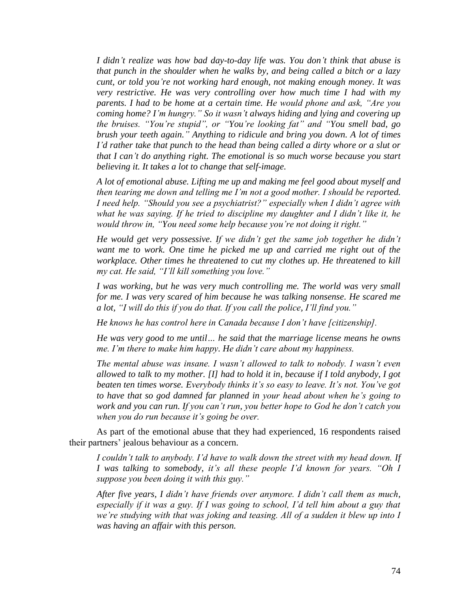*I didn"t realize was how bad day-to-day life was. You don"t think that abuse is that punch in the shoulder when he walks by, and being called a bitch or a lazy cunt, or told you"re not working hard enough, not making enough money. It was very restrictive. He was very controlling over how much time I had with my parents. I had to be home at a certain time. He would phone and ask, "Are you coming home? I"m hungry." So it wasn"t always hiding and lying and covering up the bruises. "You"re stupid", or "You"re looking fat" and "You smell bad, go brush your teeth again." Anything to ridicule and bring you down. A lot of times I"d rather take that punch to the head than being called a dirty whore or a slut or that I can"t do anything right. The emotional is so much worse because you start believing it. It takes a lot to change that self-image.*

*A lot of emotional abuse. Lifting me up and making me feel good about myself and then tearing me down and telling me I"m not a good mother. I should be reported. I need help. "Should you see a psychiatrist?" especially when I didn"t agree with what he was saying. If he tried to discipline my daughter and I didn"t like it, he would throw in, "You need some help because you"re not doing it right."*

*He would get very possessive. If we didn"t get the same job together he didn"t want me to work. One time he picked me up and carried me right out of the workplace. Other times he threatened to cut my clothes up. He threatened to kill my cat. He said, "I"ll kill something you love."*

*I was working, but he was very much controlling me. The world was very small for me. I was very scared of him because he was talking nonsense. He scared me a lot, "I will do this if you do that. If you call the police, I"ll find you."*

*He knows he has control here in Canada because I don"t have [citizenship].*

*He was very good to me until… he said that the marriage license means he owns me. I"m there to make him happy. He didn"t care about my happiness.*

*The mental abuse was insane. I wasn"t allowed to talk to nobody. I wasn"t even allowed to talk to my mother. [I] had to hold it in, because if I told anybody, I got beaten ten times worse. Everybody thinks it's so easy to leave. It's not. You've got to have that so god damned far planned in your head about when he"s going to work and you can run. If you can"t run, you better hope to God he don"t catch you when you do run because it"s going be over.*

As part of the emotional abuse that they had experienced, 16 respondents raised their partners' jealous behaviour as a concern.

*I couldn"t talk to anybody. I"d have to walk down the street with my head down. If I was talking to somebody, it"s all these people I"d known for years. "Oh I suppose you been doing it with this guy."*

*After five years, I didn"t have friends over anymore. I didn"t call them as much, especially if it was a guy. If I was going to school, I"d tell him about a guy that we"re studying with that was joking and teasing. All of a sudden it blew up into I was having an affair with this person.*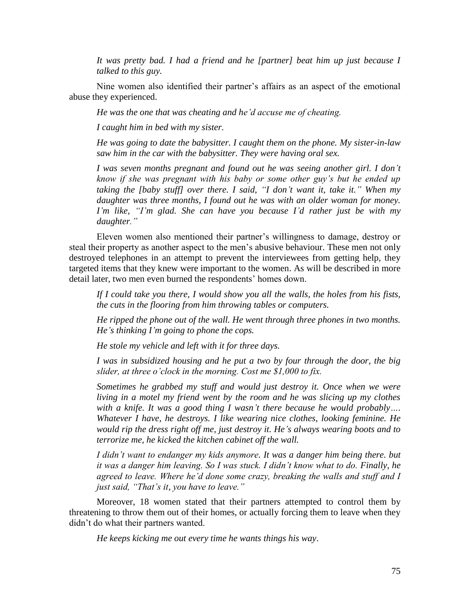*It was pretty bad. I had a friend and he [partner] beat him up just because I talked to this guy.*

Nine women also identified their partner's affairs as an aspect of the emotional abuse they experienced.

*He was the one that was cheating and he"d accuse me of cheating.*

*I caught him in bed with my sister.*

*He was going to date the babysitter. I caught them on the phone. My sister-in-law saw him in the car with the babysitter. They were having oral sex.*

*I was seven months pregnant and found out he was seeing another girl. I don"t know if she was pregnant with his baby or some other guy"s but he ended up taking the [baby stuff] over there. I said, "I don"t want it, take it." When my daughter was three months, I found out he was with an older woman for money. I"m like, "I"m glad. She can have you because I"d rather just be with my daughter."*

Eleven women also mentioned their partner's willingness to damage, destroy or steal their property as another aspect to the men's abusive behaviour. These men not only destroyed telephones in an attempt to prevent the interviewees from getting help, they targeted items that they knew were important to the women. As will be described in more detail later, two men even burned the respondents' homes down.

*If I could take you there, I would show you all the walls, the holes from his fists, the cuts in the flooring from him throwing tables or computers.*

*He ripped the phone out of the wall. He went through three phones in two months. He"s thinking I"m going to phone the cops.* 

*He stole my vehicle and left with it for three days.* 

*I was in subsidized housing and he put a two by four through the door, the big slider, at three o"clock in the morning. Cost me \$1,000 to fix.*

*Sometimes he grabbed my stuff and would just destroy it. Once when we were living in a motel my friend went by the room and he was slicing up my clothes with a knife. It was a good thing I wasn"t there because he would probably…. Whatever I have, he destroys. I like wearing nice clothes, looking feminine. He would rip the dress right off me, just destroy it. He"s always wearing boots and to terrorize me, he kicked the kitchen cabinet off the wall.*

*I didn"t want to endanger my kids anymore. It was a danger him being there. but it was a danger him leaving. So I was stuck. I didn"t know what to do. Finally, he agreed to leave. Where he"d done some crazy, breaking the walls and stuff and I just said, "That"s it, you have to leave."*

Moreover, 18 women stated that their partners attempted to control them by threatening to throw them out of their homes, or actually forcing them to leave when they didn't do what their partners wanted.

*He keeps kicking me out every time he wants things his way*.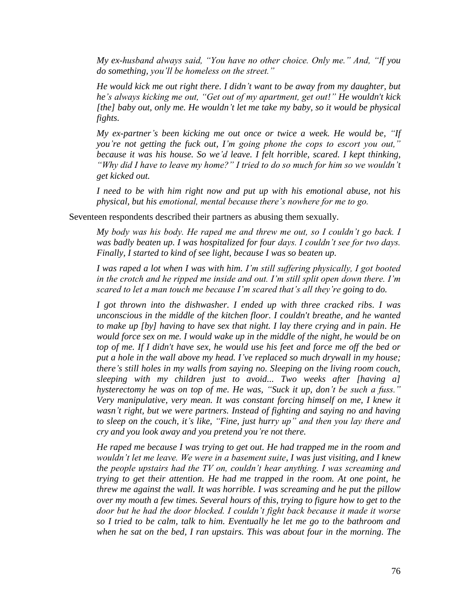*My ex-husband always said, "You have no other choice. Only me." And, "If you do something, you"ll be homeless on the street."*

*He would kick me out right there. I didn"t want to be away from my daughter, but he"s always kicking me out, "Get out of my apartment, get out!" He wouldn't kick [the] baby out, only me. He wouldn"t let me take my baby, so it would be physical fights.*

*My ex-partner"s been kicking me out once or twice a week. He would be, "If you"re not getting the fuck out, I"m going phone the cops to escort you out," because it was his house. So we"d leave. I felt horrible, scared. I kept thinking, "Why did I have to leave my home?" I tried to do so much for him so we wouldn"t get kicked out.*

*I need to be with him right now and put up with his emotional abuse, not his physical, but his emotional, mental because there"s nowhere for me to go.*

Seventeen respondents described their partners as abusing them sexually.

*My body was his body. He raped me and threw me out, so I couldn"t go back. I was badly beaten up. I was hospitalized for four days. I couldn"t see for two days. Finally, I started to kind of see light, because I was so beaten up.*

*I was raped a lot when I was with him. I"m still suffering physically, I got booted in the crotch and he ripped me inside and out. I"m still split open down there. I"m scared to let a man touch me because I"m scared that"s all they"re going to do.*

*I got thrown into the dishwasher. I ended up with three cracked ribs. I was unconscious in the middle of the kitchen floor. I couldn't breathe, and he wanted to make up [by] having to have sex that night. I lay there crying and in pain. He would force sex on me. I would wake up in the middle of the night, he would be on top of me. If I didn't have sex, he would use his feet and force me off the bed or put a hole in the wall above my head. I"ve replaced so much drywall in my house; there"s still holes in my walls from saying no. Sleeping on the living room couch, sleeping with my children just to avoid... Two weeks after [having a] hysterectomy he was on top of me. He was, "Suck it up, don"t be such a fuss." Very manipulative, very mean. It was constant forcing himself on me, I knew it wasn"t right, but we were partners. Instead of fighting and saying no and having to sleep on the couch, it"s like, "Fine, just hurry up" and then you lay there and cry and you look away and you pretend you"re not there.*

*He raped me because I was trying to get out. He had trapped me in the room and wouldn"t let me leave. We were in a basement suite, I was just visiting, and I knew the people upstairs had the TV on, couldn"t hear anything. I was screaming and trying to get their attention. He had me trapped in the room. At one point, he threw me against the wall. It was horrible. I was screaming and he put the pillow over my mouth a few times. Several hours of this, trying to figure how to get to the door but he had the door blocked. I couldn"t fight back because it made it worse so I tried to be calm, talk to him. Eventually he let me go to the bathroom and when he sat on the bed, I ran upstairs. This was about four in the morning. The*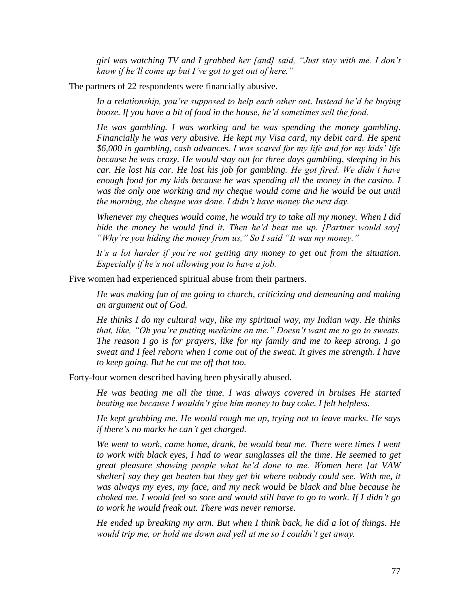*girl was watching TV and I grabbed her [and] said, "Just stay with me. I don"t know if he"ll come up but I"ve got to get out of here."*

The partners of 22 respondents were financially abusive.

*In a relationship, you"re supposed to help each other out. Instead he"d be buying booze. If you have a bit of food in the house, he"d sometimes sell the food.*

*He was gambling. I was working and he was spending the money gambling. Financially he was very abusive. He kept my Visa card, my debit card. He spent \$6,000 in gambling, cash advances. I was scared for my life and for my kids" life because he was crazy. He would stay out for three days gambling, sleeping in his car. He lost his car. He lost his job for gambling. He got fired. We didn"t have*  enough food for my kids because he was spending all the money in the casino. I *was the only one working and my cheque would come and he would be out until the morning, the cheque was done. I didn"t have money the next day.*

*Whenever my cheques would come, he would try to take all my money. When I did hide the money he would find it. Then he"d beat me up. [Partner would say] "Why"re you hiding the money from us," So I said "It was my money."*

*It"s a lot harder if you"re not getting any money to get out from the situation. Especially if he"s not allowing you to have a job.*

Five women had experienced spiritual abuse from their partners.

*He was making fun of me going to church, criticizing and demeaning and making an argument out of God.*

*He thinks I do my cultural way, like my spiritual way, my Indian way. He thinks that, like, "Oh you"re putting medicine on me." Doesn"t want me to go to sweats. The reason I go is for prayers, like for my family and me to keep strong. I go sweat and I feel reborn when I come out of the sweat. It gives me strength. I have to keep going. But he cut me off that too.*

Forty-four women described having been physically abused.

*He was beating me all the time. I was always covered in bruises He started beating me because I wouldn"t give him money to buy coke. I felt helpless.*

*He kept grabbing me. He would rough me up, trying not to leave marks. He says if there"s no marks he can"t get charged.* 

*We went to work, came home, drank, he would beat me. There were times I went to work with black eyes, I had to wear sunglasses all the time. He seemed to get great pleasure showing people what he"d done to me. Women here [at VAW shelter] say they get beaten but they get hit where nobody could see. With me, it was always my eyes, my face, and my neck would be black and blue because he choked me. I would feel so sore and would still have to go to work. If I didn"t go to work he would freak out. There was never remorse.* 

*He ended up breaking my arm. But when I think back, he did a lot of things. He would trip me, or hold me down and yell at me so I couldn"t get away.*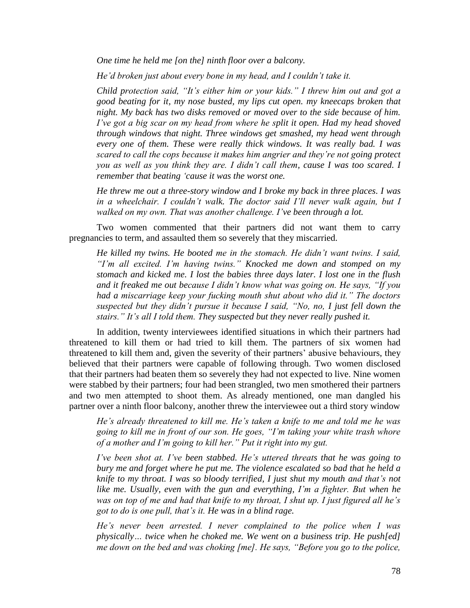*One time he held me [on the] ninth floor over a balcony.*

*He"d broken just about every bone in my head, and I couldn"t take it.*

*Child protection said, "It"s either him or your kids." I threw him out and got a good beating for it, my nose busted, my lips cut open. my kneecaps broken that night. My back has two disks removed or moved over to the side because of him. I've got a big scar on my head from where he split it open. Had my head shoved through windows that night. Three windows get smashed, my head went through every one of them. These were really thick windows. It was really bad. I was scared to call the cops because it makes him angrier and they"re not going protect you as well as you think they are. I didn"t call them, cause I was too scared. I remember that beating "cause it was the worst one.* 

*He threw me out a three-story window and I broke my back in three places. I was in a wheelchair. I couldn"t walk. The doctor said I"ll never walk again, but I walked on my own. That was another challenge. I"ve been through a lot.* 

Two women commented that their partners did not want them to carry pregnancies to term, and assaulted them so severely that they miscarried.

*He killed my twins. He booted me in the stomach. He didn"t want twins. I said, "I"m all excited. I"m having twins." Knocked me down and stomped on my stomach and kicked me. I lost the babies three days later. I lost one in the flush and it freaked me out because I didn"t know what was going on. He says, "If you had a miscarriage keep your fucking mouth shut about who did it." The doctors suspected but they didn"t pursue it because I said, "No, no, I just fell down the stairs." It's all I told them. They suspected but they never really pushed it.* 

In addition, twenty interviewees identified situations in which their partners had threatened to kill them or had tried to kill them. The partners of six women had threatened to kill them and, given the severity of their partners' abusive behaviours, they believed that their partners were capable of following through. Two women disclosed that their partners had beaten them so severely they had not expected to live. Nine women were stabbed by their partners; four had been strangled, two men smothered their partners and two men attempted to shoot them. As already mentioned, one man dangled his partner over a ninth floor balcony, another threw the interviewee out a third story window

*He"s already threatened to kill me. He"s taken a knife to me and told me he was going to kill me in front of our son. He goes, "I"m taking your white trash whore of a mother and I"m going to kill her." Put it right into my gut.*

*I"ve been shot at. I"ve been stabbed. He"s uttered threats that he was going to bury me and forget where he put me. The violence escalated so bad that he held a knife to my throat. I was so bloody terrified, I just shut my mouth and that"s not like me. Usually, even with the gun and everything, I"m a fighter. But when he was on top of me and had that knife to my throat, I shut up. I just figured all he"s got to do is one pull, that"s it. He was in a blind rage.*

*He"s never been arrested. I never complained to the police when I was physically… twice when he choked me. We went on a business trip. He push[ed] me down on the bed and was choking [me]. He says, "Before you go to the police,*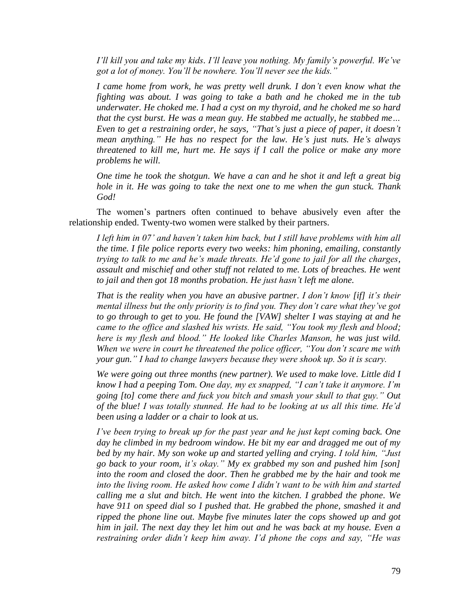*I'll kill you and take my kids. I'll leave you nothing. My family's powerful. We've got a lot of money. You"ll be nowhere. You"ll never see the kids."*

*I came home from work, he was pretty well drunk. I don"t even know what the fighting was about. I was going to take a bath and he choked me in the tub underwater. He choked me. I had a cyst on my thyroid, and he choked me so hard that the cyst burst. He was a mean guy. He stabbed me actually, he stabbed me… Even to get a restraining order, he says, "That"s just a piece of paper, it doesn"t mean anything." He has no respect for the law. He"s just nuts. He"s always threatened to kill me, hurt me. He says if I call the police or make any more problems he will.*

*One time he took the shotgun. We have a can and he shot it and left a great big hole in it. He was going to take the next one to me when the gun stuck. Thank God!*

The women's partners often continued to behave abusively even after the relationship ended. Twenty-two women were stalked by their partners.

*I left him in 07" and haven"t taken him back, but I still have problems with him all the time. I file police reports every two weeks: him phoning, emailing, constantly trying to talk to me and he"s made threats. He"d gone to jail for all the charges, assault and mischief and other stuff not related to me. Lots of breaches. He went to jail and then got 18 months probation. He just hasn"t left me alone.*

*That is the reality when you have an abusive partner. I don"t know [if] it"s their mental illness but the only priority is to find you. They don"t care what they"ve got to go through to get to you. He found the [VAW] shelter I was staying at and he came to the office and slashed his wrists. He said, "You took my flesh and blood; here is my flesh and blood." He looked like Charles Manson, he was just wild. When we were in court he threatened the police officer, "You don"t scare me with your gun." I had to change lawyers because they were shook up. So it is scary.*

*We were going out three months (new partner). We used to make love. Little did I know I had a peeping Tom. One day, my ex snapped, "I can"t take it anymore. I"m going [to] come there and fuck you bitch and smash your skull to that guy." Out of the blue! I was totally stunned. He had to be looking at us all this time. He"d been using a ladder or a chair to look at us.*

*I"ve been trying to break up for the past year and he just kept coming back. One day he climbed in my bedroom window. He bit my ear and dragged me out of my bed by my hair. My son woke up and started yelling and crying. I told him, "Just go back to your room, it"s okay." My ex grabbed my son and pushed him [son] into the room and closed the door. Then he grabbed me by the hair and took me into the living room. He asked how come I didn"t want to be with him and started calling me a slut and bitch. He went into the kitchen. I grabbed the phone. We have 911 on speed dial so I pushed that. He grabbed the phone, smashed it and ripped the phone line out. Maybe five minutes later the cops showed up and got him in jail. The next day they let him out and he was back at my house. Even a restraining order didn"t keep him away. I"d phone the cops and say, "He was*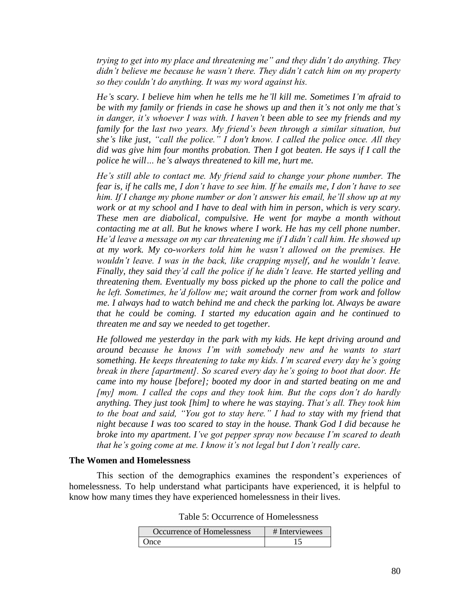*trying to get into my place and threatening me" and they didn"t do anything. They didn"t believe me because he wasn"t there. They didn"t catch him on my property so they couldn"t do anything. It was my word against his.*

*He"s scary. I believe him when he tells me he"ll kill me. Sometimes I"m afraid to be with my family or friends in case he shows up and then it"s not only me that"s in danger, it"s whoever I was with. I haven"t been able to see my friends and my family for the last two years. My friend"s been through a similar situation, but she"s like just, "call the police." I don't know. I called the police once. All they did was give him four months probation. Then I got beaten. He says if I call the police he will… he"s always threatened to kill me, hurt me.*

*He"s still able to contact me. My friend said to change your phone number. The fear is, if he calls me, I don"t have to see him. If he emails me, I don"t have to see him. If I change my phone number or don"t answer his email, he"ll show up at my work or at my school and I have to deal with him in person, which is very scary. These men are diabolical, compulsive. He went for maybe a month without contacting me at all. But he knows where I work. He has my cell phone number. He"d leave a message on my car threatening me if I didn"t call him. He showed up at my work. My co-workers told him he wasn"t allowed on the premises. He wouldn"t leave. I was in the back, like crapping myself, and he wouldn"t leave. Finally, they said they"d call the police if he didn"t leave. He started yelling and threatening them. Eventually my boss picked up the phone to call the police and he left. Sometimes, he"d follow me; wait around the corner from work and follow me. I always had to watch behind me and check the parking lot. Always be aware that he could be coming. I started my education again and he continued to threaten me and say we needed to get together.*

*He followed me yesterday in the park with my kids. He kept driving around and around because he knows I"m with somebody new and he wants to start something. He keeps threatening to take my kids. I"m scared every day he"s going break in there [apartment]. So scared every day he"s going to boot that door. He came into my house [before]; booted my door in and started beating on me and [my] mom. I called the cops and they took him. But the cops don"t do hardly anything. They just took [him] to where he was staying. That"s all. They took him to the boat and said, "You got to stay here." I had to stay with my friend that night because I was too scared to stay in the house. Thank God I did because he broke into my apartment. I"ve got pepper spray now because I"m scared to death that he"s going come at me. I know it"s not legal but I don"t really care.*

#### **The Women and Homelessness**

This section of the demographics examines the respondent's experiences of homelessness. To help understand what participants have experienced, it is helpful to know how many times they have experienced homelessness in their lives.

Table 5: Occurrence of Homelessness

| Occurrence of Homelessness | # Interviewees |  |
|----------------------------|----------------|--|
| Once                       |                |  |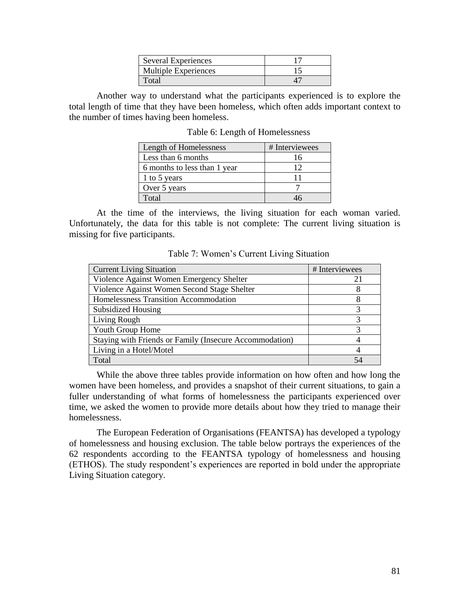| Several Experiences         |  |
|-----------------------------|--|
| <b>Multiple Experiences</b> |  |
| Total                       |  |

Another way to understand what the participants experienced is to explore the total length of time that they have been homeless, which often adds important context to the number of times having been homeless.

| Length of Homelessness       | # Interviewees |
|------------------------------|----------------|
| Less than 6 months           | 16             |
| 6 months to less than 1 year | 12             |
| 1 to 5 years                 | 11             |
| Over 5 years                 |                |
| Total                        |                |

Table 6: Length of Homelessness

At the time of the interviews, the living situation for each woman varied. Unfortunately, the data for this table is not complete: The current living situation is missing for five participants.

| <b>Current Living Situation</b>                         | # Interviewees |
|---------------------------------------------------------|----------------|
| Violence Against Women Emergency Shelter                | 21             |
| Violence Against Women Second Stage Shelter             | 8              |
| Homelessness Transition Accommodation                   |                |
| <b>Subsidized Housing</b>                               | 3              |
| Living Rough                                            | 3              |
| Youth Group Home                                        | 3              |
| Staying with Friends or Family (Insecure Accommodation) |                |
| Living in a Hotel/Motel                                 | 4              |
| Total                                                   |                |

Table 7: Women's Current Living Situation

While the above three tables provide information on how often and how long the women have been homeless, and provides a snapshot of their current situations, to gain a fuller understanding of what forms of homelessness the participants experienced over time, we asked the women to provide more details about how they tried to manage their homelessness.

The European Federation of Organisations (FEANTSA) has developed a typology of homelessness and housing exclusion. The table below portrays the experiences of the 62 respondents according to the FEANTSA typology of homelessness and housing (ETHOS). The study respondent's experiences are reported in bold under the appropriate Living Situation category.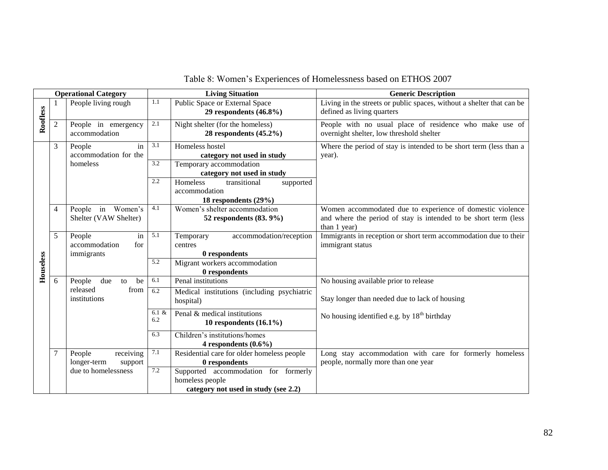| <b>Operational Category</b> |                |                                                    | <b>Living Situation</b> | <b>Generic Description</b>                                                     |                                                                                                                                              |
|-----------------------------|----------------|----------------------------------------------------|-------------------------|--------------------------------------------------------------------------------|----------------------------------------------------------------------------------------------------------------------------------------------|
| Roofless                    |                | People living rough                                | $1.1\,$                 | Public Space or External Space<br>29 respondents $(46.8\%)$                    | Living in the streets or public spaces, without a shelter that can be<br>defined as living quarters                                          |
|                             | $\overline{c}$ | People in emergency<br>accommodation               | 2.1                     | Night shelter (for the homeless)<br>28 respondents $(45.2\%)$                  | People with no usual place of residence who make use of<br>overnight shelter, low threshold shelter                                          |
|                             | 3              | People<br>in<br>accommodation for the              | 3.1<br>$\overline{3.2}$ | Homeless hostel<br>category not used in study                                  | Where the period of stay is intended to be short term (less than a<br>year).                                                                 |
|                             |                | homeless                                           |                         | Temporary accommodation<br>category not used in study                          |                                                                                                                                              |
|                             |                |                                                    | 2.2                     | Homeless<br>transitional<br>supported<br>accommodation<br>18 respondents (29%) |                                                                                                                                              |
|                             | 4              | Women's<br>People in<br>Shelter (VAW Shelter)      | 4.1                     | Women's shelter accommodation<br>52 respondents (83.9%)                        | Women accommodated due to experience of domestic violence<br>and where the period of stay is intended to be short term (less<br>than 1 year) |
|                             | 5              | People<br>in<br>accommodation<br>for<br>immigrants | 5.1                     | accommodation/reception<br>Temporary<br>centres<br>0 respondents               | Immigrants in reception or short term accommodation due to their<br>immigrant status                                                         |
| Houseless                   |                |                                                    | 5.2                     | Migrant workers accommodation<br>0 respondents                                 |                                                                                                                                              |
|                             | 6              | People<br>due<br>be<br>to                          | 6.1                     | Penal institutions                                                             | No housing available prior to release                                                                                                        |
|                             |                | released<br>from<br>institutions                   | $\overline{6.2}$        | Medical institutions (including psychiatric<br>hospital)                       | Stay longer than needed due to lack of housing                                                                                               |
|                             |                |                                                    | $6.1 \&$<br>6.2         | Penal & medical institutions<br>10 respondents $(16.1\%)$                      | No housing identified e.g. by $18th$ birthday                                                                                                |
|                             |                |                                                    | 6.3                     | Children's institutions/homes<br>4 respondents $(0.6\%)$                       |                                                                                                                                              |
|                             | 7              | receiving<br>People                                | 7.1                     | Residential care for older homeless people                                     | Long stay accommodation with care for formerly homeless                                                                                      |
|                             |                | longer-term<br>support<br>due to homelessness      | 7.2                     | 0 respondents                                                                  | people, normally more than one year                                                                                                          |
|                             |                |                                                    |                         | Supported accommodation for formerly<br>homeless people                        |                                                                                                                                              |
|                             |                |                                                    |                         | category not used in study (see 2.2)                                           |                                                                                                                                              |

# Table 8: Women's Experiences of Homelessness based on ETHOS 2007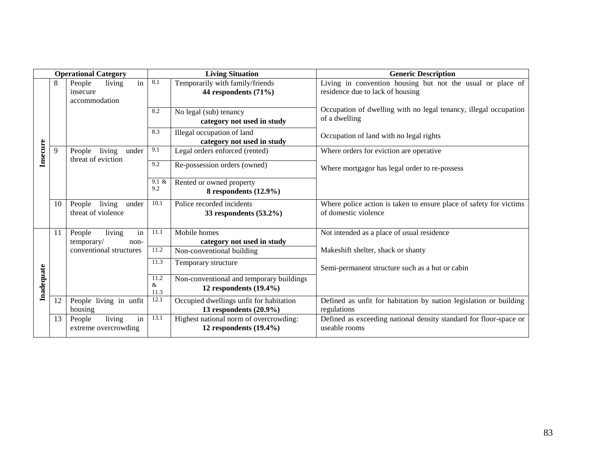| <b>Operational Category</b> |                 |                                                 | <b>Living Situation</b> | <b>Generic Description</b>                           |                                                                    |
|-----------------------------|-----------------|-------------------------------------------------|-------------------------|------------------------------------------------------|--------------------------------------------------------------------|
|                             | 8               | in<br>living<br>People                          | 8.1                     | Temporarily with family/friends                      | Living in convention housing but not the usual or place of         |
|                             |                 | insecure                                        |                         | 44 respondents (71%)                                 | residence due to lack of housing                                   |
|                             |                 | accommodation                                   |                         |                                                      |                                                                    |
|                             |                 |                                                 | 8.2                     | No legal (sub) tenancy                               | Occupation of dwelling with no legal tenancy, illegal occupation   |
|                             |                 |                                                 |                         | category not used in study                           | of a dwelling                                                      |
|                             |                 |                                                 | 8.3                     | Illegal occupation of land                           | Occupation of land with no legal rights                            |
|                             |                 |                                                 |                         | category not used in study                           |                                                                    |
| Insecure                    | 9               | living<br>People<br>under<br>threat of eviction | 9.1                     | Legal orders enforced (rented)                       | Where orders for eviction are operative                            |
|                             |                 |                                                 | 9.2                     | Re-possession orders (owned)                         | Where mortgagor has legal order to re-possess                      |
|                             |                 |                                                 | 9.1 &                   |                                                      |                                                                    |
|                             |                 |                                                 | 9.2                     | Rented or owned property<br>8 respondents $(12.9\%)$ |                                                                    |
|                             |                 |                                                 |                         |                                                      |                                                                    |
|                             | 10              | living<br>People<br>under                       | 10.1                    | Police recorded incidents                            | Where police action is taken to ensure place of safety for victims |
|                             |                 | threat of violence                              |                         | 33 respondents $(53.2\%)$                            | of domestic violence                                               |
|                             |                 |                                                 |                         |                                                      |                                                                    |
|                             | 11              | living<br>in<br>People                          | 11.1                    | Mobile homes                                         | Not intended as a place of usual residence                         |
|                             |                 | temporary/<br>non-                              | 11.2                    | category not used in study                           |                                                                    |
|                             |                 | conventional structures                         |                         | Non-conventional building                            | Makeshift shelter, shack or shanty                                 |
|                             |                 |                                                 | 11.3                    | Temporary structure                                  | Semi-permanent structure such as a hut or cabin                    |
|                             |                 |                                                 | 11.2                    | Non-conventional and temporary buildings             |                                                                    |
| Inadequate                  |                 |                                                 | $\&$<br>11.3            | 12 respondents $(19.4\%)$                            |                                                                    |
|                             | $\overline{12}$ | People living in unfit                          | 12.1                    | Occupied dwellings unfit for habitation              | Defined as unfit for habitation by nation legislation or building  |
|                             |                 | housing                                         |                         | 13 respondents $(20.9\%)$                            | regulations                                                        |
|                             | 13              | in<br>living<br>People                          | 13.1                    | Highest national norm of overcrowding:               | Defined as exceeding national density standard for floor-space or  |
|                             |                 | extreme overcrowding                            |                         | 12 respondents $(19.4\%)$                            | useable rooms                                                      |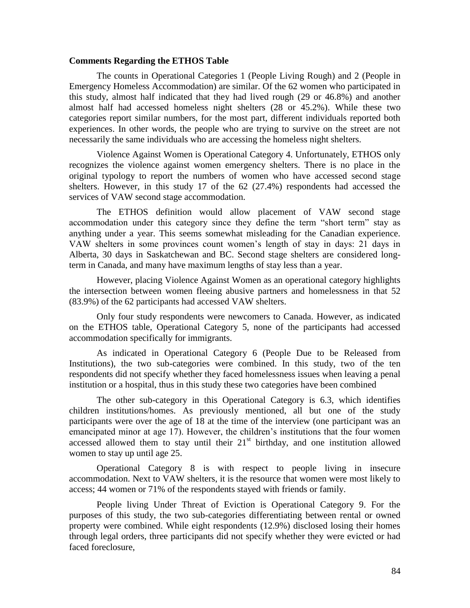# **Comments Regarding the ETHOS Table**

The counts in Operational Categories 1 (People Living Rough) and 2 (People in Emergency Homeless Accommodation) are similar. Of the 62 women who participated in this study, almost half indicated that they had lived rough (29 or 46.8%) and another almost half had accessed homeless night shelters (28 or 45.2%). While these two categories report similar numbers, for the most part, different individuals reported both experiences. In other words, the people who are trying to survive on the street are not necessarily the same individuals who are accessing the homeless night shelters.

Violence Against Women is Operational Category 4. Unfortunately, ETHOS only recognizes the violence against women emergency shelters. There is no place in the original typology to report the numbers of women who have accessed second stage shelters. However, in this study 17 of the 62 (27.4%) respondents had accessed the services of VAW second stage accommodation.

The ETHOS definition would allow placement of VAW second stage accommodation under this category since they define the term "short term" stay as anything under a year. This seems somewhat misleading for the Canadian experience. VAW shelters in some provinces count women's length of stay in days: 21 days in Alberta, 30 days in Saskatchewan and BC. Second stage shelters are considered longterm in Canada, and many have maximum lengths of stay less than a year.

However, placing Violence Against Women as an operational category highlights the intersection between women fleeing abusive partners and homelessness in that 52 (83.9%) of the 62 participants had accessed VAW shelters.

Only four study respondents were newcomers to Canada. However, as indicated on the ETHOS table, Operational Category 5, none of the participants had accessed accommodation specifically for immigrants.

As indicated in Operational Category 6 (People Due to be Released from Institutions), the two sub-categories were combined. In this study, two of the ten respondents did not specify whether they faced homelessness issues when leaving a penal institution or a hospital, thus in this study these two categories have been combined

The other sub-category in this Operational Category is 6.3, which identifies children institutions/homes. As previously mentioned, all but one of the study participants were over the age of 18 at the time of the interview (one participant was an emancipated minor at age 17). However, the children's institutions that the four women accessed allowed them to stay until their  $21<sup>st</sup>$  birthday, and one institution allowed women to stay up until age 25.

Operational Category 8 is with respect to people living in insecure accommodation. Next to VAW shelters, it is the resource that women were most likely to access; 44 women or 71% of the respondents stayed with friends or family.

People living Under Threat of Eviction is Operational Category 9. For the purposes of this study, the two sub-categories differentiating between rental or owned property were combined. While eight respondents (12.9%) disclosed losing their homes through legal orders, three participants did not specify whether they were evicted or had faced foreclosure,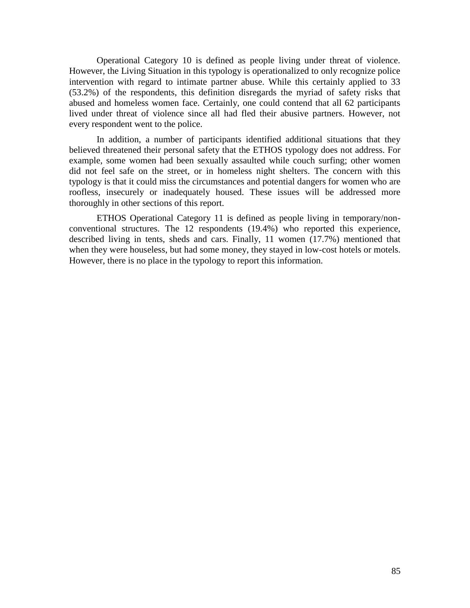Operational Category 10 is defined as people living under threat of violence. However, the Living Situation in this typology is operationalized to only recognize police intervention with regard to intimate partner abuse. While this certainly applied to 33 (53.2%) of the respondents, this definition disregards the myriad of safety risks that abused and homeless women face. Certainly, one could contend that all 62 participants lived under threat of violence since all had fled their abusive partners. However, not every respondent went to the police.

In addition, a number of participants identified additional situations that they believed threatened their personal safety that the ETHOS typology does not address. For example, some women had been sexually assaulted while couch surfing; other women did not feel safe on the street, or in homeless night shelters. The concern with this typology is that it could miss the circumstances and potential dangers for women who are roofless, insecurely or inadequately housed. These issues will be addressed more thoroughly in other sections of this report.

ETHOS Operational Category 11 is defined as people living in temporary/nonconventional structures. The 12 respondents (19.4%) who reported this experience, described living in tents, sheds and cars. Finally, 11 women (17.7%) mentioned that when they were houseless, but had some money, they stayed in low-cost hotels or motels. However, there is no place in the typology to report this information.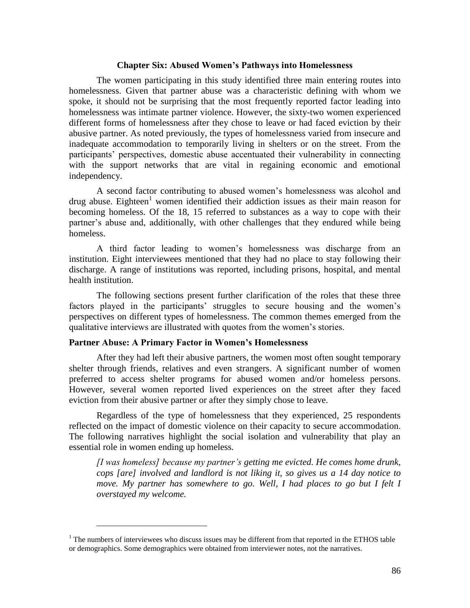## **Chapter Six: Abused Women's Pathways into Homelessness**

The women participating in this study identified three main entering routes into homelessness. Given that partner abuse was a characteristic defining with whom we spoke, it should not be surprising that the most frequently reported factor leading into homelessness was intimate partner violence. However, the sixty-two women experienced different forms of homelessness after they chose to leave or had faced eviction by their abusive partner. As noted previously, the types of homelessness varied from insecure and inadequate accommodation to temporarily living in shelters or on the street. From the participants' perspectives, domestic abuse accentuated their vulnerability in connecting with the support networks that are vital in regaining economic and emotional independency.

A second factor contributing to abused women's homelessness was alcohol and drug abuse. Eighteen<sup>1</sup> women identified their addiction issues as their main reason for becoming homeless. Of the 18, 15 referred to substances as a way to cope with their partner's abuse and, additionally, with other challenges that they endured while being homeless.

A third factor leading to women's homelessness was discharge from an institution. Eight interviewees mentioned that they had no place to stay following their discharge. A range of institutions was reported, including prisons, hospital, and mental health institution.

The following sections present further clarification of the roles that these three factors played in the participants' struggles to secure housing and the women's perspectives on different types of homelessness. The common themes emerged from the qualitative interviews are illustrated with quotes from the women's stories.

# **Partner Abuse: A Primary Factor in Women's Homelessness**

 $\overline{a}$ 

After they had left their abusive partners, the women most often sought temporary shelter through friends, relatives and even strangers. A significant number of women preferred to access shelter programs for abused women and/or homeless persons. However, several women reported lived experiences on the street after they faced eviction from their abusive partner or after they simply chose to leave.

Regardless of the type of homelessness that they experienced, 25 respondents reflected on the impact of domestic violence on their capacity to secure accommodation. The following narratives highlight the social isolation and vulnerability that play an essential role in women ending up homeless.

*[I was homeless] because my partner"s getting me evicted. He comes home drunk, cops [are] involved and landlord is not liking it, so gives us a 14 day notice to move. My partner has somewhere to go. Well, I had places to go but I felt I overstayed my welcome.* 

 $1$ . The numbers of interviewees who discuss issues may be different from that reported in the ETHOS table or demographics. Some demographics were obtained from interviewer notes, not the narratives.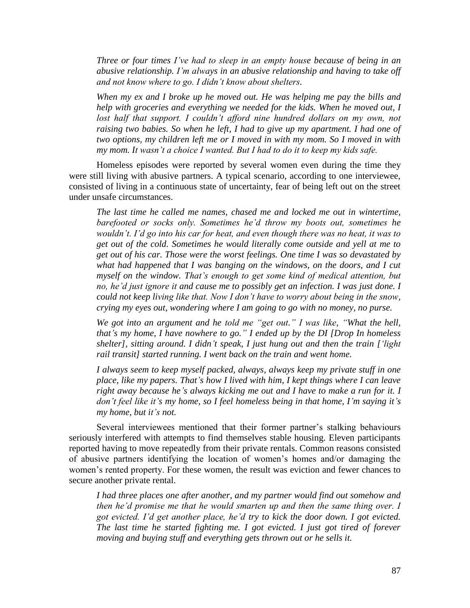*Three or four times I"ve had to sleep in an empty house because of being in an abusive relationship. I"m always in an abusive relationship and having to take off and not know where to go. I didn"t know about shelters.* 

*When my ex and I broke up he moved out. He was helping me pay the bills and help with groceries and everything we needed for the kids. When he moved out, I lost half that support. I couldn't afford nine hundred dollars on my own, not raising two babies. So when he left, I had to give up my apartment. I had one of two options, my children left me or I moved in with my mom. So I moved in with my mom. It wasn"t a choice I wanted. But I had to do it to keep my kids safe.*

Homeless episodes were reported by several women even during the time they were still living with abusive partners. A typical scenario, according to one interviewee, consisted of living in a continuous state of uncertainty, fear of being left out on the street under unsafe circumstances.

*The last time he called me names, chased me and locked me out in wintertime, barefooted or socks only. Sometimes he"d throw my boots out, sometimes he wouldn"t. I"d go into his car for heat, and even though there was no heat, it was to get out of the cold. Sometimes he would literally come outside and yell at me to get out of his car. Those were the worst feelings. One time I was so devastated by what had happened that I was banging on the windows, on the doors, and I cut myself on the window. That"s enough to get some kind of medical attention, but no, he"d just ignore it and cause me to possibly get an infection. I was just done. I could not keep living like that. Now I don"t have to worry about being in the snow, crying my eyes out, wondering where I am going to go with no money, no purse.*

*We got into an argument and he told me "get out." I was like, "What the hell, that"s my home, I have nowhere to go." I ended up by the DI [Drop In homeless shelter], sitting around. I didn"t speak, I just hung out and then the train ["light rail transit] started running. I went back on the train and went home.*

*I always seem to keep myself packed, always, always keep my private stuff in one place, like my papers. That"s how I lived with him, I kept things where I can leave right away because he"s always kicking me out and I have to make a run for it. I don't feel like it's my home, so I feel homeless being in that home, I'm saying it's my home, but it"s not.*

Several interviewees mentioned that their former partner's stalking behaviours seriously interfered with attempts to find themselves stable housing. Eleven participants reported having to move repeatedly from their private rentals. Common reasons consisted of abusive partners identifying the location of women's homes and/or damaging the women's rented property. For these women, the result was eviction and fewer chances to secure another private rental.

*I had three places one after another, and my partner would find out somehow and then he'd promise me that he would smarten up and then the same thing over. I got evicted. I"d get another place, he"d try to kick the door down. I got evicted. The last time he started fighting me. I got evicted. I just got tired of forever moving and buying stuff and everything gets thrown out or he sells it.*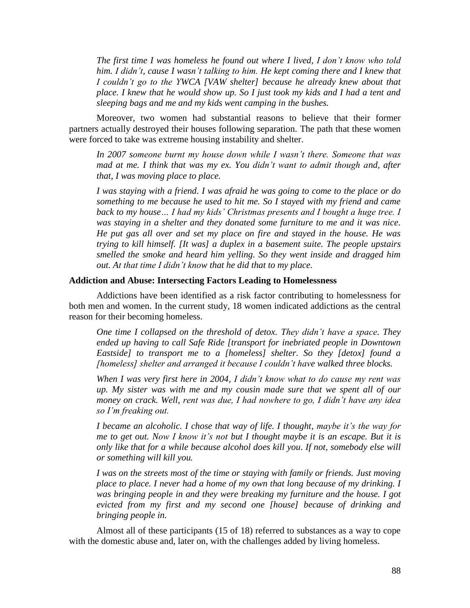*The first time I was homeless he found out where I lived, I don"t know who told him. I didn"t, cause I wasn"t talking to him. He kept coming there and I knew that I couldn"t go to the YWCA [VAW shelter] because he already knew about that place. I knew that he would show up. So I just took my kids and I had a tent and sleeping bags and me and my kids went camping in the bushes.*

Moreover, two women had substantial reasons to believe that their former partners actually destroyed their houses following separation. The path that these women were forced to take was extreme housing instability and shelter.

*In 2007 someone burnt my house down while I wasn"t there. Someone that was mad at me. I think that was my ex. You didn"t want to admit though and, after that, I was moving place to place.*

*I was staying with a friend. I was afraid he was going to come to the place or do something to me because he used to hit me. So I stayed with my friend and came back to my house… I had my kids" Christmas presents and I bought a huge tree. I was staying in a shelter and they donated some furniture to me and it was nice. He put gas all over and set my place on fire and stayed in the house. He was trying to kill himself. [It was] a duplex in a basement suite. The people upstairs smelled the smoke and heard him yelling. So they went inside and dragged him out. At that time I didn"t know that he did that to my place.*

# **Addiction and Abuse: Intersecting Factors Leading to Homelessness**

Addictions have been identified as a risk factor contributing to homelessness for both men and women. In the current study, 18 women indicated addictions as the central reason for their becoming homeless.

*One time I collapsed on the threshold of detox. They didn"t have a space. They ended up having to call Safe Ride [transport for inebriated people in Downtown Eastside] to transport me to a [homeless] shelter. So they [detox] found a [homeless] shelter and arranged it because I couldn"t have walked three blocks.* 

*When I was very first here in 2004, I didn"t know what to do cause my rent was up. My sister was with me and my cousin made sure that we spent all of our money on crack. Well, rent was due, I had nowhere to go, I didn"t have any idea so I"m freaking out.*

*I became an alcoholic. I chose that way of life. I thought, maybe it's the way for me to get out. Now I know it's not but I thought maybe it is an escape. But it is only like that for a while because alcohol does kill you. If not, somebody else will or something will kill you.*

*I was on the streets most of the time or staying with family or friends. Just moving place to place. I never had a home of my own that long because of my drinking. I was bringing people in and they were breaking my furniture and the house. I got evicted from my first and my second one [house] because of drinking and bringing people in.*

Almost all of these participants (15 of 18) referred to substances as a way to cope with the domestic abuse and, later on, with the challenges added by living homeless.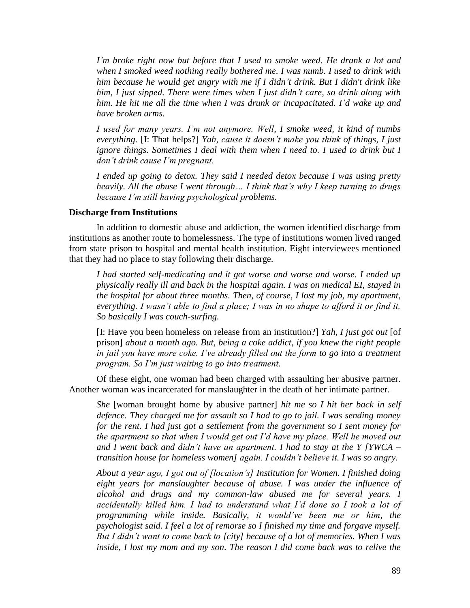*I"m broke right now but before that I used to smoke weed. He drank a lot and when I smoked weed nothing really bothered me. I was numb. I used to drink with him because he would get angry with me if I didn"t drink. But I didn't drink like him, I just sipped. There were times when I just didn"t care, so drink along with him. He hit me all the time when I was drunk or incapacitated. I"d wake up and have broken arms.* 

*I used for many years. I"m not anymore. Well, I smoke weed, it kind of numbs everything.* [I: That helps?] *Yah, cause it doesn"t make you think of things, I just ignore things. Sometimes I deal with them when I need to. I used to drink but I don"t drink cause I"m pregnant.*

*I ended up going to detox. They said I needed detox because I was using pretty heavily. All the abuse I went through… I think that"s why I keep turning to drugs because I"m still having psychological problems.*

#### **Discharge from Institutions**

In addition to domestic abuse and addiction, the women identified discharge from institutions as another route to homelessness. The type of institutions women lived ranged from state prison to hospital and mental health institution. Eight interviewees mentioned that they had no place to stay following their discharge.

*I had started self-medicating and it got worse and worse and worse. I ended up physically really ill and back in the hospital again. I was on medical EI, stayed in the hospital for about three months. Then, of course, I lost my job, my apartment, everything. I wasn"t able to find a place; I was in no shape to afford it or find it. So basically I was couch-surfing.*

[I: Have you been homeless on release from an institution?] *Yah, I just got out* [of prison] *about a month ago. But, being a coke addict, if you knew the right people in jail you have more coke. I"ve already filled out the form to go into a treatment program. So I"m just waiting to go into treatment.*

Of these eight, one woman had been charged with assaulting her abusive partner. Another woman was incarcerated for manslaughter in the death of her intimate partner.

*She* [woman brought home by abusive partner] *hit me so I hit her back in self defence. They charged me for assault so I had to go to jail. I was sending money for the rent. I had just got a settlement from the government so I sent money for the apartment so that when I would get out I"d have my place. Well he moved out and I went back and didn"t have an apartment. I had to stay at the Y [YWCA – transition house for homeless women] again. I couldn"t believe it. I was so angry.* 

*About a year ago, I got out of [location"s] Institution for Women. I finished doing eight years for manslaughter because of abuse. I was under the influence of alcohol and drugs and my common-law abused me for several years. I accidentally killed him. I had to understand what I"d done so I took a lot of programming while inside. Basically, it would"ve been me or him, the psychologist said. I feel a lot of remorse so I finished my time and forgave myself. But I didn"t want to come back to [city] because of a lot of memories. When I was inside, I lost my mom and my son. The reason I did come back was to relive the*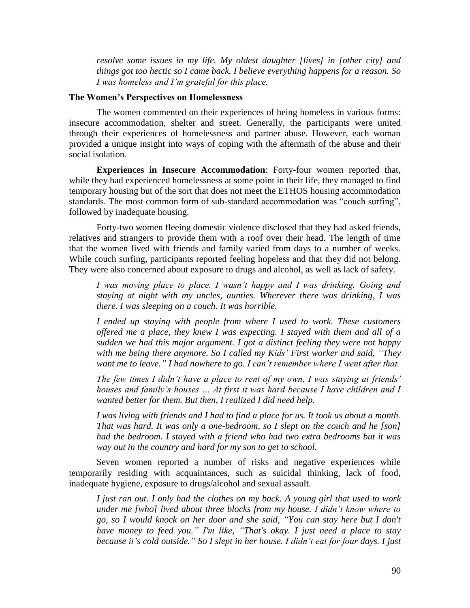*resolve some issues in my life. My oldest daughter [lives] in [other city] and things got too hectic so I came back. I believe everything happens for a reason. So I was homeless and I"m grateful for this place.* 

# **The Women's Perspectives on Homelessness**

The women commented on their experiences of being homeless in various forms: insecure accommodation, shelter and street. Generally, the participants were united through their experiences of homelessness and partner abuse. However, each woman provided a unique insight into ways of coping with the aftermath of the abuse and their social isolation.

**Experiences in Insecure Accommodation**: Forty-four women reported that, while they had experienced homelessness at some point in their life, they managed to find temporary housing but of the sort that does not meet the ETHOS housing accommodation standards. The most common form of sub-standard accommodation was "couch surfing", followed by inadequate housing.

Forty-two women fleeing domestic violence disclosed that they had asked friends, relatives and strangers to provide them with a roof over their head. The length of time that the women lived with friends and family varied from days to a number of weeks. While couch surfing, participants reported feeling hopeless and that they did not belong. They were also concerned about exposure to drugs and alcohol, as well as lack of safety.

*I was moving place to place. I wasn"t happy and I was drinking. Going and staying at night with my uncles, aunties. Wherever there was drinking, I was there. I was sleeping on a couch. It was horrible.* 

*I ended up staying with people from where I used to work. These customers offered me a place, they knew I was expecting. I stayed with them and all of a sudden we had this major argument. I got a distinct feeling they were not happy with me being there anymore. So I called my Kids" First worker and said, "They want me to leave." I had nowhere to go. I can"t remember where I went after that.*

*The few times I didn"t have a place to rent of my own, I was staying at friends" houses and family"s houses … At first it was hard because I have children and I wanted better for them. But then, I realized I did need help.*

*I was living with friends and I had to find a place for us. It took us about a month. That was hard. It was only a one-bedroom, so I slept on the couch and he [son] had the bedroom. I stayed with a friend who had two extra bedrooms but it was way out in the country and hard for my son to get to school.* 

Seven women reported a number of risks and negative experiences while temporarily residing with acquaintances, such as suicidal thinking, lack of food, inadequate hygiene, exposure to drugs/alcohol and sexual assault.

*I just ran out. I only had the clothes on my back. A young girl that used to work under me [who] lived about three blocks from my house. I didn"t know where to go, so I would knock on her door and she said, "You can stay here but I don't have money to feed you." I'm like, "That's okay. I just need a place to stay because it"s cold outside." So I slept in her house. I didn"t eat for four days. I just*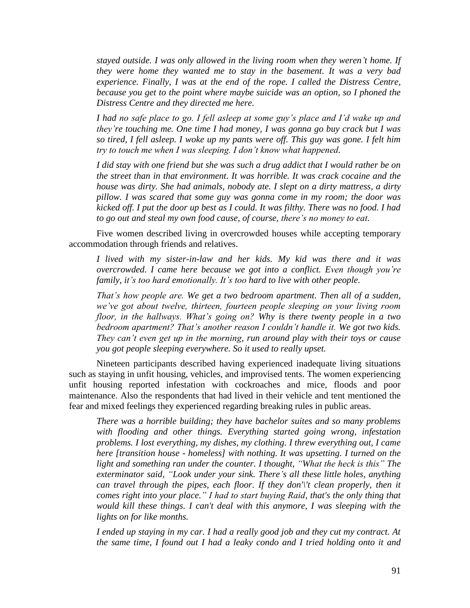*stayed outside. I was only allowed in the living room when they weren"t home. If they were home they wanted me to stay in the basement. It was a very bad experience. Finally, I was at the end of the rope. I called the Distress Centre, because you get to the point where maybe suicide was an option, so I phoned the Distress Centre and they directed me here.*

*I had no safe place to go. I fell asleep at some guy"s place and I"d wake up and they"re touching me. One time I had money, I was gonna go buy crack but I was so tired, I fell asleep. I woke up my pants were off. This guy was gone. I felt him try to touch me when I was sleeping. I don"t know what happened.*

*I did stay with one friend but she was such a drug addict that I would rather be on the street than in that environment. It was horrible. It was crack cocaine and the house was dirty. She had animals, nobody ate. I slept on a dirty mattress, a dirty pillow. I was scared that some guy was gonna come in my room; the door was kicked off. I put the door up best as I could. It was filthy. There was no food. I had to go out and steal my own food cause, of course, there"s no money to eat.* 

Five women described living in overcrowded houses while accepting temporary accommodation through friends and relatives.

*I lived with my sister-in-law and her kids. My kid was there and it was overcrowded. I came here because we got into a conflict. Even though you"re family, it"s too hard emotionally. It"s too hard to live with other people.*

*That"s how people are. We get a two bedroom apartment. Then all of a sudden, we"ve got about twelve, thirteen, fourteen people sleeping on your living room floor, in the hallways. What"s going on? Why is there twenty people in a two bedroom apartment? That"s another reason I couldn"t handle it. We got two kids. They can"t even get up in the morning, run around play with their toys or cause you got people sleeping everywhere. So it used to really upset.*

Nineteen participants described having experienced inadequate living situations such as staying in unfit housing, vehicles, and improvised tents. The women experiencing unfit housing reported infestation with cockroaches and mice, floods and poor maintenance. Also the respondents that had lived in their vehicle and tent mentioned the fear and mixed feelings they experienced regarding breaking rules in public areas.

*There was a horrible building; they have bachelor suites and so many problems with flooding and other things. Everything started going wrong, infestation problems. I lost everything, my dishes, my clothing. I threw everything out, I came here [transition house - homeless] with nothing. It was upsetting. I turned on the light and something ran under the counter. I thought, "What the heck is this" The exterminator said, "Look under your sink. There"s all these little holes, anything can travel through the pipes, each floor. If they don'\'t clean properly, then it comes right into your place." I had to start buying Raid, that's the only thing that would kill these things. I can't deal with this anymore, I was sleeping with the lights on for like months.* 

*I ended up staying in my car. I had a really good job and they cut my contract. At the same time, I found out I had a leaky condo and I tried holding onto it and*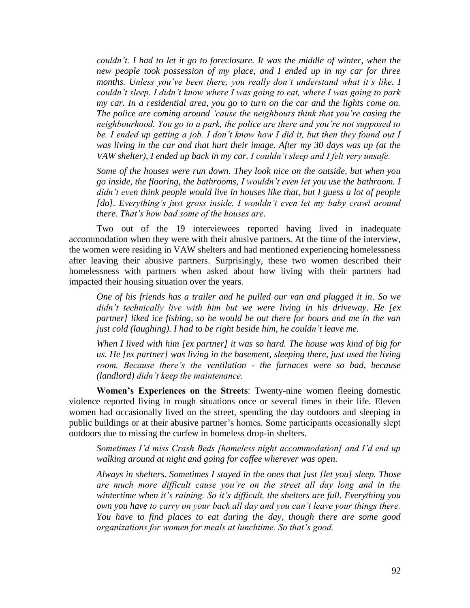*couldn"t. I had to let it go to foreclosure. It was the middle of winter, when the new people took possession of my place, and I ended up in my car for three months. Unless you"ve been there, you really don"t understand what it"s like. I couldn"t sleep. I didn"t know where I was going to eat, where I was going to park my car. In a residential area, you go to turn on the car and the lights come on. The police are coming around "cause the neighbours think that you"re casing the neighbourhood. You go to a park, the police are there and you"re not supposed to be. I ended up getting a job. I don"t know how I did it, but then they found out I was living in the car and that hurt their image. After my 30 days was up (at the VAW shelter), I ended up back in my car. I couldn"t sleep and I felt very unsafe.*

*Some of the houses were run down. They look nice on the outside, but when you go inside, the flooring, the bathrooms, I wouldn"t even let you use the bathroom. I didn"t even think people would live in houses like that, but I guess a lot of people [do]. Everything"s just gross inside. I wouldn"t even let my baby crawl around there. That"s how bad some of the houses are.* 

Two out of the 19 interviewees reported having lived in inadequate accommodation when they were with their abusive partners. At the time of the interview, the women were residing in VAW shelters and had mentioned experiencing homelessness after leaving their abusive partners. Surprisingly, these two women described their homelessness with partners when asked about how living with their partners had impacted their housing situation over the years.

*One of his friends has a trailer and he pulled our van and plugged it in. So we didn"t technically live with him but we were living in his driveway. He [ex partner] liked ice fishing, so he would be out there for hours and me in the van just cold (laughing). I had to be right beside him, he couldn"t leave me.*

*When I lived with him [ex partner] it was so hard. The house was kind of big for us. He [ex partner] was living in the basement, sleeping there, just used the living room. Because there"s the ventilation - the furnaces were so bad, because (landlord) didn"t keep the maintenance.*

**Women's Experiences on the Streets**: Twenty-nine women fleeing domestic violence reported living in rough situations once or several times in their life. Eleven women had occasionally lived on the street, spending the day outdoors and sleeping in public buildings or at their abusive partner's homes. Some participants occasionally slept outdoors due to missing the curfew in homeless drop-in shelters.

*Sometimes I"d miss Crash Beds [homeless night accommodation] and I"d end up walking around at night and going for coffee wherever was open.*

*Always in shelters. Sometimes I stayed in the ones that just [let you] sleep. Those are much more difficult cause you"re on the street all day long and in the wintertime when it"s raining. So it"s difficult, the shelters are full. Everything you own you have to carry on your back all day and you can"t leave your things there. You have to find places to eat during the day, though there are some good organizations for women for meals at lunchtime. So that"s good.*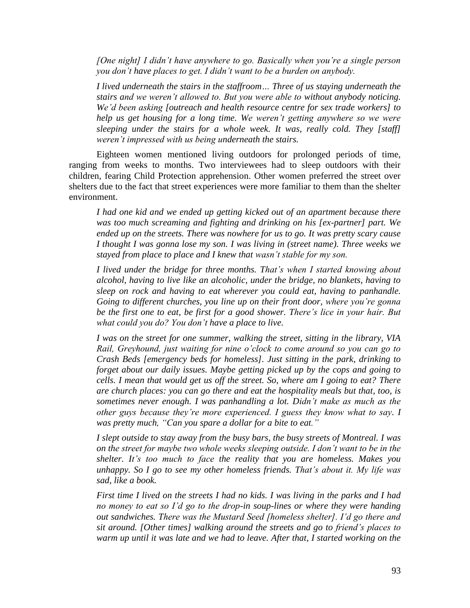*[One night] I didn"t have anywhere to go. Basically when you"re a single person you don"t have places to get. I didn"t want to be a burden on anybody.* 

*I lived underneath the stairs in the staffroom… Three of us staying underneath the stairs and we weren"t allowed to. But you were able to without anybody noticing. We"d been asking [outreach and health resource centre for sex trade workers] to help us get housing for a long time. We weren"t getting anywhere so we were sleeping under the stairs for a whole week. It was, really cold. They [staff] weren"t impressed with us being underneath the stairs.* 

Eighteen women mentioned living outdoors for prolonged periods of time, ranging from weeks to months. Two interviewees had to sleep outdoors with their children, fearing Child Protection apprehension. Other women preferred the street over shelters due to the fact that street experiences were more familiar to them than the shelter environment.

*I had one kid and we ended up getting kicked out of an apartment because there was too much screaming and fighting and drinking on his [ex-partner] part. We ended up on the streets. There was nowhere for us to go. It was pretty scary cause I thought I was gonna lose my son. I was living in (street name). Three weeks we stayed from place to place and I knew that wasn"t stable for my son.*

*I lived under the bridge for three months. That"s when I started knowing about alcohol, having to live like an alcoholic, under the bridge, no blankets, having to sleep on rock and having to eat wherever you could eat, having to panhandle. Going to different churches, you line up on their front door, where you"re gonna be the first one to eat, be first for a good shower. There"s lice in your hair. But what could you do? You don"t have a place to live.*

*I was on the street for one summer, walking the street, sitting in the library, VIA Rail, Greyhound, just waiting for nine o"clock to come around so you can go to Crash Beds [emergency beds for homeless]. Just sitting in the park, drinking to forget about our daily issues. Maybe getting picked up by the cops and going to cells. I mean that would get us off the street. So, where am I going to eat? There are church places: you can go there and eat the hospitality meals but that, too, is sometimes never enough. I was panhandling a lot. Didn"t make as much as the other guys because they"re more experienced. I guess they know what to say. I was pretty much, "Can you spare a dollar for a bite to eat."* 

*I slept outside to stay away from the busy bars, the busy streets of Montreal. I was on the street for maybe two whole weeks sleeping outside. I don"t want to be in the shelter. It"s too much to face the reality that you are homeless. Makes you unhappy. So I go to see my other homeless friends. That"s about it. My life was sad, like a book.*

*First time I lived on the streets I had no kids. I was living in the parks and I had no money to eat so I"d go to the drop-in soup-lines or where they were handing out sandwiches. There was the Mustard Seed [homeless shelter]. I"d go there and sit around. [Other times] walking around the streets and go to friend"s places to warm up until it was late and we had to leave. After that, I started working on the*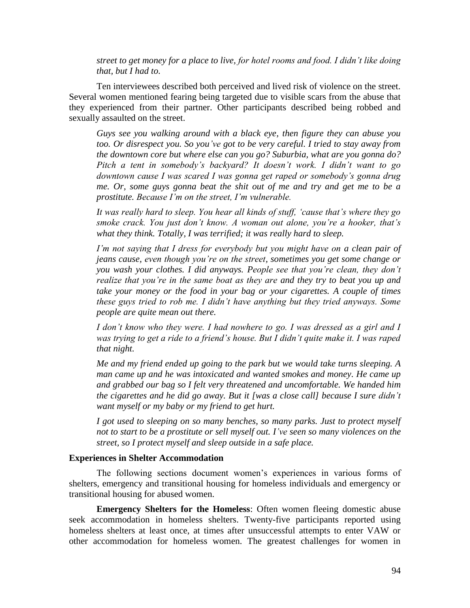*street to get money for a place to live, for hotel rooms and food. I didn"t like doing that, but I had to.*

Ten interviewees described both perceived and lived risk of violence on the street. Several women mentioned fearing being targeted due to visible scars from the abuse that they experienced from their partner. Other participants described being robbed and sexually assaulted on the street.

*Guys see you walking around with a black eye, then figure they can abuse you too. Or disrespect you. So you"ve got to be very careful. I tried to stay away from the downtown core but where else can you go? Suburbia, what are you gonna do? Pitch a tent in somebody"s backyard? It doesn"t work. I didn"t want to go downtown cause I was scared I was gonna get raped or somebody"s gonna drug me. Or, some guys gonna beat the shit out of me and try and get me to be a prostitute. Because I"m on the street, I"m vulnerable.* 

*It was really hard to sleep. You hear all kinds of stuff, "cause that"s where they go smoke crack. You just don"t know. A woman out alone, you"re a hooker, that"s what they think. Totally, I was terrified; it was really hard to sleep.*

*I"m not saying that I dress for everybody but you might have on a clean pair of jeans cause, even though you"re on the street, sometimes you get some change or you wash your clothes. I did anyways. People see that you"re clean, they don"t realize that you"re in the same boat as they are and they try to beat you up and take your money or the food in your bag or your cigarettes. A couple of times these guys tried to rob me. I didn"t have anything but they tried anyways. Some people are quite mean out there.* 

*I don"t know who they were. I had nowhere to go. I was dressed as a girl and I was trying to get a ride to a friend"s house. But I didn"t quite make it. I was raped that night.*

*Me and my friend ended up going to the park but we would take turns sleeping. A man came up and he was intoxicated and wanted smokes and money. He came up and grabbed our bag so I felt very threatened and uncomfortable. We handed him the cigarettes and he did go away. But it [was a close call] because I sure didn"t want myself or my baby or my friend to get hurt.*

*I got used to sleeping on so many benches, so many parks. Just to protect myself not to start to be a prostitute or sell myself out. I"ve seen so many violences on the street, so I protect myself and sleep outside in a safe place.*

#### **Experiences in Shelter Accommodation**

The following sections document women's experiences in various forms of shelters, emergency and transitional housing for homeless individuals and emergency or transitional housing for abused women.

**Emergency Shelters for the Homeless**: Often women fleeing domestic abuse seek accommodation in homeless shelters. Twenty-five participants reported using homeless shelters at least once, at times after unsuccessful attempts to enter VAW or other accommodation for homeless women. The greatest challenges for women in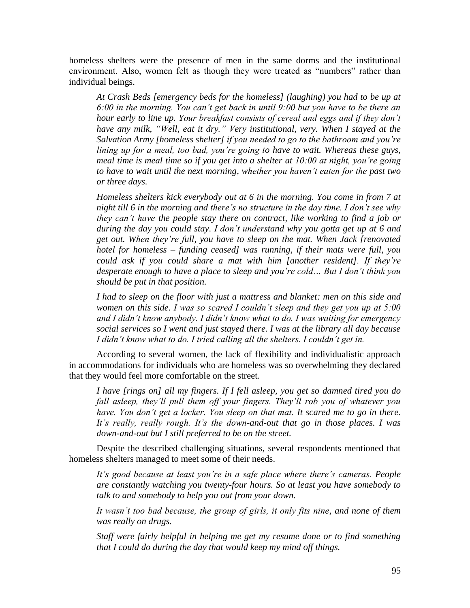homeless shelters were the presence of men in the same dorms and the institutional environment. Also, women felt as though they were treated as "numbers" rather than individual beings.

*At Crash Beds [emergency beds for the homeless] (laughing) you had to be up at 6:00 in the morning. You can"t get back in until 9:00 but you have to be there an hour early to line up. Your breakfast consists of cereal and eggs and if they don't have any milk, "Well, eat it dry." Very institutional, very. When I stayed at the Salvation Army [homeless shelter] if you needed to go to the bathroom and you"re lining up for a meal, too bad, you"re going to have to wait. Whereas these guys, meal time is meal time so if you get into a shelter at 10:00 at night, you"re going to have to wait until the next morning, whether you haven"t eaten for the past two or three days.* 

*Homeless shelters kick everybody out at 6 in the morning. You come in from 7 at night till 6 in the morning and there"s no structure in the day time. I don"t see why they can"t have the people stay there on contract, like working to find a job or during the day you could stay. I don"t understand why you gotta get up at 6 and get out. When they"re full, you have to sleep on the mat. When Jack [renovated hotel for homeless – funding ceased] was running, if their mats were full, you could ask if you could share a mat with him [another resident]. If they"re desperate enough to have a place to sleep and you"re cold… But I don"t think you should be put in that position.*

*I had to sleep on the floor with just a mattress and blanket: men on this side and women on this side. I was so scared I couldn"t sleep and they get you up at 5:00 and I didn"t know anybody. I didn"t know what to do. I was waiting for emergency social services so I went and just stayed there. I was at the library all day because I didn"t know what to do. I tried calling all the shelters. I couldn"t get in.*

According to several women, the lack of flexibility and individualistic approach in accommodations for individuals who are homeless was so overwhelming they declared that they would feel more comfortable on the street.

*I have [rings on] all my fingers. If I fell asleep, you get so damned tired you do fall asleep, they"ll pull them off your fingers. They"ll rob you of whatever you have. You don"t get a locker. You sleep on that mat. It scared me to go in there. It"s really, really rough. It"s the down-and-out that go in those places. I was down-and-out but I still preferred to be on the street.*

Despite the described challenging situations, several respondents mentioned that homeless shelters managed to meet some of their needs.

*It"s good because at least you"re in a safe place where there"s cameras. People are constantly watching you twenty-four hours. So at least you have somebody to talk to and somebody to help you out from your down.*

*It wasn"t too bad because, the group of girls, it only fits nine, and none of them was really on drugs.*

*Staff were fairly helpful in helping me get my resume done or to find something that I could do during the day that would keep my mind off things.*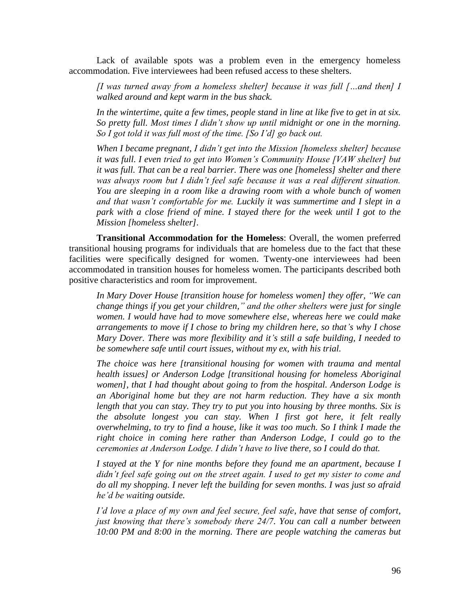Lack of available spots was a problem even in the emergency homeless accommodation. Five interviewees had been refused access to these shelters.

*[I was turned away from a homeless shelter] because it was full […and then] I walked around and kept warm in the bus shack.*

*In the wintertime, quite a few times, people stand in line at like five to get in at six. So pretty full. Most times I didn"t show up until midnight or one in the morning. So I got told it was full most of the time. [So I"d] go back out.*

*When I became pregnant, I didn"t get into the Mission [homeless shelter] because it was full. I even tried to get into Women"s Community House [VAW shelter] but it was full. That can be a real barrier. There was one [homeless] shelter and there was always room but I didn"t feel safe because it was a real different situation. You are sleeping in a room like a drawing room with a whole bunch of women and that wasn"t comfortable for me. Luckily it was summertime and I slept in a park with a close friend of mine. I stayed there for the week until I got to the Mission [homeless shelter].*

**Transitional Accommodation for the Homeless**: Overall, the women preferred transitional housing programs for individuals that are homeless due to the fact that these facilities were specifically designed for women. Twenty-one interviewees had been accommodated in transition houses for homeless women. The participants described both positive characteristics and room for improvement.

*In Mary Dover House [transition house for homeless women] they offer, "We can change things if you get your children," and the other shelters were just for single women. I would have had to move somewhere else, whereas here we could make arrangements to move if I chose to bring my children here, so that"s why I chose Mary Dover. There was more flexibility and it"s still a safe building, I needed to be somewhere safe until court issues, without my ex, with his trial.* 

*The choice was here [transitional housing for women with trauma and mental health issues] or Anderson Lodge [transitional housing for homeless Aboriginal women], that I had thought about going to from the hospital. Anderson Lodge is an Aboriginal home but they are not harm reduction. They have a six month length that you can stay. They try to put you into housing by three months. Six is the absolute longest you can stay. When I first got here, it felt really overwhelming, to try to find a house, like it was too much. So I think I made the right choice in coming here rather than Anderson Lodge, I could go to the ceremonies at Anderson Lodge. I didn"t have to live there, so I could do that.* 

*I stayed at the Y for nine months before they found me an apartment, because I didn"t feel safe going out on the street again. I used to get my sister to come and do all my shopping. I never left the building for seven months. I was just so afraid he"d be waiting outside.*

*I"d love a place of my own and feel secure, feel safe, have that sense of comfort, just knowing that there"s somebody there 24/7. You can call a number between 10:00 PM and 8:00 in the morning. There are people watching the cameras but*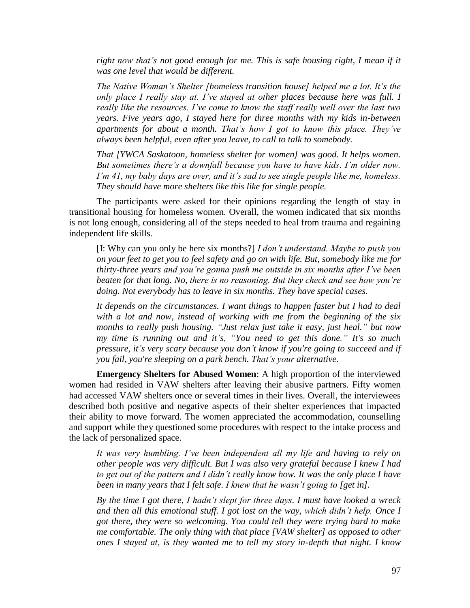*right now that"s not good enough for me. This is safe housing right, I mean if it was one level that would be different.*

*The Native Woman's Shelter [homeless transition house] helped me a lot. It's the only place I really stay at. I"ve stayed at other places because here was full. I really like the resources. I"ve come to know the staff really well over the last two years. Five years ago, I stayed here for three months with my kids in-between apartments for about a month. That"s how I got to know this place. They"ve always been helpful, even after you leave, to call to talk to somebody.*

*That [YWCA Saskatoon, homeless shelter for women] was good. It helps women. But sometimes there"s a downfall because you have to have kids. I"m older now. I'm 41, my baby days are over, and it's sad to see single people like me, homeless. They should have more shelters like this like for single people.* 

The participants were asked for their opinions regarding the length of stay in transitional housing for homeless women. Overall, the women indicated that six months is not long enough, considering all of the steps needed to heal from trauma and regaining independent life skills.

[I: Why can you only be here six months?] *I don"t understand. Maybe to push you on your feet to get you to feel safety and go on with life. But, somebody like me for thirty-three years and you"re gonna push me outside in six months after I"ve been beaten for that long. No, there is no reasoning. But they check and see how you"re doing. Not everybody has to leave in six months. They have special cases.*

*It depends on the circumstances. I want things to happen faster but I had to deal with a lot and now, instead of working with me from the beginning of the six months to really push housing. "Just relax just take it easy, just heal." but now my time is running out and it"s, "You need to get this done." It's so much pressure, it"s very scary because you don"t know if you're going to succeed and if you fail, you're sleeping on a park bench. That"s your alternative.* 

**Emergency Shelters for Abused Women**: A high proportion of the interviewed women had resided in VAW shelters after leaving their abusive partners. Fifty women had accessed VAW shelters once or several times in their lives. Overall, the interviewees described both positive and negative aspects of their shelter experiences that impacted their ability to move forward. The women appreciated the accommodation, counselling and support while they questioned some procedures with respect to the intake process and the lack of personalized space.

*It was very humbling. I"ve been independent all my life and having to rely on other people was very difficult. But I was also very grateful because I knew I had to get out of the pattern and I didn"t really know how. It was the only place I have been in many years that I felt safe. I knew that he wasn't going to [get in].* 

*By the time I got there, I hadn"t slept for three days. I must have looked a wreck and then all this emotional stuff. I got lost on the way, which didn"t help. Once I got there, they were so welcoming. You could tell they were trying hard to make me comfortable. The only thing with that place [VAW shelter] as opposed to other ones I stayed at, is they wanted me to tell my story in-depth that night. I know*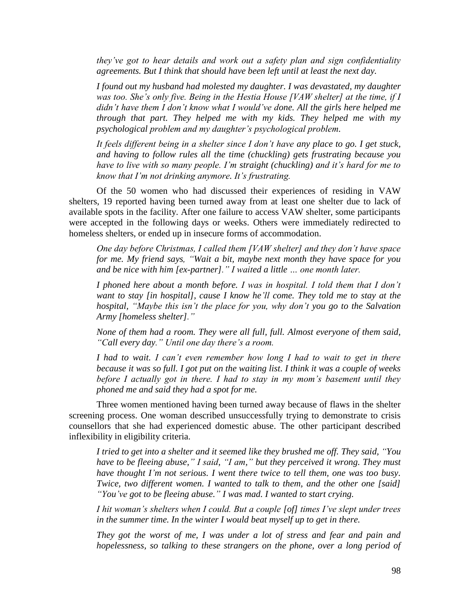*they"ve got to hear details and work out a safety plan and sign confidentiality agreements. But I think that should have been left until at least the next day.* 

*I found out my husband had molested my daughter. I was devastated, my daughter was too. She"s only five. Being in the Hestia House [VAW shelter] at the time, if I didn"t have them I don"t know what I would"ve done. All the girls here helped me through that part. They helped me with my kids. They helped me with my psychological problem and my daughter"s psychological problem.* 

*It feels different being in a shelter since I don"t have any place to go. I get stuck, and having to follow rules all the time (chuckling) gets frustrating because you have to live with so many people. I"m straight (chuckling) and it"s hard for me to know that I"m not drinking anymore. It"s frustrating.*

Of the 50 women who had discussed their experiences of residing in VAW shelters, 19 reported having been turned away from at least one shelter due to lack of available spots in the facility. After one failure to access VAW shelter, some participants were accepted in the following days or weeks. Others were immediately redirected to homeless shelters, or ended up in insecure forms of accommodation.

*One day before Christmas, I called them [VAW shelter] and they don"t have space for me. My friend says, "Wait a bit, maybe next month they have space for you and be nice with him [ex-partner]." I waited a little … one month later.*

*I phoned here about a month before. I was in hospital. I told them that I don"t want to stay [in hospital], cause I know he"ll come. They told me to stay at the hospital, "Maybe this isn"t the place for you, why don"t you go to the Salvation Army [homeless shelter]."*

*None of them had a room. They were all full, full. Almost everyone of them said, "Call every day." Until one day there"s a room.*

*I had to wait. I can"t even remember how long I had to wait to get in there because it was so full. I got put on the waiting list. I think it was a couple of weeks before I actually got in there. I had to stay in my mom"s basement until they phoned me and said they had a spot for me.* 

Three women mentioned having been turned away because of flaws in the shelter screening process. One woman described unsuccessfully trying to demonstrate to crisis counsellors that she had experienced domestic abuse. The other participant described inflexibility in eligibility criteria.

*I tried to get into a shelter and it seemed like they brushed me off. They said, "You have to be fleeing abuse," I said, "I am," but they perceived it wrong. They must have thought I"m not serious. I went there twice to tell them, one was too busy. Twice, two different women. I wanted to talk to them, and the other one [said] "You"ve got to be fleeing abuse." I was mad. I wanted to start crying.*

*I hit woman's shelters when I could. But a couple [of] times I've slept under trees in the summer time. In the winter I would beat myself up to get in there.*

*They got the worst of me, I was under a lot of stress and fear and pain and hopelessness, so talking to these strangers on the phone, over a long period of*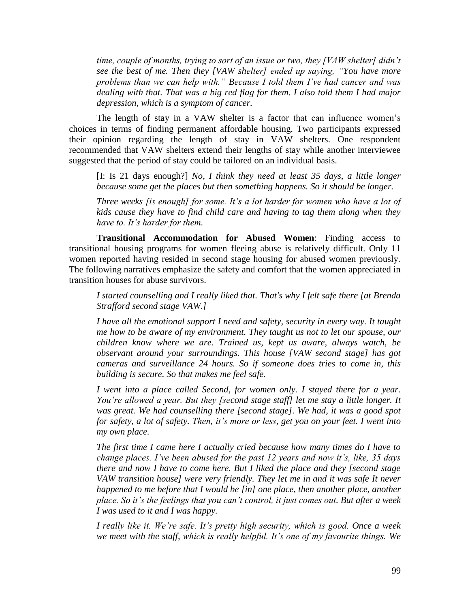*time, couple of months, trying to sort of an issue or two, they [VAW shelter] didn"t see the best of me. Then they [VAW shelter] ended up saying, "You have more problems than we can help with." Because I told them I"ve had cancer and was dealing with that. That was a big red flag for them. I also told them I had major depression, which is a symptom of cancer.*

The length of stay in a VAW shelter is a factor that can influence women's choices in terms of finding permanent affordable housing. Two participants expressed their opinion regarding the length of stay in VAW shelters. One respondent recommended that VAW shelters extend their lengths of stay while another interviewee suggested that the period of stay could be tailored on an individual basis.

[I: Is 21 days enough?] *No, I think they need at least 35 days, a little longer because some get the places but then something happens. So it should be longer.* 

*Three weeks [is enough] for some. It's a lot harder for women who have a lot of kids cause they have to find child care and having to tag them along when they have to. It"s harder for them.*

**Transitional Accommodation for Abused Women**: Finding access to transitional housing programs for women fleeing abuse is relatively difficult. Only 11 women reported having resided in second stage housing for abused women previously. The following narratives emphasize the safety and comfort that the women appreciated in transition houses for abuse survivors.

*I started counselling and I really liked that. That's why I felt safe there [at Brenda Strafford second stage VAW.]*

*I have all the emotional support I need and safety, security in every way. It taught me how to be aware of my environment. They taught us not to let our spouse, our children know where we are. Trained us, kept us aware, always watch, be observant around your surroundings. This house [VAW second stage] has got cameras and surveillance 24 hours. So if someone does tries to come in, this building is secure. So that makes me feel safe.*

*I went into a place called Second, for women only. I stayed there for a year. You"re allowed a year. But they [second stage staff] let me stay a little longer. It was great. We had counselling there [second stage]. We had, it was a good spot for safety, a lot of safety. Then, it"s more or less, get you on your feet. I went into my own place.* 

*The first time I came here I actually cried because how many times do I have to change places. I"ve been abused for the past 12 years and now it"s, like, 35 days there and now I have to come here. But I liked the place and they [second stage VAW transition house] were very friendly. They let me in and it was safe It never happened to me before that I would be [in] one place, then another place, another place. So it"s the feelings that you can"t control, it just comes out. But after a week I was used to it and I was happy.*

*I really like it. We"re safe. It"s pretty high security, which is good. Once a week we meet with the staff, which is really helpful. It"s one of my favourite things. We*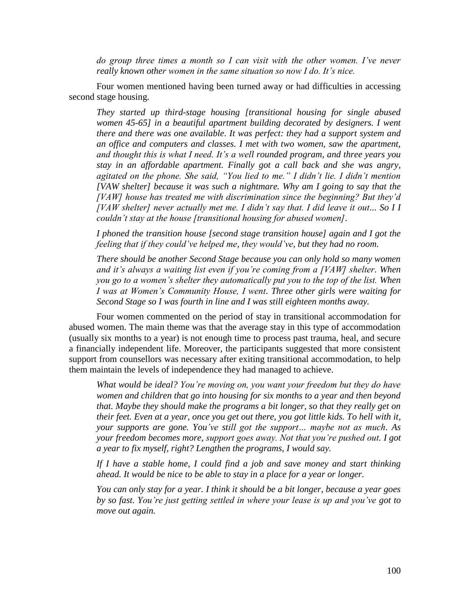*do group three times a month so I can visit with the other women. I"ve never really known other women in the same situation so now I do. It"s nice.*

Four women mentioned having been turned away or had difficulties in accessing second stage housing.

*They started up third-stage housing [transitional housing for single abused women 45-65] in a beautiful apartment building decorated by designers. I went there and there was one available. It was perfect: they had a support system and an office and computers and classes. I met with two women, saw the apartment, and thought this is what I need. It"s a well rounded program, and three years you stay in an affordable apartment. Finally got a call back and she was angry, agitated on the phone. She said, "You lied to me." I didn"t lie. I didn"t mention [VAW shelter] because it was such a nightmare. Why am I going to say that the [VAW] house has treated me with discrimination since the beginning? But they"d [VAW shelter] never actually met me. I didn"t say that. I did leave it out... So I I couldn"t stay at the house [transitional housing for abused women].*

*I phoned the transition house [second stage transition house] again and I got the feeling that if they could"ve helped me, they would"ve, but they had no room.* 

*There should be another Second Stage because you can only hold so many women and it"s always a waiting list even if you"re coming from a [VAW] shelter. When you go to a women"s shelter they automatically put you to the top of the list. When I was at Women"s Community House, I went. Three other girls were waiting for Second Stage so I was fourth in line and I was still eighteen months away.*

Four women commented on the period of stay in transitional accommodation for abused women. The main theme was that the average stay in this type of accommodation (usually six months to a year) is not enough time to process past trauma, heal, and secure a financially independent life. Moreover, the participants suggested that more consistent support from counsellors was necessary after exiting transitional accommodation, to help them maintain the levels of independence they had managed to achieve.

*What would be ideal? You"re moving on, you want your freedom but they do have women and children that go into housing for six months to a year and then beyond that. Maybe they should make the programs a bit longer, so that they really get on their feet. Even at a year, once you get out there, you got little kids. To hell with it, your supports are gone. You"ve still got the support… maybe not as much. As your freedom becomes more, support goes away. Not that you"re pushed out. I got a year to fix myself, right? Lengthen the programs, I would say.* 

*If I have a stable home, I could find a job and save money and start thinking ahead. It would be nice to be able to stay in a place for a year or longer.* 

*You can only stay for a year. I think it should be a bit longer, because a year goes by so fast. You"re just getting settled in where your lease is up and you"ve got to move out again.*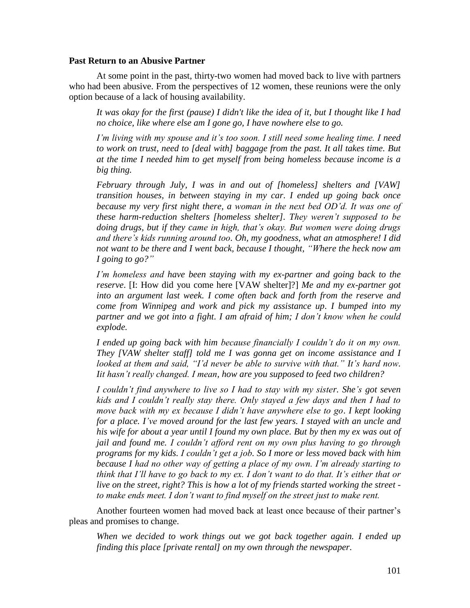# **Past Return to an Abusive Partner**

At some point in the past, thirty-two women had moved back to live with partners who had been abusive. From the perspectives of 12 women, these reunions were the only option because of a lack of housing availability.

*It was okay for the first (pause) I didn't like the idea of it, but I thought like I had no choice, like where else am I gone go, I have nowhere else to go.* 

*I"m living with my spouse and it"s too soon. I still need some healing time. I need to work on trust, need to [deal with] baggage from the past. It all takes time. But at the time I needed him to get myself from being homeless because income is a big thing.* 

*February through July, I was in and out of [homeless] shelters and [VAW] transition houses, in between staying in my car*. *I ended up going back once because my very first night there, a woman in the next bed OD"d. It was one of these harm-reduction shelters [homeless shelter]. They weren"t supposed to be doing drugs, but if they came in high, that"s okay. But women were doing drugs and there"s kids running around too. Oh, my goodness, what an atmosphere! I did not want to be there and I went back, because I thought, "Where the heck now am I going to go?"*

*I"m homeless and have been staying with my ex-partner and going back to the reserve*. [I: How did you come here [VAW shelter]?] *Me and my ex-partner got into an argument last week. I come often back and forth from the reserve and come from Winnipeg and work and pick my assistance up. I bumped into my partner and we got into a fight. I am afraid of him; I don"t know when he could explode.* 

*I ended up going back with him because financially I couldn"t do it on my own. They [VAW shelter staff] told me I was gonna get on income assistance and I looked at them and said, "I'd never be able to survive with that." It's hard now. Iit hasn"t really changed. I mean, how are you supposed to feed two children?* 

*I couldn"t find anywhere to live so I had to stay with my sister. She"s got seven kids and I couldn"t really stay there. Only stayed a few days and then I had to move back with my ex because I didn"t have anywhere else to go*. *I kept looking*  for a place. I've moved around for the last few years. I stayed with an uncle and *his wife for about a year until I found my own place. But by then my ex was out of jail and found me. I couldn"t afford rent on my own plus having to go through programs for my kids. I couldn"t get a job. So I more or less moved back with him because I had no other way of getting a place of my own. I"m already starting to think that I"ll have to go back to my ex. I don"t want to do that. It"s either that or live on the street, right? This is how a lot of my friends started working the street to make ends meet. I don"t want to find myself on the street just to make rent.* 

Another fourteen women had moved back at least once because of their partner's pleas and promises to change.

*When we decided to work things out we got back together again. I ended up finding this place [private rental] on my own through the newspaper.*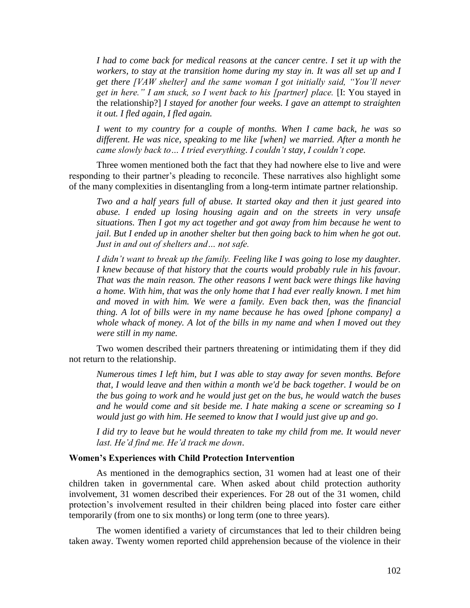*I had to come back for medical reasons at the cancer centre. I set it up with the workers, to stay at the transition home during my stay in. It was all set up and I get there [VAW shelter] and the same woman I got initially said, "You"ll never get in here." I am stuck, so I went back to his [partner] place.* [I: You stayed in the relationship?] *I stayed for another four weeks. I gave an attempt to straighten it out. I fled again, I fled again.* 

*I went to my country for a couple of months. When I came back, he was so different. He was nice, speaking to me like [when] we married. After a month he came slowly back to… I tried everything. I couldn"t stay, I couldn"t cope.* 

Three women mentioned both the fact that they had nowhere else to live and were responding to their partner's pleading to reconcile. These narratives also highlight some of the many complexities in disentangling from a long-term intimate partner relationship.

*Two and a half years full of abuse. It started okay and then it just geared into abuse. I ended up losing housing again and on the streets in very unsafe situations. Then I got my act together and got away from him because he went to jail. But I ended up in another shelter but then going back to him when he got out. Just in and out of shelters and… not safe.* 

*I didn"t want to break up the family. Feeling like I was going to lose my daughter. I knew because of that history that the courts would probably rule in his favour. That was the main reason. The other reasons I went back were things like having a home. With him, that was the only home that I had ever really known. I met him and moved in with him. We were a family. Even back then, was the financial thing. A lot of bills were in my name because he has owed [phone company] a whole whack of money. A lot of the bills in my name and when I moved out they were still in my name.* 

Two women described their partners threatening or intimidating them if they did not return to the relationship.

*Numerous times I left him, but I was able to stay away for seven months. Before that, I would leave and then within a month we'd be back together. I would be on the bus going to work and he would just get on the bus, he would watch the buses and he would come and sit beside me. I hate making a scene or screaming so I would just go with him. He seemed to know that I would just give up and go*.

*I did try to leave but he would threaten to take my child from me. It would never last. He"d find me. He"d track me down*.

# **Women's Experiences with Child Protection Intervention**

As mentioned in the demographics section, 31 women had at least one of their children taken in governmental care. When asked about child protection authority involvement, 31 women described their experiences. For 28 out of the 31 women, child protection's involvement resulted in their children being placed into foster care either temporarily (from one to six months) or long term (one to three years).

The women identified a variety of circumstances that led to their children being taken away. Twenty women reported child apprehension because of the violence in their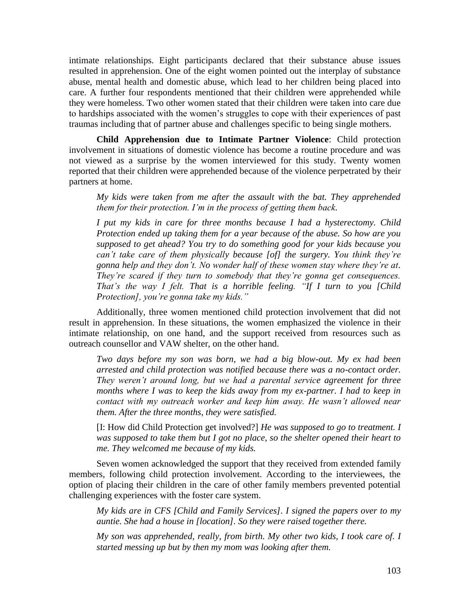intimate relationships. Eight participants declared that their substance abuse issues resulted in apprehension. One of the eight women pointed out the interplay of substance abuse, mental health and domestic abuse, which lead to her children being placed into care. A further four respondents mentioned that their children were apprehended while they were homeless. Two other women stated that their children were taken into care due to hardships associated with the women's struggles to cope with their experiences of past traumas including that of partner abuse and challenges specific to being single mothers.

**Child Apprehension due to Intimate Partner Violence**: Child protection involvement in situations of domestic violence has become a routine procedure and was not viewed as a surprise by the women interviewed for this study. Twenty women reported that their children were apprehended because of the violence perpetrated by their partners at home.

*My kids were taken from me after the assault with the bat. They apprehended them for their protection. I"m in the process of getting them back.*

*I put my kids in care for three months because I had a hysterectomy. Child Protection ended up taking them for a year because of the abuse. So how are you supposed to get ahead? You try to do something good for your kids because you can"t take care of them physically because [of] the surgery. You think they"re gonna help and they don"t. No wonder half of these women stay where they"re at. They're scared if they turn to somebody that they're gonna get consequences. That"s the way I felt. That is a horrible feeling. "If I turn to you [Child Protection], you"re gonna take my kids."*

Additionally, three women mentioned child protection involvement that did not result in apprehension. In these situations, the women emphasized the violence in their intimate relationship, on one hand, and the support received from resources such as outreach counsellor and VAW shelter, on the other hand.

*Two days before my son was born, we had a big blow-out. My ex had been arrested and child protection was notified because there was a no-contact order. They weren"t around long, but we had a parental service agreement for three months where I was to keep the kids away from my ex-partner. I had to keep in contact with my outreach worker and keep him away. He wasn"t allowed near them. After the three months, they were satisfied.*

[I: How did Child Protection get involved?] *He was supposed to go to treatment. I was supposed to take them but I got no place, so the shelter opened their heart to me. They welcomed me because of my kids.*

Seven women acknowledged the support that they received from extended family members, following child protection involvement. According to the interviewees, the option of placing their children in the care of other family members prevented potential challenging experiences with the foster care system.

*My kids are in CFS [Child and Family Services]. I signed the papers over to my auntie. She had a house in [location]. So they were raised together there.*

*My son was apprehended, really, from birth. My other two kids, I took care of. I started messing up but by then my mom was looking after them.*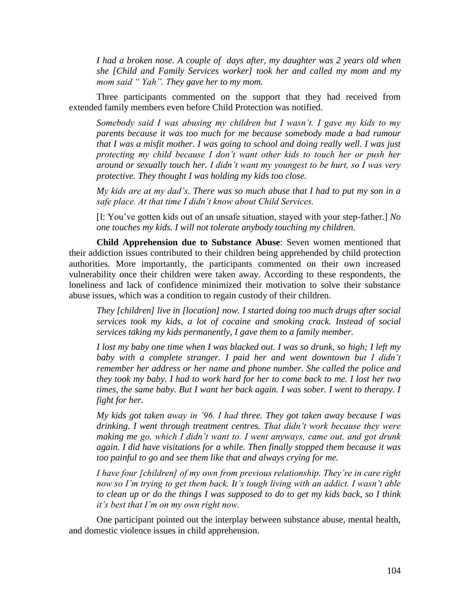*I had a broken nose. A couple of days after, my daughter was 2 years old when she [Child and Family Services worker] took her and called my mom and my mom said " Yah". They gave her to my mom.*

Three participants commented on the support that they had received from extended family members even before Child Protection was notified.

*Somebody said I was abusing my children but I wasn"t. I gave my kids to my parents because it was too much for me because somebody made a bad rumour that I was a misfit mother. I was going to school and doing really well. I was just protecting my child because I don"t want other kids to touch her or push her around or sexually touch her. I didn"t want my youngest to be hurt, so I was very protective. They thought I was holding my kids too close.* 

*My kids are at my dad"s. There was so much abuse that I had to put my son in a safe place. At that time I didn"t know about Child Services.* 

[I: You've gotten kids out of an unsafe situation, stayed with your step-father.] *No one touches my kids. I will not tolerate anybody touching my children.*

**Child Apprehension due to Substance Abuse**: Seven women mentioned that their addiction issues contributed to their children being apprehended by child protection authorities. More importantly, the participants commented on their own increased vulnerability once their children were taken away. According to these respondents, the loneliness and lack of confidence minimized their motivation to solve their substance abuse issues, which was a condition to regain custody of their children.

*They [children] live in [location] now. I started doing too much drugs after social services took my kids, a lot of cocaine and smoking crack. Instead of social services taking my kids permanently, I gave them to a family member.*

*I lost my baby one time when I was blacked out. I was so drunk, so high; I left my baby with a complete stranger. I paid her and went downtown but I didn"t remember her address or her name and phone number. She called the police and they took my baby. I had to work hard for her to come back to me. I lost her two times, the same baby. But I want her back again. I was sober. I went to therapy. I fight for her.*

*My kids got taken away in "96. I had three. They got taken away because I was drinking. I went through treatment centres. That didn"t work because they were making me go, which I didn"t want to. I went anyways, came out, and got drunk again. I did have visitations for a while. Then finally stopped them because it was too painful to go and see them like that and always crying for me.*

*I have four [children] of my own from previous relationship. They"re in care right now so I"m trying to get them back. It"s tough living with an addict. I wasn"t able to clean up or do the things I was supposed to do to get my kids back, so I think it"s best that I"m on my own right now.* 

One participant pointed out the interplay between substance abuse, mental health, and domestic violence issues in child apprehension.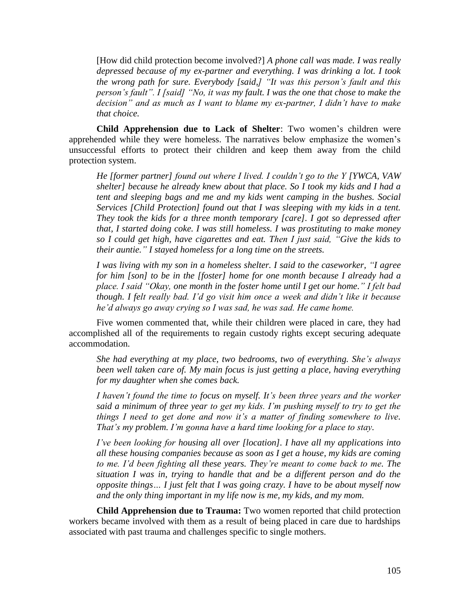[How did child protection become involved?] *A phone call was made. I was really depressed because of my ex-partner and everything. I was drinking a lot. I took the wrong path for sure. Everybody [said,] "It was this person"s fault and this person"s fault". I [said] "No, it was my fault. I was the one that chose to make the decision" and as much as I want to blame my ex-partner, I didn"t have to make that choice.* 

**Child Apprehension due to Lack of Shelter**: Two women's children were apprehended while they were homeless. The narratives below emphasize the women's unsuccessful efforts to protect their children and keep them away from the child protection system.

*He [former partner] found out where I lived. I couldn"t go to the Y [YWCA, VAW shelter] because he already knew about that place. So I took my kids and I had a tent and sleeping bags and me and my kids went camping in the bushes. Social Services [Child Protection] found out that I was sleeping with my kids in a tent. They took the kids for a three month temporary [care]. I got so depressed after that, I started doing coke. I was still homeless. I was prostituting to make money so I could get high, have cigarettes and eat. Then I just said, "Give the kids to their auntie." I stayed homeless for a long time on the streets.* 

*I was living with my son in a homeless shelter. I said to the caseworker, "I agree for him [son] to be in the [foster] home for one month because I already had a place. I said "Okay, one month in the foster home until I get our home." I felt bad though. I felt really bad. I"d go visit him once a week and didn"t like it because he"d always go away crying so I was sad, he was sad. He came home.*

Five women commented that, while their children were placed in care, they had accomplished all of the requirements to regain custody rights except securing adequate accommodation.

*She had everything at my place, two bedrooms, two of everything. She"s always been well taken care of. My main focus is just getting a place, having everything for my daughter when she comes back.* 

*I haven"t found the time to focus on myself. It"s been three years and the worker said a minimum of three year to get my kids. I"m pushing myself to try to get the things I need to get done and now it's a matter of finding somewhere to live. That"s my problem. I"m gonna have a hard time looking for a place to stay.* 

*I've been looking for housing all over [location]. I have all my applications into all these housing companies because as soon as I get a house, my kids are coming to me. I"d been fighting all these years. They"re meant to come back to me. The situation I was in, trying to handle that and be a different person and do the opposite things… I just felt that I was going crazy. I have to be about myself now and the only thing important in my life now is me, my kids, and my mom.* 

**Child Apprehension due to Trauma:** Two women reported that child protection workers became involved with them as a result of being placed in care due to hardships associated with past trauma and challenges specific to single mothers.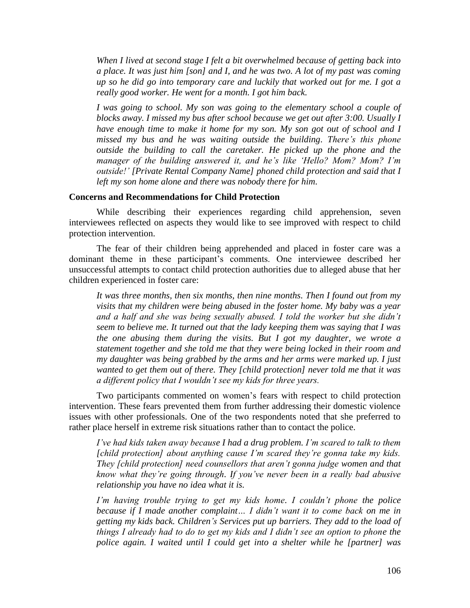*When I lived at second stage I felt a bit overwhelmed because of getting back into a place. It was just him [son] and I, and he was two. A lot of my past was coming up so he did go into temporary care and luckily that worked out for me. I got a really good worker. He went for a month. I got him back.*

*I was going to school. My son was going to the elementary school a couple of blocks away. I missed my bus after school because we get out after 3:00. Usually I have enough time to make it home for my son. My son got out of school and I missed my bus and he was waiting outside the building. There"s this phone outside the building to call the caretaker. He picked up the phone and the manager of the building answered it, and he"s like "Hello? Mom? Mom? I"m outside!" [Private Rental Company Name] phoned child protection and said that I left my son home alone and there was nobody there for him.*

#### **Concerns and Recommendations for Child Protection**

While describing their experiences regarding child apprehension, seven interviewees reflected on aspects they would like to see improved with respect to child protection intervention.

The fear of their children being apprehended and placed in foster care was a dominant theme in these participant's comments. One interviewee described her unsuccessful attempts to contact child protection authorities due to alleged abuse that her children experienced in foster care:

*It was three months, then six months, then nine months. Then I found out from my visits that my children were being abused in the foster home. My baby was a year and a half and she was being sexually abused. I told the worker but she didn"t seem to believe me. It turned out that the lady keeping them was saying that I was the one abusing them during the visits. But I got my daughter, we wrote a statement together and she told me that they were being locked in their room and my daughter was being grabbed by the arms and her arms were marked up. I just wanted to get them out of there. They [child protection] never told me that it was a different policy that I wouldn"t see my kids for three years.* 

Two participants commented on women's fears with respect to child protection intervention. These fears prevented them from further addressing their domestic violence issues with other professionals. One of the two respondents noted that she preferred to rather place herself in extreme risk situations rather than to contact the police.

*I"ve had kids taken away because I had a drug problem. I"m scared to talk to them [child protection] about anything cause I"m scared they"re gonna take my kids. They [child protection] need counsellors that aren"t gonna judge women and that know what they"re going through. If you"ve never been in a really bad abusive relationship you have no idea what it is.* 

*I"m having trouble trying to get my kids home. I couldn"t phone the police because if I made another complaint… I didn"t want it to come back on me in getting my kids back. Children"s Services put up barriers. They add to the load of things I already had to do to get my kids and I didn"t see an option to phone the police again. I waited until I could get into a shelter while he [partner] was*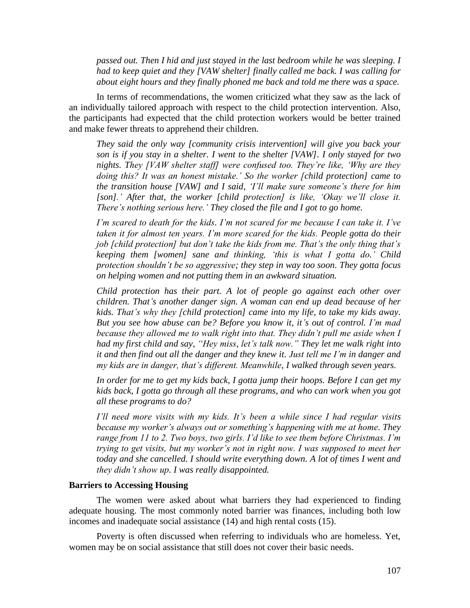*passed out. Then I hid and just stayed in the last bedroom while he was sleeping. I had to keep quiet and they [VAW shelter] finally called me back. I was calling for about eight hours and they finally phoned me back and told me there was a space.* 

In terms of recommendations, the women criticized what they saw as the lack of an individually tailored approach with respect to the child protection intervention. Also, the participants had expected that the child protection workers would be better trained and make fewer threats to apprehend their children.

*They said the only way [community crisis intervention] will give you back your son is if you stay in a shelter. I went to the shelter [VAW]. I only stayed for two nights. They [VAW shelter staff] were confused too. They"re like, "Why are they doing this? It was an honest mistake." So the worker [child protection] came to the transition house [VAW] and I said, "I"ll make sure someone"s there for him [son]." After that, the worker [child protection] is like, "Okay we"ll close it. There"s nothing serious here." They closed the file and I got to go home.* 

*I"m scared to death for the kids. I"m not scared for me because I can take it. I"ve taken it for almost ten years. I"m more scared for the kids. People gotta do their job [child protection] but don't take the kids from me. That's the only thing that's keeping them [women] sane and thinking, "this is what I gotta do." Child protection shouldn"t be so aggressive; they step in way too soon. They gotta focus on helping women and not putting them in an awkward situation.* 

*Child protection has their part. A lot of people go against each other over children. That"s another danger sign. A woman can end up dead because of her kids. That"s why they [child protection] came into my life, to take my kids away. But you see how abuse can be? Before you know it, it"s out of control. I"m mad because they allowed me to walk right into that. They didn"t pull me aside when I had my first child and say, "Hey miss, let"s talk now." They let me walk right into it and then find out all the danger and they knew it. Just tell me I"m in danger and my kids are in danger, that"s different. Meanwhile, I walked through seven years.* 

*In order for me to get my kids back, I gotta jump their hoops. Before I can get my kids back, I gotta go through all these programs, and who can work when you got all these programs to do?* 

*I"ll need more visits with my kids. It"s been a while since I had regular visits because my worker"s always out or something"s happening with me at home. They range from 11 to 2. Two boys, two girls. I"d like to see them before Christmas. I"m trying to get visits, but my worker"s not in right now. I was supposed to meet her today and she cancelled. I should write everything down. A lot of times I went and they didn"t show up. I was really disappointed.* 

## **Barriers to Accessing Housing**

The women were asked about what barriers they had experienced to finding adequate housing. The most commonly noted barrier was finances, including both low incomes and inadequate social assistance (14) and high rental costs (15).

Poverty is often discussed when referring to individuals who are homeless. Yet, women may be on social assistance that still does not cover their basic needs.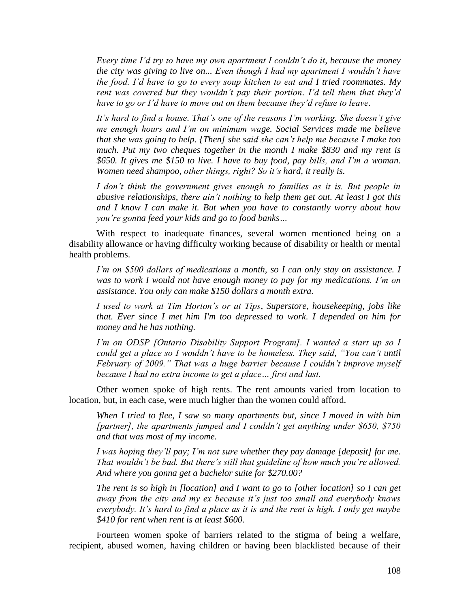*Every time I"d try to have my own apartment I couldn"t do it, because the money the city was giving to live on... Even though I had my apartment I wouldn"t have the food. I"d have to go to every soup kitchen to eat and I tried roommates. My rent was covered but they wouldn"t pay their portion. I"d tell them that they"d have to go or I"d have to move out on them because they"d refuse to leave.* 

*It"s hard to find a house. That"s one of the reasons I"m working. She doesn"t give me enough hours and I"m on minimum wage. Social Services made me believe that she was going to help. {Then] she said she can"t help me because I make too much. Put my two cheques together in the month I make \$830 and my rent is \$650. It gives me \$150 to live. I have to buy food, pay bills, and I"m a woman. Women need shampoo, other things, right? So it"s hard, it really is.* 

*I don't think the government gives enough to families as it is. But people in abusive relationships, there ain"t nothing to help them get out. At least I got this and I know I can make it. But when you have to constantly worry about how you"re gonna feed your kids and go to food banks…* 

With respect to inadequate finances, several women mentioned being on a disability allowance or having difficulty working because of disability or health or mental health problems.

*I"m on \$500 dollars of medications a month, so I can only stay on assistance. I was to work I would not have enough money to pay for my medications. I"m on assistance. You only can make \$150 dollars a month extra.*

*I used to work at Tim Horton"s or at Tips, Superstore, housekeeping, jobs like that. Ever since I met him I'm too depressed to work. I depended on him for money and he has nothing.*

*I"m on ODSP [Ontario Disability Support Program]. I wanted a start up so I could get a place so I wouldn"t have to be homeless. They said, "You can"t until February of 2009." That was a huge barrier because I couldn"t improve myself because I had no extra income to get a place… first and last.*

Other women spoke of high rents. The rent amounts varied from location to location, but, in each case, were much higher than the women could afford.

*When I tried to flee, I saw so many apartments but, since I moved in with him [partner], the apartments jumped and I couldn"t get anything under \$650, \$750 and that was most of my income.*

*I was hoping they"ll pay; I"m not sure whether they pay damage [deposit] for me. That wouldn"t be bad. But there"s still that guideline of how much you"re allowed. And where you gonna get a bachelor suite for \$270.00?*

*The rent is so high in [location] and I want to go to [other location] so I can get away from the city and my ex because it"s just too small and everybody knows everybody. It"s hard to find a place as it is and the rent is high. I only get maybe \$410 for rent when rent is at least \$600.*

Fourteen women spoke of barriers related to the stigma of being a welfare, recipient, abused women, having children or having been blacklisted because of their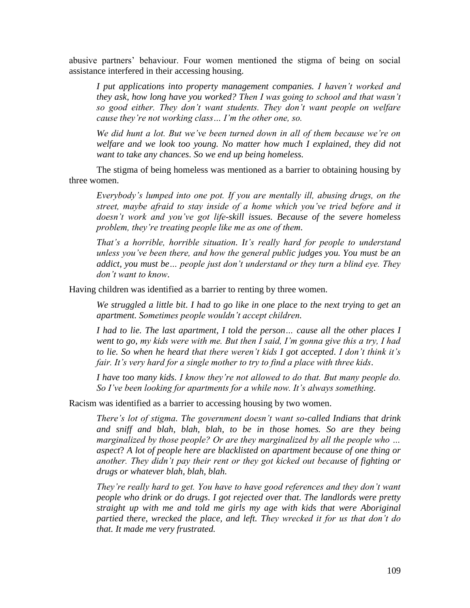abusive partners' behaviour. Four women mentioned the stigma of being on social assistance interfered in their accessing housing.

*I put applications into property management companies. I haven"t worked and they ask, how long have you worked? Then I was going to school and that wasn"t so good either. They don"t want students. They don"t want people on welfare cause they"re not working class… I"m the other one, so.*

*We did hunt a lot. But we"ve been turned down in all of them because we"re on welfare and we look too young. No matter how much I explained, they did not want to take any chances. So we end up being homeless.*

The stigma of being homeless was mentioned as a barrier to obtaining housing by three women.

*Everybody"s lumped into one pot. If you are mentally ill, abusing drugs, on the street, maybe afraid to stay inside of a home which you"ve tried before and it doesn"t work and you"ve got life-skill issues. Because of the severe homeless problem, they"re treating people like me as one of them.* 

*That"s a horrible, horrible situation. It"s really hard for people to understand unless you"ve been there, and how the general public judges you. You must be an addict, you must be… people just don"t understand or they turn a blind eye. They don"t want to know.* 

Having children was identified as a barrier to renting by three women.

*We struggled a little bit. I had to go like in one place to the next trying to get an apartment. Sometimes people wouldn"t accept children.*

*I had to lie. The last apartment, I told the person… cause all the other places I went to go, my kids were with me. But then I said, I"m gonna give this a try, I had to lie. So when he heard that there weren"t kids I got accepted*. *I don"t think it"s fair. It"s very hard for a single mother to try to find a place with three kids*.

*I have too many kids. I know they"re not allowed to do that. But many people do. So I've been looking for apartments for a while now. It's always something.* 

Racism was identified as a barrier to accessing housing by two women.

*There"s lot of stigma. The government doesn"t want so-called Indians that drink and sniff and blah, blah, blah, to be in those homes. So are they being marginalized by those people? Or are they marginalized by all the people who … aspect*? *A lot of people here are blacklisted on apartment because of one thing or another. They didn"t pay their rent or they got kicked out because of fighting or drugs or whatever blah, blah, blah.* 

*They"re really hard to get. You have to have good references and they don"t want people who drink or do drugs. I got rejected over that. The landlords were pretty straight up with me and told me girls my age with kids that were Aboriginal partied there, wrecked the place, and left. They wrecked it for us that don"t do that. It made me very frustrated.*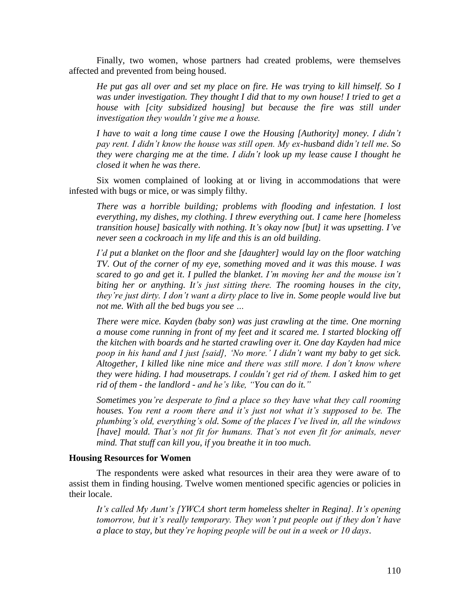Finally, two women, whose partners had created problems, were themselves affected and prevented from being housed.

*He put gas all over and set my place on fire. He was trying to kill himself. So I*  was under investigation. They thought I did that to my own house! I tried to get a *house with [city subsidized housing] but because the fire was still under investigation they wouldn"t give me a house.* 

*I have to wait a long time cause I owe the Housing [Authority] money. I didn"t pay rent. I didn"t know the house was still open. My ex-husband didn"t tell me. So they were charging me at the time. I didn"t look up my lease cause I thought he closed it when he was there*.

Six women complained of looking at or living in accommodations that were infested with bugs or mice, or was simply filthy.

*There was a horrible building; problems with flooding and infestation. I lost everything, my dishes, my clothing. I threw everything out. I came here [homeless transition house] basically with nothing. It"s okay now [but] it was upsetting. I"ve never seen a cockroach in my life and this is an old building.*

*I"d put a blanket on the floor and she [daughter] would lay on the floor watching TV. Out of the corner of my eye, something moved and it was this mouse. I was scared to go and get it. I pulled the blanket. I"m moving her and the mouse isn"t biting her or anything. It"s just sitting there. The rooming houses in the city, they"re just dirty. I don"t want a dirty place to live in. Some people would live but not me. With all the bed bugs you see …*

*There were mice. Kayden (baby son) was just crawling at the time. One morning a mouse come running in front of my feet and it scared me. I started blocking off the kitchen with boards and he started crawling over it. One day Kayden had mice poop in his hand and I just [said], "No more." I didn"t want my baby to get sick. Altogether, I killed like nine mice and there was still more. I don"t know where they were hiding. I had mousetraps. I couldn"t get rid of them. I asked him to get rid of them - the landlord - and he"s like, "You can do it."*

*Sometimes you"re desperate to find a place so they have what they call rooming houses. You rent a room there and it's just not what it's supposed to be. The plumbing"s old, everything"s old. Some of the places I"ve lived in, all the windows [have] mould. That"s not fit for humans. That"s not even fit for animals, never mind. That stuff can kill you, if you breathe it in too much.*

# **Housing Resources for Women**

The respondents were asked what resources in their area they were aware of to assist them in finding housing. Twelve women mentioned specific agencies or policies in their locale.

*It"s called My Aunt"s [YWCA short term homeless shelter in Regina]. It"s opening tomorrow, but it"s really temporary. They won"t put people out if they don"t have a place to stay, but they"re hoping people will be out in a week or 10 days*.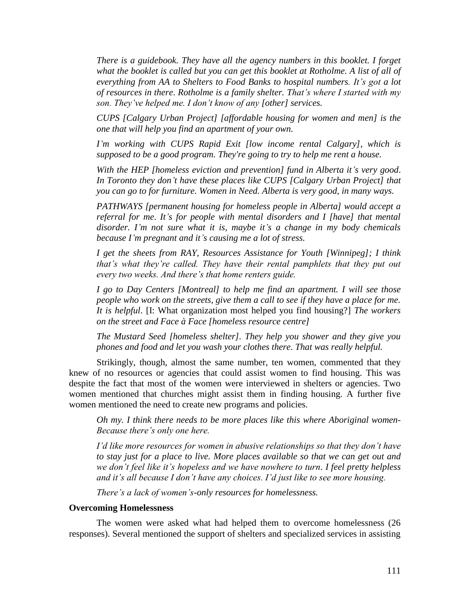*There is a guidebook. They have all the agency numbers in this booklet. I forget*  what the booklet is called but you can get this booklet at Rotholme. A list of all of *everything from AA to Shelters to Food Banks to hospital numbers. It"s got a lot of resources in there*. *Rotholme is a family shelter. That"s where I started with my son. They"ve helped me. I don"t know of any [other] services.*

*CUPS [Calgary Urban Project] [affordable housing for women and men] is the one that will help you find an apartment of your own.*

*I"m working with CUPS Rapid Exit [low income rental Calgary], which is supposed to be a good program. They're going to try to help me rent a house.*

*With the HEP [homeless eviction and prevention] fund in Alberta it"s very good*. *In Toronto they don"t have these places like CUPS [Calgary Urban Project] that you can go to for furniture. Women in Need. Alberta is very good, in many ways.* 

*PATHWAYS [permanent housing for homeless people in Alberta] would accept a referral for me*. *It"s for people with mental disorders and I [have] that mental disorder. I"m not sure what it is, maybe it"s a change in my body chemicals because I"m pregnant and it"s causing me a lot of stress.* 

*I get the sheets from RAY, Resources Assistance for Youth [Winnipeg]; I think that"s what they"re called. They have their rental pamphlets that they put out every two weeks. And there"s that home renters guide.*

*I go to Day Centers [Montreal] to help me find an apartment. I will see those people who work on the streets, give them a call to see if they have a place for me. It is helpful*. [I: What organization most helped you find housing?] *The workers on the street and Face à Face [homeless resource centre]*

*The Mustard Seed [homeless shelter]. They help you shower and they give you phones and food and let you wash your clothes there. That was really helpful.*

Strikingly, though, almost the same number, ten women, commented that they knew of no resources or agencies that could assist women to find housing. This was despite the fact that most of the women were interviewed in shelters or agencies. Two women mentioned that churches might assist them in finding housing. A further five women mentioned the need to create new programs and policies.

*Oh my. I think there needs to be more places like this where Aboriginal women-Because there"s only one here.*

*I"d like more resources for women in abusive relationships so that they don"t have to stay just for a place to live. More places available so that we can get out and we don"t feel like it"s hopeless and we have nowhere to turn. I feel pretty helpless and it"s all because I don"t have any choices. I"d just like to see more housing.* 

*There"s a lack of women"s-only resources for homelessness.*

## **Overcoming Homelessness**

The women were asked what had helped them to overcome homelessness (26 responses). Several mentioned the support of shelters and specialized services in assisting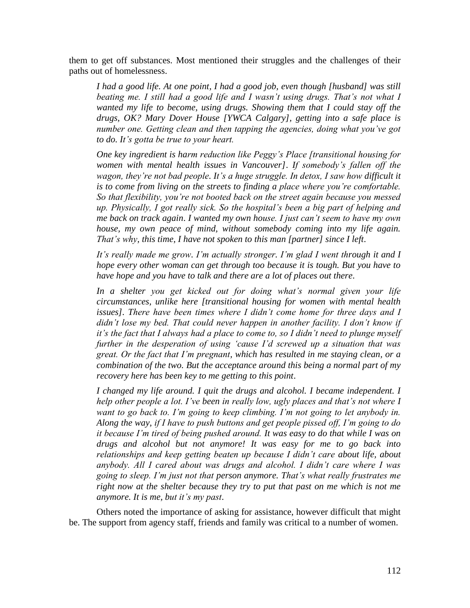them to get off substances. Most mentioned their struggles and the challenges of their paths out of homelessness.

*I had a good life. At one point, I had a good job, even though [husband] was still beating me. I still had a good life and I wasn"t using drugs. That"s not what I wanted my life to become, using drugs. Showing them that I could stay off the drugs, OK? Mary Dover House [YWCA Calgary], getting into a safe place is number one. Getting clean and then tapping the agencies, doing what you"ve got to do. It"s gotta be true to your heart.*

*One key ingredient is harm reduction like Peggy"s Place [transitional housing for women with mental health issues in Vancouver]*. *If somebody"s fallen off the*  wagon, they're not bad people. It's a huge struggle. In detox, I saw how difficult it *is to come from living on the streets to finding a place where you"re comfortable. So that flexibility, you"re not booted back on the street again because you messed up. Physically, I got really sick. So the hospital"s been a big part of helping and me back on track again*. *I wanted my own house. I just can"t seem to have my own house, my own peace of mind, without somebody coming into my life again. That"s why, this time, I have not spoken to this man [partner] since I left*.

*It"s really made me grow. I"m actually stronger. I"m glad I went through it and I hope every other woman can get through too because it is tough. But you have to have hope and you have to talk and there are a lot of places out there*.

*In a shelter you get kicked out for doing what"s normal given your life circumstances, unlike here [transitional housing for women with mental health issues]. There have been times where I didn"t come home for three days and I didn"t lose my bed. That could never happen in another facility. I don"t know if it"s the fact that I always had a place to come to, so I didn"t need to plunge myself further in the desperation of using "cause I"d screwed up a situation that was great. Or the fact that I"m pregnant, which has resulted in me staying clean, or a combination of the two. But the acceptance around this being a normal part of my recovery here has been key to me getting to this point*.

*I changed my life around. I quit the drugs and alcohol. I became independent. I help other people a lot. I"ve been in really low, ugly places and that"s not where I want to go back to. I"m going to keep climbing. I"m not going to let anybody in. Along the way, if I have to push buttons and get people pissed off, I"m going to do it because I"m tired of being pushed around. It was easy to do that while I was on drugs and alcohol but not anymore! It was easy for me to go back into relationships and keep getting beaten up because I didn"t care about life, about anybody. All I cared about was drugs and alcohol. I didn"t care where I was going to sleep. I"m just not that person anymore. That"s what really frustrates me right now at the shelter because they try to put that past on me which is not me anymore. It is me, but it"s my past*.

Others noted the importance of asking for assistance, however difficult that might be. The support from agency staff, friends and family was critical to a number of women.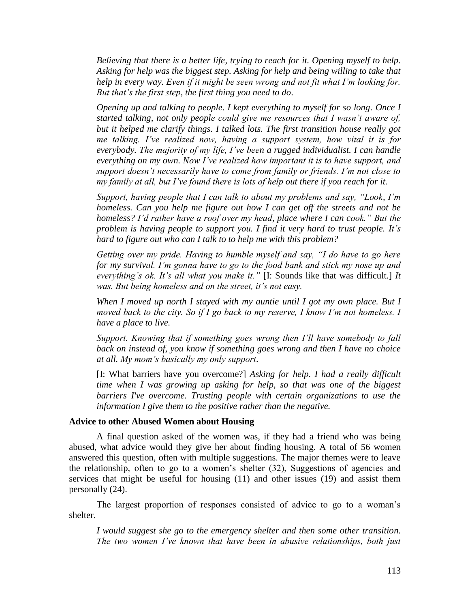*Believing that there is a better life, trying to reach for it. Opening myself to help. Asking for help was the biggest step. Asking for help and being willing to take that help in every way. Even if it might be seen wrong and not fit what I"m looking for. But that"s the first step, the first thing you need to do*.

*Opening up and talking to people. I kept everything to myself for so long. Once I started talking, not only people could give me resources that I wasn"t aware of, but it helped me clarify things. I talked lots. The first transition house really got me talking. I"ve realized now, having a support system, how vital it is for everybody. The majority of my life, I"ve been a rugged individualist. I can handle everything on my own. Now I"ve realized how important it is to have support, and support doesn"t necessarily have to come from family or friends. I"m not close to my family at all, but I"ve found there is lots of help out there if you reach for it.*

*Support, having people that I can talk to about my problems and say, "Look, I"m homeless. Can you help me figure out how I can get off the streets and not be homeless? I"d rather have a roof over my head, place where I can cook." But the problem is having people to support you. I find it very hard to trust people. It"s hard to figure out who can I talk to to help me with this problem?* 

*Getting over my pride. Having to humble myself and say, "I do have to go here for my survival. I"m gonna have to go to the food bank and stick my nose up and everything"s ok. It"s all what you make it."* [I: Sounds like that was difficult.] *It was. But being homeless and on the street, it"s not easy.* 

*When I moved up north I stayed with my auntie until I got my own place. But I moved back to the city. So if I go back to my reserve, I know I"m not homeless. I have a place to live.* 

*Support. Knowing that if something goes wrong then I"ll have somebody to fall back on instead of, you know if something goes wrong and then I have no choice at all. My mom"s basically my only support*.

[I: What barriers have you overcome?] *Asking for help. I had a really difficult time when I was growing up asking for help, so that was one of the biggest barriers I've overcome. Trusting people with certain organizations to use the information I give them to the positive rather than the negative.* 

#### **Advice to other Abused Women about Housing**

A final question asked of the women was, if they had a friend who was being abused, what advice would they give her about finding housing. A total of 56 women answered this question, often with multiple suggestions. The major themes were to leave the relationship, often to go to a women's shelter (32), Suggestions of agencies and services that might be useful for housing (11) and other issues (19) and assist them personally (24).

The largest proportion of responses consisted of advice to go to a woman's shelter.

*I would suggest she go to the emergency shelter and then some other transition. The two women I"ve known that have been in abusive relationships, both just*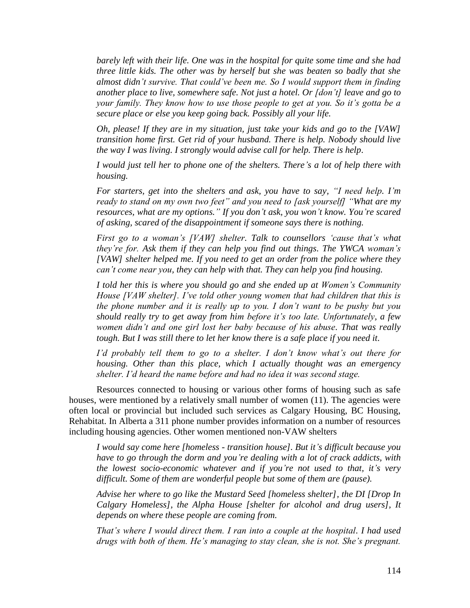*barely left with their life. One was in the hospital for quite some time and she had three little kids. The other was by herself but she was beaten so badly that she almost didn"t survive. That could"ve been me. So I would support them in finding another place to live, somewhere safe. Not just a hotel. Or [don"t] leave and go to your family. They know how to use those people to get at you. So it"s gotta be a secure place or else you keep going back. Possibly all your life.* 

*Oh, please! If they are in my situation, just take your kids and go to the [VAW] transition home first. Get rid of your husband. There is help. Nobody should live the way I was living. I strongly would advise call for help. There is help*.

*I would just tell her to phone one of the shelters. There"s a lot of help there with housing.* 

*For starters, get into the shelters and ask, you have to say, "I need help. I"m ready to stand on my own two feet" and you need to [ask yourself] "What are my resources, what are my options." If you don"t ask, you won"t know. You"re scared of asking, scared of the disappointment if someone says there is nothing.* 

*First go to a woman"s [VAW] shelter. Talk to counsellors "cause that"s what they"re for. Ask them if they can help you find out things. The YWCA woman"s [VAW] shelter helped me. If you need to get an order from the police where they can"t come near you, they can help with that. They can help you find housing.* 

*I told her this is where you should go and she ended up at Women"s Community House [VAW shelter]. I've told other young women that had children that this is the phone number and it is really up to you. I don"t want to be pushy but you should really try to get away from him before it"s too late. Unfortunately, a few women didn"t and one girl lost her baby because of his abuse. That was really tough. But I was still there to let her know there is a safe place if you need it.* 

*I"d probably tell them to go to a shelter. I don"t know what"s out there for housing. Other than this place, which I actually thought was an emergency shelter. I"d heard the name before and had no idea it was second stage.* 

Resources connected to housing or various other forms of housing such as safe houses, were mentioned by a relatively small number of women (11). The agencies were often local or provincial but included such services as Calgary Housing, BC Housing, Rehabitat. In Alberta a 311 phone number provides information on a number of resources including housing agencies. Other women mentioned non-VAW shelters

*I would say come here [homeless - transition house]. But it"s difficult because you have to go through the dorm and you"re dealing with a lot of crack addicts, with the lowest socio-economic whatever and if you"re not used to that, it"s very difficult. Some of them are wonderful people but some of them are (pause).*

*Advise her where to go like the Mustard Seed [homeless shelter], the DI [Drop In Calgary Homeless], the Alpha House [shelter for alcohol and drug users], It depends on where these people are coming from.* 

*That"s where I would direct them. I ran into a couple at the hospital. I had used drugs with both of them. He"s managing to stay clean, she is not. She"s pregnant.*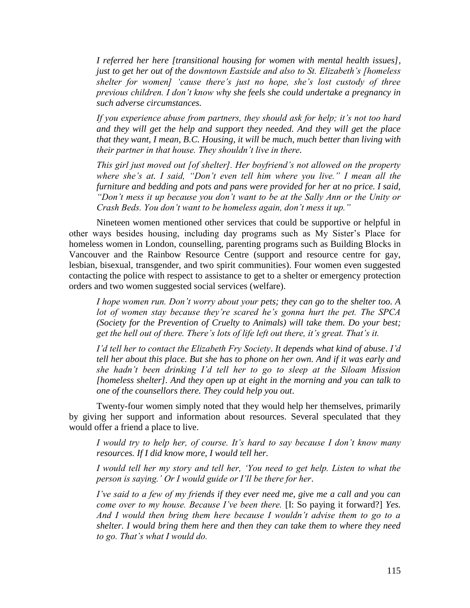*I referred her here [transitional housing for women with mental health issues], just to get her out of the downtown Eastside and also to St. Elizabeth"s [homeless shelter for women] "cause there"s just no hope, she"s lost custody of three previous children. I don"t know why she feels she could undertake a pregnancy in such adverse circumstances.* 

*If you experience abuse from partners, they should ask for help; it"s not too hard and they will get the help and support they needed. And they will get the place that they want, I mean, B.C. Housing, it will be much, much better than living with their partner in that house. They shouldn"t live in there.*

*This girl just moved out [of shelter]. Her boyfriend"s not allowed on the property where she"s at. I said, "Don"t even tell him where you live." I mean all the furniture and bedding and pots and pans were provided for her at no price. I said, "Don"t mess it up because you don"t want to be at the Sally Ann or the Unity or Crash Beds. You don"t want to be homeless again, don"t mess it up."* 

Nineteen women mentioned other services that could be supportive or helpful in other ways besides housing, including day programs such as My Sister's Place for homeless women in London, counselling, parenting programs such as Building Blocks in Vancouver and the Rainbow Resource Centre (support and resource centre for gay, lesbian, bisexual*,* transgender, and two spirit communities). Four women even suggested contacting the police with respect to assistance to get to a shelter or emergency protection orders and two women suggested social services (welfare).

*I hope women run. Don"t worry about your pets; they can go to the shelter too. A lot of women stay because they"re scared he"s gonna hurt the pet. The SPCA (Society for the Prevention of Cruelty to Animals) will take them. Do your best; get the hell out of there. There"s lots of life left out there, it"s great. That"s it.* 

*I"d tell her to contact the Elizabeth Fry Society*. *It depends what kind of abuse*. *I"d tell her about this place. But she has to phone on her own. And if it was early and she hadn"t been drinking I"d tell her to go to sleep at the Siloam Mission [homeless shelter]. And they open up at eight in the morning and you can talk to one of the counsellors there. They could help you out*.

Twenty-four women simply noted that they would help her themselves, primarily by giving her support and information about resources. Several speculated that they would offer a friend a place to live.

*I* would try to help her, of course. It's hard to say because *I* don't know many *resources. If I did know more, I would tell her.* 

*I would tell her my story and tell her, "You need to get help. Listen to what the person is saying." Or I would guide or I"ll be there for her*.

*I've said to a few of my friends if they ever need me, give me a call and you can come over to my house. Because I've been there.* [I: So paying it forward?] *Yes. And I would then bring them here because I wouldn"t advise them to go to a shelter. I would bring them here and then they can take them to where they need to go. That"s what I would do.*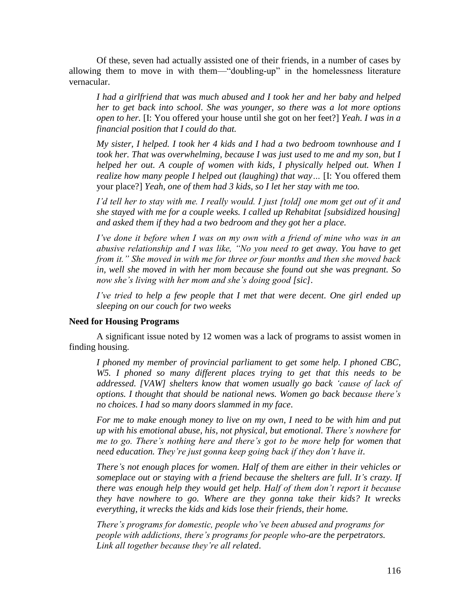Of these, seven had actually assisted one of their friends, in a number of cases by allowing them to move in with them—"doubling-up" in the homelessness literature vernacular.

*I had a girlfriend that was much abused and I took her and her baby and helped her to get back into school. She was younger, so there was a lot more options open to her.* [I: You offered your house until she got on her feet?] *Yeah. I was in a financial position that I could do that.* 

*My sister, I helped. I took her 4 kids and I had a two bedroom townhouse and I took her. That was overwhelming, because I was just used to me and my son, but I helped her out. A couple of women with kids, I physically helped out. When I realize how many people I helped out (laughing) that way…* [I: You offered them your place?] *Yeah, one of them had 3 kids, so I let her stay with me too.* 

*I'd tell her to stay with me. I really would. I just [told] one mom get out of it and she stayed with me for a couple weeks. I called up Rehabitat [subsidized housing] and asked them if they had a two bedroom and they got her a place.*

*I've done it before when I was on my own with a friend of mine who was in an abusive relationship and I was like, "No you need to get away. You have to get from it." She moved in with me for three or four months and then she moved back in, well she moved in with her mom because she found out she was pregnant. So now she"s living with her mom and she"s doing good [sic].* 

*I've tried to help a few people that I met that were decent. One girl ended up sleeping on our couch for two weeks* 

## **Need for Housing Programs**

A significant issue noted by 12 women was a lack of programs to assist women in finding housing.

*I phoned my member of provincial parliament to get some help. I phoned CBC, W5. I phoned so many different places trying to get that this needs to be addressed. [VAW] shelters know that women usually go back "cause of lack of options. I thought that should be national news. Women go back because there"s no choices. I had so many doors slammed in my face*.

*For me to make enough money to live on my own, I need to be with him and put up with his emotional abuse, his, not physical, but emotional. There"s nowhere for me to go. There"s nothing here and there"s got to be more help for women that need education. They"re just gonna keep going back if they don"t have it*.

*There"s not enough places for women. Half of them are either in their vehicles or someplace out or staying with a friend because the shelters are full. It's crazy. If there was enough help they would get help. Half of them don"t report it because they have nowhere to go. Where are they gonna take their kids? It wrecks everything, it wrecks the kids and kids lose their friends, their home.* 

*There"s programs for domestic, people who"ve been abused and programs for people with addictions, there"s programs for people who-are the perpetrators. Link all together because they"re all related*.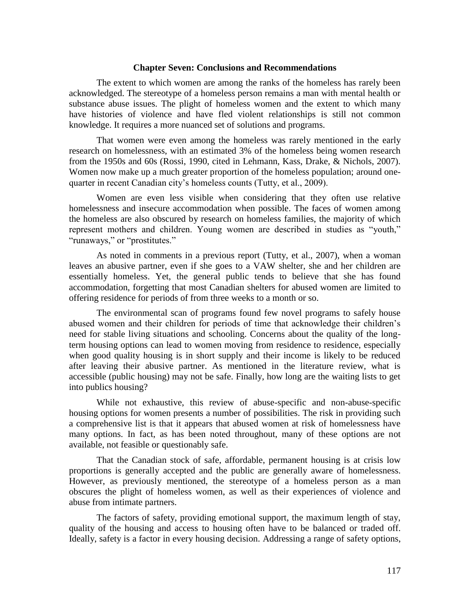#### **Chapter Seven: Conclusions and Recommendations**

The extent to which women are among the ranks of the homeless has rarely been acknowledged. The stereotype of a homeless person remains a man with mental health or substance abuse issues. The plight of homeless women and the extent to which many have histories of violence and have fled violent relationships is still not common knowledge. It requires a more nuanced set of solutions and programs.

That women were even among the homeless was rarely mentioned in the early research on homelessness, with an estimated 3% of the homeless being women research from the 1950s and 60s (Rossi, 1990, cited in Lehmann, Kass, Drake, & Nichols, 2007). Women now make up a much greater proportion of the homeless population; around onequarter in recent Canadian city's homeless counts (Tutty, et al., 2009).

Women are even less visible when considering that they often use relative homelessness and insecure accommodation when possible. The faces of women among the homeless are also obscured by research on homeless families, the majority of which represent mothers and children. Young women are described in studies as "youth," "runaways," or "prostitutes."

As noted in comments in a previous report (Tutty, et al., 2007), when a woman leaves an abusive partner, even if she goes to a VAW shelter, she and her children are essentially homeless. Yet, the general public tends to believe that she has found accommodation, forgetting that most Canadian shelters for abused women are limited to offering residence for periods of from three weeks to a month or so.

The environmental scan of programs found few novel programs to safely house abused women and their children for periods of time that acknowledge their children's need for stable living situations and schooling. Concerns about the quality of the longterm housing options can lead to women moving from residence to residence, especially when good quality housing is in short supply and their income is likely to be reduced after leaving their abusive partner. As mentioned in the literature review, what is accessible (public housing) may not be safe. Finally, how long are the waiting lists to get into publics housing?

While not exhaustive, this review of abuse-specific and non-abuse-specific housing options for women presents a number of possibilities. The risk in providing such a comprehensive list is that it appears that abused women at risk of homelessness have many options. In fact, as has been noted throughout, many of these options are not available, not feasible or questionably safe.

That the Canadian stock of safe, affordable, permanent housing is at crisis low proportions is generally accepted and the public are generally aware of homelessness. However, as previously mentioned, the stereotype of a homeless person as a man obscures the plight of homeless women, as well as their experiences of violence and abuse from intimate partners.

The factors of safety, providing emotional support, the maximum length of stay, quality of the housing and access to housing often have to be balanced or traded off. Ideally, safety is a factor in every housing decision. Addressing a range of safety options,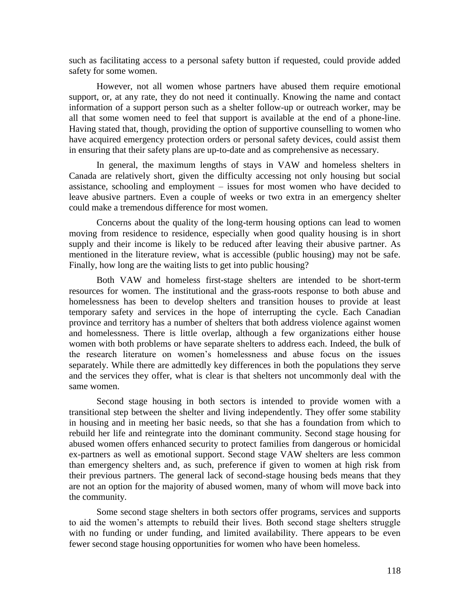such as facilitating access to a personal safety button if requested, could provide added safety for some women.

However, not all women whose partners have abused them require emotional support, or, at any rate, they do not need it continually. Knowing the name and contact information of a support person such as a shelter follow-up or outreach worker, may be all that some women need to feel that support is available at the end of a phone-line. Having stated that, though, providing the option of supportive counselling to women who have acquired emergency protection orders or personal safety devices, could assist them in ensuring that their safety plans are up-to-date and as comprehensive as necessary.

In general, the maximum lengths of stays in VAW and homeless shelters in Canada are relatively short, given the difficulty accessing not only housing but social assistance, schooling and employment – issues for most women who have decided to leave abusive partners. Even a couple of weeks or two extra in an emergency shelter could make a tremendous difference for most women.

Concerns about the quality of the long-term housing options can lead to women moving from residence to residence, especially when good quality housing is in short supply and their income is likely to be reduced after leaving their abusive partner. As mentioned in the literature review, what is accessible (public housing) may not be safe. Finally, how long are the waiting lists to get into public housing?

Both VAW and homeless first-stage shelters are intended to be short-term resources for women. The institutional and the grass-roots response to both abuse and homelessness has been to develop shelters and transition houses to provide at least temporary safety and services in the hope of interrupting the cycle. Each Canadian province and territory has a number of shelters that both address violence against women and homelessness. There is little overlap, although a few organizations either house women with both problems or have separate shelters to address each. Indeed, the bulk of the research literature on women's homelessness and abuse focus on the issues separately. While there are admittedly key differences in both the populations they serve and the services they offer, what is clear is that shelters not uncommonly deal with the same women.

Second stage housing in both sectors is intended to provide women with a transitional step between the shelter and living independently. They offer some stability in housing and in meeting her basic needs, so that she has a foundation from which to rebuild her life and reintegrate into the dominant community. Second stage housing for abused women offers enhanced security to protect families from dangerous or homicidal ex-partners as well as emotional support. Second stage VAW shelters are less common than emergency shelters and, as such, preference if given to women at high risk from their previous partners. The general lack of second-stage housing beds means that they are not an option for the majority of abused women, many of whom will move back into the community.

Some second stage shelters in both sectors offer programs, services and supports to aid the women's attempts to rebuild their lives. Both second stage shelters struggle with no funding or under funding, and limited availability. There appears to be even fewer second stage housing opportunities for women who have been homeless.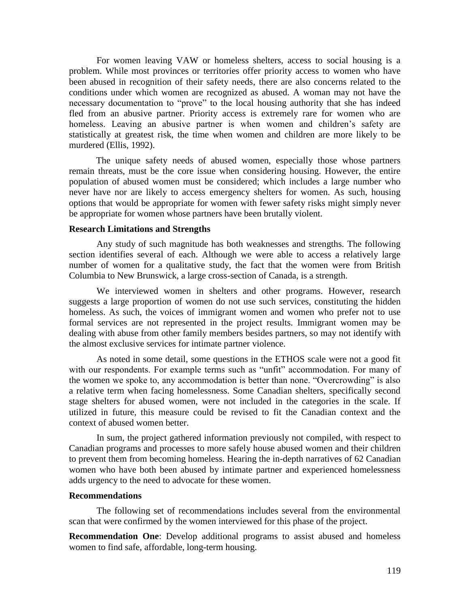For women leaving VAW or homeless shelters, access to social housing is a problem. While most provinces or territories offer priority access to women who have been abused in recognition of their safety needs, there are also concerns related to the conditions under which women are recognized as abused. A woman may not have the necessary documentation to "prove" to the local housing authority that she has indeed fled from an abusive partner. Priority access is extremely rare for women who are homeless. Leaving an abusive partner is when women and children's safety are statistically at greatest risk, the time when women and children are more likely to be murdered (Ellis, 1992).

The unique safety needs of abused women, especially those whose partners remain threats, must be the core issue when considering housing. However, the entire population of abused women must be considered; which includes a large number who never have nor are likely to access emergency shelters for women. As such, housing options that would be appropriate for women with fewer safety risks might simply never be appropriate for women whose partners have been brutally violent.

#### **Research Limitations and Strengths**

Any study of such magnitude has both weaknesses and strengths. The following section identifies several of each. Although we were able to access a relatively large number of women for a qualitative study, the fact that the women were from British Columbia to New Brunswick, a large cross-section of Canada, is a strength.

We interviewed women in shelters and other programs. However, research suggests a large proportion of women do not use such services, constituting the hidden homeless. As such, the voices of immigrant women and women who prefer not to use formal services are not represented in the project results. Immigrant women may be dealing with abuse from other family members besides partners, so may not identify with the almost exclusive services for intimate partner violence.

As noted in some detail, some questions in the ETHOS scale were not a good fit with our respondents. For example terms such as "unfit" accommodation. For many of the women we spoke to, any accommodation is better than none. "Overcrowding" is also a relative term when facing homelessness. Some Canadian shelters, specifically second stage shelters for abused women, were not included in the categories in the scale. If utilized in future, this measure could be revised to fit the Canadian context and the context of abused women better.

In sum, the project gathered information previously not compiled, with respect to Canadian programs and processes to more safely house abused women and their children to prevent them from becoming homeless. Hearing the in-depth narratives of 62 Canadian women who have both been abused by intimate partner and experienced homelessness adds urgency to the need to advocate for these women.

## **Recommendations**

The following set of recommendations includes several from the environmental scan that were confirmed by the women interviewed for this phase of the project.

**Recommendation One**: Develop additional programs to assist abused and homeless women to find safe, affordable, long-term housing.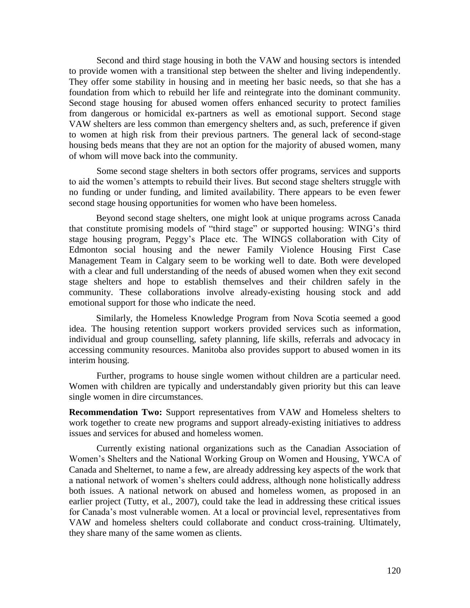Second and third stage housing in both the VAW and housing sectors is intended to provide women with a transitional step between the shelter and living independently. They offer some stability in housing and in meeting her basic needs, so that she has a foundation from which to rebuild her life and reintegrate into the dominant community. Second stage housing for abused women offers enhanced security to protect families from dangerous or homicidal ex-partners as well as emotional support. Second stage VAW shelters are less common than emergency shelters and, as such, preference if given to women at high risk from their previous partners. The general lack of second-stage housing beds means that they are not an option for the majority of abused women, many of whom will move back into the community.

Some second stage shelters in both sectors offer programs, services and supports to aid the women's attempts to rebuild their lives. But second stage shelters struggle with no funding or under funding, and limited availability. There appears to be even fewer second stage housing opportunities for women who have been homeless.

Beyond second stage shelters, one might look at unique programs across Canada that constitute promising models of "third stage" or supported housing: WING's third stage housing program, Peggy's Place etc. The WINGS collaboration with City of Edmonton social housing and the newer Family Violence Housing First Case Management Team in Calgary seem to be working well to date. Both were developed with a clear and full understanding of the needs of abused women when they exit second stage shelters and hope to establish themselves and their children safely in the community. These collaborations involve already-existing housing stock and add emotional support for those who indicate the need.

Similarly, the Homeless Knowledge Program from Nova Scotia seemed a good idea. The housing retention support workers provided services such as information, individual and group counselling, safety planning, life skills, referrals and advocacy in accessing community resources. Manitoba also provides support to abused women in its interim housing.

Further, programs to house single women without children are a particular need. Women with children are typically and understandably given priority but this can leave single women in dire circumstances.

**Recommendation Two:** Support representatives from VAW and Homeless shelters to work together to create new programs and support already-existing initiatives to address issues and services for abused and homeless women.

Currently existing national organizations such as the Canadian Association of Women's Shelters and the National Working Group on Women and Housing, YWCA of Canada and Shelternet, to name a few, are already addressing key aspects of the work that a national network of women's shelters could address, although none holistically address both issues. A national network on abused and homeless women, as proposed in an earlier project (Tutty, et al., 2007), could take the lead in addressing these critical issues for Canada's most vulnerable women. At a local or provincial level, representatives from VAW and homeless shelters could collaborate and conduct cross-training. Ultimately, they share many of the same women as clients.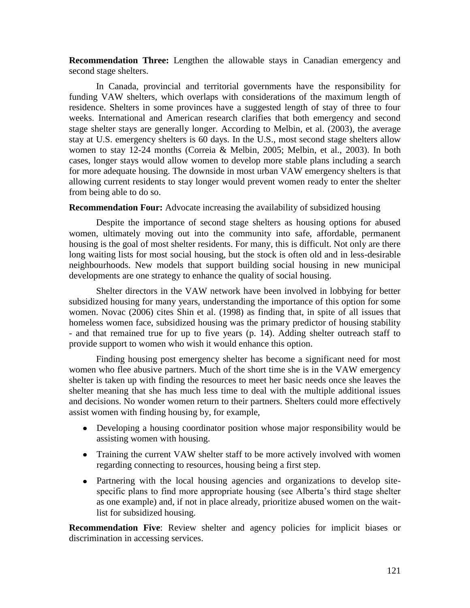**Recommendation Three:** Lengthen the allowable stays in Canadian emergency and second stage shelters.

In Canada, provincial and territorial governments have the responsibility for funding VAW shelters, which overlaps with considerations of the maximum length of residence. Shelters in some provinces have a suggested length of stay of three to four weeks. International and American research clarifies that both emergency and second stage shelter stays are generally longer. According to Melbin, et al. (2003), the average stay at U.S. emergency shelters is 60 days. In the U.S., most second stage shelters allow women to stay 12-24 months (Correia & Melbin, 2005; Melbin, et al., 2003). In both cases, longer stays would allow women to develop more stable plans including a search for more adequate housing. The downside in most urban VAW emergency shelters is that allowing current residents to stay longer would prevent women ready to enter the shelter from being able to do so.

# **Recommendation Four:** Advocate increasing the availability of subsidized housing

Despite the importance of second stage shelters as housing options for abused women, ultimately moving out into the community into safe, affordable, permanent housing is the goal of most shelter residents. For many, this is difficult. Not only are there long waiting lists for most social housing, but the stock is often old and in less-desirable neighbourhoods. New models that support building social housing in new municipal developments are one strategy to enhance the quality of social housing.

Shelter directors in the VAW network have been involved in lobbying for better subsidized housing for many years, understanding the importance of this option for some women. Novac (2006) cites Shin et al. (1998) as finding that, in spite of all issues that homeless women face, subsidized housing was the primary predictor of housing stability - and that remained true for up to five years (p. 14). Adding shelter outreach staff to provide support to women who wish it would enhance this option.

Finding housing post emergency shelter has become a significant need for most women who flee abusive partners. Much of the short time she is in the VAW emergency shelter is taken up with finding the resources to meet her basic needs once she leaves the shelter meaning that she has much less time to deal with the multiple additional issues and decisions. No wonder women return to their partners. Shelters could more effectively assist women with finding housing by, for example,

- Developing a housing coordinator position whose major responsibility would be assisting women with housing.
- Training the current VAW shelter staff to be more actively involved with women regarding connecting to resources, housing being a first step.
- Partnering with the local housing agencies and organizations to develop sitespecific plans to find more appropriate housing (see Alberta's third stage shelter as one example) and, if not in place already, prioritize abused women on the waitlist for subsidized housing.

**Recommendation Five**: Review shelter and agency policies for implicit biases or discrimination in accessing services.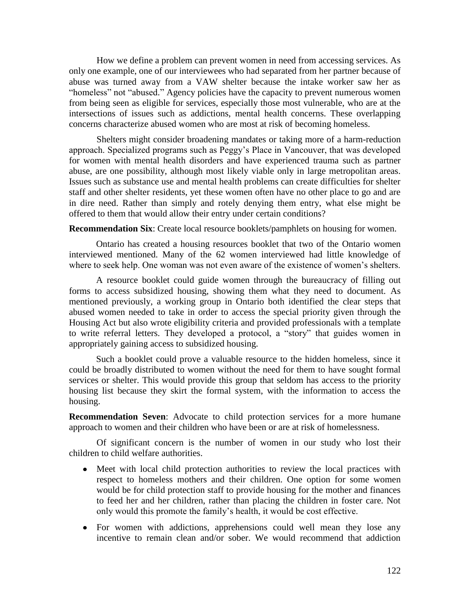How we define a problem can prevent women in need from accessing services. As only one example, one of our interviewees who had separated from her partner because of abuse was turned away from a VAW shelter because the intake worker saw her as "homeless" not "abused." Agency policies have the capacity to prevent numerous women from being seen as eligible for services, especially those most vulnerable, who are at the intersections of issues such as addictions, mental health concerns. These overlapping concerns characterize abused women who are most at risk of becoming homeless.

Shelters might consider broadening mandates or taking more of a harm-reduction approach. Specialized programs such as Peggy's Place in Vancouver, that was developed for women with mental health disorders and have experienced trauma such as partner abuse, are one possibility, although most likely viable only in large metropolitan areas. Issues such as substance use and mental health problems can create difficulties for shelter staff and other shelter residents, yet these women often have no other place to go and are in dire need. Rather than simply and rotely denying them entry, what else might be offered to them that would allow their entry under certain conditions?

**Recommendation Six**: Create local resource booklets/pamphlets on housing for women.

Ontario has created a housing resources booklet that two of the Ontario women interviewed mentioned. Many of the 62 women interviewed had little knowledge of where to seek help. One woman was not even aware of the existence of women's shelters.

A resource booklet could guide women through the bureaucracy of filling out forms to access subsidized housing, showing them what they need to document. As mentioned previously, a working group in Ontario both identified the clear steps that abused women needed to take in order to access the special priority given through the Housing Act but also wrote eligibility criteria and provided professionals with a template to write referral letters. They developed a protocol, a "story" that guides women in appropriately gaining access to subsidized housing.

Such a booklet could prove a valuable resource to the hidden homeless, since it could be broadly distributed to women without the need for them to have sought formal services or shelter. This would provide this group that seldom has access to the priority housing list because they skirt the formal system, with the information to access the housing.

**Recommendation Seven**: Advocate to child protection services for a more humane approach to women and their children who have been or are at risk of homelessness.

Of significant concern is the number of women in our study who lost their children to child welfare authorities.

- Meet with local child protection authorities to review the local practices with respect to homeless mothers and their children. One option for some women would be for child protection staff to provide housing for the mother and finances to feed her and her children, rather than placing the children in foster care. Not only would this promote the family's health, it would be cost effective.
- For women with addictions, apprehensions could well mean they lose any incentive to remain clean and/or sober. We would recommend that addiction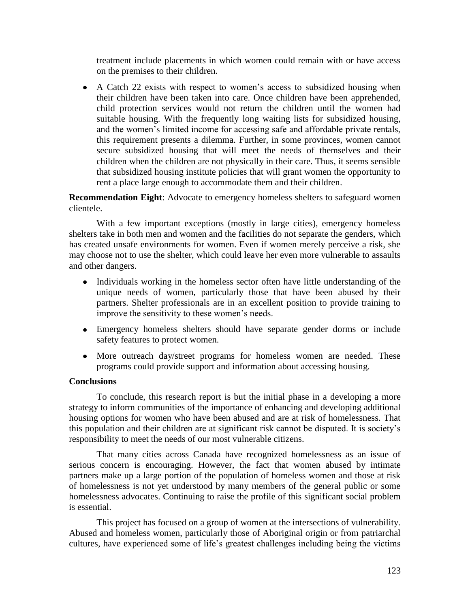treatment include placements in which women could remain with or have access on the premises to their children.

A Catch 22 exists with respect to women's access to subsidized housing when their children have been taken into care. Once children have been apprehended, child protection services would not return the children until the women had suitable housing. With the frequently long waiting lists for subsidized housing, and the women's limited income for accessing safe and affordable private rentals, this requirement presents a dilemma. Further, in some provinces, women cannot secure subsidized housing that will meet the needs of themselves and their children when the children are not physically in their care. Thus, it seems sensible that subsidized housing institute policies that will grant women the opportunity to rent a place large enough to accommodate them and their children.

**Recommendation Eight**: Advocate to emergency homeless shelters to safeguard women clientele.

With a few important exceptions (mostly in large cities), emergency homeless shelters take in both men and women and the facilities do not separate the genders, which has created unsafe environments for women. Even if women merely perceive a risk, she may choose not to use the shelter, which could leave her even more vulnerable to assaults and other dangers.

- Individuals working in the homeless sector often have little understanding of the unique needs of women, particularly those that have been abused by their partners. Shelter professionals are in an excellent position to provide training to improve the sensitivity to these women's needs.
- Emergency homeless shelters should have separate gender dorms or include safety features to protect women.
- More outreach day/street programs for homeless women are needed. These programs could provide support and information about accessing housing.

# **Conclusions**

To conclude, this research report is but the initial phase in a developing a more strategy to inform communities of the importance of enhancing and developing additional housing options for women who have been abused and are at risk of homelessness. That this population and their children are at significant risk cannot be disputed. It is society's responsibility to meet the needs of our most vulnerable citizens.

That many cities across Canada have recognized homelessness as an issue of serious concern is encouraging. However, the fact that women abused by intimate partners make up a large portion of the population of homeless women and those at risk of homelessness is not yet understood by many members of the general public or some homelessness advocates. Continuing to raise the profile of this significant social problem is essential.

This project has focused on a group of women at the intersections of vulnerability. Abused and homeless women, particularly those of Aboriginal origin or from patriarchal cultures, have experienced some of life's greatest challenges including being the victims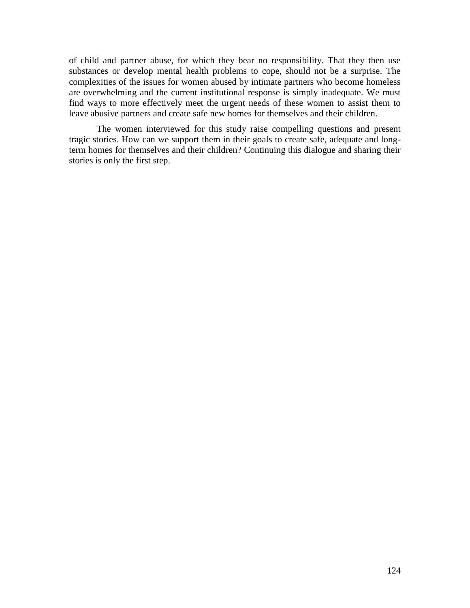of child and partner abuse, for which they bear no responsibility. That they then use substances or develop mental health problems to cope, should not be a surprise. The complexities of the issues for women abused by intimate partners who become homeless are overwhelming and the current institutional response is simply inadequate. We must find ways to more effectively meet the urgent needs of these women to assist them to leave abusive partners and create safe new homes for themselves and their children.

The women interviewed for this study raise compelling questions and present tragic stories. How can we support them in their goals to create safe, adequate and longterm homes for themselves and their children? Continuing this dialogue and sharing their stories is only the first step.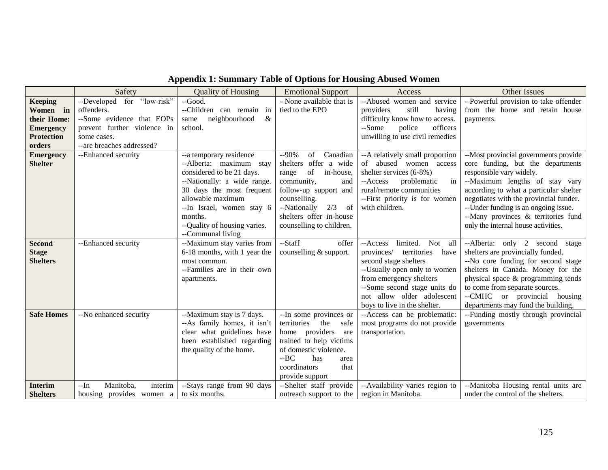|                                                  | Safety                                                    | <b>Quality of Housing</b>                                                                                                                                                  | <b>Emotional Support</b>                                                                                                                                                                             | Access                                                                                                                                                                                                                                                    | <b>Other Issues</b>                                                                                                                                                                                                                                                                          |
|--------------------------------------------------|-----------------------------------------------------------|----------------------------------------------------------------------------------------------------------------------------------------------------------------------------|------------------------------------------------------------------------------------------------------------------------------------------------------------------------------------------------------|-----------------------------------------------------------------------------------------------------------------------------------------------------------------------------------------------------------------------------------------------------------|----------------------------------------------------------------------------------------------------------------------------------------------------------------------------------------------------------------------------------------------------------------------------------------------|
| <b>Keeping</b>                                   | --Developed for "low-risk"                                | --Good.                                                                                                                                                                    | --None available that is                                                                                                                                                                             | --Abused women and<br>service                                                                                                                                                                                                                             | --Powerful provision to take offender                                                                                                                                                                                                                                                        |
| Women in                                         | offenders.                                                | --Children can remain in                                                                                                                                                   | tied to the EPO                                                                                                                                                                                      | providers<br>still<br>having                                                                                                                                                                                                                              | from the home and retain house                                                                                                                                                                                                                                                               |
| their Home:                                      | --Some evidence that EOPs                                 | neighbourhood<br>$\&$<br>same                                                                                                                                              |                                                                                                                                                                                                      | difficulty know how to access.                                                                                                                                                                                                                            | payments.                                                                                                                                                                                                                                                                                    |
| <b>Emergency</b>                                 | prevent further violence in                               | school.                                                                                                                                                                    |                                                                                                                                                                                                      | --Some<br>police<br>officers                                                                                                                                                                                                                              |                                                                                                                                                                                                                                                                                              |
| <b>Protection</b>                                | some cases.                                               |                                                                                                                                                                            |                                                                                                                                                                                                      | unwilling to use civil remedies                                                                                                                                                                                                                           |                                                                                                                                                                                                                                                                                              |
| orders                                           | --are breaches addressed?                                 |                                                                                                                                                                            |                                                                                                                                                                                                      |                                                                                                                                                                                                                                                           |                                                                                                                                                                                                                                                                                              |
| <b>Emergency</b><br><b>Shelter</b>               | --Enhanced security                                       | --a temporary residence<br>--Alberta: maximum stay<br>considered to be 21 days.                                                                                            | $-90%$<br>Canadian<br>of<br>shelters offer a wide<br>of<br>in-house,<br>range                                                                                                                        | --A relatively small proportion<br>abused women access<br>of<br>shelter services (6-8%)                                                                                                                                                                   | --Most provincial governments provide<br>core funding, but the departments<br>responsible vary widely.                                                                                                                                                                                       |
|                                                  |                                                           | --Nationally: a wide range.<br>30 days the most frequent<br>allowable maximum<br>--In Israel, women stay 6<br>months.<br>--Quality of housing varies.<br>--Communal living | community,<br>and<br>follow-up support and<br>counselling.<br>2/3<br>of<br>--Nationally<br>shelters offer in-house<br>counselling to children.                                                       | problematic<br>--Access<br>in<br>rural/remote communities<br>--First priority is for women<br>with children.                                                                                                                                              | --Maximum lengths of stay vary<br>according to what a particular shelter<br>negotiates with the provincial funder.<br>--Under funding is an ongoing issue.<br>--Many provinces & territories fund<br>only the internal house activities.                                                     |
| <b>Second</b><br><b>Stage</b><br><b>Shelters</b> | --Enhanced security                                       | --Maximum stay varies from<br>6-18 months, with 1 year the<br>most common.<br>--Families are in their own<br>apartments.                                                   | --Staff<br>offer<br>counselling & support.                                                                                                                                                           | limited.<br>Not<br>all<br>--Access<br>provinces/<br>territories<br>have<br>second stage shelters<br>--Usually open only to women<br>from emergency shelters<br>--Some second stage units do<br>not allow older adolescent<br>boys to live in the shelter. | --Alberta: only 2 second stage<br>shelters are provincially funded.<br>--No core funding for second stage<br>shelters in Canada. Money for the<br>physical space & programming tends<br>to come from separate sources.<br>--CMHC or provincial housing<br>departments may fund the building. |
| <b>Safe Homes</b>                                | --No enhanced security                                    | --Maximum stay is 7 days.<br>--As family homes, it isn't<br>clear what guidelines have<br>been established regarding<br>the quality of the home.                           | --In some provinces or<br>territories<br>the<br>safe<br>home providers<br>are<br>trained to help victims<br>of domestic violence.<br>$-BC$<br>has<br>area<br>coordinators<br>that<br>provide support | --Access can be problematic:<br>most programs do not provide<br>transportation.                                                                                                                                                                           | --Funding mostly through provincial<br>governments                                                                                                                                                                                                                                           |
| <b>Interim</b><br><b>Shelters</b>                | interim<br>$-In$<br>Manitoba,<br>housing provides women a | --Stays range from 90 days<br>to six months.                                                                                                                               | --Shelter staff provide<br>outreach support to the                                                                                                                                                   | --Availability varies region to<br>region in Manitoba.                                                                                                                                                                                                    | --Manitoba Housing rental units are<br>under the control of the shelters.                                                                                                                                                                                                                    |

# **Appendix 1: Summary Table of Options for Housing Abused Women**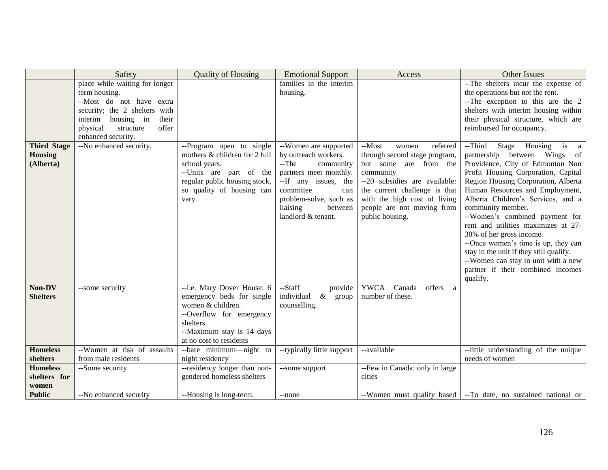|                                                   | Safety                                                                                                                                                                                                                            | <b>Quality of Housing</b>                                                                                                                                                     | <b>Emotional Support</b>                                                                                                              | Access                                                                                                                                          | Other Issues                                                                                                                                                                                                                                                                                                                                                                                                     |
|---------------------------------------------------|-----------------------------------------------------------------------------------------------------------------------------------------------------------------------------------------------------------------------------------|-------------------------------------------------------------------------------------------------------------------------------------------------------------------------------|---------------------------------------------------------------------------------------------------------------------------------------|-------------------------------------------------------------------------------------------------------------------------------------------------|------------------------------------------------------------------------------------------------------------------------------------------------------------------------------------------------------------------------------------------------------------------------------------------------------------------------------------------------------------------------------------------------------------------|
| <b>Third Stage</b><br><b>Housing</b><br>(Alberta) | place while waiting for longer<br>term housing.<br>--Most do not have extra<br>security; the 2 shelters with<br>housing in<br>interim<br>their<br>offer<br>physical<br>structure<br>enhanced security.<br>--No enhanced security. | --Program open to single<br>mothers & children for 2 full<br>school years.<br>--Units are part of the                                                                         | families in the interim<br>housing.<br>--Women are supported<br>by outreach workers.<br>$-The$<br>community<br>partners meet monthly. | --Most<br>referred<br>women<br>through second stage program,<br>but some are from the<br>community                                              | --The shelters incur the expense of<br>the operations but not the rent.<br>--The exception to this are the 2<br>shelters with interim housing within<br>their physical structure, which are<br>reimbursed for occupancy.<br>--Third<br>Stage Housing is<br><sub>a</sub><br>partnership between Wings of<br>Providence, City of Edmonton Non<br>Profit Housing Corporation, Capital                               |
|                                                   |                                                                                                                                                                                                                                   | regular public housing stock,<br>so quality of housing can<br>vary.                                                                                                           | --If any issues, the<br>committee<br>can<br>problem-solve, such as<br>liaising<br>between<br>landlord & tenant.                       | --20 subsidies are available:<br>the current challenge is that<br>with the high cost of living<br>people are not moving from<br>public housing. | Region Housing Corporation, Alberta<br>Human Resources and Employment,<br>Alberta Children's Services, and a<br>community member.<br>--Women's combined payment for<br>rent and utilities maximizes at 27-<br>30% of her gross income.<br>--Once women's time is up, they can<br>stay in the unit if they still qualify.<br>--Women can stay in unit with a new<br>partner if their combined incomes<br>qualify. |
| Non-DV<br><b>Shelters</b>                         | --some security                                                                                                                                                                                                                   | --i.e. Mary Dover House: 6<br>emergency beds for single<br>women & children.<br>--Overflow for emergency<br>shelters.<br>--Maximum stay is 14 days<br>at no cost to residents | --Staff<br>provide<br>individual<br>$\&$<br>group<br>counselling.                                                                     | <b>YWCA</b><br>Canada<br>offers a<br>number of these.                                                                                           |                                                                                                                                                                                                                                                                                                                                                                                                                  |
| <b>Homeless</b>                                   | --Women at risk of assaults                                                                                                                                                                                                       | --bare minimum---night to                                                                                                                                                     | --typically little support                                                                                                            | --available                                                                                                                                     | --little understanding of the unique                                                                                                                                                                                                                                                                                                                                                                             |
| shelters                                          | from male residents                                                                                                                                                                                                               | night residency                                                                                                                                                               |                                                                                                                                       |                                                                                                                                                 | needs of women                                                                                                                                                                                                                                                                                                                                                                                                   |
| <b>Homeless</b><br>shelters for                   | --Some security                                                                                                                                                                                                                   | --residency longer than non-<br>gendered homeless shelters                                                                                                                    | --some support                                                                                                                        | --Few in Canada: only in large<br>cities                                                                                                        |                                                                                                                                                                                                                                                                                                                                                                                                                  |
| women<br><b>Public</b>                            | --No enhanced security                                                                                                                                                                                                            | --Housing is long-term.                                                                                                                                                       | --none                                                                                                                                | --Women must qualify based                                                                                                                      | --To date, no sustained national or                                                                                                                                                                                                                                                                                                                                                                              |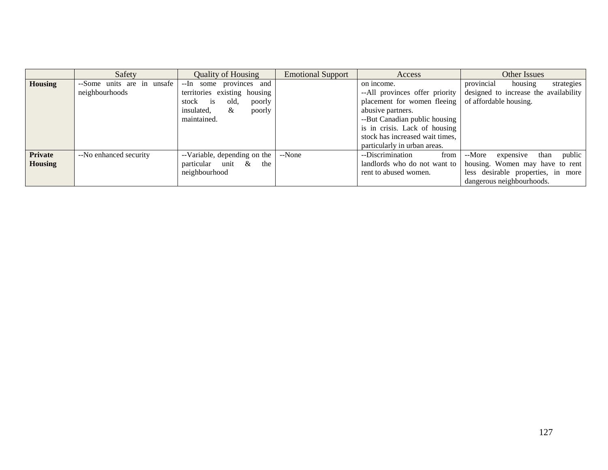|                | Safety                     | <b>Quality of Housing</b>      | <b>Emotional Support</b> | Access                          | <b>Other Issues</b>                   |
|----------------|----------------------------|--------------------------------|--------------------------|---------------------------------|---------------------------------------|
| <b>Housing</b> | --Some units are in unsafe | --In some provinces and        |                          | on income.                      | provincial<br>housing<br>strategies   |
|                | neighbourhoods             | territories existing housing   |                          | --All provinces offer priority  | designed to increase the availability |
|                |                            | stock is<br>old.<br>poorly     |                          | placement for women fleeing     | of affordable housing.                |
|                |                            | insulated,<br>&<br>poorly      |                          | abusive partners.               |                                       |
|                |                            | maintained.                    |                          | --But Canadian public housing   |                                       |
|                |                            |                                |                          | is in crisis. Lack of housing   |                                       |
|                |                            |                                |                          | stock has increased wait times, |                                       |
|                |                            |                                |                          | particularly in urban areas.    |                                       |
| <b>Private</b> | --No enhanced security     | --Variable, depending on the   | --None                   | --Discrimination<br>from        | than public<br>--More<br>expensive    |
| <b>Housing</b> |                            | particular unit<br>$\&$<br>the |                          | landlords who do not want to    | housing. Women may have to rent       |
|                |                            | neighbourhood                  |                          | rent to abused women.           | less desirable properties, in more    |
|                |                            |                                |                          |                                 | dangerous neighbourhoods.             |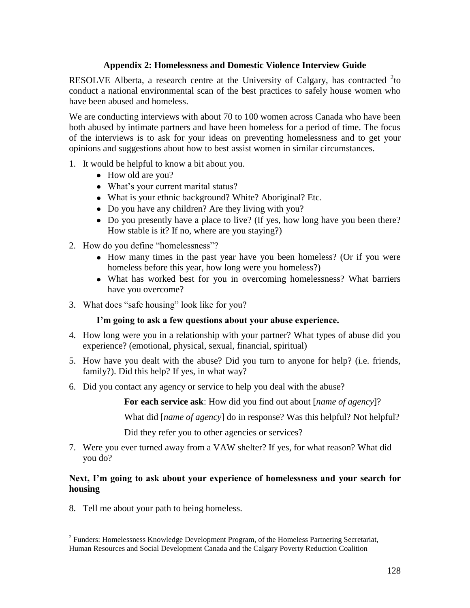# **Appendix 2: Homelessness and Domestic Violence Interview Guide**

RESOLVE Alberta, a research centre at the University of Calgary, has contracted  $2$ to conduct a national environmental scan of the best practices to safely house women who have been abused and homeless.

We are conducting interviews with about 70 to 100 women across Canada who have been both abused by intimate partners and have been homeless for a period of time. The focus of the interviews is to ask for your ideas on preventing homelessness and to get your opinions and suggestions about how to best assist women in similar circumstances.

- 1. It would be helpful to know a bit about you.
	- How old are you?
	- What's your current marital status?
	- What is your ethnic background? White? Aboriginal? Etc.
	- Do you have any children? Are they living with you?
	- Do you presently have a place to live? (If yes, how long have you been there? How stable is it? If no, where are you staying?)
- 2. How do you define "homelessness"?
	- How many times in the past year have you been homeless? (Or if you were homeless before this year, how long were you homeless?)
	- What has worked best for you in overcoming homelessness? What barriers have you overcome?
- 3. What does "safe housing" look like for you?

# **I'm going to ask a few questions about your abuse experience.**

- 4. How long were you in a relationship with your partner? What types of abuse did you experience? (emotional, physical, sexual, financial, spiritual)
- 5. How have you dealt with the abuse? Did you turn to anyone for help? (i.e. friends, family?). Did this help? If yes, in what way?
- 6. Did you contact any agency or service to help you deal with the abuse?

**For each service ask**: How did you find out about [*name of agency*]?

What did [*name of agency*] do in response? Was this helpful? Not helpful?

Did they refer you to other agencies or services?

7. Were you ever turned away from a VAW shelter? If yes, for what reason? What did you do?

# **Next, I'm going to ask about your experience of homelessness and your search for housing**

8. Tell me about your path to being homeless.

 $\overline{a}$ 

 $2^2$  Funders: Homelessness Knowledge Development Program, of the Homeless Partnering Secretariat, Human Resources and Social Development Canada and the Calgary Poverty Reduction Coalition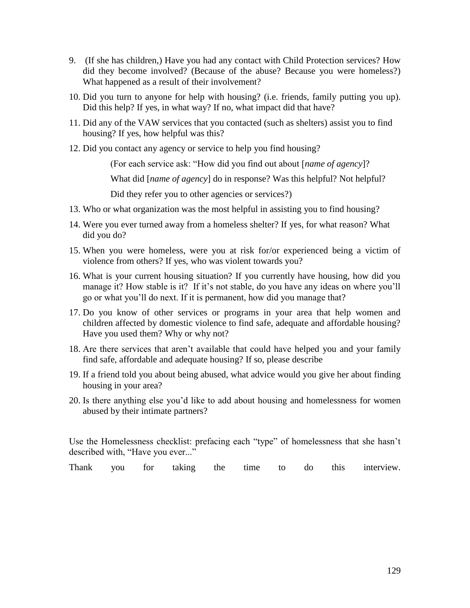- 9. (If she has children,) Have you had any contact with Child Protection services? How did they become involved? (Because of the abuse? Because you were homeless?) What happened as a result of their involvement?
- 10. Did you turn to anyone for help with housing? (i.e. friends, family putting you up). Did this help? If yes, in what way? If no, what impact did that have?
- 11. Did any of the VAW services that you contacted (such as shelters) assist you to find housing? If yes, how helpful was this?
- 12. Did you contact any agency or service to help you find housing?

(For each service ask: ―How did you find out about [*name of agency*]?

What did [*name of agency*] do in response? Was this helpful? Not helpful?

Did they refer you to other agencies or services?)

- 13. Who or what organization was the most helpful in assisting you to find housing?
- 14. Were you ever turned away from a homeless shelter? If yes, for what reason? What did you do?
- 15. When you were homeless, were you at risk for/or experienced being a victim of violence from others? If yes, who was violent towards you?
- 16. What is your current housing situation? If you currently have housing, how did you manage it? How stable is it? If it's not stable, do you have any ideas on where you'll go or what you'll do next. If it is permanent, how did you manage that?
- 17. Do you know of other services or programs in your area that help women and children affected by domestic violence to find safe, adequate and affordable housing? Have you used them? Why or why not?
- 18. Are there services that aren't available that could have helped you and your family find safe, affordable and adequate housing? If so, please describe
- 19. If a friend told you about being abused, what advice would you give her about finding housing in your area?
- 20. Is there anything else you'd like to add about housing and homelessness for women abused by their intimate partners?

Use the Homelessness checklist: prefacing each "type" of homelessness that she hasn't described with, "Have you ever..."

Thank you for taking the time to do this interview.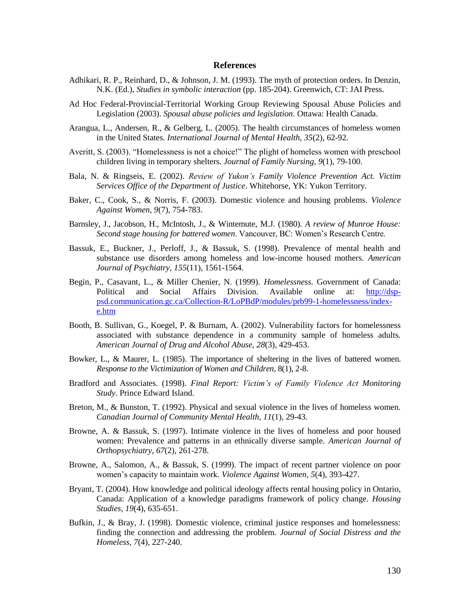#### **References**

- Adhikari, R. P., Reinhard, D., & Johnson, J. M. (1993). The myth of protection orders. In Denzin, N.K. (Ed.), *Studies in symbolic interaction* (pp. 185-204). Greenwich, CT: JAI Press.
- Ad Hoc Federal-Provincial-Territorial Working Group Reviewing Spousal Abuse Policies and Legislation (2003). *Spousal abuse policies and legislation*. Ottawa: Health Canada.
- Arangua, L., Andersen, R., & Gelberg, L. (2005). The health circumstances of homeless women in the United States. *International Journal of Mental Health, 35*(2), 62-92.
- Averitt, S. (2003). "Homelessness is not a choice!" The plight of homeless women with preschool children living in temporary shelters. *Journal of Family Nursing, 9*(1), 79-100.
- Bala, N. & Ringseis, E. (2002). *Review of Yukon"s Family Violence Prevention Act. Victim Services Office of the Department of Justice*. Whitehorse, YK: Yukon Territory.
- Baker, C., Cook, S., & Norris, F. (2003). Domestic violence and housing problems. *Violence Against Women, 9*(7), 754-783.
- Barnsley, J., Jacobson, H., McIntosh, J., & Wintemute, M.J. (1980). *A review of Munroe House: Second stage housing for battered women*. Vancouver, BC: Women's Research Centre.
- Bassuk, E., Buckner, J., Perloff, J., & Bassuk, S. (1998). Prevalence of mental health and substance use disorders among homeless and low-income housed mothers. *American Journal of Psychiatry, 155*(11), 1561-1564.
- Begin, P., Casavant, L., & Miller Chenier, N. (1999). *Homelessness.* Government of Canada: Political and Social Affairs Division. Available online at: [http://dsp](http://dsp-psd.communication.gc.ca/Collection-R/LoPBdP/modules/prb99-1-homelessness/index-e.htm)[psd.communication.gc.ca/Collection-R/LoPBdP/modules/prb99-1-homelessness/index](http://dsp-psd.communication.gc.ca/Collection-R/LoPBdP/modules/prb99-1-homelessness/index-e.htm)[e.htm](http://dsp-psd.communication.gc.ca/Collection-R/LoPBdP/modules/prb99-1-homelessness/index-e.htm)
- Booth, B. Sullivan, G., Koegel, P. & Burnam, A. (2002). Vulnerability factors for homelessness associated with substance dependence in a community sample of homeless adults. *American Journal of Drug and Alcohol Abuse, 28*(3), 429-453.
- Bowker, L., & Maurer, L. (1985). The importance of sheltering in the lives of battered women. *Response to the Victimization of Women and Children*, 8(1), 2-8.
- Bradford and Associates. (1998). *Final Report: Victim"s of Family Violence Act Monitoring Study*. Prince Edward Island.
- Breton, M., & Bunston, T. (1992). Physical and sexual violence in the lives of homeless women. *Canadian Journal of Community Mental Health, 11*(1), 29-43.
- Browne, A. & Bassuk, S. (1997). Intimate violence in the lives of homeless and poor housed women: Prevalence and patterns in an ethnically diverse sample. *American Journal of Orthopsychiatry, 67*(2), 261-278.
- Browne, A., Salomon, A., & Bassuk, S. (1999). The impact of recent partner violence on poor women's capacity to maintain work. *Violence Against Women, 5*(4), 393-427.
- Bryant, T. (2004). How knowledge and political ideology affects rental housing policy in Ontario, Canada: Application of a knowledge paradigms framework of policy change. *Housing Studies, 19*(4), 635-651.
- Bufkin, J., & Bray, J. (1998). Domestic violence, criminal justice responses and homelessness: finding the connection and addressing the problem. *Journal of Social Distress and the Homeless, 7*(4), 227-240.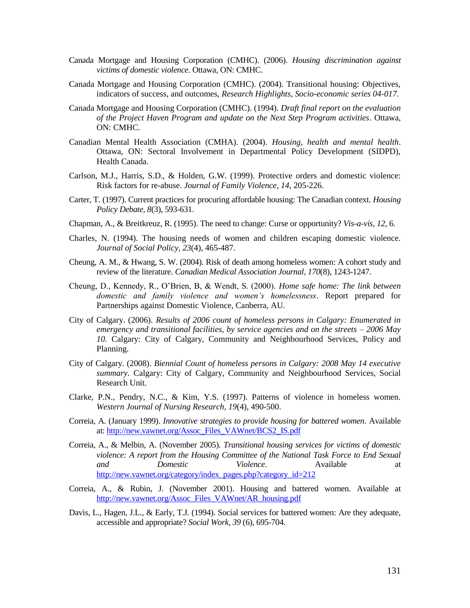- Canada Mortgage and Housing Corporation (CMHC). (2006). *Housing discrimination against victims of domestic violence.* Ottawa, ON: CMHC.
- Canada Mortgage and Housing Corporation (CMHC). (2004). Transitional housing: Objectives, indicators of success, and outcomes, *Research Highlights, Socio-economic series 04-017.*
- Canada Mortgage and Housing Corporation (CMHC). (1994). *Draft final report on the evaluation of the Project Haven Program and update on the Next Step Program activities*. Ottawa, ON: CMHC.
- Canadian Mental Health Association (CMHA). (2004). *Housing, health and mental health*. Ottawa, ON: Sectoral Involvement in Departmental Policy Development (SIDPD), Health Canada.
- Carlson, M.J., Harris, S.D., & Holden, G.W. (1999). Protective orders and domestic violence: Risk factors for re-abuse. *Journal of Family Violence, 14*, 205-226.
- Carter, T. (1997). Current practices for procuring affordable housing: The Canadian context. *Housing Policy Debate, 8*(3), 593-631.
- Chapman, A., & Breitkreuz, R. (1995). The need to change: Curse or opportunity? *Vis-a-vis, 12*, 6.
- Charles, N. (1994). The housing needs of women and children escaping domestic violence. *Journal of Social Policy, 23*(4), 465-487.
- Cheung, A. M., & Hwang, S. W. (2004). Risk of death among homeless women: A cohort study and review of the literature. *Canadian Medical Association Journal, 170*(8), 1243-1247.
- Cheung, D., Kennedy, R., O'Brien, B, & Wendt, S. (2000). *Home safe home: The link between domestic and family violence and women"s homelessness*. Report prepared for Partnerships against Domestic Violence, Canberra, AU.
- City of Calgary. (2006). *Results of 2006 count of homeless persons in Calgary: Enumerated in emergency and transitional facilities, by service agencies and on the streets – 2006 May 10.* Calgary: City of Calgary, Community and Neighbourhood Services, Policy and Planning.
- City of Calgary. (2008). *Biennial Count of homeless persons in Calgary: 2008 May 14 executive summary.* Calgary: City of Calgary, Community and Neighbourhood Services, Social Research Unit.
- Clarke, P.N., Pendry, N.C., & Kim, Y.S. (1997). Patterns of violence in homeless women. *Western Journal of Nursing Research, 19*(4), 490-500.
- Correia, A. (January 1999). *Innovative strategies to provide housing for battered women*. Available at: [http://new.vawnet.org/Assoc\\_Files\\_VAWnet/BCS2\\_IS.pdf](http://new.vawnet.org/Assoc_Files_VAWnet/BCS2_IS.pdf)
- Correia, A., & Melbin, A. (November 2005). *Transitional housing services for victims of domestic violence: A report from the Housing Committee of the National Task Force to End Sexual and Domestic Violence*. Available at [http://new.vawnet.org/category/index\\_pages.php?category\\_id=212](http://new.vawnet.org/category/index_pages.php?category_id=212)
- Correia, A., & Rubin, J. (November 2001). Housing and battered women. Available at [http://new.vawnet.org/Assoc\\_Files\\_VAWnet/AR\\_housing.pdf](http://new.vawnet.org/Assoc_Files_VAWnet/AR_housing.pdf)
- Davis, L., Hagen, J.L., & Early, T.J. (1994). Social services for battered women: Are they adequate, accessible and appropriate? *Social Work, 39* (6), 695-704.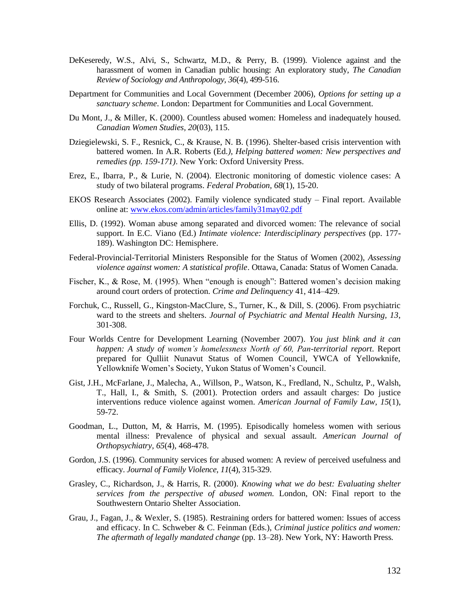- DeKeseredy, W.S., Alvi, S., Schwartz, M.D., & Perry, B. (1999). Violence against and the harassment of women in Canadian public housing: An exploratory study, *The Canadian Review of Sociology and Anthropology, 36*(4), 499-516.
- Department for Communities and Local Government (December 2006), *Options for setting up a sanctuary scheme*. London: Department for Communities and Local Government.
- Du Mont, J., & Miller, K. (2000). Countless abused women: Homeless and inadequately housed. *Canadian Women Studies, 20*(03), 115.
- Dziegielewski, S. F., Resnick, C., & Krause, N. B. (1996). Shelter-based crisis intervention with battered women. In A.R. Roberts (Ed*.), Helping battered women: New perspectives and remedies (pp. 159-171)*. New York: Oxford University Press.
- Erez, E., Ibarra, P., & Lurie, N. (2004). Electronic monitoring of domestic violence cases: A study of two bilateral programs. *Federal Probation, 68*(1), 15-20.
- EKOS Research Associates (2002). Family violence syndicated study Final report. Available online at: [www.ekos.com/admin/articles/family31may02.pdf](http://www.ekos.com/admin/articles/family31may02.pdf)
- Ellis, D. (1992). Woman abuse among separated and divorced women: The relevance of social support. In E.C. Viano (Ed.) *Intimate violence: Interdisciplinary perspectives* (pp. 177- 189). Washington DC: Hemisphere.
- Federal-Provincial-Territorial Ministers Responsible for the Status of Women (2002), *Assessing violence against women: A statistical profile*. Ottawa, Canada: Status of Women Canada.
- Fischer, K., & Rose, M. (1995). When "enough is enough": Battered women's decision making around court orders of protection. *Crime and Delinquency* 41, 414–429.
- Forchuk, C., Russell, G., Kingston-MacClure, S., Turner, K., & Dill, S. (2006). From psychiatric ward to the streets and shelters. *Journal of Psychiatric and Mental Health Nursing, 13*, 301-308.
- Four Worlds Centre for Development Learning (November 2007). *You just blink and it can happen: A study of women"s homelessness North of 60, Pan-territorial report*. Report prepared for Qulliit Nunavut Status of Women Council, YWCA of Yellowknife, Yellowknife Women's Society, Yukon Status of Women's Council.
- Gist, J.H., McFarlane, J., Malecha, A., Willson, P., Watson, K., Fredland, N., Schultz, P., Walsh, T., Hall, I., & Smith, S*.* (2001). Protection orders and assault charges: Do justice interventions reduce violence against women. *American Journal of Family Law, 15*(1), 59-72.
- Goodman, L., Dutton, M, & Harris, M. (1995). Episodically homeless women with serious mental illness: Prevalence of physical and sexual assault. *American Journal of Orthopsychiatry, 65*(4), 468-478.
- Gordon, J.S. (1996). Community services for abused women: A review of perceived usefulness and efficacy. *Journal of Family Violence, 11*(4), 315-329.
- Grasley, C., Richardson, J., & Harris, R. (2000). *Knowing what we do best: Evaluating shelter services from the perspective of abused women.* London, ON: Final report to the Southwestern Ontario Shelter Association.
- Grau, J., Fagan, J., & Wexler, S. (1985). Restraining orders for battered women: Issues of access and efficacy. In C. Schweber & C. Feinman (Eds.), *Criminal justice politics and women: The aftermath of legally mandated change* (pp. 13–28). New York, NY: Haworth Press*.*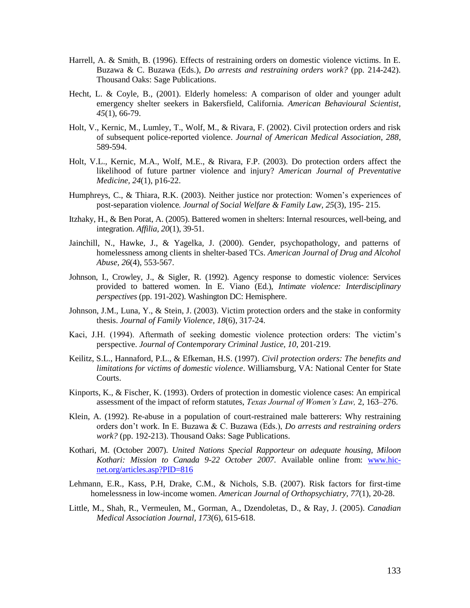- Harrell, A. & Smith, B. (1996). Effects of restraining orders on domestic violence victims. In E. Buzawa & C. Buzawa (Eds.), *Do arrests and restraining orders work?* (pp. 214-242). Thousand Oaks: Sage Publications.
- Hecht, L. & Coyle, B., (2001). Elderly homeless: A comparison of older and younger adult emergency shelter seekers in Bakersfield, California. *American Behavioural Scientist, 45*(1), 66-79.
- Holt, V., Kernic, M., Lumley, T., Wolf, M., & Rivara, F. (2002). Civil protection orders and risk of subsequent police-reported violence. *Journal of American Medical Association, 288*, 589-594.
- Holt, V.L., Kernic, M.A., Wolf, M.E., & Rivara, F.P. (2003). Do protection orders affect the likelihood of future partner violence and injury? *American Journal of Preventative Medicine, 24*(1), p16-22.
- Humphreys, C., & Thiara, R.K. (2003). Neither justice nor protection: Women's experiences of post-separation violence*. Journal of Social Welfare & Family Law, 25*(3), 195- 215.
- Itzhaky, H., & Ben Porat, A. (2005). Battered women in shelters: Internal resources, well-being, and integration. *Affilia, 20*(1), 39-51.
- Jainchill, N., Hawke, J., & Yagelka, J. (2000). Gender, psychopathology, and patterns of homelessness among clients in shelter-based TCs. *American Journal of Drug and Alcohol Abuse, 26*(4), 553-567.
- Johnson, I., Crowley, J., & Sigler, R. (1992). Agency response to domestic violence: Services provided to battered women. In E. Viano (Ed.), *Intimate violence: Interdisciplinary perspectives* (pp. 191-202). Washington DC: Hemisphere.
- Johnson, J.M., Luna, Y., & Stein, J. (2003). Victim protection orders and the stake in conformity thesis. *Journal of Family Violence, 18*(6), 317-24.
- Kaci, J.H. (1994). Aftermath of seeking domestic violence protection orders: The victim's perspective. *Journal of Contemporary Criminal Justice, 10*, 201-219.
- Keilitz, S.L., Hannaford, P.L., & Efkeman, H.S. (1997). *Civil protection orders: The benefits and limitations for victims of domestic violence*. Williamsburg, VA: National Center for State Courts.
- Kinports, K., & Fischer, K. (1993). Orders of protection in domestic violence cases: An empirical assessment of the impact of reform statutes, *Texas Journal of Women"s Law,* 2, 163–276.
- Klein, A. (1992). Re-abuse in a population of court-restrained male batterers: Why restraining orders don't work. In E. Buzawa & C. Buzawa (Eds.), *Do arrests and restraining orders work?* (pp. 192-213). Thousand Oaks: Sage Publications.
- Kothari, M. (October 2007). *United Nations Special Rapporteur on adequate housing, Miloon Kothari: Mission to Canada 9-22 October 2007*. Available online from: [www.hic](http://www.hic-net.org/articles.asp?PID=816)[net.org/articles.asp?PID=816](http://www.hic-net.org/articles.asp?PID=816)
- Lehmann, E.R., Kass, P.H, Drake, C.M., & Nichols, S.B. (2007). Risk factors for first-time homelessness in low-income women. *American Journal of Orthopsychiatry, 77*(1), 20-28.
- Little, M., Shah, R., Vermeulen, M., Gorman, A., Dzendoletas, D., & Ray, J. (2005). *Canadian Medical Association Journal, 173*(6), 615-618.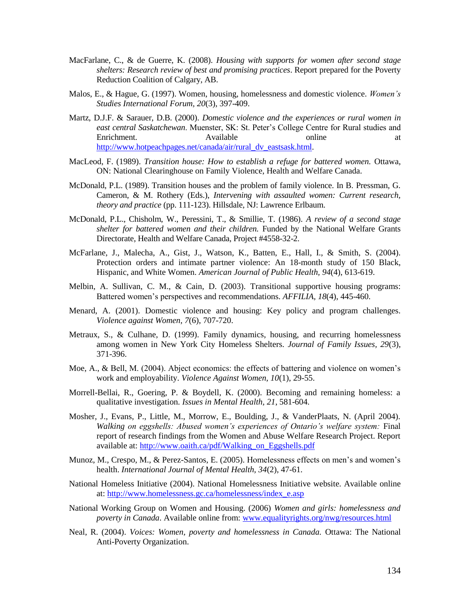- MacFarlane, C., & de Guerre, K. (2008). *Housing with supports for women after second stage shelters: Research review of best and promising practices*. Report prepared for the Poverty Reduction Coalition of Calgary, AB.
- Malos, E., & Hague, G. (1997). Women, housing, homelessness and domestic violence. *Women"s Studies International Forum, 20*(3), 397-409.
- Martz, D.J.F. & Sarauer, D.B. (2000). *Domestic violence and the experiences or rural women in east central Saskatchewan*. Muenster, SK: St. Peter's College Centre for Rural studies and Enrichment. Available and a series at the Available online at the at [http://www.hotpeachpages.net/canada/air/rural\\_dv\\_eastsask.html.](http://www.hotpeachpages.net/canada/air/rural_dv_eastsask.html)
- MacLeod, F. (1989). *Transition house: How to establish a refuge for battered women.* Ottawa, ON: National Clearinghouse on Family Violence, Health and Welfare Canada.
- McDonald, P.L. (1989). Transition houses and the problem of family violence. In B. Pressman, G. Cameron, & M. Rothery (Eds.), *Intervening with assaulted women: Current research, theory and practice* (pp. 111-123). Hillsdale, NJ: Lawrence Erlbaum.
- McDonald, P.L., Chisholm, W., Peressini, T., & Smillie, T. (1986). *A review of a second stage shelter for battered women and their children.* Funded by the National Welfare Grants Directorate, Health and Welfare Canada, Project #4558-32-2.
- McFarlane, J., Malecha, A., Gist, J., Watson, K., Batten, E., Hall, I., & Smith, S. (2004). Protection orders and intimate partner violence: An 18-month study of 150 Black, Hispanic, and White Women. *American Journal of Public Health, 94*(4), 613-619.
- Melbin, A. Sullivan, C. M., & Cain, D. (2003). Transitional supportive housing programs: Battered women's perspectives and recommendations. *AFFILIA, 18*(4), 445-460.
- Menard, A. (2001). Domestic violence and housing: Key policy and program challenges. *Violence against Women, 7*(6), 707-720.
- Metraux, S., & Culhane, D. (1999). Family dynamics, housing, and recurring homelessness among women in New York City Homeless Shelters. *Journal of Family Issues, 29*(3), 371-396.
- Moe, A., & Bell, M. (2004). Abject economics: the effects of battering and violence on women's work and employability. *Violence Against Women, 10*(1), 29-55.
- Morrell-Bellai, R., Goering, P. & Boydell, K. (2000). Becoming and remaining homeless: a qualitative investigation. *Issues in Mental Health, 21*, 581-604.
- Mosher, J., Evans, P., Little, M., Morrow, E., Boulding, J., & VanderPlaats, N. (April 2004). *Walking on eggshells: Abused women"s experiences of Ontario"s welfare system:* Final report of research findings from the Women and Abuse Welfare Research Project. Report available at: [http://www.oaith.ca/pdf/Walking\\_on\\_Eggshells.pdf](http://www.oaith.ca/pdf/Walking_on_Eggshells.pdf)
- Munoz, M., Crespo, M., & Perez-Santos, E. (2005). Homelessness effects on men's and women's health. *International Journal of Mental Health, 34*(2), 47-61.
- National Homeless Initiative (2004). National Homelessness Initiative website. Available online at: [http://www.homelessness.gc.ca/homelessness/index\\_e.asp](http://www.homelessness.gc.ca/homelessness/index_e.asp)
- National Working Group on Women and Housing. (2006) *Women and girls: homelessness and poverty in Canada*. Available online from: [www.equalityrights.org/nwg/resources.html](http://www.equalityrights.org/nwg/resources.html)
- Neal, R. (2004). *Voices: Women, poverty and homelessness in Canada.* Ottawa: The National Anti-Poverty Organization.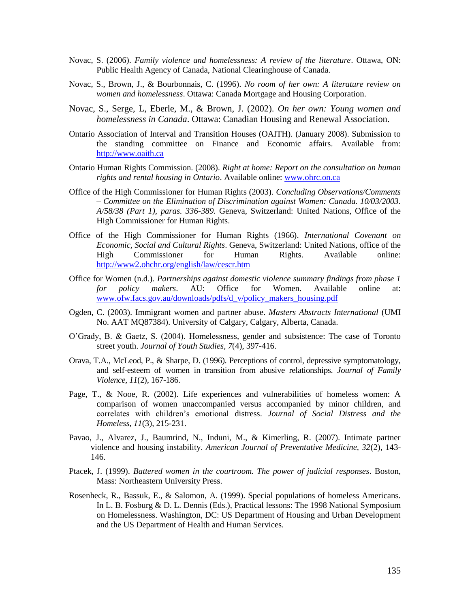- Novac, S. (2006). *Family violence and homelessness: A review of the literature*. Ottawa, ON: Public Health Agency of Canada, National Clearinghouse of Canada.
- Novac, S., Brown, J., & Bourbonnais, C. (1996). *No room of her own: A literature review on women and homelessness*. Ottawa: Canada Mortgage and Housing Corporation.
- Novac, S., Serge, L, Eberle, M., & Brown, J. (2002). *On her own: Young women and homelessness in Canada*. Ottawa: Canadian Housing and Renewal Association.
- Ontario Association of Interval and Transition Houses (OAITH). (January 2008). Submission to the standing committee on Finance and Economic affairs. Available from: [http://www.oaith.ca](http://www.oaith.ca/)
- Ontario Human Rights Commission. (2008). *Right at home: Report on the consultation on human rights and rental housing in Ontario*. Available online: [www.ohrc.on.ca](http://www.ohrc.on.ca/)
- Office of the High Commissioner for Human Rights (2003). *Concluding Observations/Comments – Committee on the Elimination of Discrimination against Women: Canada. 10/03/2003. A/58/38 (Part 1), paras. 336-389.* Geneva, Switzerland: United Nations, Office of the High Commissioner for Human Rights.
- Office of the High Commissioner for Human Rights (1966). *International Covenant on Economic, Social and Cultural Rights*. Geneva, Switzerland: United Nations, office of the High Commissioner for Human Rights. Available online: <http://www2.ohchr.org/english/law/cescr.htm>
- Office for Women (n.d.). *Partnerships against domestic violence summary findings from phase 1 for policy makers*. AU: Office for Women. Available online at: [www.ofw.facs.gov.au/downloads/pdfs/d\\_v/policy\\_makers\\_housing.pdf](http://www.ofw.facs.gov.au/downloads/pdfs/d_v/policy_makers_housing.pdf)
- Ogden, C. (2003). Immigrant women and partner abuse. *Masters Abstracts International* (UMI No. AAT MQ87384). University of Calgary, Calgary, Alberta, Canada.
- O'Grady, B. & Gaetz, S. (2004). Homelessness, gender and subsistence: The case of Toronto street youth. *Journal of Youth Studies, 7*(4), 397-416.
- Orava, T.A., McLeod, P., & Sharpe, D. (1996). Perceptions of control, depressive symptomatology, and self-esteem of women in transition from abusive relationships. *Journal of Family Violence, 11*(2), 167-186.
- Page, T., & Nooe, R. (2002). Life experiences and vulnerabilities of homeless women: A comparison of women unaccompanied versus accompanied by minor children, and correlates with children's emotional distress. *Journal of Social Distress and the Homeless, 11*(3), 215-231.
- Pavao, J., Alvarez, J., Baumrind, N., Induni, M., & Kimerling, R. (2007). Intimate partner violence and housing instability. *American Journal of Preventative Medicine, 32*(2), 143- 146.
- Ptacek, J. (1999). *Battered women in the courtroom. The power of judicial responses*. Boston, Mass: Northeastern University Press.
- Rosenheck, R., Bassuk, E., & Salomon, A. (1999). Special populations of homeless Americans. In L. B. Fosburg & D. L. Dennis (Eds.), Practical lessons: The 1998 National Symposium on Homelessness. Washington, DC: US Department of Housing and Urban Development and the US Department of Health and Human Services.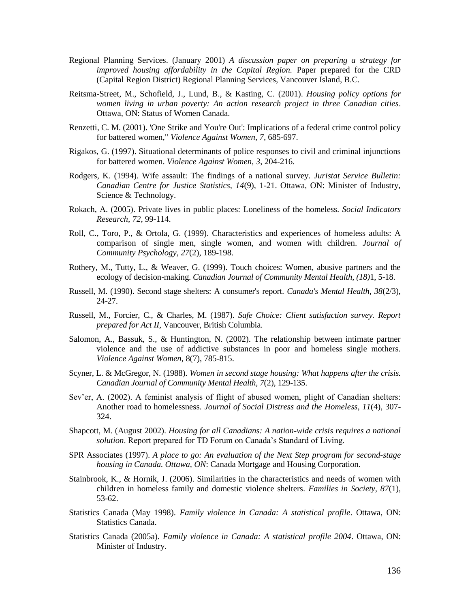- Regional Planning Services. (January 2001) *A discussion paper on preparing a strategy for improved housing affordability in the Capital Region.* Paper prepared for the CRD (Capital Region District) Regional Planning Services, Vancouver Island, B.C.
- Reitsma-Street, M., Schofield, J., Lund, B., & Kasting, C. (2001). *Housing policy options for women living in urban poverty: An action research project in three Canadian cities*. Ottawa, ON: Status of Women Canada.
- Renzetti, C. M. (2001). 'One Strike and You're Out': Implications of a federal crime control policy for battered women," *Violence Against Women*, *7,* 685-697.
- Rigakos, G. (1997). Situational determinants of police responses to civil and criminal injunctions for battered women. *Violence Against Women, 3*, 204-216.
- Rodgers, K. (1994). Wife assault: The findings of a national survey. *Juristat Service Bulletin: Canadian Centre for Justice Statistics, 14*(9), 1-21. Ottawa, ON: Minister of Industry, Science & Technology.
- Rokach, A. (2005). Private lives in public places: Loneliness of the homeless. *Social Indicators Research, 72*, 99-114.
- Roll, C., Toro, P., & Ortola, G. (1999). Characteristics and experiences of homeless adults: A comparison of single men, single women, and women with children. *Journal of Community Psychology, 27*(2), 189-198.
- Rothery, M., Tutty, L., & Weaver, G. (1999). Touch choices: Women, abusive partners and the ecology of decision-making. *Canadian Journal of Community Mental Health, (18)*1, 5-18.
- Russell, M. (1990). Second stage shelters: A consumer's report. *Canada's Mental Health, 38*(2/3), 24-27.
- Russell, M., Forcier, C., & Charles, M. (1987). *Safe Choice: Client satisfaction survey. Report prepared for Act II*, Vancouver, British Columbia.
- Salomon, A., Bassuk, S., & Huntington, N. (2002). The relationship between intimate partner violence and the use of addictive substances in poor and homeless single mothers. *Violence Against Women,* 8(7), 785-815.
- Scyner, L. & McGregor, N. (1988). *Women in second stage housing: What happens after the crisis. Canadian Journal of Community Mental Health, 7*(2), 129-135.
- Sev'er, A. (2002). A feminist analysis of flight of abused women, plight of Canadian shelters: Another road to homelessness. *Journal of Social Distress and the Homeless, 11*(4), 307- 324.
- Shapcott, M. (August 2002). *Housing for all Canadians: A nation-wide crisis requires a national solution*. Report prepared for TD Forum on Canada's Standard of Living.
- SPR Associates (1997). *A place to go: An evaluation of the Next Step program for second-stage housing in Canada. Ottawa, ON*: Canada Mortgage and Housing Corporation.
- Stainbrook, K., & Hornik, J. (2006). Similarities in the characteristics and needs of women with children in homeless family and domestic violence shelters. *Families in Society, 87*(1), 53-62.
- Statistics Canada (May 1998). *Family violence in Canada: A statistical profile*. Ottawa, ON: Statistics Canada.
- Statistics Canada (2005a). *Family violence in Canada: A statistical profile 2004*. Ottawa, ON: Minister of Industry.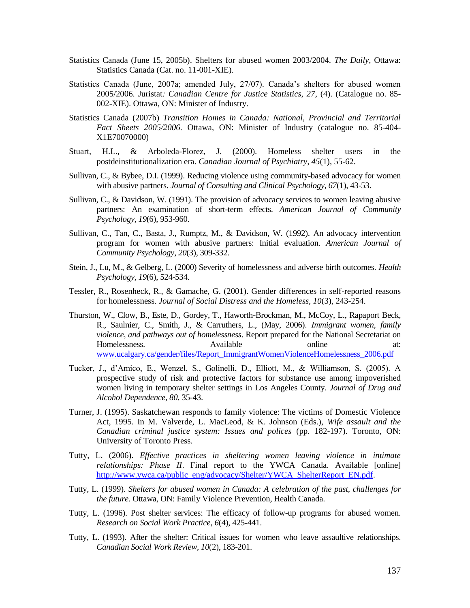- Statistics Canada (June 15, 2005b). Shelters for abused women 2003/2004. *The Daily*, Ottawa: Statistics Canada (Cat. no. 11-001-XIE).
- Statistics Canada (June, 2007a; amended July, 27/07). Canada's shelters for abused women 2005/2006. Juristat*: Canadian Centre for Justice Statistics, 27*, (4). (Catalogue no. 85- 002-XIE). Ottawa, ON: Minister of Industry.
- Statistics Canada (2007b) *Transition Homes in Canada: National, Provincial and Territorial Fact Sheets 2005/2006*. Ottawa, ON: Minister of Industry (catalogue no. 85-404- X1E70070000)
- Stuart, H.L., & Arboleda-Florez, J. (2000). Homeless shelter users in the postdeinstitutionalization era. *Canadian Journal of Psychiatry, 45*(1), 55-62.
- Sullivan, C., & Bybee, D.I. (1999). Reducing violence using community-based advocacy for women with abusive partners. *Journal of Consulting and Clinical Psychology, 67*(1), 43-53.
- Sullivan, C., & Davidson, W. (1991). The provision of advocacy services to women leaving abusive partners: An examination of short-term effects. *American Journal of Community Psychology, 19*(6), 953-960.
- Sullivan, C., Tan, C., Basta, J., Rumptz, M., & Davidson, W. (1992). An advocacy intervention program for women with abusive partners: Initial evaluation. *American Journal of Community Psychology, 20*(3), 309-332.
- Stein, J., Lu, M., & Gelberg, L. (2000) Severity of homelessness and adverse birth outcomes. *Health Psychology, 19*(6), 524-534.
- Tessler, R., Rosenheck, R., & Gamache, G. (2001). Gender differences in self-reported reasons for homelessness. *Journal of Social Distress and the Homeless, 10*(3), 243-254.
- Thurston, W., Clow, B., Este, D., Gordey, T., Haworth-Brockman, M., McCoy, L., Rapaport Beck, R., Saulnier, C., Smith, J., & Carruthers, L., (May, 2006). *Immigrant women, family violence, and pathways out of homelessness*. Report prepared for the National Secretariat on Homelessness. Available at: Available at: [www.ucalgary.ca/gender/files/Report\\_ImmigrantWomenViolenceHomelessness\\_2006.pdf](http://www.ucalgary.ca/gender/files/Report_ImmigrantWomenViolenceHomelessness_2006.pdf)
- Tucker, J., d'Amico, E., Wenzel, S., Golinelli, D., Elliott, M., & Williamson, S. (2005). A prospective study of risk and protective factors for substance use among impoverished women living in temporary shelter settings in Los Angeles County. *Journal of Drug and Alcohol Dependence, 80*, 35-43.
- Turner, J. (1995). Saskatchewan responds to family violence: The victims of Domestic Violence Act, 1995. In M. Valverde, L. MacLeod, & K. Johnson (Eds.), *Wife assault and the Canadian criminal justice system: Issues and polices* (pp. 182-197). Toronto, ON: University of Toronto Press.
- Tutty, L. (2006). *Effective practices in sheltering women leaving violence in intimate relationships: Phase II*. Final report to the YWCA Canada. Available [online] [http://www.ywca.ca/public\\_eng/advocacy/Shelter/YWCA\\_ShelterReport\\_EN.pdf.](http://www.ywca.ca/public_eng/advocacy/Shelter/YWCA_ShelterReport_EN.pdf)
- Tutty, L. (1999). *Shelters for abused women in Canada: A celebration of the past, challenges for the future*. Ottawa, ON: Family Violence Prevention, Health Canada.
- Tutty, L. (1996). Post shelter services: The efficacy of follow-up programs for abused women. *Research on Social Work Practice, 6*(4), 425-441.
- Tutty, L. (1993). After the shelter: Critical issues for women who leave assaultive relationships. *Canadian Social Work Review, 10*(2), 183-201.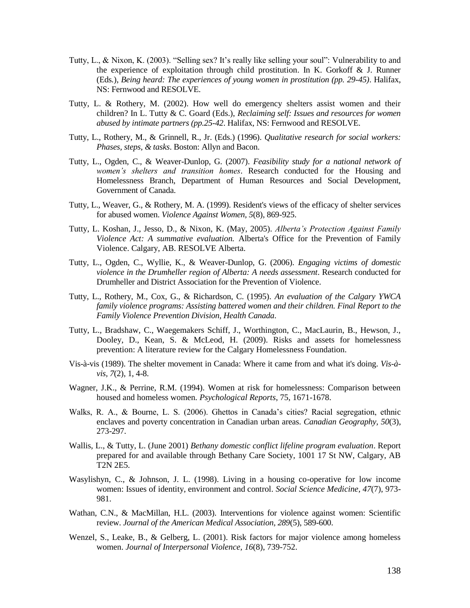- Tutty, L., & Nixon, K. (2003). "Selling sex? It's really like selling your soul": Vulnerability to and the experience of exploitation through child prostitution. In K. Gorkoff & J. Runner (Eds*.*), *Being heard: The experiences of young women in prostitution (pp. 29-45)*. Halifax, NS: Fernwood and RESOLVE.
- Tutty, L. & Rothery, M. (2002). How well do emergency shelters assist women and their children? In L. Tutty & C. Goard (Eds.), *Reclaiming self: Issues and resources for women abused by intimate partners (pp.25-42*. Halifax, NS: Fernwood and RESOLVE.
- Tutty, L., Rothery, M., & Grinnell, R., Jr. (Eds.) (1996). *Qualitative research for social workers: Phases, steps, & tasks*. Boston: Allyn and Bacon.
- Tutty, L., Ogden, C., & Weaver-Dunlop, G. (2007). *Feasibility study for a national network of women"s shelters and transition homes*. Research conducted for the Housing and Homelessness Branch, Department of Human Resources and Social Development, Government of Canada.
- Tutty, L., Weaver, G., & Rothery, M. A. (1999). Resident's views of the efficacy of shelter services for abused women. *Violence Against Women, 5*(8), 869-925.
- Tutty, L. Koshan, J., Jesso, D., & Nixon, K. (May, 2005). *Alberta"s Protection Against Family Violence Act: A summative evaluation.* Alberta's Office for the Prevention of Family Violence. Calgary, AB. RESOLVE Alberta.
- Tutty, L., Ogden, C., Wyllie, K., & Weaver-Dunlop, G. (2006). *Engaging victims of domestic violence in the Drumheller region of Alberta: A needs assessment*. Research conducted for Drumheller and District Association for the Prevention of Violence.
- Tutty, L., Rothery, M., Cox, G., & Richardson, C. (1995). *An evaluation of the Calgary YWCA family violence programs: Assisting battered women and their children. Final Report to the Family Violence Prevention Division, Health Canada*.
- Tutty, L., Bradshaw, C., Waegemakers Schiff, J., Worthington, C., MacLaurin, B., Hewson, J., Dooley, D., Kean, S. & McLeod, H. (2009). Risks and assets for homelessness prevention: A literature review for the Calgary Homelessness Foundation.
- Vis-à-vis (1989). The shelter movement in Canada: Where it came from and what it's doing. *Vis-àvis, 7*(2), 1, 4-8.
- Wagner, J.K., & Perrine, R.M. (1994). Women at risk for homelessness: Comparison between housed and homeless women. *Psychological Reports*, 75, 1671-1678.
- Walks, R. A., & Bourne, L. S. (2006). Ghettos in Canada's cities? Racial segregation, ethnic enclaves and poverty concentration in Canadian urban areas. *Canadian Geography, 50*(3), 273-297.
- Wallis, L., & Tutty, L. (June 2001) *Bethany domestic conflict lifeline program evaluation*. Report prepared for and available through Bethany Care Society, 1001 17 St NW, Calgary, AB T2N 2E5.
- Wasylishyn, C., & Johnson, J. L. (1998). Living in a housing co-operative for low income women: Issues of identity, environment and control. *Social Science Medicine, 47*(7), 973- 981.
- Wathan, C.N., & MacMillan, H.L. (2003). Interventions for violence against women: Scientific review. *Journal of the American Medical Association, 289*(5), 589-600.
- Wenzel, S., Leake, B., & Gelberg, L. (2001). Risk factors for major violence among homeless women. *Journal of Interpersonal Violence, 16*(8), 739-752.